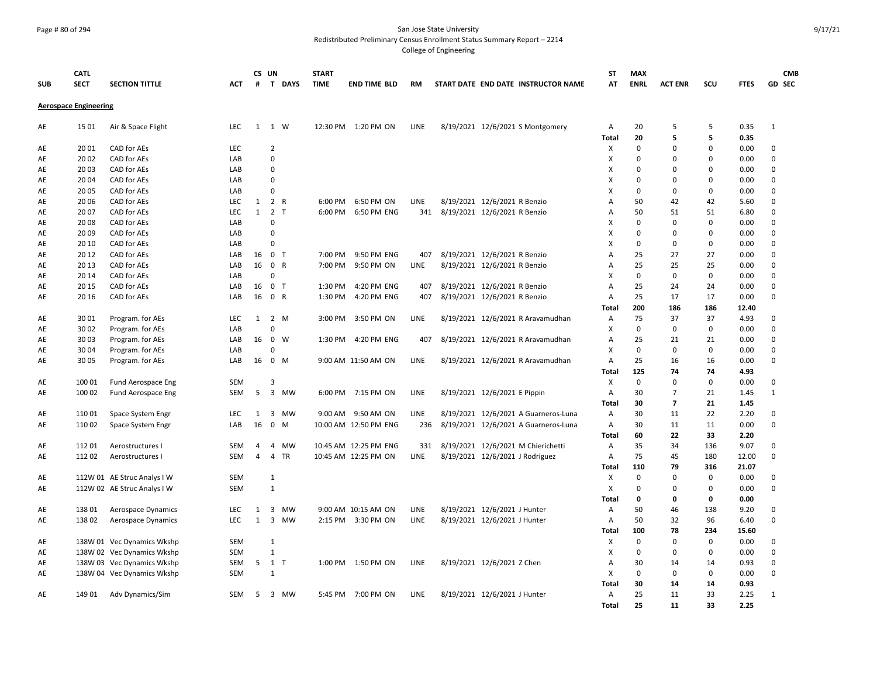#### Page # 80 of 294 San Jose State University Redistributed Preliminary Census Enrollment Status Summary Report – 2214

| <b>SUB</b> | <b>CATL</b><br><b>SECT</b>   | <b>SECTION TITTLE</b>                | <b>ACT</b>               | #            | CS UN                         | T DAYS          | <b>START</b><br><b>TIME</b> | <b>END TIME BLD</b>                           | <b>RM</b>   | START DATE END DATE INSTRUCTOR NAME                                   | SΤ<br>AT     | <b>MAX</b><br><b>ENRL</b> | <b>ACT ENR</b>       | scu                  | <b>FTES</b>   | <b>CMB</b><br><b>GD SEC</b> |
|------------|------------------------------|--------------------------------------|--------------------------|--------------|-------------------------------|-----------------|-----------------------------|-----------------------------------------------|-------------|-----------------------------------------------------------------------|--------------|---------------------------|----------------------|----------------------|---------------|-----------------------------|
|            | <b>Aerospace Engineering</b> |                                      |                          |              |                               |                 |                             |                                               |             |                                                                       |              |                           |                      |                      |               |                             |
| AE         | 15 01                        | Air & Space Flight                   | LEC                      | $\mathbf{1}$ | 1 W                           |                 |                             | 12:30 PM 1:20 PM ON                           | LINE        | 8/19/2021 12/6/2021 S Montgomery                                      | Α            | 20                        | 5                    | 5                    | 0.35          | $\mathbf{1}$                |
|            |                              |                                      |                          |              |                               |                 |                             |                                               |             |                                                                       | Total        | 20                        | 5                    | 5                    | 0.35          |                             |
| AE         | 2001<br>2002                 | CAD for AEs<br>CAD for AEs           | <b>LEC</b><br>LAB        |              | $\overline{2}$<br>$\mathbf 0$ |                 |                             |                                               |             |                                                                       | Χ<br>X       | $\Omega$<br>$\Omega$      | $\Omega$<br>$\Omega$ | $\Omega$<br>$\Omega$ | 0.00          | $\mathbf 0$<br>$\mathbf 0$  |
| AE<br>AE   | 20 03                        | CAD for AEs                          | LAB                      |              | $\mathbf 0$                   |                 |                             |                                               |             |                                                                       | x            | $\Omega$                  | $\mathbf 0$          | $\mathbf 0$          | 0.00<br>0.00  | $\mathbf 0$                 |
| AE         | 20 04                        | CAD for AEs                          | LAB                      |              | $\Omega$                      |                 |                             |                                               |             |                                                                       | x            | $\Omega$                  | $\Omega$             | $\Omega$             | 0.00          | $\mathbf 0$                 |
| AE         | 20 05                        | CAD for AEs                          | LAB                      |              | $\mathbf 0$                   |                 |                             |                                               |             |                                                                       | X            | $\mathbf 0$               | 0                    | 0                    | 0.00          | $\mathbf 0$                 |
| AE         | 20 06                        | CAD for AEs                          | LEC                      | $\mathbf{1}$ |                               | 2 R             | 6:00 PM                     | 6:50 PM ON                                    | LINE        | 8/19/2021 12/6/2021 R Benzio                                          | Α            | 50                        | 42                   | 42                   | 5.60          | $\mathbf 0$                 |
| AE         | 20 07                        | CAD for AEs                          | <b>LEC</b>               | $\mathbf{1}$ | $\overline{2}$                | $\top$          | 6:00 PM                     | 6:50 PM ENG                                   | 341         | 8/19/2021 12/6/2021 R Benzio                                          | А            | 50                        | 51                   | 51                   | 6.80          | $\mathbf 0$                 |
| AE         | 2008                         | CAD for AEs                          | LAB                      |              | $\Omega$                      |                 |                             |                                               |             |                                                                       | x            | $\Omega$                  | $\Omega$             | $\Omega$             | 0.00          | $\mathbf 0$                 |
| AE         | 2009                         | CAD for AEs                          | LAB                      |              | $\Omega$                      |                 |                             |                                               |             |                                                                       | x            | $\Omega$                  | $\Omega$             | $\Omega$             | 0.00          | $\mathbf 0$                 |
| AE         | 20 10                        | CAD for AEs                          | LAB                      |              | $\Omega$                      |                 |                             |                                               |             |                                                                       | x            | $\pmb{0}$                 | $\pmb{0}$            | 0                    | 0.00          | $\mathbf 0$                 |
| AE         | 20 12                        | CAD for AEs                          | LAB                      |              | 16 0 T                        |                 | 7:00 PM                     | 9:50 PM ENG                                   | 407         | 8/19/2021 12/6/2021 R Benzio                                          | А            | 25                        | 27                   | 27                   | 0.00          | $\mathbf 0$                 |
| AE         | 20 13                        | CAD for AEs                          | LAB                      | 16           | 0 R                           |                 | 7:00 PM                     | 9:50 PM ON                                    | LINE        | 8/19/2021 12/6/2021 R Benzio                                          | А            | 25                        | 25                   | 25                   | 0.00          | $\mathbf 0$                 |
| AE         | 20 14                        | CAD for AEs                          | LAB                      |              | $\Omega$                      |                 |                             |                                               |             |                                                                       | x            | $\Omega$                  | $\Omega$             | 0                    | 0.00          | $\mathbf 0$                 |
| AE         | 20 15                        | CAD for AEs                          | LAB                      | 16           | $\mathbf 0$                   | $\top$          | 1:30 PM                     | 4:20 PM ENG                                   | 407         | 8/19/2021 12/6/2021 R Benzio                                          | A            | 25                        | 24                   | 24                   | 0.00          | $\mathbf 0$                 |
| AE         | 20 16                        | CAD for AEs                          | LAB                      | 16           | $\mathbf 0$                   | $\mathsf{R}$    | 1:30 PM                     | 4:20 PM ENG                                   | 407         | 8/19/2021 12/6/2021 R Benzio                                          | А            | 25                        | 17                   | 17                   | 0.00          | $\mathbf 0$                 |
|            |                              |                                      |                          |              |                               |                 |                             |                                               |             |                                                                       | Total        | 200                       | 186                  | 186                  | 12.40         |                             |
| AE         | 30 01                        | Program. for AEs                     | <b>LEC</b>               | 1            |                               | 2 M             | 3:00 PM                     | 3:50 PM ON                                    | LINE        | 8/19/2021 12/6/2021 R Aravamudhan                                     | Α            | 75                        | 37                   | 37                   | 4.93          | $\mathbf 0$                 |
| AE         | 30 02                        | Program. for AEs                     | LAB                      |              | $\Omega$                      |                 |                             |                                               |             |                                                                       | Χ            | $\pmb{0}$                 | 0                    | 0                    | 0.00          | $\mathbf 0$                 |
| AE         | 30 03                        | Program. for AEs                     | LAB                      | 16           | $\mathbf{0}$                  | W               | 1:30 PM                     | 4:20 PM ENG                                   | 407         | 8/19/2021 12/6/2021 R Aravamudhan                                     | Α            | 25                        | 21                   | 21                   | 0.00          | $\mathbf 0$                 |
| AE         | 30 04                        | Program. for AEs                     | LAB                      |              | $\Omega$                      |                 |                             |                                               |             |                                                                       | X            | $\mathbf 0$               | $\mathbf 0$          | 0                    | 0.00          | $\mathbf 0$                 |
| AE         | 30 05                        | Program. for AEs                     | LAB                      |              | 16 0 M                        |                 |                             | 9:00 AM 11:50 AM ON                           | LINE        | 8/19/2021 12/6/2021 R Aravamudhan                                     | А            | 25                        | 16                   | 16                   | 0.00          | $\mathbf 0$                 |
|            |                              |                                      |                          |              |                               |                 |                             |                                               |             |                                                                       | Total        | 125                       | 74                   | 74                   | 4.93          |                             |
| AE         | 100 01                       | Fund Aerospace Eng                   | <b>SEM</b>               |              | 3                             |                 |                             |                                               |             |                                                                       | X            | $\mathbf 0$               | $\mathbf 0$          | 0                    | 0.00          | $\mathbf 0$                 |
| AE         | 100 02                       | Fund Aerospace Eng                   | <b>SEM</b>               | 5            |                               | 3 MW            |                             | 6:00 PM 7:15 PM ON                            | LINE        | 8/19/2021 12/6/2021 E Pippin                                          | Α            | 30                        | $\overline{7}$       | 21                   | 1.45          | $\mathbf{1}$                |
|            |                              |                                      |                          |              |                               |                 |                             |                                               |             |                                                                       | Total        | 30                        | $\overline{ }$       | 21                   | 1.45          |                             |
| AE         | 11001                        | Space System Engr                    | <b>LEC</b>               | 1            | 3                             | MW              | $9:00$ AM                   | 9:50 AM ON                                    | <b>LINE</b> | 8/19/2021 12/6/2021 A Guarneros-Luna                                  | A            | 30                        | 11                   | 22                   | 2.20          | 0                           |
| AE         | 110 02                       | Space System Engr                    | LAB                      | 16           | $\mathbf 0$                   | M               |                             | 10:00 AM 12:50 PM ENG                         | 236         | 8/19/2021 12/6/2021 A Guarneros-Luna                                  | Α            | 30                        | 11                   | 11                   | 0.00          | $\mathbf 0$                 |
|            |                              |                                      |                          |              |                               |                 |                             |                                               |             |                                                                       | Total        | 60                        | 22                   | 33                   | 2.20          |                             |
| AE<br>AE   | 11201<br>11202               | Aerostructures I<br>Aerostructures I | <b>SEM</b><br><b>SEM</b> | 4<br>4       | 4<br>4                        | MW<br><b>TR</b> |                             | 10:45 AM 12:25 PM ENG<br>10:45 AM 12:25 PM ON | 331<br>LINE | 8/19/2021 12/6/2021 M Chierichetti<br>8/19/2021 12/6/2021 J Rodriguez | Α<br>Α       | 35<br>75                  | 34<br>45             | 136<br>180           | 9.07<br>12.00 | $\mathbf 0$<br>$\mathbf 0$  |
|            |                              |                                      |                          |              |                               |                 |                             |                                               |             |                                                                       | <b>Total</b> | 110                       | 79                   | 316                  | 21.07         |                             |
| AE         |                              | 112W 01 AE Struc Analys I W          | <b>SEM</b>               |              | $\mathbf{1}$                  |                 |                             |                                               |             |                                                                       | X            | 0                         | $\pmb{0}$            | 0                    | 0.00          | $\mathbf 0$                 |
| AE         |                              | 112W 02 AE Struc Analys I W          | <b>SEM</b>               |              | $\mathbf{1}$                  |                 |                             |                                               |             |                                                                       | Χ            | $\Omega$                  | 0                    | 0                    | 0.00          | $\mathbf 0$                 |
|            |                              |                                      |                          |              |                               |                 |                             |                                               |             |                                                                       | Total        | $\mathbf 0$               | 0                    | 0                    | 0.00          |                             |
| AE         | 13801                        | Aerospace Dynamics                   | <b>LEC</b>               | 1            | $\overline{3}$                | <b>MW</b>       |                             | 9:00 AM 10:15 AM ON                           | LINE        | 8/19/2021 12/6/2021 J Hunter                                          | Α            | 50                        | 46                   | 138                  | 9.20          | $\mathbf 0$                 |
| AE         | 13802                        | Aerospace Dynamics                   | <b>LEC</b>               | 1            | $\overline{3}$                | MW              |                             | 2:15 PM 3:30 PM ON                            | LINE        | 8/19/2021 12/6/2021 J Hunter                                          | Α            | 50                        | 32                   | 96                   | 6.40          | 0                           |
|            |                              |                                      |                          |              |                               |                 |                             |                                               |             |                                                                       | <b>Total</b> | 100                       | 78                   | 234                  | 15.60         |                             |
| AE         |                              | 138W 01 Vec Dynamics Wkshp           | <b>SEM</b>               |              | $\mathbf{1}$                  |                 |                             |                                               |             |                                                                       | X            | $\Omega$                  | $\mathbf 0$          | $\Omega$             | 0.00          | 0                           |
| AE         |                              | 138W 02 Vec Dynamics Wkshp           | <b>SEM</b>               |              | $\mathbf{1}$                  |                 |                             |                                               |             |                                                                       | Χ            | $\pmb{0}$                 | $\mathbf 0$          | $\mathbf 0$          | 0.00          | $\mathbf 0$                 |
| AE         |                              | 138W 03 Vec Dynamics Wkshp           | <b>SEM</b>               |              | $5 \quad 1$                   | $\top$          |                             | 1:00 PM 1:50 PM ON                            | LINE        | 8/19/2021 12/6/2021 Z Chen                                            | Α            | 30                        | 14                   | 14                   | 0.93          | $\mathbf 0$                 |
| AE         |                              | 138W 04 Vec Dynamics Wkshp           | <b>SEM</b>               |              | 1                             |                 |                             |                                               |             |                                                                       | X            | 0                         | 0                    | 0                    | 0.00          | $\mathbf 0$                 |
|            |                              |                                      |                          |              |                               |                 |                             |                                               |             |                                                                       | Total        | 30                        | 14                   | 14                   | 0.93          |                             |
| AE         | 149 01                       | Adv Dynamics/Sim                     | <b>SEM</b>               | 5            |                               | 3 MW            |                             | 5:45 PM 7:00 PM ON                            | LINE        | 8/19/2021 12/6/2021 J Hunter                                          | Α            | 25                        | 11                   | 33                   | 2.25          | $\mathbf{1}$                |
|            |                              |                                      |                          |              |                               |                 |                             |                                               |             |                                                                       | <b>Total</b> | 25                        | 11                   | 33                   | 2.25          |                             |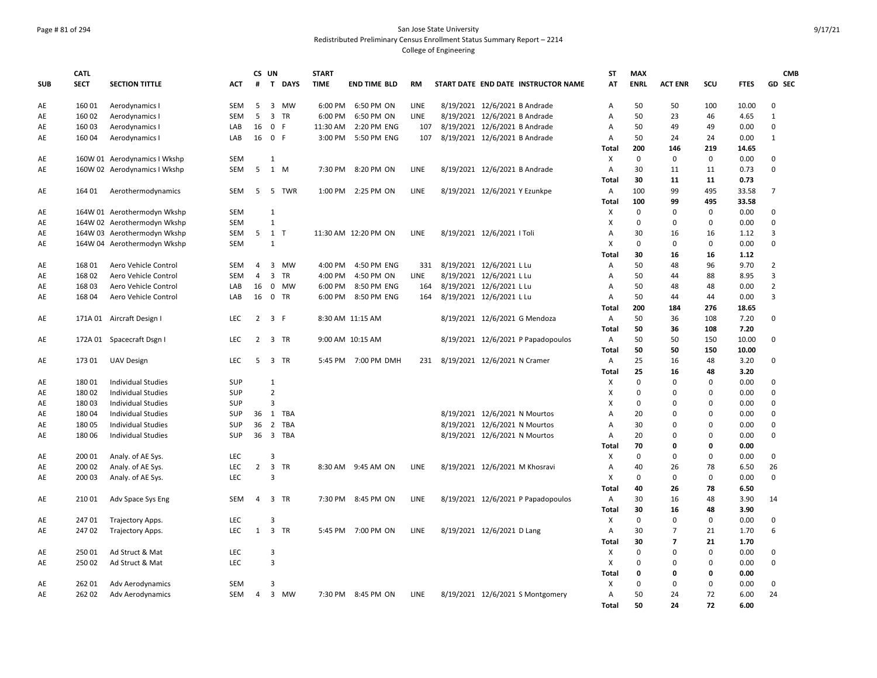# Page # 81 of 294 San Jose State University Redistributed Preliminary Census Enrollment Status Summary Report – 2214

|            | <b>CATL</b> |                              |            |                | CS UN                   |           | <b>START</b> |                      |      |                              |                               |                                     | <b>ST</b>                 | <b>MAX</b>  |                |             |             | <b>CMB</b>     |
|------------|-------------|------------------------------|------------|----------------|-------------------------|-----------|--------------|----------------------|------|------------------------------|-------------------------------|-------------------------------------|---------------------------|-------------|----------------|-------------|-------------|----------------|
| <b>SUB</b> | <b>SECT</b> | <b>SECTION TITTLE</b>        | ACT        | #              |                         | T DAYS    | <b>TIME</b>  | <b>END TIME BLD</b>  | RM   |                              |                               | START DATE END DATE INSTRUCTOR NAME | AT                        | <b>ENRL</b> | <b>ACT ENR</b> | SCU         | <b>FTES</b> | <b>GD SEC</b>  |
| AE         | 160 01      | Aerodynamics I               | SEM        | 5              |                         | 3 MW      | 6:00 PM      | 6:50 PM ON           | LINE |                              | 8/19/2021 12/6/2021 B Andrade |                                     | Α                         | 50          | 50             | 100         | 10.00       | $\Omega$       |
| AE         | 160 02      | Aerodynamics I               | <b>SEM</b> | 5              |                         | 3 TR      | 6:00 PM      | 6:50 PM ON           | LINE |                              | 8/19/2021 12/6/2021 B Andrade |                                     | Α                         | 50          | 23             | 46          | 4.65        | $\mathbf{1}$   |
| AE         | 160 03      | Aerodynamics I               | LAB        | 16             | 0 F                     |           | 11:30 AM     | 2:20 PM ENG          | 107  |                              | 8/19/2021 12/6/2021 B Andrade |                                     | $\overline{A}$            | 50          | 49             | 49          | 0.00        | $\mathbf 0$    |
| AE         | 160 04      | Aerodynamics I               | LAB        | 16             | 0 F                     |           | 3:00 PM      | 5:50 PM ENG          | 107  |                              | 8/19/2021 12/6/2021 B Andrade |                                     | A                         | 50          | 24             | 24          | 0.00        | $\mathbf{1}$   |
|            |             |                              |            |                |                         |           |              |                      |      |                              |                               |                                     | Total                     | 200         | 146            | 219         | 14.65       |                |
| AE         |             | 160W 01 Aerodynamics I Wkshp | SEM        |                | 1                       |           |              |                      |      |                              |                               |                                     | X                         | 0           | $\mathbf 0$    | $\mathbf 0$ | 0.00        | 0              |
| AE         |             | 160W 02 Aerodynamics I Wkshp | SEM        | 5              |                         | 1 M       |              | 7:30 PM 8:20 PM ON   | LINE |                              | 8/19/2021 12/6/2021 B Andrade |                                     | $\mathsf{A}$              | 30          | 11             | 11          | 0.73        | $\Omega$       |
|            |             |                              |            |                |                         |           |              |                      |      |                              |                               |                                     | Total                     | 30          | 11             | 11          | 0.73        |                |
| AE         | 164 01      | Aerothermodynamics           | <b>SEM</b> | 5              |                         | 5 TWR     | 1:00 PM      | 2:25 PM ON           | LINE |                              | 8/19/2021 12/6/2021 Y Ezunkpe |                                     | $\overline{A}$            | 100         | 99             | 495         | 33.58       | $\overline{7}$ |
|            |             |                              |            |                |                         |           |              |                      |      |                              |                               |                                     | <b>Total</b>              | 100         | 99             | 495         | 33.58       |                |
| AE         |             | 164W 01 Aerothermodyn Wkshp  | SEM        |                | $\mathbf{1}$            |           |              |                      |      |                              |                               |                                     | X                         | $\Omega$    | 0              | 0           | 0.00        | 0              |
| AE         |             | 164W 02 Aerothermodyn Wkshp  | <b>SEM</b> |                | $\mathbf{1}$            |           |              |                      |      |                              |                               |                                     | Х                         | $\mathbf 0$ | 0              | $\mathbf 0$ | 0.00        | $\mathbf 0$    |
| AE         |             | 164W 03 Aerothermodyn Wkshp  | <b>SEM</b> |                | 5 1 T                   |           |              | 11:30 AM 12:20 PM ON | LINE |                              | 8/19/2021 12/6/2021   Toli    |                                     | $\overline{A}$            | 30          | 16             | 16          | 1.12        | 3              |
| AE         |             | 164W 04 Aerothermodyn Wkshp  | <b>SEM</b> |                | 1                       |           |              |                      |      |                              |                               |                                     | $\boldsymbol{\mathsf{X}}$ | $\mathbf 0$ | $\mathbf 0$    | 0           | 0.00        | $\Omega$       |
|            |             |                              |            |                |                         |           |              |                      |      |                              |                               |                                     | Total                     | 30          | 16             | 16          | 1.12        |                |
| AE         | 168 01      | Aero Vehicle Control         | <b>SEM</b> | $\overline{4}$ |                         | 3 MW      | 4:00 PM      | 4:50 PM ENG          | 331  | 8/19/2021 12/6/2021 L Lu     |                               |                                     | Α                         | 50          | 48             | 96          | 9.70        | $\overline{2}$ |
| AE         | 168 02      | Aero Vehicle Control         | <b>SEM</b> | $\overline{4}$ |                         | 3 TR      | 4:00 PM      | 4:50 PM ON           | LINE |                              | 8/19/2021 12/6/2021 L Lu      |                                     | $\overline{A}$            | 50          | 44             | 88          | 8.95        | 3              |
| AE         | 168 03      | Aero Vehicle Control         | LAB        | 16             |                         | 0 MW      | 6:00 PM      | 8:50 PM ENG          | 164  |                              | 8/19/2021 12/6/2021 L Lu      |                                     | Α                         | 50          | 48             | 48          | 0.00        | $\overline{2}$ |
| AE         | 168 04      | Aero Vehicle Control         | LAB        | 16             |                         | 0 TR      | 6:00 PM      | 8:50 PM ENG          | 164  |                              | 8/19/2021 12/6/2021 L Lu      |                                     | A                         | 50          | 44             | 44          | 0.00        | 3              |
|            |             |                              |            |                |                         |           |              |                      |      |                              |                               |                                     | Total                     | 200         | 184            | 276         | 18.65       |                |
| AE         |             | 171A 01 Aircraft Design I    | <b>LEC</b> | $2^{\circ}$    | 3 F                     |           |              | 8:30 AM 11:15 AM     |      |                              |                               | 8/19/2021 12/6/2021 G Mendoza       | $\mathsf{A}$              | 50          | 36             | 108         | 7.20        | $\mathbf 0$    |
|            |             |                              |            |                |                         |           |              |                      |      |                              |                               |                                     | Total                     | 50          | 36             | 108         | 7.20        |                |
| AE         | 172A 01     | Spacecraft Dsgn I            | <b>LEC</b> | $\overline{2}$ |                         | 3 TR      |              | 9:00 AM 10:15 AM     |      |                              |                               | 8/19/2021 12/6/2021 P Papadopoulos  | A                         | 50          | 50             | 150         | 10.00       | $\mathbf 0$    |
|            |             |                              |            |                |                         |           |              |                      |      |                              |                               |                                     | <b>Total</b>              | 50          | 50             | 150         | 10.00       |                |
| AE         | 173 01      | <b>UAV Design</b>            | LEC        | 5              |                         | 3 TR      |              | 5:45 PM 7:00 PM DMH  | 231  | 8/19/2021 12/6/2021 N Cramer |                               |                                     | Α                         | 25          | 16             | 48          | 3.20        | 0              |
|            |             |                              |            |                |                         |           |              |                      |      |                              |                               |                                     | <b>Total</b>              | 25          | 16             | 48          | 3.20        |                |
| AE         | 18001       | <b>Individual Studies</b>    | SUP        |                | 1                       |           |              |                      |      |                              |                               |                                     | Χ                         | $\Omega$    | $\mathbf 0$    | $\Omega$    | 0.00        | $\mathbf 0$    |
| AE         | 18002       | <b>Individual Studies</b>    | SUP        |                | $\overline{2}$          |           |              |                      |      |                              |                               |                                     | X                         | $\Omega$    | $\Omega$       | $\Omega$    | 0.00        | $\Omega$       |
| AE         | 18003       | <b>Individual Studies</b>    | SUP        |                | $\overline{3}$          |           |              |                      |      |                              |                               |                                     | X                         | $\mathbf 0$ | 0              | $\Omega$    | 0.00        | $\Omega$       |
| AE         | 18004       | <b>Individual Studies</b>    | <b>SUP</b> | 36             |                         | 1 TBA     |              |                      |      |                              |                               | 8/19/2021 12/6/2021 N Mourtos       | $\overline{A}$            | 20          | $\Omega$       | $\Omega$    | 0.00        | $\Omega$       |
| AE         | 18005       | <b>Individual Studies</b>    | SUP        | 36             |                         | 2 TBA     |              |                      |      |                              |                               | 8/19/2021 12/6/2021 N Mourtos       | Α                         | 30          | 0              | $\Omega$    | 0.00        | 0              |
| AE         | 180 06      | <b>Individual Studies</b>    | SUP        | 36             |                         | 3 TBA     |              |                      |      |                              |                               | 8/19/2021 12/6/2021 N Mourtos       | Α                         | 20          | 0              | $\mathbf 0$ | 0.00        | 0              |
|            |             |                              |            |                |                         |           |              |                      |      |                              |                               |                                     | Total                     | 70          | 0              | 0           | 0.00        |                |
| AE         | 200 01      | Analy. of AE Sys.            | LEC        |                | $\overline{3}$          |           |              |                      |      |                              |                               |                                     | Χ                         | $\mathbf 0$ | 0              | 0           | 0.00        | 0              |
| AE         | 200 02      |                              | LEC        | $\overline{2}$ | $\overline{\mathbf{3}}$ | <b>TR</b> |              | 8:30 AM 9:45 AM ON   | LINE |                              |                               | 8/19/2021 12/6/2021 M Khosravi      | Α                         | 40          | 26             | 78          | 6.50        | 26             |
| AE         | 200 03      | Analy. of AE Sys.            | LEC        |                | $\overline{3}$          |           |              |                      |      |                              |                               |                                     | $\boldsymbol{\mathsf{X}}$ | $\mathbf 0$ | $\mathbf 0$    | 0           | 0.00        | $\mathbf 0$    |
|            |             | Analy. of AE Sys.            |            |                |                         |           |              |                      |      |                              |                               |                                     |                           |             |                | 78          |             |                |
|            |             |                              |            |                |                         |           |              |                      |      |                              |                               |                                     | Total                     | 40          | 26             |             | 6.50        |                |
| AE         | 210 01      | Adv Space Sys Eng            | <b>SEM</b> | 4              |                         | 3 TR      |              | 7:30 PM 8:45 PM ON   | LINE |                              |                               | 8/19/2021 12/6/2021 P Papadopoulos  | Α                         | 30          | 16             | 48          | 3.90        | 14             |
|            |             |                              |            |                |                         |           |              |                      |      |                              |                               |                                     | <b>Total</b>              | 30          | 16             | 48          | 3.90        |                |
| AE         | 24701       | Trajectory Apps.             | LEC        |                | 3                       |           |              |                      |      |                              |                               |                                     | X                         | 0           | $\mathbf 0$    | 0           | 0.00        | $\mathbf 0$    |
| AE         | 24702       | Trajectory Apps.             | <b>LEC</b> | 1              |                         | 3 TR      | 5:45 PM      | 7:00 PM ON           | LINE |                              | 8/19/2021 12/6/2021 D Lang    |                                     | $\mathsf{A}$              | 30          | $\overline{7}$ | 21          | 1.70        | 6              |
|            |             |                              |            |                |                         |           |              |                      |      |                              |                               |                                     | <b>Total</b>              | 30          | $\overline{7}$ | 21          | 1.70        |                |
| AE         | 250 01      | Ad Struct & Mat              | <b>LEC</b> |                | $\mathbf{3}$            |           |              |                      |      |                              |                               |                                     | X                         | $\Omega$    | $\Omega$       | $\Omega$    | 0.00        | $\Omega$       |
| AE         | 25002       | Ad Struct & Mat              | LEC        |                | $\overline{3}$          |           |              |                      |      |                              |                               |                                     | X                         | $\Omega$    | 0              | $\Omega$    | 0.00        | $\Omega$       |
|            |             |                              |            |                |                         |           |              |                      |      |                              |                               |                                     | Total                     | 0           | 0              | 0           | 0.00        |                |
| AE         | 262 01      | Adv Aerodynamics             | <b>SEM</b> |                | 3                       |           |              |                      |      |                              |                               |                                     | X                         | $\mathbf 0$ | 0              | 0           | 0.00        | 0              |
| AE         | 262 02      | Adv Aerodynamics             | SEM        | $\overline{4}$ |                         | 3 MW      |              | 7:30 PM 8:45 PM ON   | LINE |                              |                               | 8/19/2021 12/6/2021 S Montgomery    | Α                         | 50          | 24             | 72          | 6.00        | 24             |
|            |             |                              |            |                |                         |           |              |                      |      |                              |                               |                                     | Total                     | 50          | 24             | 72          | 6.00        |                |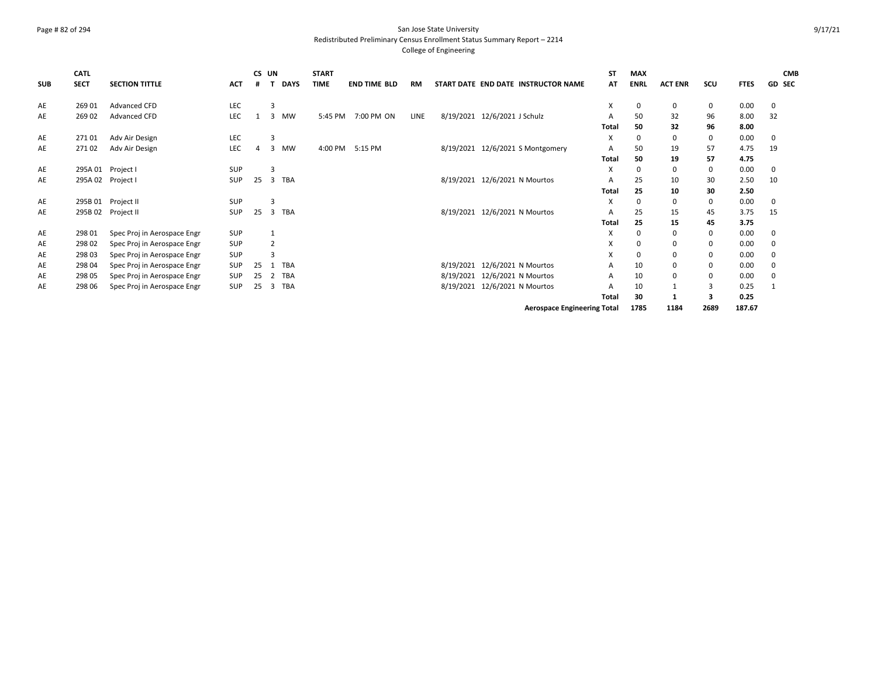## Page # 82 of 294 San Jose State University Redistributed Preliminary Census Enrollment Status Summary Report – 2214

| <b>SUB</b> | <b>CATL</b><br><b>SECT</b> | <b>SECTION TITTLE</b>       | <b>ACT</b> | CS UN    |                | <b>DAYS</b> | <b>START</b><br><b>TIME</b> | <b>END TIME BLD</b> | <b>RM</b> | START DATE END DATE INSTRUCTOR NAME | SΤ<br>AT | <b>MAX</b><br><b>ENRL</b> | <b>ACT ENR</b> | SCU  | <b>FTES</b> | <b>CMB</b><br><b>GD SEC</b> |
|------------|----------------------------|-----------------------------|------------|----------|----------------|-------------|-----------------------------|---------------------|-----------|-------------------------------------|----------|---------------------------|----------------|------|-------------|-----------------------------|
|            |                            |                             |            |          |                |             |                             |                     |           |                                     |          |                           |                |      |             |                             |
| AE         | 269 01                     | <b>Advanced CFD</b>         | LEC        |          | 3              |             |                             |                     |           |                                     | X        | 0                         | 0              | 0    | 0.00        | 0                           |
| AE         | 269 02                     | <b>Advanced CFD</b>         | LEC        |          | 3              | MW          | 5:45 PM                     | 7:00 PM ON          | LINE      | 8/19/2021 12/6/2021 J Schulz        | A        | 50                        | 32             | 96   | 8.00        | 32                          |
|            |                            |                             |            |          |                |             |                             |                     |           |                                     | Total    | 50                        | 32             | 96   | 8.00        |                             |
| AE         | 27101                      | Adv Air Design              | LEC        |          | 3              |             |                             |                     |           |                                     | X        |                           | 0              | 0    | 0.00        | 0                           |
| AE         | 27102                      | Adv Air Design              | LEC        | $\Delta$ | 3              | <b>MW</b>   | 4:00 PM                     | 5:15 PM             |           | 8/19/2021 12/6/2021 S Montgomery    | A        | 50                        | 19             | 57   | 4.75        | 19                          |
|            |                            |                             |            |          |                |             |                             |                     |           |                                     | Total    | 50                        | 19             | 57   | 4.75        |                             |
| AE         |                            | 295A 01 Project I           | SUP        |          | 3              |             |                             |                     |           |                                     | X        |                           | 0              | 0    | 0.00        | 0                           |
| AE         | 295A 02 Project I          |                             | SUP        | 25       | $\overline{3}$ | TBA         |                             |                     |           | 8/19/2021 12/6/2021 N Mourtos       | A        | 25                        | 10             | 30   | 2.50        | 10                          |
|            |                            |                             |            |          |                |             |                             |                     |           |                                     | Total    | 25                        | 10             | 30   | 2.50        |                             |
| AE         | 295B 01                    | Project II                  | <b>SUP</b> |          | з              |             |                             |                     |           |                                     | X        |                           | 0              | 0    | 0.00        | 0                           |
| AE         | 295B 02                    | Project II                  | SUP        | 25       | 3              | TBA         |                             |                     |           | 8/19/2021 12/6/2021 N Mourtos       | A        | 25                        | 15             | 45   | 3.75        | 15                          |
|            |                            |                             |            |          |                |             |                             |                     |           |                                     | Total    | 25                        | 15             | 45   | 3.75        |                             |
| AE         | 298 01                     | Spec Proj in Aerospace Engr | <b>SUP</b> |          |                |             |                             |                     |           |                                     | X        | 0                         | 0              | 0    | 0.00        | 0                           |
| AE         | 298 02                     | Spec Proj in Aerospace Engr | SUP        |          | $\overline{2}$ |             |                             |                     |           |                                     | X        |                           | 0              | 0    | 0.00        | 0                           |
| AE         | 298 03                     | Spec Proj in Aerospace Engr | SUP        |          |                |             |                             |                     |           |                                     | X        |                           | 0              | 0    | 0.00        | 0                           |
| AE         | 298 04                     | Spec Proj in Aerospace Engr | SUP        | 25       | 1              | TBA         |                             |                     |           | 8/19/2021 12/6/2021 N Mourtos       | А        | 10                        | 0              | 0    | 0.00        | 0                           |
| AE         | 298 05                     | Spec Proj in Aerospace Engr | <b>SUP</b> | 25       | 2              | <b>TBA</b>  |                             |                     |           | 8/19/2021 12/6/2021 N Mourtos       | A        | 10                        | 0              | 0    | 0.00        | 0                           |
| AE         | 298 06                     | Spec Proj in Aerospace Engr | <b>SUP</b> | 25       | 3              | TBA         |                             |                     |           | 8/19/2021 12/6/2021 N Mourtos       | A        | 10                        | $\mathbf{1}$   | 3    | 0.25        | $\mathbf{1}$                |
|            |                            |                             |            |          |                |             |                             |                     |           |                                     | Total    | 30                        |                | 3    | 0.25        |                             |
|            |                            |                             |            |          |                |             |                             |                     |           | <b>Aerospace Engineering Total</b>  |          | 1785                      | 1184           | 2689 | 187.67      |                             |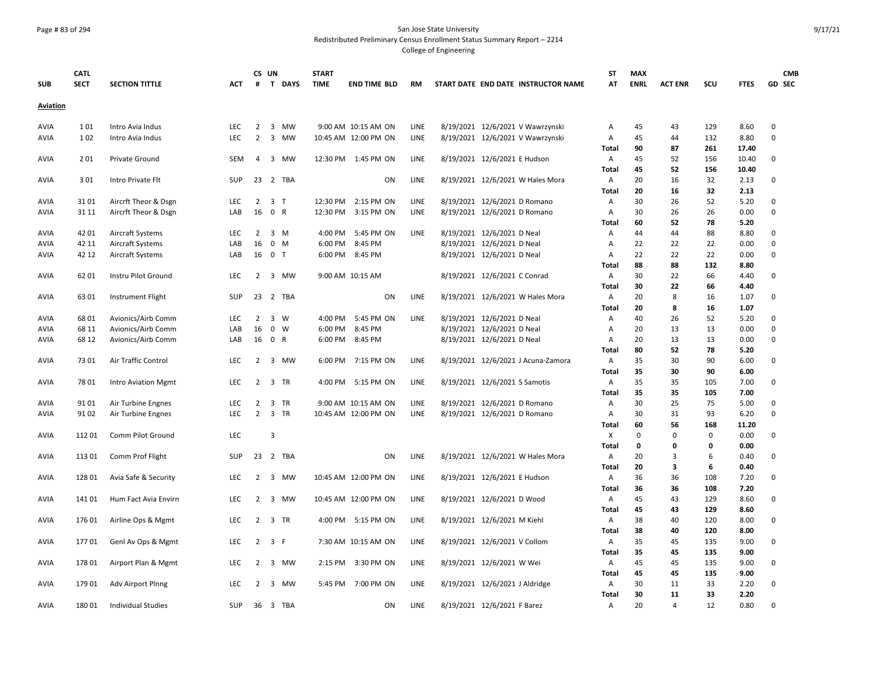## Page # 83 of 294 San Jose State University Redistributed Preliminary Census Enrollment Status Summary Report – 2214

|                 | <b>CATL</b> |                            |            |                | CS UN                   |             | <b>START</b> |                      |             |                                     | SΤ         | <b>MAX</b>  |                |          |              | <b>CMB</b>  |
|-----------------|-------------|----------------------------|------------|----------------|-------------------------|-------------|--------------|----------------------|-------------|-------------------------------------|------------|-------------|----------------|----------|--------------|-------------|
| <b>SUB</b>      | <b>SECT</b> | <b>SECTION TITTLE</b>      | ACT        | #              |                         | T DAYS      | <b>TIME</b>  | <b>END TIME BLD</b>  | RM          | START DATE END DATE INSTRUCTOR NAME | AT         | <b>ENRL</b> | <b>ACT ENR</b> | scu      | <b>FTES</b>  | GD SEC      |
| <b>Aviation</b> |             |                            |            |                |                         |             |              |                      |             |                                     |            |             |                |          |              |             |
| AVIA            | 101         | Intro Avia Indus           | LEC        | $\overline{2}$ |                         | 3 MW        |              | 9:00 AM 10:15 AM ON  | LINE        | 8/19/2021 12/6/2021 V Wawrzynski    | А          | 45          | 43             | 129      | 8.60         | $\mathbf 0$ |
| <b>AVIA</b>     | 1 0 2       | Intro Avia Indus           | <b>LEC</b> | $\overline{2}$ | $\overline{3}$          | MW          |              | 10:45 AM 12:00 PM ON | LINE        | 8/19/2021 12/6/2021 V Wawrzynski    | Α          | 45          | 44             | 132      | 8.80         | $\mathbf 0$ |
|                 |             |                            |            |                |                         |             |              |                      |             |                                     | Total      | 90          | 87             | 261      | 17.40        |             |
| <b>AVIA</b>     | 201         | Private Ground             | <b>SEM</b> | 4              |                         | 3 MW        |              | 12:30 PM 1:45 PM ON  | LINE        | 8/19/2021 12/6/2021 E Hudson        | Α          | 45          | 52             | 156      | 10.40        | 0           |
|                 |             |                            |            |                |                         |             |              |                      |             |                                     | Total      | 45          | 52             | 156      | 10.40        |             |
| <b>AVIA</b>     | 301         | Intro Private Flt          | <b>SUP</b> |                |                         | 23 2 TBA    |              | ON                   | LINE        | 8/19/2021 12/6/2021 W Hales Mora    | Α          | 20          | 16             | 32       | 2.13         | 0           |
|                 |             |                            |            |                |                         |             |              |                      |             |                                     | Total      | 20          | 16             | 32       | 2.13         |             |
| AVIA            | 3101        | Aircrft Theor & Dsgn       | <b>LEC</b> | $\overline{2}$ | 3 T                     |             | 12:30 PM     | 2:15 PM ON           | <b>LINE</b> | 8/19/2021 12/6/2021 D Romano        | Α          | 30          | 26             | 52       | 5.20         | $\mathbf 0$ |
| AVIA            | 31 11       | Aircrft Theor & Dsgn       | LAB        | 16             | 0 R                     |             | 12:30 PM     | 3:15 PM ON           | LINE        | 8/19/2021 12/6/2021 D Romano        | Α          | 30          | 26             | 26       | 0.00         | $\mathbf 0$ |
|                 |             |                            |            |                |                         |             |              |                      |             |                                     | Total      | 60          | 52             | 78       | 5.20         |             |
| <b>AVIA</b>     | 42 01       | <b>Aircraft Systems</b>    | <b>LEC</b> | 2              |                         | $3 \, M$    | 4:00 PM      | 5:45 PM ON           | LINE        | 8/19/2021 12/6/2021 D Neal          | Α          | 44          | 44             | 88       | 8.80         | $\mathbf 0$ |
| <b>AVIA</b>     | 42 11       | Aircraft Systems           | LAB        | 16             |                         | $0$ M       | 6:00 PM      | 8:45 PM              |             | 8/19/2021 12/6/2021 D Neal          | Α          | 22          | 22             | 22       | 0.00         | $\mathbf 0$ |
| AVIA            | 42 12       | <b>Aircraft Systems</b>    | LAB        | 16             | 0 <sub>T</sub>          |             | 6:00 PM      | 8:45 PM              |             | 8/19/2021 12/6/2021 D Neal          | Α          | 22          | 22             | 22       | 0.00         | $\mathsf 0$ |
|                 |             |                            |            |                |                         |             |              |                      |             |                                     | Total      | 88          | 88             | 132      | 8.80         |             |
| <b>AVIA</b>     | 62 01       | Instru Pilot Ground        | <b>LEC</b> | $\overline{2}$ |                         | 3 MW        |              | 9:00 AM 10:15 AM     |             | 8/19/2021 12/6/2021 C Conrad        | Α          | 30          | 22             | 66       | 4.40         | $\mathbf 0$ |
|                 |             |                            |            |                |                         |             |              |                      |             |                                     | Total      | 30          | 22             | 66       | 4.40         |             |
| <b>AVIA</b>     | 6301        | Instrument Flight          | <b>SUP</b> | 23             |                         | 2 TBA       |              | ON                   | <b>LINE</b> | 8/19/2021 12/6/2021 W Hales Mora    | Α          | 20          | 8              | 16       | 1.07         | $\mathbf 0$ |
|                 |             |                            |            |                |                         |             |              |                      |             |                                     | Total      | 20          | 8              | 16       | 1.07         |             |
| AVIA            | 68 01       | Avionics/Airb Comm         | <b>LEC</b> | $\overline{2}$ |                         | 3 W         | 4:00 PM      | 5:45 PM ON           | LINE        | 8/19/2021 12/6/2021 D Neal          | Α          | 40          | 26             | 52       | 5.20         | $\mathbf 0$ |
| <b>AVIA</b>     | 68 11       | Avionics/Airb Comm         | LAB        | 16             |                         | $0 \quad W$ | 6:00 PM      | 8:45 PM              |             | 8/19/2021 12/6/2021 D Neal          | Α          | 20          | 13             | 13       | 0.00         | $\mathbf 0$ |
| <b>AVIA</b>     | 68 12       | Avionics/Airb Comm         | LAB        | 16             | 0 R                     |             | 6:00 PM      | 8:45 PM              |             | 8/19/2021 12/6/2021 D Neal          | А          | 20<br>80    | 13             | 13<br>78 | 0.00         | $\mathbf 0$ |
|                 | 73 01       | Air Traffic Control        | <b>LEC</b> | $\overline{2}$ | 3                       | MW          | 6:00 PM      | 7:15 PM ON           | LINE        |                                     | Total      | 35          | 52<br>30       | 90       | 5.20         | 0           |
| <b>AVIA</b>     |             |                            |            |                |                         |             |              |                      |             | 8/19/2021 12/6/2021 J Acuna-Zamora  | Α<br>Total | 35          | 30             | 90       | 6.00<br>6.00 |             |
| <b>AVIA</b>     | 7801        | <b>Intro Aviation Mgmt</b> | <b>LEC</b> | 2              |                         | 3 TR        | 4:00 PM      | 5:15 PM ON           | <b>LINE</b> | 8/19/2021 12/6/2021 S Samotis       | Α          | 35          | 35             | 105      | 7.00         | $\mathbf 0$ |
|                 |             |                            |            |                |                         |             |              |                      |             |                                     | Total      | 35          | 35             | 105      | 7.00         |             |
| AVIA            | 9101        | Air Turbine Engnes         | LEC        | $\overline{2}$ |                         | 3 TR        |              | 9:00 AM 10:15 AM ON  | LINE        | 8/19/2021 12/6/2021 D Romano        | Α          | 30          | 25             | 75       | 5.00         | $\mathbf 0$ |
| AVIA            | 91 02       | Air Turbine Engnes         | LEC        | $\overline{2}$ |                         | 3 TR        |              | 10:45 AM 12:00 PM ON | LINE        | 8/19/2021 12/6/2021 D Romano        | Α          | 30          | 31             | 93       | 6.20         | $\mathbf 0$ |
|                 |             |                            |            |                |                         |             |              |                      |             |                                     | Total      | 60          | 56             | 168      | 11.20        |             |
| <b>AVIA</b>     | 11201       | Comm Pilot Ground          | <b>LEC</b> |                | 3                       |             |              |                      |             |                                     | X          | $\Omega$    | $\Omega$       | 0        | 0.00         | $\mathbf 0$ |
|                 |             |                            |            |                |                         |             |              |                      |             |                                     | Total      | 0           | $\mathbf{0}$   | 0        | 0.00         |             |
| AVIA            | 113 01      | Comm Prof Flight           | <b>SUP</b> |                |                         | 23 2 TBA    |              | ON                   | LINE        | 8/19/2021 12/6/2021 W Hales Mora    | Α          | 20          | 3              | 6        | 0.40         | $\mathsf 0$ |
|                 |             |                            |            |                |                         |             |              |                      |             |                                     | Total      | 20          | 3              | 6        | 0.40         |             |
| <b>AVIA</b>     | 128 01      | Avia Safe & Security       | LEC        | $\overline{2}$ | $\overline{\mathbf{3}}$ | MW          |              | 10:45 AM 12:00 PM ON | LINE        | 8/19/2021 12/6/2021 E Hudson        | Α          | 36          | 36             | 108      | 7.20         | $\mathbf 0$ |
|                 |             |                            |            |                |                         |             |              |                      |             |                                     | Total      | 36          | 36             | 108      | 7.20         |             |
| AVIA            | 141 01      | Hum Fact Avia Envirn       | LEC        | $2^{\circ}$    |                         | 3 MW        |              | 10:45 AM 12:00 PM ON | LINE        | 8/19/2021 12/6/2021 D Wood          | Α          | 45          | 43             | 129      | 8.60         | $\mathbf 0$ |
|                 |             |                            |            |                |                         |             |              |                      |             |                                     | Total      | 45          | 43             | 129      | 8.60         |             |
| <b>AVIA</b>     | 176 01      | Airline Ops & Mgmt         | <b>LEC</b> |                |                         | 2 3 TR      |              | 4:00 PM 5:15 PM ON   | LINE        | 8/19/2021 12/6/2021 M Kiehl         | Α          | 38          | 40             | 120      | 8.00         | 0           |
|                 |             |                            |            |                |                         |             |              |                      |             |                                     | Total      | 38          | 40             | 120      | 8.00         |             |
| AVIA            | 17701       | Genl Av Ops & Mgmt         | LEC        |                | $2 \quad 3 \quad F$     |             |              | 7:30 AM 10:15 AM ON  | LINE        | 8/19/2021 12/6/2021 V Collom        | Α          | 35          | 45             | 135      | 9.00         | $\mathbf 0$ |
|                 |             |                            |            |                |                         |             |              |                      |             |                                     | Total      | 35          | 45             | 135      | 9.00         |             |
| <b>AVIA</b>     | 17801       | Airport Plan & Mgmt        | <b>LEC</b> | $\overline{2}$ |                         | 3 MW        | 2:15 PM      | 3:30 PM ON           | LINE        | 8/19/2021 12/6/2021 W Wei           | Α          | 45          | 45             | 135      | 9.00         | 0           |
|                 |             |                            |            |                |                         |             |              |                      |             |                                     | Total      | 45          | 45             | 135      | 9.00         |             |
| <b>AVIA</b>     | 17901       | <b>Adv Airport Plnng</b>   | <b>LEC</b> | $\overline{2}$ |                         | 3 MW        | 5:45 PM      | 7:00 PM ON           | LINE        | 8/19/2021 12/6/2021 J Aldridge      | Α          | 30          | 11             | 33       | 2.20         | $\mathbf 0$ |
|                 |             |                            |            |                |                         |             |              |                      |             |                                     | Total      | 30          | 11             | 33       | 2.20         |             |
| AVIA            | 18001       | <b>Individual Studies</b>  | <b>SUP</b> |                |                         | 36 3 TBA    |              | ON                   | LINE        | 8/19/2021 12/6/2021 F Barez         | A          | 20          | 4              | 12       | 0.80         | $\mathbf 0$ |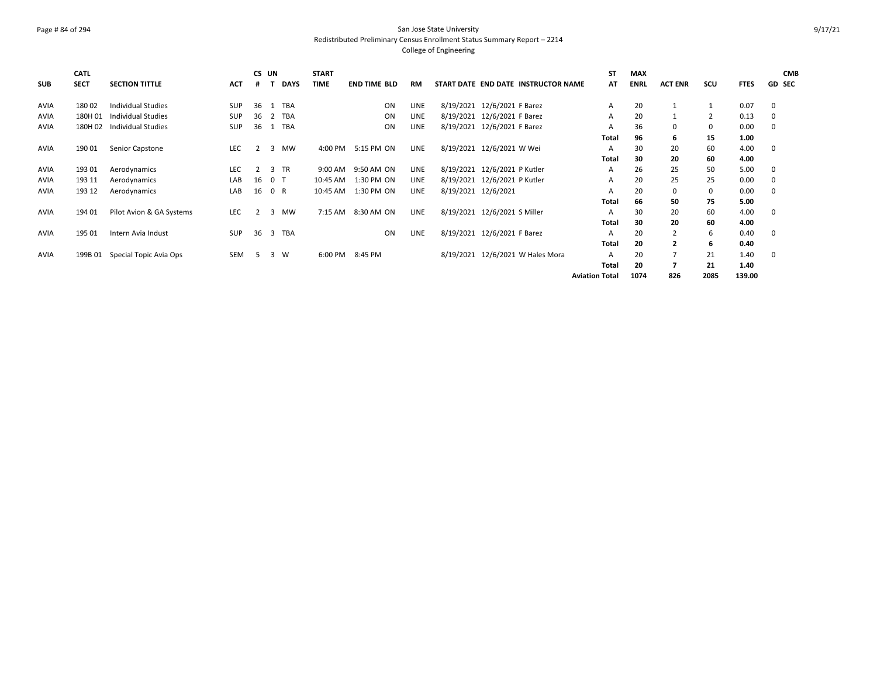## Page # 84 of 294 San Jose State University Redistributed Preliminary Census Enrollment Status Summary Report – 2214 College of Engineering

| <b>SUB</b>  | <b>CATL</b><br><b>SECT</b> | <b>SECTION TITTLE</b>     | <b>ACT</b> | CS UN<br>#     |     | <b>DAYS</b> | <b>START</b><br><b>TIME</b> | <b>END TIME BLD</b> | RM          |                     |                                  | START DATE END DATE INSTRUCTOR NAME | <b>ST</b><br>AT       | <b>MAX</b><br><b>ENRL</b> | <b>ACT ENR</b> | SCU            | <b>FTES</b> | <b>CMB</b><br><b>GD SEC</b> |
|-------------|----------------------------|---------------------------|------------|----------------|-----|-------------|-----------------------------|---------------------|-------------|---------------------|----------------------------------|-------------------------------------|-----------------------|---------------------------|----------------|----------------|-------------|-----------------------------|
|             |                            |                           |            |                |     |             |                             |                     |             |                     |                                  |                                     |                       |                           |                |                |             |                             |
| <b>AVIA</b> | 180 02                     | <b>Individual Studies</b> | <b>SUP</b> | 36             |     | 1 TBA       |                             | ON                  | LINE        |                     | 8/19/2021 12/6/2021 F Barez      |                                     | А                     | 20                        | 1              |                | 0.07        | 0                           |
| <b>AVIA</b> | 180H 01                    | Individual Studies        | <b>SUP</b> | 36             |     | 2 TBA       |                             | ON                  | <b>LINE</b> |                     | 8/19/2021 12/6/2021 F Barez      |                                     | A                     | 20                        | 1              | $\overline{2}$ | 0.13        | 0                           |
| <b>AVIA</b> | 180H 02                    | <b>Individual Studies</b> | <b>SUP</b> | 36             |     | 1 TBA       |                             | ON                  | <b>LINE</b> |                     | 8/19/2021 12/6/2021 F Barez      |                                     | A                     | 36                        | 0              | 0              | 0.00        | 0                           |
|             |                            |                           |            |                |     |             |                             |                     |             |                     |                                  |                                     | <b>Total</b>          | 96                        | 6              | 15             | 1.00        |                             |
| <b>AVIA</b> | 190 01                     | Senior Capstone           | <b>LEC</b> | $\overline{2}$ | 3   | <b>MW</b>   | 4:00 PM                     | 5:15 PM ON          | <b>LINE</b> |                     | 8/19/2021 12/6/2021 W Wei        |                                     | A                     | 30                        | 20             | 60             | 4.00        | 0                           |
|             |                            |                           |            |                |     |             |                             |                     |             |                     |                                  |                                     | Total                 | 30                        | 20             | 60             | 4.00        |                             |
| <b>AVIA</b> | 193 01                     | Aerodynamics              | <b>LEC</b> | 2              |     | 3 TR        | 9:00 AM                     | 9:50 AM ON          | LINE        |                     | 8/19/2021 12/6/2021 P Kutler     |                                     | A                     | 26                        | 25             | 50             | 5.00        | 0                           |
| <b>AVIA</b> | 193 11                     | Aerodynamics              | LAB        | 16             | 0 T |             | 10:45 AM                    | 1:30 PM ON          | LINE        |                     | 8/19/2021 12/6/2021 P Kutler     |                                     | A                     | 20                        | 25             | 25             | 0.00        | 0                           |
| AVIA        | 193 12                     | Aerodynamics              | LAB        | 16             | 0 R |             | 10:45 AM                    | 1:30 PM ON          | <b>LINE</b> | 8/19/2021 12/6/2021 |                                  |                                     | Α                     | 20                        | 0              | 0              | 0.00        | 0                           |
|             |                            |                           |            |                |     |             |                             |                     |             |                     |                                  |                                     | <b>Total</b>          | 66                        | 50             | 75             | 5.00        |                             |
| <b>AVIA</b> | 194 01                     | Pilot Avion & GA Systems  | LEC        | 2              |     | 3 MW        | 7:15 AM                     | 8:30 AM ON          | LINE        |                     | 8/19/2021 12/6/2021 S Miller     |                                     | A                     | 30                        | 20             | 60             | 4.00        | 0                           |
|             |                            |                           |            |                |     |             |                             |                     |             |                     |                                  |                                     | <b>Total</b>          | 30                        | 20             | 60             | 4.00        |                             |
| <b>AVIA</b> | 195 01                     | Intern Avia Indust        | <b>SUP</b> | 36             |     | 3 TBA       |                             | ON                  | LINE        |                     | 8/19/2021 12/6/2021 F Barez      |                                     | А                     | 20                        | $\overline{2}$ | 6              | 0.40        | 0                           |
|             |                            |                           |            |                |     |             |                             |                     |             |                     |                                  |                                     | Total                 | 20                        | $\overline{2}$ | 6              | 0.40        |                             |
| <b>AVIA</b> | 199B 01                    | Special Topic Avia Ops    | <b>SEM</b> | -5             | 3   | W           | 6:00 PM                     | 8:45 PM             |             |                     | 8/19/2021 12/6/2021 W Hales Mora |                                     | A                     | 20                        | 7              | 21             | 1.40        | 0                           |
|             |                            |                           |            |                |     |             |                             |                     |             |                     |                                  |                                     | Total                 | 20                        | 7              | 21             | 1.40        |                             |
|             |                            |                           |            |                |     |             |                             |                     |             |                     |                                  |                                     | <b>Aviation Total</b> | 1074                      | 826            | 2085           | 139.00      |                             |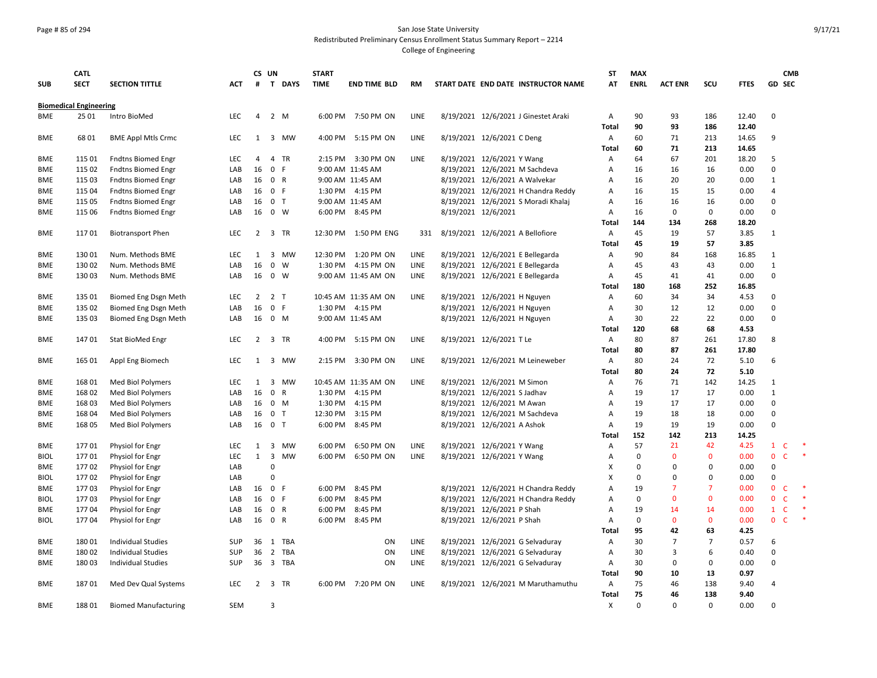## Page # 85 of 294 San Jose State University Redistributed Preliminary Census Enrollment Status Summary Report – 2214

|             | <b>CATL</b>                   |                             |            | CS UN          |                             |           | <b>START</b> |                      |             |                                  |                                      | <b>ST</b>         | <b>MAX</b>  |                |                |                |                | <b>CMB</b>              |
|-------------|-------------------------------|-----------------------------|------------|----------------|-----------------------------|-----------|--------------|----------------------|-------------|----------------------------------|--------------------------------------|-------------------|-------------|----------------|----------------|----------------|----------------|-------------------------|
| <b>SUB</b>  | <b>SECT</b>                   | <b>SECTION TITTLE</b>       | <b>ACT</b> | #              | T DAYS                      |           | <b>TIME</b>  | <b>END TIME BLD</b>  | <b>RM</b>   |                                  | START DATE END DATE INSTRUCTOR NAME  | AT                | <b>ENRL</b> | <b>ACT ENR</b> | SCU            | <b>FTES</b>    | <b>GD SEC</b>  |                         |
|             | <b>Biomedical Engineering</b> |                             |            |                |                             |           |              |                      |             |                                  |                                      |                   |             |                |                |                |                |                         |
| <b>BME</b>  | 25 01                         | Intro BioMed                | <b>LEC</b> | 4              | $2 \mathsf{M}$              |           | 6:00 PM      | 7:50 PM ON           | LINE        |                                  | 8/19/2021 12/6/2021 J Ginestet Araki | A                 | 90          | 93             | 186            | 12.40          | $\mathbf 0$    |                         |
|             |                               |                             |            |                |                             |           |              |                      |             |                                  |                                      | <b>Total</b>      | 90          | 93             | 186            | 12.40          |                |                         |
| BME         | 6801                          | <b>BME Appl Mtls Crmc</b>   | <b>LEC</b> | 1              | 3 MW                        |           | 4:00 PM      | 5:15 PM ON           | <b>LINE</b> | 8/19/2021 12/6/2021 C Deng       |                                      | Α                 | 60          | 71             | 213            | 14.65          | 9              |                         |
|             |                               |                             |            |                |                             |           |              |                      |             |                                  |                                      | Total             | 60          | 71             | 213            | 14.65          |                |                         |
| <b>BME</b>  | 115 01                        | <b>Fndtns Biomed Engr</b>   | LEC        | 4              | 4<br>TR                     |           | 2:15 PM      | 3:30 PM ON           | LINE        | 8/19/2021 12/6/2021 Y Wang       |                                      | A                 | 64          | 67             | 201            | 18.20          | 5              |                         |
| BME         | 115 02                        | <b>Fndtns Biomed Engr</b>   | LAB        | 16             | $\mathbf 0$<br>- F          |           |              | 9:00 AM 11:45 AM     |             | 8/19/2021 12/6/2021 M Sachdeva   |                                      | A                 | 16          | 16             | 16             | 0.00           | $\Omega$       |                         |
| <b>BME</b>  | 115 03                        | <b>Fndtns Biomed Engr</b>   | LAB        | 16             | 0 R                         |           |              | 9:00 AM 11:45 AM     |             | 8/19/2021 12/6/2021 A Walvekar   |                                      | A                 | 16          | 20             | 20             | 0.00           | $\mathbf{1}$   |                         |
| BME         | 115 04                        | <b>Fndtns Biomed Engr</b>   | LAB        | 16             | 0 F                         |           |              | 1:30 PM 4:15 PM      |             |                                  | 8/19/2021 12/6/2021 H Chandra Reddy  | A                 | 16          | 15             | 15             | 0.00           | $\overline{4}$ |                         |
| BME         | 115 05                        | <b>Fndtns Biomed Engr</b>   | LAB        | 16             | 0 <sub>T</sub>              |           |              | 9:00 AM 11:45 AM     |             |                                  | 8/19/2021 12/6/2021 S Moradi Khalaj  | A                 | 16          | 16             | 16             | 0.00           | $\mathbf 0$    |                         |
| <b>BME</b>  | 115 06                        | <b>Fndtns Biomed Engr</b>   | LAB        | 16             | $0 \quad W$                 |           | 6:00 PM      | 8:45 PM              |             | 8/19/2021 12/6/2021              |                                      | А                 | 16          | $\mathbf 0$    | 0              | 0.00           | $\mathbf 0$    |                         |
|             |                               |                             |            |                |                             |           |              |                      |             |                                  |                                      | Total             | 144         | 134            | 268            | 18.20          |                |                         |
| <b>BME</b>  | 117 01                        | <b>Biotransport Phen</b>    | <b>LEC</b> | $\overline{2}$ | 3 TR                        |           | 12:30 PM     | 1:50 PM ENG          | 331         | 8/19/2021 12/6/2021 A Bellofiore |                                      | Α                 | 45          | 19             | 57             | 3.85           | $\mathbf{1}$   |                         |
|             |                               |                             |            |                |                             |           |              |                      |             |                                  |                                      | Total             | 45          | 19             | 57             | 3.85           |                |                         |
| BME         | 130 01                        | Num. Methods BME            | LEC        | 1              | $\overline{3}$              | MW        | 12:30 PM     | 1:20 PM ON           | LINE        | 8/19/2021 12/6/2021 E Bellegarda |                                      | Α                 | 90          | 84             | 168            | 16.85          | $\mathbf{1}$   |                         |
| <b>BME</b>  | 130 02                        | Num. Methods BME            | LAB        | 16             | $\mathbf 0$<br>W            |           | 1:30 PM      | 4:15 PM ON           | LINE        | 8/19/2021 12/6/2021 E Bellegarda |                                      | А                 | 45          | 43             | 43             | 0.00           | $\mathbf{1}$   |                         |
| <b>BME</b>  | 130 03                        | Num. Methods BME            | LAB        | 16             | $0 \quad W$                 |           |              | 9:00 AM 11:45 AM ON  | <b>LINE</b> | 8/19/2021 12/6/2021 E Bellegarda |                                      | А                 | 45          | 41             | 41             | 0.00           | $\mathbf 0$    |                         |
|             |                               |                             |            |                |                             |           |              |                      |             |                                  |                                      | Total             | 180         | 168            | 252            | 16.85          |                |                         |
| <b>BME</b>  | 135 01                        | Biomed Eng Dsgn Meth        | LEC.       | 2              | 2 T                         |           |              | 10:45 AM 11:35 AM ON | <b>LINE</b> | 8/19/2021 12/6/2021 H Nguyen     |                                      | Α                 | 60          | 34             | 34             | 4.53           | 0              |                         |
| <b>BME</b>  | 135 02                        | Biomed Eng Dsgn Meth        | LAB        | 16             | $\mathbf 0$<br>-F           |           |              | 1:30 PM 4:15 PM      |             | 8/19/2021 12/6/2021 H Nguyen     |                                      | A                 | 30          | 12             | 12             | 0.00           | $\mathbf 0$    |                         |
| <b>BME</b>  | 135 03                        | Biomed Eng Dsgn Meth        | LAB        | 16             | $0$ M                       |           |              | 9:00 AM 11:45 AM     |             | 8/19/2021 12/6/2021 H Nguyen     |                                      | А                 | 30          | 22             | 22             | 0.00           | 0              |                         |
|             |                               |                             |            |                |                             |           |              |                      |             |                                  |                                      | Total             | 120         | 68             | 68             | 4.53           |                |                         |
| <b>BME</b>  | 14701                         | Stat BioMed Engr            | <b>LEC</b> | $2^{\circ}$    | 3 TR                        |           | 4:00 PM      | 5:15 PM ON           | LINE        | 8/19/2021 12/6/2021 T Le         |                                      | A<br><b>Total</b> | 80<br>80    | 87<br>87       | 261<br>261     | 17.80<br>17.80 | 8              |                         |
| BME         | 165 01                        | Appl Eng Biomech            | LEC.       |                | 1 3 MW                      |           | 2:15 PM      | 3:30 PM ON           | <b>LINE</b> |                                  | 8/19/2021 12/6/2021 M Leineweber     | Α                 | 80          | 24             | 72             | 5.10           | 6              |                         |
|             |                               |                             |            |                |                             |           |              |                      |             |                                  |                                      | Total             | 80          | 24             | 72             | 5.10           |                |                         |
| <b>BME</b>  | 168 01                        | Med Biol Polymers           | LEC        | 1              | 3 MW                        |           |              | 10:45 AM 11:35 AM ON | LINE        | 8/19/2021 12/6/2021 M Simon      |                                      | Α                 | 76          | 71             | 142            | 14.25          | $\mathbf{1}$   |                         |
| BME         | 168 02                        | Med Biol Polymers           | LAB        | 16             | $\mathbf 0$<br>$\mathsf{R}$ |           | 1:30 PM      | 4:15 PM              |             | 8/19/2021 12/6/2021 S Jadhav     |                                      | Α                 | 19          | 17             | 17             | 0.00           | $\mathbf{1}$   |                         |
| <b>BME</b>  | 168 03                        | Med Biol Polymers           | LAB        | 16             | 0 M                         |           | 1:30 PM      | 4:15 PM              |             | 8/19/2021 12/6/2021 M Awan       |                                      | Α                 | 19          | 17             | 17             | 0.00           | $\mathbf 0$    |                         |
| <b>BME</b>  | 168 04                        | Med Biol Polymers           | LAB        | 16             | $\mathbf 0$<br>T            |           | 12:30 PM     | 3:15 PM              |             | 8/19/2021 12/6/2021 M Sachdeva   |                                      | А                 | 19          | 18             | 18             | 0.00           | $\Omega$       |                         |
| BME         | 168 05                        | Med Biol Polymers           | LAB        | 16             | 0 <sub>T</sub>              |           | 6:00 PM      | 8:45 PM              |             | 8/19/2021 12/6/2021 A Ashok      |                                      | Α                 | 19          | 19             | 19             | 0.00           | $\mathbf 0$    |                         |
|             |                               |                             |            |                |                             |           |              |                      |             |                                  |                                      | Total             | 152         | 142            | 213            | 14.25          |                |                         |
| BME         | 17701                         | Physiol for Engr            | LEC        | 1              | $\overline{\mathbf{3}}$     | MW        | 6:00 PM      | 6:50 PM ON           | LINE        | 8/19/2021 12/6/2021 Y Wang       |                                      | Α                 | 57          | 21             | 42             | 4.25           | $\mathbf{1}$   | C                       |
| <b>BIOL</b> | 17701                         | Physiol for Engr            | <b>LEC</b> | $\mathbf{1}$   | $\overline{\mathbf{3}}$     | <b>MW</b> | 6:00 PM      | 6:50 PM ON           | <b>LINE</b> | 8/19/2021 12/6/2021 Y Wang       |                                      | A                 | $\mathbf 0$ | $\mathbf{0}$   | $\mathbf{0}$   | 0.00           | $\mathbf{0}$   | $\star$<br>$\mathsf{C}$ |
| <b>BME</b>  | 17702                         | Physiol for Engr            | LAB        |                | $\mathbf 0$                 |           |              |                      |             |                                  |                                      | X                 | $\Omega$    | 0              | $\Omega$       | 0.00           | $\Omega$       |                         |
| <b>BIOL</b> | 17702                         | Physiol for Engr            | LAB        |                | 0                           |           |              |                      |             |                                  |                                      | $\mathsf{x}$      | $\Omega$    | 0              | $\Omega$       | 0.00           | $\Omega$       |                         |
| BME         | 17703                         | Physiol for Engr            | LAB        | 16             | 0<br>F                      |           | 6:00 PM      | 8:45 PM              |             |                                  | 8/19/2021 12/6/2021 H Chandra Reddy  | A                 | 19          | 7              | $\overline{7}$ | 0.00           | 0              | C                       |
| <b>BIOL</b> | 17703                         | Physiol for Engr            | LAB        | 16             | $\mathbf 0$<br>F.           |           | 6:00 PM      | 8:45 PM              |             |                                  | 8/19/2021 12/6/2021 H Chandra Reddy  | A                 | $\mathbf 0$ | 0              | $\mathbf 0$    | 0.00           | 0              | $\mathsf{C}$            |
| <b>BME</b>  | 17704                         | Physiol for Engr            | LAB        | 16             | $\mathbf 0$<br>$\mathsf{R}$ |           | 6:00 PM      | 8:45 PM              |             | 8/19/2021 12/6/2021 P Shah       |                                      | A                 | 19          | 14             | 14             | 0.00           | $\mathbf{1}$   | $\mathsf{C}$            |
| <b>BIOL</b> | 17704                         | Physiol for Engr            | LAB        | 16             | 0 R                         |           | 6:00 PM      | 8:45 PM              |             | 8/19/2021 12/6/2021 P Shah       |                                      | Α                 | 0           | $\mathbf{0}$   | $\mathbf 0$    | 0.00           | 0              | $\mathsf{C}$            |
|             |                               |                             |            |                |                             |           |              |                      |             |                                  |                                      | Total             | 95          | 42             | 63             | 4.25           |                |                         |
| <b>BME</b>  | 18001                         | <b>Individual Studies</b>   | <b>SUP</b> | 36             | 1 TBA                       |           |              | ON                   | LINE        |                                  | 8/19/2021 12/6/2021 G Selvaduray     | Α                 | 30          | $\overline{7}$ | $\overline{7}$ | 0.57           | 6              |                         |
| BME         | 18002                         | <b>Individual Studies</b>   | SUP        | 36             | 2 TBA                       |           |              | ON                   | LINE        |                                  | 8/19/2021 12/6/2021 G Selvaduray     | A                 | 30          | 3              | 6              | 0.40           | $\Omega$       |                         |
| <b>BME</b>  | 180 03                        | <b>Individual Studies</b>   | <b>SUP</b> | 36             | 3 TBA                       |           |              | ON                   | LINE        |                                  | 8/19/2021 12/6/2021 G Selvaduray     | Α                 | 30          | $\mathbf 0$    | $\Omega$       | 0.00           | $\mathbf 0$    |                         |
|             |                               |                             |            |                |                             |           |              |                      |             |                                  |                                      | Total             | 90          | 10             | 13             | 0.97           |                |                         |
| <b>BME</b>  | 187 01                        | Med Dev Qual Systems        | LEC.       | $\overline{2}$ | 3 TR                        |           | 6:00 PM      | 7:20 PM ON           | <b>LINE</b> |                                  | 8/19/2021 12/6/2021 M Maruthamuthu   | $\overline{A}$    | 75          | 46             | 138            | 9.40           | 4              |                         |
|             |                               |                             |            |                |                             |           |              |                      |             |                                  |                                      | <b>Total</b>      | 75          | 46             | 138            | 9.40           |                |                         |
| BME         | 18801                         | <b>Biomed Manufacturing</b> | SEM        |                | 3                           |           |              |                      |             |                                  |                                      | X                 | $\Omega$    | $\Omega$       | $\Omega$       | 0.00           | $\Omega$       |                         |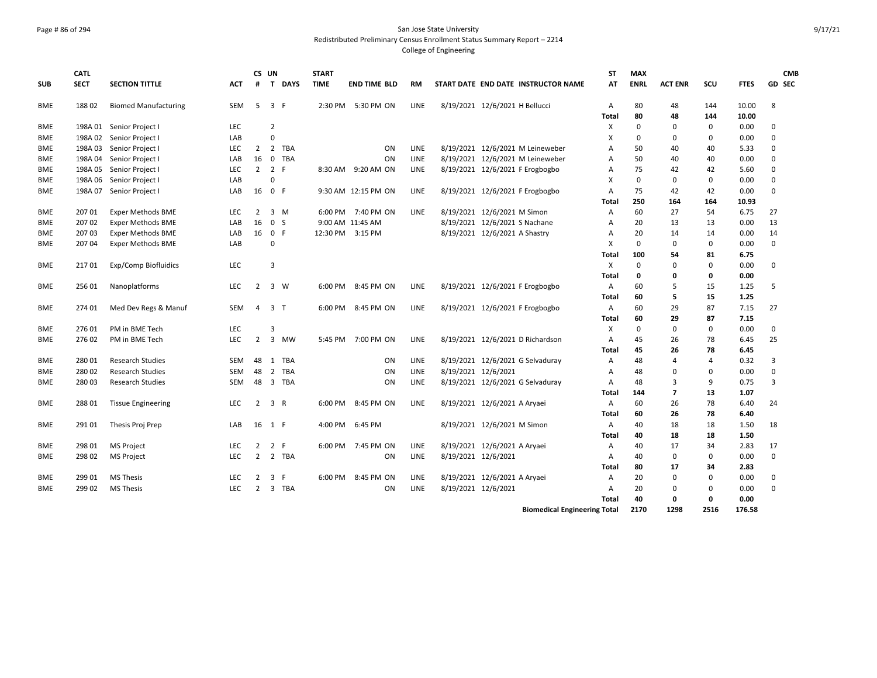## Page # 86 of 294 San Jose State University Redistributed Preliminary Census Enrollment Status Summary Report – 2214

|            | <b>CATL</b> |                             |            | CS UN               |                |             | <b>START</b>     |                     |             |                     |                                     | <b>ST</b>                 | <b>MAX</b>  |                |             |             | <b>CMB</b>     |
|------------|-------------|-----------------------------|------------|---------------------|----------------|-------------|------------------|---------------------|-------------|---------------------|-------------------------------------|---------------------------|-------------|----------------|-------------|-------------|----------------|
| <b>SUB</b> | <b>SECT</b> | <b>SECTION TITTLE</b>       | <b>ACT</b> | #                   | $\mathbf{T}$   | <b>DAYS</b> | <b>TIME</b>      | <b>END TIME BLD</b> | <b>RM</b>   |                     | START DATE END DATE INSTRUCTOR NAME | AT                        | <b>ENRL</b> | <b>ACT ENR</b> | SCU         | <b>FTES</b> | GD SEC         |
| BME        | 18802       | <b>Biomed Manufacturing</b> | SEM        | 5                   | 3 F            |             |                  | 2:30 PM 5:30 PM ON  | <b>LINE</b> |                     | 8/19/2021 12/6/2021 H Bellucci      | A                         | 80          | 48             | 144         | 10.00       | 8              |
|            |             |                             |            |                     |                |             |                  |                     |             |                     |                                     | Total                     | 80          | 48             | 144         | 10.00       |                |
| <b>BME</b> |             | 198A 01 Senior Project I    | <b>LEC</b> |                     | $\overline{2}$ |             |                  |                     |             |                     |                                     | X                         | $\Omega$    | 0              | $\mathbf 0$ | 0.00        | $\Omega$       |
| <b>BME</b> | 198A 02     | Senior Project I            | LAB        |                     | $\Omega$       |             |                  |                     |             |                     |                                     | $\boldsymbol{\mathsf{x}}$ | $\Omega$    | 0              | 0           | 0.00        | $\mathbf 0$    |
| <b>BME</b> |             | 198A 03 Senior Project I    | <b>LEC</b> | 2                   |                | 2 TBA       |                  | ON                  | LINE        |                     | 8/19/2021 12/6/2021 M Leineweber    | A                         | 50          | 40             | 40          | 5.33        | $\mathbf 0$    |
| BME        | 198A 04     | Senior Project I            | LAB        | 16                  |                | 0 TBA       |                  | ON                  | LINE        |                     | 8/19/2021 12/6/2021 M Leineweber    | Α                         | 50          | 40             | 40          | 0.00        | $\Omega$       |
| <b>BME</b> | 198A 05     | Senior Project I            | <b>LEC</b> | $2 \quad 2 \quad F$ |                |             |                  | 8:30 AM 9:20 AM ON  | LINE        |                     | 8/19/2021 12/6/2021 F Erogbogbo     | Α                         | 75          | 42             | 42          | 5.60        | $\Omega$       |
| BME        | 198A 06     | Senior Project I            | LAB        |                     | $\Omega$       |             |                  |                     |             |                     |                                     | $\boldsymbol{\mathsf{x}}$ | $\Omega$    | $\mathbf 0$    | $\mathbf 0$ | 0.00        | $\Omega$       |
| <b>BME</b> | 198A 07     | Senior Project I            | LAB        | 16                  | 0 F            |             |                  | 9:30 AM 12:15 PM ON | LINE        |                     | 8/19/2021 12/6/2021 F Erogbogbo     | $\overline{A}$            | 75          | 42             | 42          | 0.00        | $\mathbf 0$    |
|            |             |                             |            |                     |                |             |                  |                     |             |                     |                                     | Total                     | 250         | 164            | 164         | 10.93       |                |
| <b>BME</b> | 207 01      | <b>Exper Methods BME</b>    | <b>LEC</b> | $\overline{2}$      |                | $3 \, M$    |                  | 6:00 PM 7:40 PM ON  | LINE        |                     | 8/19/2021 12/6/2021 M Simon         | Α                         | 60          | 27             | 54          | 6.75        | 27             |
| BME        | 207 02      | <b>Exper Methods BME</b>    | LAB        | 16                  | 0 <sub>5</sub> |             |                  | 9:00 AM 11:45 AM    |             |                     | 8/19/2021 12/6/2021 S Nachane       | $\overline{A}$            | 20          | 13             | 13          | 0.00        | 13             |
| <b>BME</b> | 20703       | <b>Exper Methods BME</b>    | LAB        | 16                  | 0 F            |             | 12:30 PM 3:15 PM |                     |             |                     | 8/19/2021 12/6/2021 A Shastry       | $\overline{A}$            | 20          | 14             | 14          | 0.00        | 14             |
| BME        | 207 04      | <b>Exper Methods BME</b>    | LAB        |                     | $\Omega$       |             |                  |                     |             |                     |                                     | X                         | $\mathbf 0$ | 0              | 0           | 0.00        | 0              |
|            |             |                             |            |                     |                |             |                  |                     |             |                     |                                     | Total                     | 100         | 54             | 81          | 6.75        |                |
| BME        | 21701       | Exp/Comp Biofluidics        | <b>LEC</b> |                     | 3              |             |                  |                     |             |                     |                                     | X                         | $\Omega$    | 0              | $\mathbf 0$ | 0.00        | $\mathbf 0$    |
|            |             |                             |            |                     |                |             |                  |                     |             |                     |                                     | Total                     | 0           | 0              | 0           | 0.00        |                |
| <b>BME</b> | 256 01      | Nanoplatforms               | <b>LEC</b> | $\overline{2}$      |                | 3 W         | 6:00 PM          | 8:45 PM ON          | LINE        |                     | 8/19/2021 12/6/2021 F Erogbogbo     | A                         | 60          | 5              | 15          | 1.25        | 5              |
|            |             |                             |            |                     |                |             |                  |                     |             |                     |                                     | Total                     | 60          | 5              | 15          | 1.25        |                |
| <b>BME</b> | 274 01      | Med Dev Regs & Manuf        | <b>SEM</b> | 4                   | 3 <sub>7</sub> |             | 6:00 PM          | 8:45 PM ON          | LINE        |                     | 8/19/2021 12/6/2021 F Erogbogbo     | Α                         | 60          | 29             | 87          | 7.15        | 27             |
|            |             |                             |            |                     |                |             |                  |                     |             |                     |                                     | Total                     | 60          | 29             | 87          | 7.15        |                |
| <b>BME</b> | 27601       | PM in BME Tech              | <b>LEC</b> |                     | $\overline{3}$ |             |                  |                     |             |                     |                                     | X                         | $\mathbf 0$ | $\mathbf 0$    | 0           | 0.00        | 0              |
| BME        | 27602       | PM in BME Tech              | <b>LEC</b> | $\overline{2}$      |                | 3 MW        |                  | 5:45 PM 7:00 PM ON  | LINE        |                     | 8/19/2021 12/6/2021 D Richardson    | Α                         | 45          | 26             | 78          | 6.45        | 25             |
|            |             |                             |            |                     |                |             |                  |                     |             |                     |                                     | Total                     | 45          | 26             | 78          | 6.45        |                |
| BME        | 28001       | <b>Research Studies</b>     | <b>SEM</b> | 48                  |                | 1 TBA       |                  | ON                  | <b>LINE</b> |                     | 8/19/2021 12/6/2021 G Selvaduray    | A                         | 48          | 4              | 4           | 0.32        | $\overline{3}$ |
| BME        | 28002       | <b>Research Studies</b>     | <b>SEM</b> | 48                  |                | 2 TBA       |                  | <b>ON</b>           | <b>LINE</b> |                     | 8/19/2021 12/6/2021                 | $\overline{A}$            | 48          | 0              | 0           | 0.00        | $\mathbf 0$    |
| <b>BME</b> | 28003       | <b>Research Studies</b>     | SEM        |                     |                | 48 3 TBA    |                  | ON                  | LINE        |                     | 8/19/2021 12/6/2021 G Selvaduray    | Α                         | 48          | 3              | 9           | 0.75        | 3              |
|            |             |                             |            |                     |                |             |                  |                     |             |                     |                                     | Total                     | 144         | $\overline{7}$ | 13          | 1.07        |                |
| <b>BME</b> | 28801       | <b>Tissue Engineering</b>   | <b>LEC</b> | $\overline{2}$      | 3 R            |             | 6:00 PM          | 8:45 PM ON          | <b>LINE</b> |                     | 8/19/2021 12/6/2021 A Aryaei        | $\overline{A}$            | 60          | 26             | 78          | 6.40        | 24             |
|            |             |                             |            |                     |                |             |                  |                     |             |                     |                                     | Total                     | 60          | 26             | 78          | 6.40        |                |
| <b>BME</b> | 291 01      | Thesis Proj Prep            | LAB        | 16                  | 1 F            |             |                  | 4:00 PM 6:45 PM     |             |                     | 8/19/2021 12/6/2021 M Simon         | A                         | 40          | 18             | 18          | 1.50        | 18             |
|            |             |                             |            |                     |                |             |                  |                     |             |                     |                                     | Total                     | 40          | 18             | 18          | 1.50        |                |
| BME        | 298 01      | <b>MS Project</b>           | <b>LEC</b> | $\overline{2}$      | 2 F            |             |                  | 6:00 PM 7:45 PM ON  | LINE        |                     | 8/19/2021 12/6/2021 A Aryaei        | Α                         | 40          | 17             | 34          | 2.83        | 17             |
| BME        | 298 02      | <b>MS Project</b>           | <b>LEC</b> | $\overline{2}$      |                | 2 TBA       |                  | ON                  | <b>LINE</b> | 8/19/2021 12/6/2021 |                                     | $\overline{A}$            | 40          | $\mathbf 0$    | $\mathbf 0$ | 0.00        | $\Omega$       |
|            |             |                             |            |                     |                |             |                  |                     |             |                     |                                     | Total                     | 80          | 17             | 34          | 2.83        |                |
| BME        | 299 01      | <b>MS Thesis</b>            | <b>LEC</b> | $\overline{2}$      | 3 F            |             | 6:00 PM          | 8:45 PM ON          | LINE        |                     | 8/19/2021 12/6/2021 A Aryaei        | A                         | 20          | 0              | 0           | 0.00        | $\mathbf 0$    |
| BME        | 299 02      | <b>MS Thesis</b>            | <b>LEC</b> | 2                   |                | 3 TBA       |                  | ON                  | LINE        | 8/19/2021 12/6/2021 |                                     | Α                         | 20          | 0              | 0           | 0.00        | $\Omega$       |
|            |             |                             |            |                     |                |             |                  |                     |             |                     |                                     | Total                     | 40          | 0              | $\mathbf 0$ | 0.00        |                |
|            |             |                             |            |                     |                |             |                  |                     |             |                     | <b>Biomedical Engineering Total</b> |                           | 2170        | 1298           | 2516        | 176.58      |                |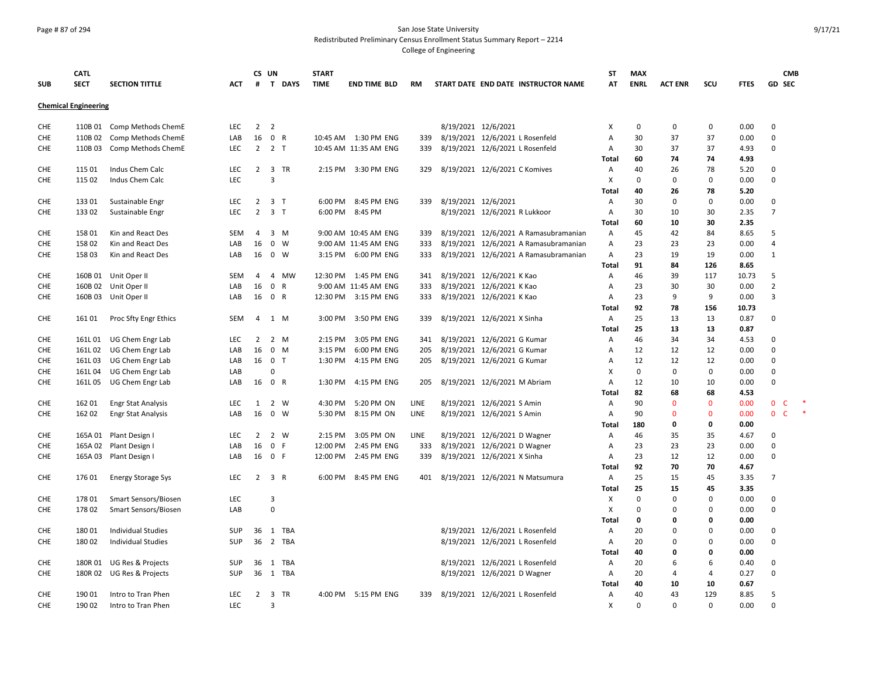### Page # 87 of 294 San Jose State University Redistributed Preliminary Census Enrollment Status Summary Report – 2214

| <b>SUB</b>        | <b>CATL</b><br><b>SECT</b>  | <b>SECTION TITTLE</b>                          | <b>ACT</b> | CS UN<br>#     |                     | T DAYS      | <b>START</b><br><b>TIME</b> | <b>END TIME BLD</b>   | <b>RM</b>   | START DATE END DATE INSTRUCTOR NAME                             | SΤ<br>AT   | <b>MAX</b><br><b>ENRL</b> | <b>ACT ENR</b>     | SCU               | <b>FTES</b>  | <b>GD SEC</b>           | <b>CMB</b>   |           |
|-------------------|-----------------------------|------------------------------------------------|------------|----------------|---------------------|-------------|-----------------------------|-----------------------|-------------|-----------------------------------------------------------------|------------|---------------------------|--------------------|-------------------|--------------|-------------------------|--------------|-----------|
|                   | <b>Chemical Engineering</b> |                                                |            |                |                     |             |                             |                       |             |                                                                 |            |                           |                    |                   |              |                         |              |           |
| CHE               |                             | 110B 01 Comp Methods ChemE                     | <b>LEC</b> | 2 <sub>2</sub> |                     |             |                             |                       |             | 8/19/2021 12/6/2021                                             | х          | 0                         | $\mathbf 0$        | $\mathbf 0$       | 0.00         | $\mathbf 0$             |              |           |
| CHE               |                             | 110B 02 Comp Methods ChemE                     | LAB        | 16             | 0 R                 |             |                             | 10:45 AM  1:30 PM ENG | 339         | 8/19/2021 12/6/2021 L Rosenfeld                                 | A          | 30                        | 37                 | 37                | 0.00         | $\mathbf 0$             |              |           |
| CHE               | 110B 03                     | Comp Methods ChemE                             | <b>LEC</b> |                | $2 \quad 2 \quad T$ |             |                             | 10:45 AM 11:35 AM ENG | 339         | 8/19/2021 12/6/2021 L Rosenfeld                                 | Α          | 30                        | 37                 | 37                | 4.93         | $\mathbf 0$             |              |           |
|                   |                             |                                                |            |                |                     |             |                             |                       |             |                                                                 | Total      | 60                        | 74                 | 74                | 4.93         |                         |              |           |
| CHE               | 115 01                      | Indus Chem Calc                                | LEC        |                |                     | 2 3 TR      |                             | 2:15 PM 3:30 PM ENG   | 329         | 8/19/2021 12/6/2021 C Komives                                   | Α          | 40                        | 26                 | 78                | 5.20         | $\mathbf 0$             |              |           |
| CHE               | 115 02                      | Indus Chem Calc                                | LEC        |                | 3                   |             |                             |                       |             |                                                                 | X          | 0                         | 0                  | $\mathbf 0$       | 0.00         | $\mathsf 0$             |              |           |
| <b>CHE</b>        | 13301                       | Sustainable Engr                               | <b>LEC</b> | $\overline{2}$ | 3 <sub>T</sub>      |             | 6:00 PM                     | 8:45 PM ENG           | 339         | 8/19/2021 12/6/2021                                             | Total<br>Α | 40<br>30                  | 26<br>$\mathbf{0}$ | 78<br>$\Omega$    | 5.20<br>0.00 | $\mathbf 0$             |              |           |
| CHE               | 133 02                      | Sustainable Engr                               | LEC        | $\overline{2}$ | 3 <sub>7</sub>      |             | 6:00 PM                     | 8:45 PM               |             | 8/19/2021 12/6/2021 R Lukkoor                                   | Α          | 30                        | 10                 | 30                | 2.35         | $\overline{7}$          |              |           |
|                   |                             |                                                |            |                |                     |             |                             |                       |             |                                                                 | Total      | 60                        | 10                 | 30                | 2.35         |                         |              |           |
| CHE               | 158 01                      | Kin and React Des                              | <b>SEM</b> | 4              |                     | $3 \, M$    |                             | 9:00 AM 10:45 AM ENG  | 339         | 8/19/2021 12/6/2021 A Ramasubramanian                           | Α          | 45                        | 42                 | 84                | 8.65         | 5                       |              |           |
| CHE               | 158 02                      | Kin and React Des                              | LAB        | 16             |                     | $0 \quad W$ |                             | 9:00 AM 11:45 AM ENG  | 333         | 8/19/2021 12/6/2021 A Ramasubramanian                           | A          | 23                        | 23                 | 23                | 0.00         | 4                       |              |           |
| <b>CHE</b>        | 15803                       | Kin and React Des                              | LAB        | 16             | $0 \quad W$         |             |                             | 3:15 PM 6:00 PM ENG   | 333         | 8/19/2021 12/6/2021 A Ramasubramanian                           | Α          | 23                        | 19                 | 19                | 0.00         | $\mathbf{1}$            |              |           |
|                   |                             |                                                |            |                |                     |             |                             |                       |             |                                                                 | Total      | 91                        | 84                 | 126               | 8.65         |                         |              |           |
| CHE               |                             | 160B 01 Unit Oper II                           | <b>SEM</b> | 4              | 4                   | MW          |                             | 12:30 PM 1:45 PM ENG  | 341         | 8/19/2021 12/6/2021 K Kao                                       | Α          | 46                        | 39                 | 117               | 10.73        | 5                       |              |           |
| <b>CHE</b>        |                             | 160B 02 Unit Oper II                           | LAB        | 16             | 0 R                 |             |                             | 9:00 AM 11:45 AM ENG  | 333         | 8/19/2021 12/6/2021 K Kao                                       | A          | 23                        | 30                 | 30                | 0.00         | $\overline{2}$          |              |           |
| CHE               | 160B 03                     | Unit Oper II                                   | LAB        | 16             | 0 R                 |             |                             | 12:30 PM 3:15 PM ENG  | 333         | 8/19/2021 12/6/2021 K Kao                                       | А          | 23                        | 9                  | 9                 | 0.00         | $\overline{3}$          |              |           |
|                   |                             |                                                |            |                |                     |             |                             |                       |             |                                                                 | Total      | 92                        | 78                 | 156               | 10.73        |                         |              |           |
| <b>CHE</b>        | 161 01                      | Proc Sfty Engr Ethics                          | <b>SEM</b> | 4              | 1 M                 |             | 3:00 PM                     | 3:50 PM ENG           | 339         | 8/19/2021 12/6/2021 X Sinha                                     | Α          | 25                        | 13                 | 13                | 0.87         | 0                       |              |           |
|                   |                             |                                                |            |                |                     |             |                             |                       |             |                                                                 | Total      | 25                        | 13                 | 13                | 0.87         |                         |              |           |
| <b>CHE</b>        | 161L01                      | UG Chem Engr Lab                               | <b>LEC</b> | $\overline{2}$ |                     | 2 M         | 2:15 PM                     | 3:05 PM ENG           | 341         | 8/19/2021 12/6/2021 G Kumar                                     | Α          | 46                        | 34                 | 34                | 4.53         | 0                       |              |           |
| <b>CHE</b>        | 161L02                      | UG Chem Engr Lab                               | LAB        | 16             | $0$ M               |             | 3:15 PM                     | 6:00 PM ENG           | 205         | 8/19/2021 12/6/2021 G Kumar                                     | Α          | 12                        | 12                 | 12                | 0.00         | $\mathsf 0$             |              |           |
| <b>CHE</b><br>CHE | 161L03                      | UG Chem Engr Lab                               | LAB<br>LAB | 16 0 T         | $\Omega$            |             | 1:30 PM                     | 4:15 PM ENG           | 205         | 8/19/2021 12/6/2021 G Kumar                                     | A<br>X     | 12<br>$\Omega$            | 12<br>$\Omega$     | 12<br>$\mathbf 0$ | 0.00<br>0.00 | $\mathbf 0$<br>$\Omega$ |              |           |
| <b>CHE</b>        | 161L04<br>161L05            | UG Chem Engr Lab<br>UG Chem Engr Lab           | LAB        | 16             | 0 R                 |             |                             | 1:30 PM 4:15 PM ENG   | 205         | 8/19/2021 12/6/2021 M Abriam                                    | A          | 12                        | 10                 | 10                | 0.00         | $\mathbf 0$             |              |           |
|                   |                             |                                                |            |                |                     |             |                             |                       |             |                                                                 | Total      | 82                        | 68                 | 68                | 4.53         |                         |              |           |
| <b>CHE</b>        | 162 01                      | <b>Engr Stat Analysis</b>                      | <b>LEC</b> | 1              | 2 W                 |             | 4:30 PM                     | 5:20 PM ON            | LINE        | 8/19/2021 12/6/2021 S Amin                                      | Α          | 90                        | $\mathbf{0}$       | $\mathbf{0}$      | 0.00         | $\mathbf 0$             | C            |           |
| <b>CHE</b>        | 162 02                      | <b>Engr Stat Analysis</b>                      | LAB        | 16             |                     | $0 \quad W$ | 5:30 PM                     | 8:15 PM ON            | LINE        | 8/19/2021 12/6/2021 S Amin                                      | Α          | 90                        | $\mathbf{0}$       | $\mathbf 0$       | 0.00         | $\mathbf 0$             | $\mathsf{C}$ | $\;$ $\;$ |
|                   |                             |                                                |            |                |                     |             |                             |                       |             |                                                                 | Total      | 180                       | 0                  | $\mathbf 0$       | 0.00         |                         |              |           |
| <b>CHE</b>        |                             | 165A 01 Plant Design I                         | <b>LEC</b> | $\overline{2}$ |                     | 2 W         | 2:15 PM                     | 3:05 PM ON            | <b>LINE</b> | 8/19/2021 12/6/2021 D Wagner                                    | Α          | 46                        | 35                 | 35                | 4.67         | 0                       |              |           |
| <b>CHE</b>        | 165A 02                     | Plant Design I                                 | LAB        | 16             | 0 F                 |             | 12:00 PM                    | 2:45 PM ENG           | 333         | 8/19/2021 12/6/2021 D Wagner                                    | A          | 23                        | 23                 | 23                | 0.00         | $\Omega$                |              |           |
| <b>CHE</b>        | 165A 03                     | Plant Design I                                 | LAB        | 16             | 0 F                 |             | 12:00 PM                    | 2:45 PM ENG           | 339         | 8/19/2021 12/6/2021 X Sinha                                     | Α          | 23                        | 12                 | 12                | 0.00         | $\mathbf 0$             |              |           |
|                   |                             |                                                |            |                |                     |             |                             |                       |             |                                                                 | Total      | 92                        | 70                 | 70                | 4.67         |                         |              |           |
| CHE               | 176 01                      | <b>Energy Storage Sys</b>                      | LEC        | $\overline{2}$ | 3 R                 |             |                             | 6:00 PM 8:45 PM ENG   | 401         | 8/19/2021 12/6/2021 N Matsumura                                 | Α          | 25                        | 15                 | 45                | 3.35         | $\overline{7}$          |              |           |
|                   |                             |                                                |            |                |                     |             |                             |                       |             |                                                                 | Total      | 25                        | 15                 | 45                | 3.35         |                         |              |           |
| CHE               | 17801                       | Smart Sensors/Biosen                           | <b>LEC</b> |                | 3                   |             |                             |                       |             |                                                                 | X          | $\Omega$                  | $\mathbf{0}$       | $\Omega$          | 0.00         | $\Omega$                |              |           |
| CHE               | 178 02                      | Smart Sensors/Biosen                           | LAB        |                | $\mathbf 0$         |             |                             |                       |             |                                                                 | X          | $\mathbf 0$               | $\Omega$           | $\mathbf 0$       | 0.00         | 0                       |              |           |
|                   |                             |                                                |            |                |                     |             |                             |                       |             |                                                                 | Total      | 0                         | 0                  | 0                 | 0.00         |                         |              |           |
| <b>CHE</b>        | 18001                       | <b>Individual Studies</b>                      | SUP        | 36             |                     | 1 TBA       |                             |                       |             | 8/19/2021 12/6/2021 L Rosenfeld                                 | A          | 20                        | $\Omega$           | $\Omega$          | 0.00         | 0                       |              |           |
| CHE               | 180 02                      | <b>Individual Studies</b>                      | SUP        |                |                     | 36 2 TBA    |                             |                       |             | 8/19/2021 12/6/2021 L Rosenfeld                                 | Α          | 20                        | $\mathbf 0$        | $\mathbf 0$       | 0.00         | $\mathbf 0$             |              |           |
| <b>CHE</b>        |                             |                                                | <b>SUP</b> | 36             |                     | 1 TBA       |                             |                       |             |                                                                 | Total<br>Α | 40<br>20                  | 0<br>6             | 0<br>6            | 0.00<br>0.40 | 0                       |              |           |
| CHE               | 180R 02                     | 180R 01 UG Res & Projects<br>UG Res & Projects | SUP        | 36             |                     | 1 TBA       |                             |                       |             | 8/19/2021 12/6/2021 L Rosenfeld<br>8/19/2021 12/6/2021 D Wagner | Α          | 20                        | 4                  | 4                 | 0.27         | 0                       |              |           |
|                   |                             |                                                |            |                |                     |             |                             |                       |             |                                                                 | Total      | 40                        | 10                 | 10                | 0.67         |                         |              |           |
| CHE               | 190 01                      | Intro to Tran Phen                             | <b>LEC</b> | $\overline{2}$ |                     | 3 TR        |                             | 4:00 PM 5:15 PM ENG   | 339         | 8/19/2021 12/6/2021 L Rosenfeld                                 | Α          | 40                        | 43                 | 129               | 8.85         | 5                       |              |           |
| CHE               | 190 02                      | Intro to Tran Phen                             | LEC        |                | 3                   |             |                             |                       |             |                                                                 | X          | $\mathbf 0$               | $\Omega$           | $\mathbf 0$       | 0.00         | $\Omega$                |              |           |
|                   |                             |                                                |            |                |                     |             |                             |                       |             |                                                                 |            |                           |                    |                   |              |                         |              |           |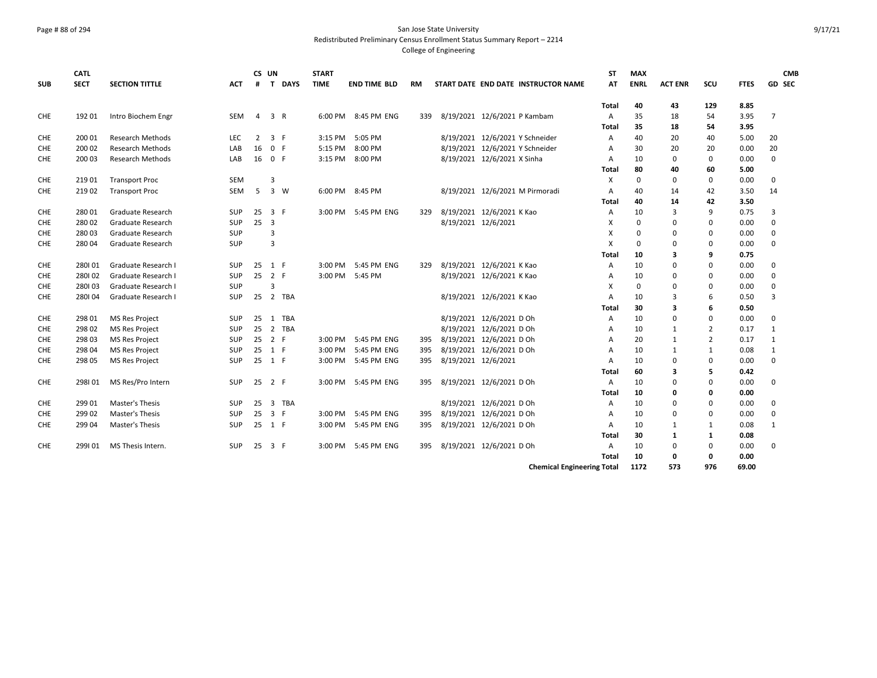#### Page # 88 of 294 San Jose State University Redistributed Preliminary Census Enrollment Status Summary Report – 2214

|            | <b>CATL</b> |                          |            | CS UN  |                |        | <b>START</b> |                     |           |                     |                                     |                                   | <b>ST</b> | <b>MAX</b>  |                |                |             | <b>CMB</b>    |
|------------|-------------|--------------------------|------------|--------|----------------|--------|--------------|---------------------|-----------|---------------------|-------------------------------------|-----------------------------------|-----------|-------------|----------------|----------------|-------------|---------------|
| <b>SUB</b> | <b>SECT</b> | <b>SECTION TITTLE</b>    | <b>ACT</b> | #      |                | T DAYS | <b>TIME</b>  | <b>END TIME BLD</b> | <b>RM</b> |                     | START DATE END DATE INSTRUCTOR NAME |                                   | AT        | <b>ENRL</b> | <b>ACT ENR</b> | <b>SCU</b>     | <b>FTES</b> | <b>GD SEC</b> |
|            |             |                          |            |        |                |        |              |                     |           |                     |                                     |                                   |           |             |                |                |             |               |
|            |             |                          |            |        |                |        |              |                     |           |                     |                                     | Total                             |           | 40          | 43             | 129            | 8.85        |               |
| <b>CHE</b> | 192 01      | Intro Biochem Engr       | SEM        | 4      | 3 R            |        |              | 6:00 PM 8:45 PM ENG | 339       |                     | 8/19/2021 12/6/2021 P Kambam        | Α                                 |           | 35          | 18             | 54             | 3.95        | 7             |
|            |             |                          |            |        |                |        |              |                     |           |                     |                                     | Total                             |           | 35          | 18             | 54             | 3.95        |               |
| <b>CHE</b> | 200 01      | <b>Research Methods</b>  | <b>LEC</b> | 2      | 3 F            |        | 3:15 PM      | 5:05 PM             |           |                     | 8/19/2021 12/6/2021 Y Schneider     | A                                 |           | 40          | 20             | 40             | 5.00        | 20            |
| <b>CHE</b> | 200 02      | <b>Research Methods</b>  | LAB        | 16     | 0 F            |        | 5:15 PM      | 8:00 PM             |           |                     | 8/19/2021 12/6/2021 Y Schneider     | A                                 |           | 30          | 20             | 20             | 0.00        | 20            |
| <b>CHE</b> | 200 03      | <b>Research Methods</b>  | LAB        | 16     | 0 F            |        | 3:15 PM      | 8:00 PM             |           |                     | 8/19/2021 12/6/2021 X Sinha         | A                                 |           | 10          | $\mathbf 0$    | $\mathbf 0$    | 0.00        | $\mathbf 0$   |
|            |             |                          |            |        |                |        |              |                     |           |                     |                                     | Total                             |           | 80          | 40             | 60             | 5.00        |               |
| CHE        | 219 01      | <b>Transport Proc</b>    | <b>SEM</b> |        | 3              |        |              |                     |           |                     |                                     | X                                 |           | $\Omega$    | $\mathbf 0$    | 0              | 0.00        | $\mathbf 0$   |
| <b>CHE</b> | 21902       | <b>Transport Proc</b>    | <b>SEM</b> | 5      |                | 3 W    |              | 6:00 PM 8:45 PM     |           |                     | 8/19/2021 12/6/2021 M Pirmoradi     | $\overline{A}$                    |           | 40          | 14             | 42             | 3.50        | 14            |
|            |             |                          |            |        |                |        |              |                     |           |                     |                                     | Total                             |           | 40          | 14             | 42             | 3.50        |               |
| <b>CHE</b> | 280 01      | <b>Graduate Research</b> | <b>SUP</b> | 25     | 3 F            |        |              | 3:00 PM 5:45 PM ENG | 329       |                     | 8/19/2021 12/6/2021 К Као           | A                                 |           | 10          | 3              | 9              | 0.75        | 3             |
| <b>CHE</b> | 28002       | <b>Graduate Research</b> | <b>SUP</b> | 25     | 3              |        |              |                     |           | 8/19/2021 12/6/2021 |                                     | X                                 |           | $\Omega$    | $\Omega$       | 0              | 0.00        | $\mathbf 0$   |
| <b>CHE</b> | 28003       | <b>Graduate Research</b> | SUP        |        | $\overline{3}$ |        |              |                     |           |                     |                                     | X                                 |           | 0           | $\Omega$       | 0              | 0.00        | $\mathbf 0$   |
| <b>CHE</b> | 28004       | <b>Graduate Research</b> | <b>SUP</b> |        | 3              |        |              |                     |           |                     |                                     | X                                 |           | $\Omega$    | $\Omega$       | 0              | 0.00        | 0             |
|            |             |                          |            |        |                |        |              |                     |           |                     |                                     | Total                             |           | 10          | 3              | 9              | 0.75        |               |
| <b>CHE</b> | 280101      | Graduate Research I      | <b>SUP</b> | 25     | 1 F            |        | 3:00 PM      | 5:45 PM ENG         | 329       |                     | 8/19/2021 12/6/2021 К Као           | A                                 |           | 10          | 0              | 0              | 0.00        | 0             |
| <b>CHE</b> | 280102      | Graduate Research I      | <b>SUP</b> | 25     | 2 F            |        | 3:00 PM      | 5:45 PM             |           |                     | 8/19/2021 12/6/2021 К Као           | A                                 |           | 10          | $\Omega$       | 0              | 0.00        | 0             |
| <b>CHE</b> | 280103      | Graduate Research I      | SUP        |        | 3              |        |              |                     |           |                     |                                     | X                                 |           | $\Omega$    | $\Omega$       | $\Omega$       | 0.00        | 0             |
| <b>CHE</b> | 280104      | Graduate Research I      | <b>SUP</b> | 25     |                | 2 TBA  |              |                     |           |                     | 8/19/2021 12/6/2021 К Као           | A                                 |           | 10          | 3              | 6              | 0.50        | 3             |
|            |             |                          |            |        |                |        |              |                     |           |                     |                                     | Total                             |           | 30          | 3              | 6              | 0.50        |               |
| <b>CHE</b> | 298 01      | <b>MS Res Project</b>    | SUP        | 25     |                | 1 TBA  |              |                     |           |                     | 8/19/2021 12/6/2021 D Oh            | Α                                 |           | 10          | $\Omega$       | $\mathbf 0$    | 0.00        | 0             |
| <b>CHE</b> | 298 02      | <b>MS Res Project</b>    | SUP        | 25     |                | 2 TBA  |              |                     |           |                     | 8/19/2021 12/6/2021 D Oh            | Α                                 |           | 10          | 1              | $\overline{2}$ | 0.17        | 1             |
| <b>CHE</b> | 298 03      | <b>MS Res Project</b>    | SUP        | 25     | 2 F            |        | 3:00 PM      | 5:45 PM ENG         | 395       |                     | 8/19/2021 12/6/2021 D Oh            | A                                 |           | 20          | 1              | $\overline{2}$ | 0.17        | $\mathbf{1}$  |
| <b>CHE</b> | 298 04      | MS Res Project           | <b>SUP</b> | 25     | 1 F            |        | 3:00 PM      | 5:45 PM ENG         | 395       |                     | 8/19/2021 12/6/2021 D Oh            | $\overline{A}$                    |           | 10          | 1              | 1              | 0.08        | $\mathbf{1}$  |
| <b>CHE</b> | 298 05      | MS Res Project           | <b>SUP</b> | 25 1 F |                |        |              | 3:00 PM 5:45 PM ENG | 395       | 8/19/2021 12/6/2021 |                                     | $\overline{A}$                    |           | 10          | $\Omega$       | $\mathbf 0$    | 0.00        | $\mathbf 0$   |
|            |             |                          |            |        |                |        |              |                     |           |                     |                                     | Total                             |           | 60          | 3              | 5              | 0.42        |               |
| CHE        | 298101      | MS Res/Pro Intern        | <b>SUP</b> | 25     | 2 F            |        | 3:00 PM      | 5:45 PM ENG         | 395       |                     | 8/19/2021 12/6/2021 D Oh            | A                                 |           | 10          | $\mathbf 0$    | 0              | 0.00        | 0             |
|            |             |                          |            |        |                |        |              |                     |           |                     |                                     | Total                             |           | 10          | 0              | 0              | 0.00        |               |
| <b>CHE</b> | 299 01      | Master's Thesis          | SUP        | 25     |                | 3 TBA  |              |                     |           |                     | 8/19/2021 12/6/2021 D Oh            | A                                 |           | 10          | 0              | 0              | 0.00        | 0             |
| <b>CHE</b> | 299 02      | Master's Thesis          | SUP        | 25     | 3 F            |        | 3:00 PM      | 5:45 PM ENG         | 395       |                     | 8/19/2021 12/6/2021 D Oh            | A                                 |           | 10          | 0              | 0              | 0.00        | $\mathbf 0$   |
| <b>CHE</b> | 299 04      | Master's Thesis          | <b>SUP</b> | 25     | 1 F            |        | 3:00 PM      | 5:45 PM ENG         | 395       |                     | 8/19/2021 12/6/2021 D Oh            | $\overline{A}$                    |           | 10          | 1              | 1              | 0.08        | $\mathbf{1}$  |
|            |             |                          |            |        |                |        |              |                     |           |                     |                                     | Total                             |           | 30          | 1              | 1              | 0.08        |               |
| <b>CHE</b> | 299101      | MS Thesis Intern.        | <b>SUP</b> | 25     | 3 F            |        | 3:00 PM      | 5:45 PM ENG         | 395       |                     | 8/19/2021 12/6/2021 D Oh            | $\overline{A}$                    |           | 10          | $\mathbf 0$    | 0              | 0.00        | 0             |
|            |             |                          |            |        |                |        |              |                     |           |                     |                                     | Total                             |           | 10          | 0              | 0              | 0.00        |               |
|            |             |                          |            |        |                |        |              |                     |           |                     |                                     | <b>Chemical Engineering Total</b> |           | 1172        | 573            | 976            | 69.00       |               |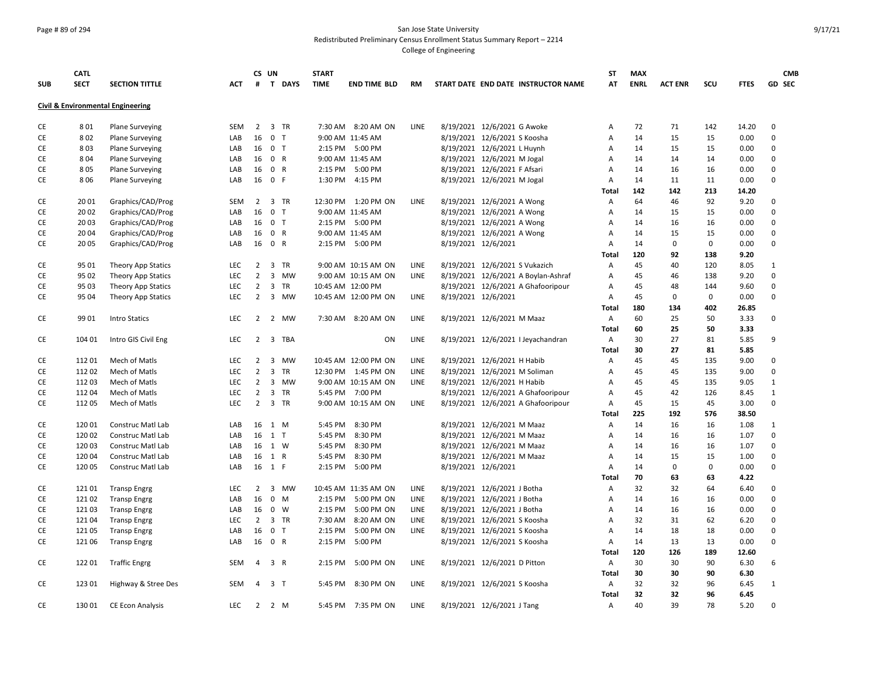## Page # 89 of 294 San Jose State University Redistributed Preliminary Census Enrollment Status Summary Report – 2214

|            | <b>CATL</b>     |                                              |            |                | CS UN          |             | <b>START</b>       |                          |             |                                     | SΤ           | <b>MAX</b>  |                |     |              | <b>CMB</b>    |
|------------|-----------------|----------------------------------------------|------------|----------------|----------------|-------------|--------------------|--------------------------|-------------|-------------------------------------|--------------|-------------|----------------|-----|--------------|---------------|
| <b>SUB</b> | <b>SECT</b>     | <b>SECTION TITTLE</b>                        | <b>ACT</b> | #              |                | T DAYS      | <b>TIME</b>        | <b>END TIME BLD</b>      | RM          | START DATE END DATE INSTRUCTOR NAME | AT           | <b>ENRL</b> | <b>ACT ENR</b> | scu | <b>FTES</b>  | <b>GD SEC</b> |
|            |                 | <b>Civil &amp; Environmental Engineering</b> |            |                |                |             |                    |                          |             |                                     |              |             |                |     |              |               |
| CE         | 801             | <b>Plane Surveying</b>                       | SEM        | $2^{\circ}$    |                | 3 TR        |                    | 7:30 AM 8:20 AM ON       | LINE        | 8/19/2021 12/6/2021 G Awoke         | А            | 72          | 71             | 142 | 14.20        | $\mathbf 0$   |
| CE         | 802             | <b>Plane Surveying</b>                       | LAB        | 16             | 0 <sub>T</sub> |             |                    | 9:00 AM 11:45 AM         |             | 8/19/2021 12/6/2021 S Koosha        | А            | 14          | 15             | 15  | 0.00         | $\mathbf 0$   |
| <b>CE</b>  | 803             | Plane Surveying                              | LAB        |                | 16 0 T         |             |                    | 2:15 PM 5:00 PM          |             | 8/19/2021 12/6/2021 L Huynh         | Α            | 14          | 15             | 15  | 0.00         | $\mathbf 0$   |
| CE         | 8 0 4           | <b>Plane Surveying</b>                       | LAB        |                | 16 0 R         |             |                    | 9:00 AM 11:45 AM         |             | 8/19/2021 12/6/2021 M Jogal         | Α            | 14          | 14             | 14  | 0.00         | $\mathsf 0$   |
| CE         | 805             | <b>Plane Surveying</b>                       | LAB        |                | 16 0 R         |             |                    | 2:15 PM 5:00 PM          |             | 8/19/2021 12/6/2021 F Afsari        | Α            | 14          | 16             | 16  | 0.00         | $\mathbf 0$   |
| CE         | 806             | <b>Plane Surveying</b>                       | LAB        | 16             | 0 F            |             | 1:30 PM            | 4:15 PM                  |             | 8/19/2021 12/6/2021 M Jogal         | А            | 14          | 11             | 11  | 0.00         | $\mathbf 0$   |
|            |                 |                                              |            |                |                |             |                    |                          |             |                                     | Total        | 142         | 142            | 213 | 14.20        |               |
| CE         | 20 01           | Graphics/CAD/Prog                            | <b>SEM</b> |                | 2 3 TR         |             |                    | 12:30 PM 1:20 PM ON      | LINE        | 8/19/2021 12/6/2021 A Wong          | Α            | 64          | 46             | 92  | 9.20         | $\mathsf 0$   |
| CE         | 20 02           | Graphics/CAD/Prog                            | LAB        | 16             | 0 <sub>T</sub> |             |                    | 9:00 AM 11:45 AM         |             | 8/19/2021 12/6/2021 A Wong          | А            | 14          | 15             | 15  | 0.00         | $\mathbf 0$   |
| CE         | 20 03           | Graphics/CAD/Prog                            | LAB        |                | 16 0 T         |             |                    | 2:15 PM 5:00 PM          |             | 8/19/2021 12/6/2021 A Wong          | А            | 14          | 16             | 16  | 0.00         | $\mathbf 0$   |
| <b>CE</b>  | 2004            | Graphics/CAD/Prog                            | LAB        |                | 16 0 R         |             |                    | 9:00 AM 11:45 AM         |             | 8/19/2021 12/6/2021 A Wong          | A            | 14          | 15             | 15  | 0.00         | $\mathbf 0$   |
| CE         | 20 05           | Graphics/CAD/Prog                            | LAB        | 16             | 0 R            |             |                    | 2:15 PM 5:00 PM          |             | 8/19/2021 12/6/2021                 | А            | 14          | $\pmb{0}$      | 0   | 0.00         | $\mathsf 0$   |
|            |                 |                                              |            |                |                |             |                    |                          |             |                                     | Total        | 120         | 92             | 138 | 9.20         |               |
| CE         | 95 01           | Theory App Statics                           | <b>LEC</b> | $2^{\circ}$    |                | 3 TR        |                    | 9:00 AM 10:15 AM ON      | LINE        | 8/19/2021 12/6/2021 S Vukazich      | Α            | 45          | 40             | 120 | 8.05         | 1             |
| CE         | 95 02           | Theory App Statics                           | <b>LEC</b> | $\overline{2}$ |                | 3 MW        |                    | 9:00 AM 10:15 AM ON      | <b>LINE</b> | 8/19/2021 12/6/2021 A Boylan-Ashraf | Α            | 45          | 46             | 138 | 9.20         | $\mathbf 0$   |
| <b>CE</b>  | 95 03           | Theory App Statics                           | LEC        | $\overline{2}$ |                | 3 TR        |                    | 10:45 AM 12:00 PM        |             | 8/19/2021 12/6/2021 A Ghafooripour  | Α            | 45          | 48             | 144 | 9.60         | $\mathbf 0$   |
| CE         | 95 04           | Theory App Statics                           | <b>LEC</b> | $\overline{2}$ |                | 3 MW        |                    | 10:45 AM 12:00 PM ON     | LINE        | 8/19/2021 12/6/2021                 | Α            | 45          | $\mathbf 0$    | 0   | 0.00         | $\mathbf 0$   |
|            |                 |                                              |            |                |                |             |                    |                          |             |                                     | Total        | 180         | 134            | 402 | 26.85        |               |
| CE         | 99 01           | <b>Intro Statics</b>                         | <b>LEC</b> |                |                | 2 2 MW      |                    | 7:30 AM 8:20 AM ON       | LINE        | 8/19/2021 12/6/2021 M Maaz          | Α            | 60          | 25             | 50  | 3.33         | $\mathbf 0$   |
|            |                 |                                              |            |                |                |             |                    |                          |             |                                     | Total        | 60          | 25             | 50  | 3.33         |               |
| CE         | 104 01          | Intro GIS Civil Eng                          | <b>LEC</b> |                |                | 2 3 TBA     |                    | ON                       | LINE        | 8/19/2021 12/6/2021 I Jeyachandran  | Α            | 30          | 27             | 81  | 5.85         | 9             |
|            |                 |                                              |            |                |                |             |                    |                          |             |                                     | Total        | 30          | 27             | 81  | 5.85         |               |
| CE         | 11201           | Mech of Matls                                | <b>LEC</b> | $\overline{2}$ | 3              | <b>MW</b>   |                    | 10:45 AM 12:00 PM ON     | <b>LINE</b> | 8/19/2021 12/6/2021 H Habib         | А            | 45          | 45             | 135 | 9.00         | $\mathbf 0$   |
| <b>CE</b>  | 11202           | Mech of Matls                                | <b>LEC</b> | $\overline{2}$ | 3              | <b>TR</b>   |                    | 12:30 PM 1:45 PM ON      | LINE        | 8/19/2021 12/6/2021 M Soliman       | A            | 45          | 45             | 135 | 9.00         | $\mathbf 0$   |
| CE         | 11203           | Mech of Matls                                | <b>LEC</b> | $\overline{2}$ |                | 3 MW        |                    | 9:00 AM 10:15 AM ON      | LINE        | 8/19/2021 12/6/2021 H Habib         | А            | 45          | 45             | 135 | 9.05         | 1             |
| CE         | 11204           | Mech of Matls                                | LEC        | $\overline{2}$ |                | 3 TR        |                    | 5:45 PM 7:00 PM          |             | 8/19/2021 12/6/2021 A Ghafooripour  | А            | 45          | 42             | 126 | 8.45         | $\mathbf{1}$  |
| CE         | 112 05          | Mech of Matls                                | LEC        | $\overline{2}$ |                | 3 TR        |                    | 9:00 AM 10:15 AM ON      | LINE        | 8/19/2021 12/6/2021 A Ghafooripour  | Α            | 45          | 15             | 45  | 3.00         | $\mathbf 0$   |
|            |                 |                                              |            |                |                |             |                    |                          |             |                                     | Total        | 225         | 192            | 576 | 38.50        |               |
| CE         | 120 01          | Construc Matl Lab                            | LAB        |                | 16 1 M         |             | 5:45 PM            | 8:30 PM                  |             | 8/19/2021 12/6/2021 M Maaz          | Α            | 14          | 16             | 16  | 1.08         | $\mathbf{1}$  |
| CE         | 120 02          | Construc Matl Lab                            | LAB        | 16             | 1 T            |             | 5:45 PM            | 8:30 PM                  |             | 8/19/2021 12/6/2021 M Maaz          | А            | 14          | 16             | 16  | 1.07         | 0             |
| <b>CE</b>  | 120 03          | Construc Matl Lab                            | LAB        |                | 16 1 W         |             | 5:45 PM            | 8:30 PM                  |             | 8/19/2021 12/6/2021 M Maaz          | Α            | 14          | 16             | 16  | 1.07         | $\mathbf 0$   |
| СE         | 120 04          | Construc Matl Lab                            | LAB        |                | 16 1 R         |             | 5:45 PM            | 8:30 PM                  |             | 8/19/2021 12/6/2021 M Maaz          | А            | 14          | 15             | 15  | 1.00         | $\mathbf 0$   |
| CE         | 120 05          | Construc Matl Lab                            | LAB        |                | 16 1 F         |             | 2:15 PM            | 5:00 PM                  |             | 8/19/2021 12/6/2021                 | Α            | 14          | 0              | 0   | 0.00         | $\mathsf 0$   |
|            |                 |                                              |            |                |                |             |                    |                          |             |                                     | Total        | 70          | 63             | 63  | 4.22         |               |
| CE         | 12101           | <b>Transp Engrg</b>                          | <b>LEC</b> | $\overline{2}$ | 3              | MW          |                    | 10:45 AM 11:35 AM ON     | <b>LINE</b> | 8/19/2021 12/6/2021 J Botha         | Α            | 32          | 32             | 64  | 6.40         | $\mathbf 0$   |
| <b>CE</b>  | 12102           |                                              | LAB        | 16             | $0 \quad M$    |             | 2:15 PM            | 5:00 PM ON               | <b>LINE</b> | 8/19/2021 12/6/2021 J Botha         | Α            | 14          | 16             | 16  | 0.00         | $\mathbf 0$   |
| CE         | 12103           | <b>Transp Engrg</b>                          | LAB        | 16             |                | $0 \quad W$ | 2:15 PM            | 5:00 PM ON               | LINE        | 8/19/2021 12/6/2021 J Botha         | А            | 14          | 16             | 16  | 0.00         | $\mathbf 0$   |
|            |                 | <b>Transp Engrg</b>                          |            | $\overline{2}$ |                | 3 TR        |                    |                          | LINE        |                                     |              | 32          | 31             | 62  |              | $\mathbf 0$   |
| CE         | 12104<br>121 05 | <b>Transp Engrg</b>                          | LEC        | 16             | 0 <sub>T</sub> |             | 7:30 AM<br>2:15 PM | 8:20 AM ON<br>5:00 PM ON | LINE        | 8/19/2021 12/6/2021 S Koosha        | А            |             | 18             |     | 6.20<br>0.00 | $\mathbf 0$   |
| CE         |                 | <b>Transp Engrg</b>                          | LAB        |                |                |             |                    |                          |             | 8/19/2021 12/6/2021 S Koosha        | Α            | 14          |                | 18  |              |               |
| CE         | 121 06          | <b>Transp Engrg</b>                          | LAB        | 16             | 0 R            |             | 2:15 PM            | 5:00 PM                  |             | 8/19/2021 12/6/2021 S Koosha        | Α            | 14          | 13             | 13  | 0.00         | $\mathbf 0$   |
|            |                 |                                              |            |                |                |             |                    |                          |             |                                     | <b>Total</b> | 120         | 126            | 189 | 12.60        |               |
| <b>CE</b>  | 12201           | <b>Traffic Engrg</b>                         | <b>SEM</b> | 4              | 3 R            |             | 2:15 PM            | 5:00 PM ON               | LINE        | 8/19/2021 12/6/2021 D Pitton        | Α            | 30          | 30             | 90  | 6.30         | 6             |
|            |                 |                                              |            |                |                |             |                    |                          |             |                                     | Total        | 30          | 30             | 90  | 6.30         |               |
| CE         | 123 01          | Highway & Stree Des                          | <b>SEM</b> | 4              | 3 <sub>1</sub> |             | 5:45 PM            | 8:30 PM ON               | LINE        | 8/19/2021 12/6/2021 S Koosha        | Α            | 32          | 32             | 96  | 6.45         | 1             |
|            |                 |                                              |            |                |                |             |                    |                          |             |                                     | Total        | 32          | 32             | 96  | 6.45         |               |
| CE         | 130 01          | <b>CE Econ Analysis</b>                      | LEC        |                | 2 2 M          |             |                    | 5:45 PM 7:35 PM ON       | LINE        | 8/19/2021 12/6/2021 J Tang          | Α            | 40          | 39             | 78  | 5.20         | $\mathbf 0$   |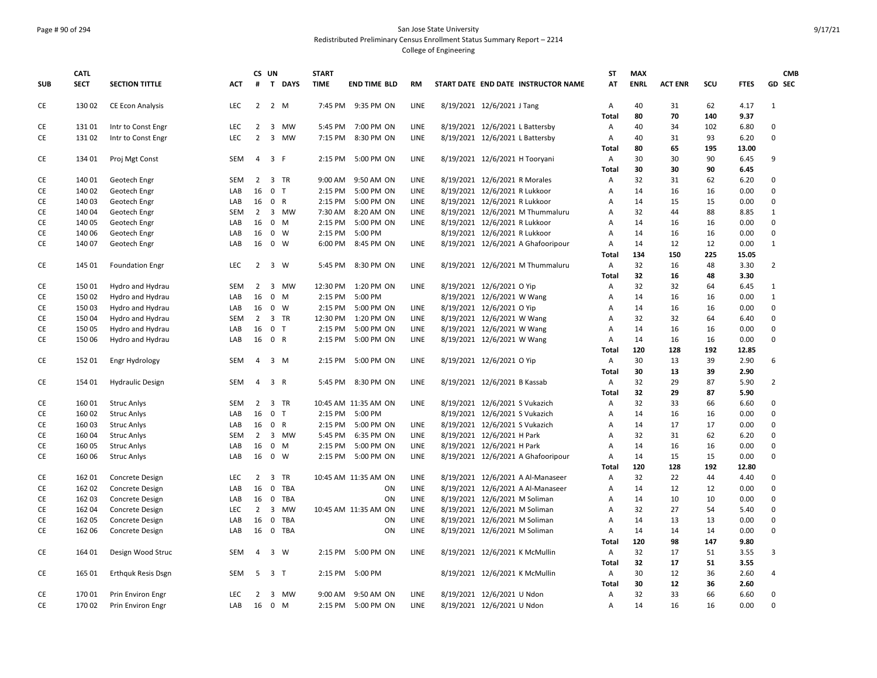## Page # 90 of 294 San Jose State University Redistributed Preliminary Census Enrollment Status Summary Report – 2214 College of Engineering

|            | <b>CATL</b> |                           |            |                | CS UN          |          | <b>START</b> |                      |             |                                     | <b>ST</b>      | <b>MAX</b>  |                |     |             | <b>CMB</b>     |
|------------|-------------|---------------------------|------------|----------------|----------------|----------|--------------|----------------------|-------------|-------------------------------------|----------------|-------------|----------------|-----|-------------|----------------|
| <b>SUB</b> | <b>SECT</b> | <b>SECTION TITTLE</b>     | <b>ACT</b> | #              |                | T DAYS   | <b>TIME</b>  | <b>END TIME BLD</b>  | RM          | START DATE END DATE INSTRUCTOR NAME | AT             | <b>ENRL</b> | <b>ACT ENR</b> | SCU | <b>FTES</b> | GD SEC         |
|            |             |                           |            |                |                |          |              |                      |             |                                     |                |             |                |     |             |                |
| CE         | 130 02      | <b>CE Econ Analysis</b>   | <b>LEC</b> |                | 2 2 M          |          |              | 7:45 PM 9:35 PM ON   | LINE        | 8/19/2021 12/6/2021 J Tang          | A              | 40          | 31             | 62  | 4.17        | $\mathbf{1}$   |
|            |             |                           |            |                |                |          |              |                      |             |                                     | Total          | 80          | 70             | 140 | 9.37        |                |
| CE         | 13101       | Intr to Const Engr        | LEC        | $\overline{2}$ |                | 3 MW     | 5:45 PM      | 7:00 PM ON           | LINE        | 8/19/2021 12/6/2021 L Battersby     | A              | 40          | 34             | 102 | 6.80        | 0              |
| CE         | 131 02      | Intr to Const Engr        | LEC        | $\overline{2}$ |                | 3 MW     | 7:15 PM      | 8:30 PM ON           | LINE        | 8/19/2021 12/6/2021 L Battersby     | A              | 40          | 31             | 93  | 6.20        | 0              |
|            |             |                           |            |                |                |          |              |                      |             |                                     | Total          | 80          | 65             | 195 | 13.00       |                |
| CE         | 134 01      | Proj Mgt Const            | <b>SEM</b> | $\overline{4}$ | 3 F            |          | 2:15 PM      | 5:00 PM ON           | LINE        | 8/19/2021 12/6/2021 H Tooryani      | A              | 30          | 30             | 90  | 6.45        | 9              |
|            |             |                           |            |                |                |          |              |                      |             |                                     | Total          | 30          | 30             | 90  | 6.45        |                |
| CE         | 140 01      | Geotech Engr              | <b>SEM</b> | 2              |                | 3 TR     | 9:00 AM      | 9:50 AM ON           | LINE        | 8/19/2021 12/6/2021 R Morales       | Α              | 32          | 31             | 62  | 6.20        | 0              |
| CE         | 140 02      | Geotech Engr              | LAB        | 16             | 0 <sub>T</sub> |          | 2:15 PM      | 5:00 PM ON           | LINE        | 8/19/2021 12/6/2021 R Lukkoor       | Α              | 14          | 16             | 16  | 0.00        | $\mathbf 0$    |
| CE         | 140 03      | Geotech Engr              | LAB        | 16             | 0 R            |          | 2:15 PM      | 5:00 PM ON           | LINE        | 8/19/2021 12/6/2021 R Lukkoor       | $\overline{A}$ | 14          | 15             | 15  | 0.00        | $\mathbf 0$    |
| CE         | 140 04      | Geotech Engr              | SEM        | $\overline{2}$ |                | 3 MW     | 7:30 AM      | 8:20 AM ON           | LINE        | 8/19/2021 12/6/2021 M Thummaluru    | A              | 32          | 44             | 88  | 8.85        | $\mathbf{1}$   |
| CE         | 140 05      | Geotech Engr              | LAB        | 16             | 0 M            |          | 2:15 PM      | 5:00 PM ON           | <b>LINE</b> | 8/19/2021 12/6/2021 R Lukkoor       | Α              | 14          | 16             | 16  | 0.00        | 0              |
| CE         | 140 06      | Geotech Engr              | LAB        | 16             | 0 W            |          | 2:15 PM      | 5:00 PM              |             | 8/19/2021 12/6/2021 R Lukkoor       | A              | 14          | 16             | 16  | 0.00        | $\mathbf 0$    |
| CE         | 140 07      | Geotech Engr              | LAB        | 16             | 0 W            |          | 6:00 PM      | 8:45 PM ON           | LINE        | 8/19/2021 12/6/2021 A Ghafooripour  | $\overline{A}$ | 14          | 12             | 12  | 0.00        | $\mathbf{1}$   |
|            |             |                           |            |                |                |          |              |                      |             |                                     | Total          | 134         | 150            | 225 | 15.05       |                |
| CE         | 145 01      | <b>Foundation Engr</b>    | <b>LEC</b> | $\overline{2}$ | 3 W            |          |              | 5:45 PM 8:30 PM ON   | LINE        | 8/19/2021 12/6/2021 M Thummaluru    | A              | 32          | 16             | 48  | 3.30        | $\overline{2}$ |
|            |             |                           |            |                |                |          |              |                      |             |                                     | Total          | 32          | 16             | 48  | 3.30        |                |
| CE         | 150 01      | Hydro and Hydrau          | <b>SEM</b> | $2^{\circ}$    |                | 3 MW     |              | 12:30 PM 1:20 PM ON  | LINE        | 8/19/2021 12/6/2021 O Yip           | A              | 32          | 32             | 64  | 6.45        | $\mathbf{1}$   |
| CE         | 150 02      | Hydro and Hydrau          | LAB        | 16             |                | 0 M      | 2:15 PM      | 5:00 PM              |             | 8/19/2021 12/6/2021 W Wang          | Α              | 14          | 16             | 16  | 0.00        | $\mathbf{1}$   |
| CE         | 150 03      | Hydro and Hydrau          | LAB        | 16             | 0 W            |          | 2:15 PM      | 5:00 PM ON           | LINE        | 8/19/2021 12/6/2021 O Yip           | A              | 14          | 16             | 16  | 0.00        | 0              |
| CE         | 150 04      | Hydro and Hydrau          | <b>SEM</b> | $\overline{2}$ |                | 3 TR     | 12:30 PM     | 1:20 PM ON           | LINE        | 8/19/2021 12/6/2021 W Wang          | $\overline{A}$ | 32          | 32             | 64  | 6.40        | 0              |
| CE         | 150 05      | Hydro and Hydrau          | LAB        | 16             | 0 <sub>T</sub> |          | 2:15 PM      | 5:00 PM ON           | LINE        | 8/19/2021 12/6/2021 W Wang          | A              | 14          | 16             | 16  | 0.00        | 0              |
| CE         | 150 06      | Hydro and Hydrau          | LAB        | 16             | 0 R            |          | 2:15 PM      | 5:00 PM ON           | <b>LINE</b> | 8/19/2021 12/6/2021 W Wang          | Α              | 14          | 16             | 16  | 0.00        | 0              |
|            |             |                           |            |                |                |          |              |                      |             |                                     | Total          | 120         | 128            | 192 | 12.85       |                |
| CE         | 152 01      |                           | <b>SEM</b> | 4              | 3 M            |          | 2:15 PM      | 5:00 PM ON           | LINE        | 8/19/2021 12/6/2021 O Yip           | Α              | 30          | 13             | 39  | 2.90        | 6              |
|            |             | Engr Hydrology            |            |                |                |          |              |                      |             |                                     | Total          | 30          | 13             | 39  | 2.90        |                |
| CE         | 154 01      |                           | <b>SEM</b> | $\overline{4}$ | 3 R            |          |              | 5:45 PM 8:30 PM ON   | LINE        | 8/19/2021 12/6/2021 B Kassab        | A              | 32          | 29             | 87  | 5.90        | $\overline{2}$ |
|            |             | <b>Hydraulic Design</b>   |            |                |                |          |              |                      |             |                                     |                | 32          | 29             | 87  | 5.90        |                |
| CE         | 160 01      |                           |            | $\overline{2}$ |                |          |              |                      | LINE        |                                     | Total<br>A     | 32          | 33             | 66  | 6.60        | 0              |
|            |             | <b>Struc Anlys</b>        | SEM        |                |                | 3 TR     |              | 10:45 AM 11:35 AM ON |             | 8/19/2021 12/6/2021 S Vukazich      |                |             |                |     |             |                |
| CE         | 160 02      | <b>Struc Anlys</b>        | LAB        | 16             | 0 <sub>T</sub> |          | 2:15 PM      | 5:00 PM              |             | 8/19/2021 12/6/2021 S Vukazich      | Α              | 14          | 16             | 16  | 0.00        | 0              |
| CE         | 160 03      | <b>Struc Anlys</b>        | LAB        |                | 16 0 R         |          |              | 2:15 PM 5:00 PM ON   | LINE        | 8/19/2021 12/6/2021 S Vukazich      | A              | 14          | 17             | 17  | 0.00        | 0              |
| CE         | 160 04      | <b>Struc Anlys</b>        | <b>SEM</b> | $\overline{2}$ |                | 3 MW     | 5:45 PM      | 6:35 PM ON           | LINE        | 8/19/2021 12/6/2021 H Park          | Α              | 32          | 31             | 62  | 6.20        | $\pmb{0}$      |
| <b>CE</b>  | 160 05      | <b>Struc Anlys</b>        | LAB        | 16             | 0 M            |          | 2:15 PM      | 5:00 PM ON           | LINE        | 8/19/2021 12/6/2021 H Park          | A              | 14          | 16             | 16  | 0.00        | 0              |
| CE         | 160 06      | <b>Struc Anlys</b>        | LAB        | 16             |                | 0 W      | 2:15 PM      | 5:00 PM ON           | <b>LINE</b> | 8/19/2021 12/6/2021 A Ghafooripour  | Α              | 14          | 15             | 15  | 0.00        | 0              |
|            |             |                           |            |                |                |          |              |                      |             |                                     | Total          | 120         | 128            | 192 | 12.80       |                |
| CE         | 162 01      | Concrete Design           | LEC        | $2^{\circ}$    |                | 3 TR     |              | 10:45 AM 11:35 AM ON | LINE        | 8/19/2021 12/6/2021 A Al-Manaseer   | Α              | 32          | 22             | 44  | 4.40        | 0              |
| CE         | 162 02      | Concrete Design           | LAB        | 16             |                | 0 TBA    |              | ON                   | LINE        | 8/19/2021 12/6/2021 A Al-Manaseer   | Α              | 14          | 12             | 12  | 0.00        | $\mathbf 0$    |
| CE         | 162 03      | Concrete Design           | LAB        |                |                | 16 0 TBA |              | ON                   | LINE        | 8/19/2021 12/6/2021 M Soliman       | Α              | 14          | 10             | 10  | 0.00        | $\mathbf 0$    |
| CE         | 162 04      | Concrete Design           | <b>LEC</b> | $2^{\circ}$    |                | 3 MW     |              | 10:45 AM 11:35 AM ON | LINE        | 8/19/2021 12/6/2021 M Soliman       | $\overline{A}$ | 32          | 27             | 54  | 5.40        | 0              |
| CE         | 162 05      | Concrete Design           | LAB        | 16             |                | 0 TBA    |              | ON                   | LINE        | 8/19/2021 12/6/2021 M Soliman       | A              | 14          | 13             | 13  | 0.00        | $\Omega$       |
| CE         | 162 06      | Concrete Design           | LAB        | 16             | $\mathbf 0$    | TBA      |              | ON                   | LINE        | 8/19/2021 12/6/2021 M Soliman       | Α              | 14          | 14             | 14  | 0.00        | 0              |
|            |             |                           |            |                |                |          |              |                      |             |                                     | Total          | 120         | 98             | 147 | 9.80        |                |
| CE         | 164 01      | Design Wood Struc         | <b>SEM</b> | 4              |                | 3 W      | 2:15 PM      | 5:00 PM ON           | LINE        | 8/19/2021 12/6/2021 K McMullin      | A              | 32          | 17             | 51  | 3.55        | 3              |
|            |             |                           |            |                |                |          |              |                      |             |                                     | <b>Total</b>   | 32          | 17             | 51  | 3.55        |                |
| CE         | 165 01      | <b>Erthquk Resis Dsgn</b> | SEM        | 5              | 3 T            |          | 2:15 PM      | 5:00 PM              |             | 8/19/2021 12/6/2021 K McMullin      | A              | 30          | 12             | 36  | 2.60        | 4              |
|            |             |                           |            |                |                |          |              |                      |             |                                     | Total          | 30          | 12             | 36  | 2.60        |                |
| CE         | 17001       | Prin Environ Engr         | <b>LEC</b> | 2              |                | 3 MW     | 9:00 AM      | 9:50 AM ON           | LINE        | 8/19/2021 12/6/2021 U Ndon          | A              | 32          | 33             | 66  | 6.60        | 0              |
| CE         | 170 02      | Prin Environ Engr         | LAB        |                | 16 0 M         |          |              | 2:15 PM 5:00 PM ON   | LINE        | 8/19/2021 12/6/2021 U Ndon          | $\overline{A}$ | 14          | 16             | 16  | 0.00        | $\mathbf 0$    |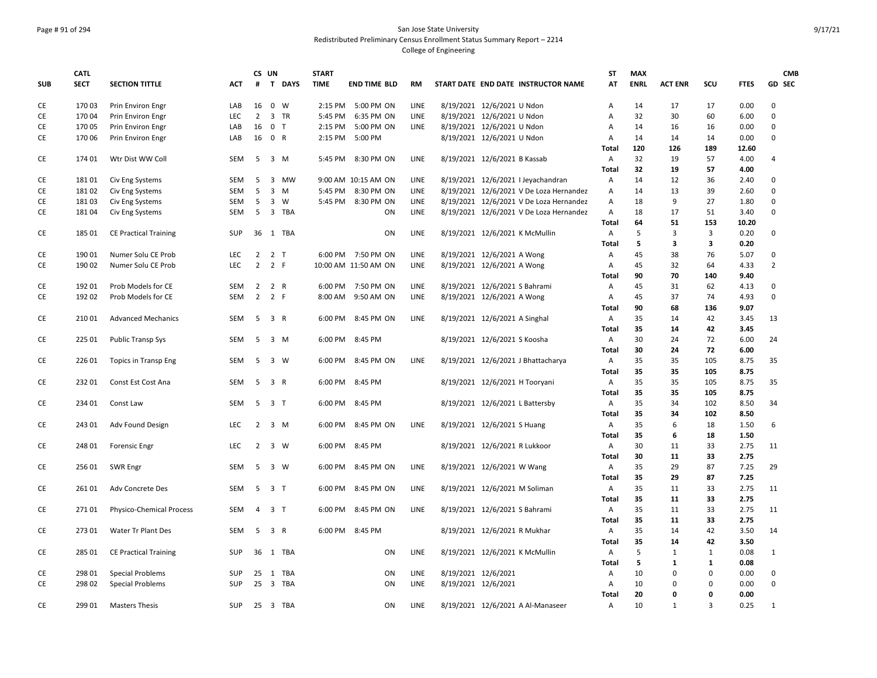## Page # 91 of 294 San Jose State University Redistributed Preliminary Census Enrollment Status Summary Report – 2214 College of Engineering

|            | <b>CATL</b> |                                 |            |                | CS UN          |        | <b>START</b> |                      |             |                     |                                         | ST           | <b>MAX</b>  |                |                |             | <b>CMB</b>     |
|------------|-------------|---------------------------------|------------|----------------|----------------|--------|--------------|----------------------|-------------|---------------------|-----------------------------------------|--------------|-------------|----------------|----------------|-------------|----------------|
| <b>SUB</b> | <b>SECT</b> | <b>SECTION TITTLE</b>           | <b>ACT</b> | #              |                | T DAYS | <b>TIME</b>  | <b>END TIME BLD</b>  | RM          |                     | START DATE END DATE INSTRUCTOR NAME     | AT           | <b>ENRL</b> | <b>ACT ENR</b> | SCU            | <b>FTES</b> | <b>GD SEC</b>  |
|            |             |                                 |            |                |                |        |              |                      |             |                     |                                         |              |             |                |                |             |                |
| CE         | 170 03      | Prin Environ Engr               | LAB        | 16             | $0 \quad W$    |        |              | 2:15 PM 5:00 PM ON   | LINE        |                     | 8/19/2021 12/6/2021 U Ndon              | Α            | 14          | 17             | 17             | 0.00        | 0              |
| CE         | 170 04      | Prin Environ Engr               | LEC        | $\overline{2}$ | 3 TR           |        | 5:45 PM      | 6:35 PM ON           | LINE        |                     | 8/19/2021 12/6/2021 U Ndon              | A            | 32          | 30             | 60             | 6.00        | 0              |
| CE         | 170 05      | Prin Environ Engr               | LAB        | 16             | 0 <sub>T</sub> |        | 2:15 PM      | 5:00 PM ON           | LINE        |                     | 8/19/2021 12/6/2021 U Ndon              | A            | 14          | 16             | 16             | 0.00        | 0              |
| CE         | 170 06      | Prin Environ Engr               | LAB        | 16             | 0 R            |        | 2:15 PM      | 5:00 PM              |             |                     | 8/19/2021 12/6/2021 U Ndon              | Α            | 14          | 14             | 14             | 0.00        | $\mathbf 0$    |
|            |             |                                 |            |                |                |        |              |                      |             |                     |                                         | Total        | 120         | 126            | 189            | 12.60       |                |
| CE         | 174 01      | Wtr Dist WW Coll                | SEM        | 5              | 3 M            |        | 5:45 PM      | 8:30 PM ON           | LINE        |                     | 8/19/2021 12/6/2021 B Kassab            | Α            | 32          | 19             | 57             | 4.00        | 4              |
|            |             |                                 |            |                |                |        |              |                      |             |                     |                                         | Total        | 32          | 19             | 57             | 4.00        |                |
| CE         | 18101       | Civ Eng Systems                 | SEM        | 5              | 3 MW           |        |              | 9:00 AM 10:15 AM ON  | LINE        |                     | 8/19/2021 12/6/2021 I Jeyachandran      | Α            | 14          | 12             | 36             | 2.40        | 0              |
| CE         | 18102       | Civ Eng Systems                 | <b>SEM</b> | 5              | $3 \, M$       |        | 5:45 PM      | 8:30 PM ON           | LINE        |                     | 8/19/2021 12/6/2021 V De Loza Hernandez | Α            | 14          | 13             | 39             | 2.60        | 0              |
| CE         | 18103       | Civ Eng Systems                 | <b>SEM</b> | 5              | $3 \quad W$    |        |              | 5:45 PM 8:30 PM ON   | <b>LINE</b> |                     | 8/19/2021 12/6/2021 V De Loza Hernandez | Α            | 18          | 9              | 27             | 1.80        | 0              |
| CE         | 18104       | Civ Eng Systems                 | SEM        | 5              | 3 TBA          |        |              | ON                   | LINE        |                     | 8/19/2021 12/6/2021 V De Loza Hernandez | Α            | 18          | 17             | 51             | 3.40        | 0              |
|            |             |                                 |            |                |                |        |              |                      |             |                     |                                         | Total        | 64          | 51             | 153            | 10.20       |                |
| CE         | 185 01      | <b>CE Practical Training</b>    | <b>SUP</b> | 36             | 1 TBA          |        |              | ON                   | LINE        |                     | 8/19/2021 12/6/2021 K McMullin          | Α            | 5           | 3              | 3              | 0.20        | $\mathbf 0$    |
|            |             |                                 |            |                |                |        |              |                      |             |                     |                                         | <b>Total</b> | 5           | 3              | 3              | 0.20        |                |
| CE         | 190 01      | Numer Solu CE Prob              | <b>LEC</b> | $\overline{2}$ | 2 <sub>T</sub> |        |              | 6:00 PM 7:50 PM ON   | <b>LINE</b> |                     | 8/19/2021 12/6/2021 A Wong              | Α            | 45          | 38             | 76             | 5.07        | 0              |
| CE         | 190 02      | Numer Solu CE Prob              | <b>LEC</b> | $\overline{2}$ | 2 F            |        |              | 10:00 AM 11:50 AM ON | <b>LINE</b> |                     | 8/19/2021 12/6/2021 A Wong              | Α            | 45          | 32             | 64             | 4.33        | $\overline{2}$ |
|            |             |                                 |            |                |                |        |              |                      |             |                     |                                         | Total        | 90          | 70             | 140            | 9.40        |                |
| CE         | 192 01      | Prob Models for CE              | SEM        | $\overline{2}$ | 2 R            |        |              | 6:00 PM 7:50 PM ON   | LINE        |                     | 8/19/2021 12/6/2021 S Bahrami           | Α            | 45          | 31             | 62             | 4.13        | 0              |
| CE         | 192 02      | Prob Models for CE              | <b>SEM</b> | $\overline{2}$ | 2 F            |        | 8:00 AM      | 9:50 AM ON           | LINE        |                     | 8/19/2021 12/6/2021 A Wong              | Α            | 45          | 37             | 74             | 4.93        | 0              |
|            |             |                                 |            |                |                |        |              |                      |             |                     |                                         | Total        | 90          | 68             | 136            | 9.07        |                |
| CE         | 210 01      | <b>Advanced Mechanics</b>       | <b>SEM</b> | -5             | 3 R            |        | 6:00 PM      | 8:45 PM ON           | <b>LINE</b> |                     | 8/19/2021 12/6/2021 A Singhal           | Α            | 35          | 14             | 42             | 3.45        | 13             |
|            |             |                                 |            |                |                |        |              |                      |             |                     |                                         | Total        | 35          | 14             | 42             | 3.45        |                |
| CE         | 225 01      | <b>Public Transp Sys</b>        | SEM        | 5              | 3 M            |        | 6:00 PM      | 8:45 PM              |             |                     | 8/19/2021 12/6/2021 S Koosha            | Α            | 30          | 24             | 72             | 6.00        | 24             |
|            |             |                                 |            |                |                |        |              |                      |             |                     |                                         | Total        | 30          | 24             | 72             | 6.00        |                |
| CE         | 226 01      | <b>Topics in Transp Eng</b>     | SEM        | 5              | 3 W            |        | 6:00 PM      | 8:45 PM ON           | LINE        |                     | 8/19/2021 12/6/2021 J Bhattacharya      | Α            | 35          | 35             | 105            | 8.75        | 35             |
|            |             |                                 |            |                |                |        |              |                      |             |                     |                                         | Total        | 35          | 35             | 105            | 8.75        |                |
| CE         | 23201       | Const Est Cost Ana              | <b>SEM</b> |                | 5 3 R          |        |              | 6:00 PM 8:45 PM      |             |                     | 8/19/2021 12/6/2021 H Tooryani          | Α            | 35          | 35             | 105            | 8.75        | 35             |
|            |             |                                 |            |                |                |        |              |                      |             |                     |                                         | <b>Total</b> | 35          | 35             | 105            | 8.75        |                |
| CE         | 234 01      | Const Law                       | <b>SEM</b> |                | 5 3 T          |        | 6:00 PM      | 8:45 PM              |             |                     | 8/19/2021 12/6/2021 L Battersby         | Α            | 35          | 34             | 102            | 8.50        | 34             |
|            |             |                                 |            |                |                |        |              |                      |             |                     |                                         | Total        | 35          | 34             | 102            | 8.50        |                |
| CE         | 243 01      | Adv Found Design                | <b>LEC</b> | 2              | 3 M            |        |              | 6:00 PM 8:45 PM ON   | <b>LINE</b> |                     | 8/19/2021 12/6/2021 S Huang             | Α            | 35          | 6              | 18             | 1.50        | 6              |
|            |             |                                 |            |                |                |        |              |                      |             |                     |                                         | Total        | 35          | 6              | 18             | 1.50        |                |
| CE         | 248 01      | <b>Forensic Engr</b>            | <b>LEC</b> | $\overline{2}$ | 3 W            |        |              | 6:00 PM 8:45 PM      |             |                     | 8/19/2021 12/6/2021 R Lukkoor           | Α            | 30          | 11             | 33             | 2.75        | 11             |
|            |             |                                 |            |                |                |        |              |                      |             |                     |                                         | Total        | 30          | 11             | 33             | 2.75        |                |
| CE         | 256 01      | <b>SWR Engr</b>                 | <b>SEM</b> | -5             | 3 W            |        | 6:00 PM      | 8:45 PM ON           | <b>LINE</b> |                     | 8/19/2021 12/6/2021 W Wang              | Α            | 35          | 29             | 87             | 7.25        | 29             |
|            |             |                                 |            |                |                |        |              |                      |             |                     |                                         | <b>Total</b> | 35          | 29             | 87             | 7.25        |                |
| CE         | 26101       | Adv Concrete Des                | <b>SEM</b> | 5              | 3 <sub>1</sub> |        | 6:00 PM      | 8:45 PM ON           | <b>LINE</b> |                     | 8/19/2021 12/6/2021 M Soliman           | A            | 35          | 11             | 33             | 2.75        | 11             |
|            |             |                                 |            |                |                |        |              |                      |             |                     |                                         | Total        | 35          | 11             | 33             | 2.75        |                |
| CE         | 27101       | <b>Physico-Chemical Process</b> | SEM        | 4              | 3 T            |        | 6:00 PM      | 8:45 PM ON           | LINE        |                     | 8/19/2021 12/6/2021 S Bahrami           | A            | 35          | 11             | 33             | 2.75        | 11             |
|            |             |                                 |            |                |                |        |              |                      |             |                     |                                         | Total        | 35          | 11             | 33             | 2.75        |                |
| CE         | 273 01      | Water Tr Plant Des              | <b>SEM</b> | -5             | 3 R            |        | 6:00 PM      | 8:45 PM              |             |                     | 8/19/2021 12/6/2021 R Mukhar            | Α            | 35          | 14             | 42             | 3.50        | 14             |
|            |             |                                 |            |                |                |        |              |                      |             |                     |                                         | Total        | 35          | 14             | 42             | 3.50        |                |
|            |             |                                 |            |                |                |        |              |                      | LINE        |                     |                                         |              | 5           | 1              | 1              |             |                |
| CE         | 285 01      | <b>CE Practical Training</b>    | SUP        | 36             | 1 TBA          |        |              | ON                   |             |                     | 8/19/2021 12/6/2021 K McMullin          | Α            | 5           |                | $\mathbf{1}$   | 0.08        | 1              |
|            |             |                                 |            |                |                |        |              |                      |             |                     |                                         | Total        |             | 1<br>0         | $\mathbf 0$    | 0.08        |                |
| СE         | 298 01      | <b>Special Problems</b>         | SUP        | 25             | 1 TBA          |        |              | ΟN                   | LINE        | 8/19/2021 12/6/2021 |                                         | Α            | 10          |                |                | 0.00        | 0              |
| CE         | 298 02      | <b>Special Problems</b>         | SUP        |                | 25 3 TBA       |        |              | ON                   | LINE        | 8/19/2021 12/6/2021 |                                         | Α            | 10          | $\mathbf 0$    | 0              | 0.00        | 0              |
|            |             |                                 |            |                |                |        |              |                      |             |                     |                                         | Total        | 20          | $\mathbf{0}$   | $\mathbf{0}$   | 0.00        |                |
| CE         | 299 01      | <b>Masters Thesis</b>           | SUP        |                | 25 3 TBA       |        |              | ON                   | LINE        |                     | 8/19/2021 12/6/2021 A Al-Manaseer       | Α            | 10          | $\mathbf{1}$   | $\overline{3}$ | 0.25        | $\mathbf{1}$   |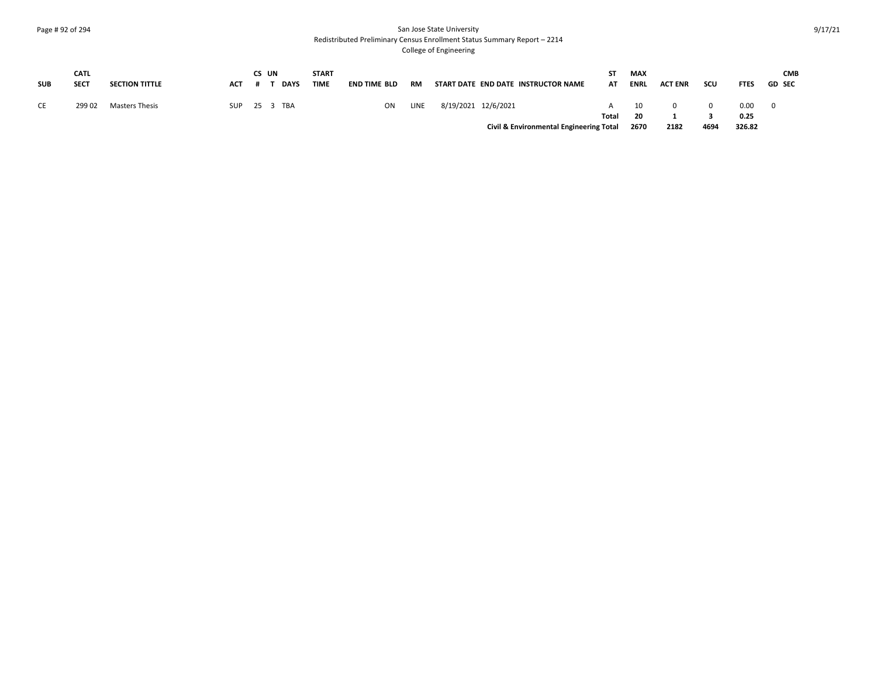#### Page # 92 of 294 San Jose State University Redistributed Preliminary Census Enrollment Status Summary Report – 2214

| <b>SUB</b> | <b>CATL</b><br><b>SECT</b> | <b>SECTION TITTLE</b> | <b>ACT</b> | CS UN | <b>DAYS</b> | <b>START</b><br><b>TIME</b> | <b>END TIME BLD</b> | <b>RM</b> |                     | START DATE END DATE INSTRUCTOR NAME     | SΤ<br>AT | <b>MAX</b><br>ENRL | <b>ACT ENR</b> | SCU  | <b>FTES</b>  | <b>CMB</b><br><b>GD SEC</b> |
|------------|----------------------------|-----------------------|------------|-------|-------------|-----------------------------|---------------------|-----------|---------------------|-----------------------------------------|----------|--------------------|----------------|------|--------------|-----------------------------|
| CE         | 299 02                     | Masters Thesis        | <b>SUP</b> |       | 25 3 TBA    |                             | ON                  | LINE      | 8/19/2021 12/6/2021 |                                         | Total    | 10<br>20           |                |      | 0.00<br>0.25 |                             |
|            |                            |                       |            |       |             |                             |                     |           |                     | Civil & Environmental Engineering Total |          | 2670               | 2182           | 4694 | 326.82       |                             |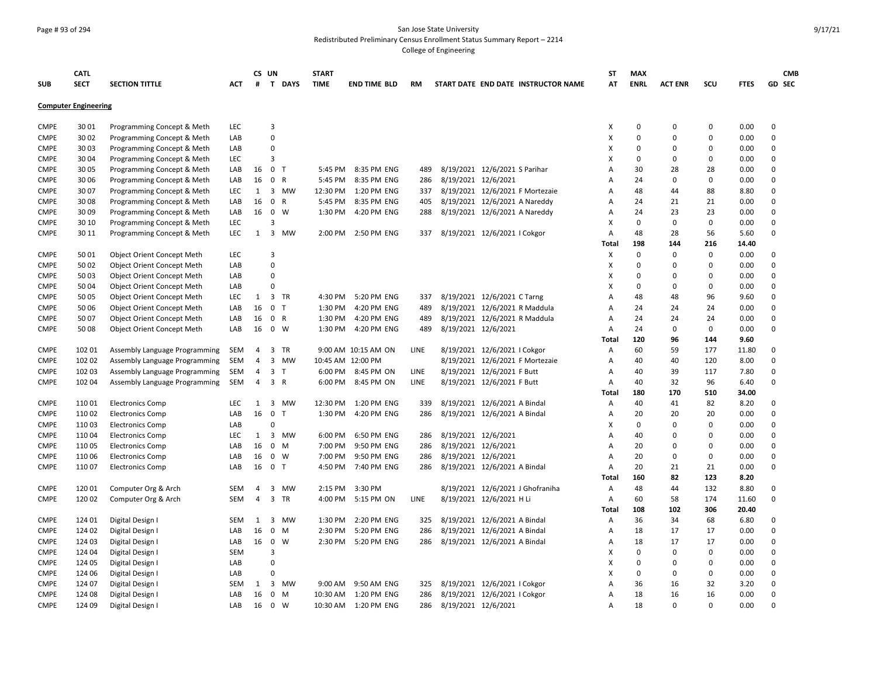#### Page # 93 of 294 San Jose State University Redistributed Preliminary Census Enrollment Status Summary Report – 2214

|                            | <b>CATL</b>                 |                                   |                   | CS UN          |                |              | <b>START</b> |                            |            |                     |                                                              | <b>ST</b>    | <b>MAX</b>  |                |                   |              | <b>CMB</b>                 |
|----------------------------|-----------------------------|-----------------------------------|-------------------|----------------|----------------|--------------|--------------|----------------------------|------------|---------------------|--------------------------------------------------------------|--------------|-------------|----------------|-------------------|--------------|----------------------------|
| <b>SUB</b>                 | <b>SECT</b>                 | <b>SECTION TITTLE</b>             | <b>ACT</b>        | #              |                | T DAYS       | <b>TIME</b>  | <b>END TIME BLD</b>        | <b>RM</b>  |                     | START DATE END DATE INSTRUCTOR NAME                          | AT           | <b>ENRL</b> | <b>ACT ENR</b> | SCU               | <b>FTES</b>  | <b>GD SEC</b>              |
|                            | <b>Computer Engineering</b> |                                   |                   |                |                |              |              |                            |            |                     |                                                              |              |             |                |                   |              |                            |
| <b>CMPE</b>                | 3001                        | Programming Concept & Meth        | <b>LEC</b>        |                | 3              |              |              |                            |            |                     |                                                              | х            | $\Omega$    | 0              | $\mathbf 0$       | 0.00         | $\mathbf 0$                |
| <b>CMPE</b>                | 30 02                       | Programming Concept & Meth        | LAB               |                | 0              |              |              |                            |            |                     |                                                              | X            | $\mathbf 0$ | $\mathbf 0$    | $\mathbf 0$       | 0.00         | $\mathbf 0$                |
| <b>CMPE</b>                | 3003                        | Programming Concept & Meth        | LAB               |                | 0              |              |              |                            |            |                     |                                                              | х            | 0           | 0              | $\pmb{0}$         | 0.00         | $\mathbf 0$                |
| <b>CMPE</b>                | 3004                        | Programming Concept & Meth        | <b>LEC</b>        |                | 3              |              |              |                            |            |                     |                                                              | х            | 0           | 0              | 0                 | 0.00         | 0                          |
| <b>CMPE</b>                | 30 05                       | Programming Concept & Meth        | LAB               | 16             | 0 <sub>T</sub> |              | 5:45 PM      | 8:35 PM ENG                | 489        |                     | 8/19/2021 12/6/2021 S Parihar                                | А            | 30          | 28             | 28                | 0.00         | $\mathbf 0$                |
| <b>CMPE</b>                | 30 06                       | Programming Concept & Meth        | LAB               | 16             | $\mathbf 0$    | $\mathsf{R}$ | 5:45 PM      | 8:35 PM ENG                | 286        | 8/19/2021 12/6/2021 |                                                              | Α            | 24          | 0              | $\Omega$          | 0.00         | $\mathbf 0$                |
| <b>CMPE</b>                | 3007                        | Programming Concept & Meth        | <b>LEC</b>        | $\mathbf{1}$   |                | 3 MW         | 12:30 PM     | 1:20 PM ENG                | 337        |                     | 8/19/2021 12/6/2021 F Mortezaie                              | А            | 48          | 44             | 88                | 8.80         | $\mathbf 0$                |
| <b>CMPE</b>                | 3008                        | Programming Concept & Meth        | LAB               | 16             | $\mathbf 0$    | R            | 5:45 PM      | 8:35 PM ENG                | 405        |                     | 8/19/2021 12/6/2021 A Nareddy                                | А            | 24          | 21             | 21                | 0.00         | $\mathbf 0$                |
| <b>CMPE</b>                | 3009                        | Programming Concept & Meth        | LAB               | 16             | $\overline{0}$ | W            | 1:30 PM      | 4:20 PM ENG                | 288        |                     | 8/19/2021 12/6/2021 A Nareddy                                | А            | 24          | 23             | 23                | 0.00         | $\mathbf 0$                |
| <b>CMPE</b>                | 30 10                       | Programming Concept & Meth        | LEC               |                | 3              |              |              |                            |            |                     |                                                              | X            | 0           | $\pmb{0}$      | $\pmb{0}$         | 0.00         | $\Omega$                   |
| <b>CMPE</b>                | 30 11                       | Programming Concept & Meth        | <b>LEC</b>        | $\mathbf{1}$   |                | 3 MW         |              | 2:00 PM 2:50 PM ENG        | 337        |                     | 8/19/2021 12/6/2021   Cokgor                                 | Α            | 48          | 28             | 56                | 5.60         | $\mathbf 0$                |
|                            |                             |                                   |                   |                |                |              |              |                            |            |                     |                                                              | <b>Total</b> | 198         | 144            | 216               | 14.40        |                            |
| <b>CMPE</b>                | 50 01                       | <b>Object Orient Concept Meth</b> | <b>LEC</b>        |                | 3              |              |              |                            |            |                     |                                                              | X            | 0           | $\mathbf 0$    | $\mathbf 0$       | 0.00         | $\mathbf 0$                |
| <b>CMPE</b>                | 50 02                       | Object Orient Concept Meth        | LAB               |                | 0              |              |              |                            |            |                     |                                                              | X            | $\Omega$    | $\pmb{0}$      | $\pmb{0}$         | 0.00         | $\mathsf 0$                |
| <b>CMPE</b>                | 5003                        | <b>Object Orient Concept Meth</b> | LAB               |                | 0              |              |              |                            |            |                     |                                                              | х            | 0           | $\pmb{0}$      | $\pmb{0}$         | 0.00         | $\mathsf 0$                |
| <b>CMPE</b>                | 5004                        | <b>Object Orient Concept Meth</b> | LAB               |                | $\Omega$       |              |              |                            |            |                     |                                                              | х            | 0           | 0              | 0                 | 0.00         | $\mathbf 0$                |
| <b>CMPE</b>                | 5005                        | <b>Object Orient Concept Meth</b> | <b>LEC</b>        | $\mathbf{1}$   |                | 3 TR         | 4:30 PM      | 5:20 PM ENG                | 337        |                     | 8/19/2021 12/6/2021 C Tarng                                  | А            | 48          | 48             | 96                | 9.60         | $\mathbf 0$                |
| <b>CMPE</b>                | 50 06                       | Object Orient Concept Meth        | LAB               | 16             | 0 <sub>T</sub> |              | 1:30 PM      | 4:20 PM ENG                | 489        |                     | 8/19/2021 12/6/2021 R Maddula                                | Α            | 24          | 24             | 24                | 0.00         | $\mathsf 0$                |
| <b>CMPE</b>                | 5007                        | Object Orient Concept Meth        | LAB               | 16             | 0 R            |              | 1:30 PM      | 4:20 PM ENG                | 489        |                     | 8/19/2021 12/6/2021 R Maddula                                | А            | 24          | 24             | 24                | 0.00         | $\mathsf 0$                |
| <b>CMPE</b>                | 5008                        | <b>Object Orient Concept Meth</b> | LAB               | 16             | 0 W            |              | 1:30 PM      | 4:20 PM ENG                | 489        | 8/19/2021 12/6/2021 |                                                              | А            | 24          | 0              | 0                 | 0.00         | $\mathbf 0$                |
|                            |                             |                                   |                   |                |                |              |              |                            |            |                     |                                                              | Total        | 120         | 96             | 144               | 9.60         |                            |
| <b>CMPE</b>                | 102 01                      | Assembly Language Programming     | SEM               | 4              |                | 3 TR         |              | 9:00 AM 10:15 AM ON        | LINE       |                     | 8/19/2021 12/6/2021   Cokgor                                 | Α            | 60          | 59             | 177               | 11.80        | $\mathbf 0$                |
| <b>CMPE</b>                | 102 02                      | Assembly Language Programming     | SEM               | 4              |                | 3 MW         |              | 10:45 AM 12:00 PM          |            |                     | 8/19/2021 12/6/2021 F Mortezaie                              | Α            | 40          | 40             | 120               | 8.00         | $\mathbf 0$                |
| <b>CMPE</b>                | 102 03                      | Assembly Language Programming     | SEM               | 4              | 3 T            |              | 6:00 PM      | 8:45 PM ON                 | LINE       |                     | 8/19/2021 12/6/2021 F Butt                                   | A            | 40          | 39             | 117               | 7.80         | $\mathbf 0$                |
| <b>CMPE</b>                | 102 04                      | Assembly Language Programming     | SEM               | 4              | 3 R            |              | 6:00 PM      | 8:45 PM ON                 | LINE       |                     | 8/19/2021 12/6/2021 F Butt                                   | A            | 40          | 32             | 96                | 6.40         | $\mathbf 0$                |
|                            |                             |                                   |                   |                |                |              |              |                            |            |                     |                                                              | Total        | 180         | 170            | 510               | 34.00        |                            |
| <b>CMPE</b>                | 11001                       | <b>Electronics Comp</b>           | <b>LEC</b>        | 1              |                | 3 MW         | 12:30 PM     | 1:20 PM ENG                | 339        |                     | 8/19/2021 12/6/2021 A Bindal                                 | Α            | 40          | 41             | 82                | 8.20         | $\mathbf 0$                |
| <b>CMPE</b>                | 110 02                      | <b>Electronics Comp</b>           | LAB               | 16             | $\overline{0}$ | $\top$       | 1:30 PM      | 4:20 PM ENG                | 286        |                     | 8/19/2021 12/6/2021 A Bindal                                 | А            | 20          | 20             | 20                | 0.00         | $\mathbf 0$                |
| <b>CMPE</b>                | 11003                       | <b>Electronics Comp</b>           | LAB               |                | $\Omega$       |              |              |                            |            |                     |                                                              | х            | $\mathbf 0$ | 0              | $\Omega$          | 0.00         | $\mathbf 0$                |
| <b>CMPE</b>                | 11004                       | <b>Electronics Comp</b>           | <b>LEC</b>        | $\mathbf{1}$   |                | 3 MW         | 6:00 PM      | 6:50 PM ENG                | 286        | 8/19/2021 12/6/2021 |                                                              | А            | 40          | 0              | $\mathbf 0$       | 0.00         | $\mathbf 0$                |
| <b>CMPE</b>                | 11005                       | <b>Electronics Comp</b>           | LAB               | 16             | $\mathbf 0$    | M            | 7:00 PM      | 9:50 PM ENG                | 286        | 8/19/2021 12/6/2021 |                                                              | А            | 20          | 0              | $\mathbf 0$       | 0.00         | $\mathbf 0$                |
| <b>CMPE</b>                | 110 06                      | <b>Electronics Comp</b>           | LAB               | 16             | 0 W            |              | 7:00 PM      | 9:50 PM ENG                | 286        | 8/19/2021 12/6/2021 |                                                              | Α            | 20          | $\mathbf 0$    | $\mathbf 0$       | 0.00         | $\mathbf 0$                |
| <b>CMPE</b>                | 11007                       | <b>Electronics Comp</b>           | LAB               | 16             | 0 <sub>T</sub> |              | 4:50 PM      | 7:40 PM ENG                | 286        |                     | 8/19/2021 12/6/2021 A Bindal                                 | Α            | 20          | 21             | 21                | 0.00         | $\mathbf 0$                |
|                            |                             |                                   |                   |                |                |              |              |                            |            |                     |                                                              | Total        | 160         | 82             | 123               | 8.20         |                            |
| <b>CMPE</b>                | 120 01                      | Computer Org & Arch               | <b>SEM</b>        | 4              | 3              | MW           | 2:15 PM      | 3:30 PM                    |            |                     | 8/19/2021 12/6/2021 J Ghofraniha                             | Α            | 48          | 44             | 132               | 8.80         | 0                          |
| <b>CMPE</b>                | 120 02                      | Computer Org & Arch               | <b>SEM</b>        | $\overline{4}$ |                | 3 TR         | 4:00 PM      | 5:15 PM ON                 | LINE       |                     | 8/19/2021 12/6/2021 H Li                                     | Α            | 60          | 58             | 174               | 11.60        | $\mathbf 0$                |
|                            |                             |                                   |                   |                |                |              |              |                            |            |                     |                                                              | <b>Total</b> | 108         | 102            | 306               | 20.40        |                            |
| <b>CMPE</b>                | 124 01                      | Digital Design I                  | <b>SEM</b>        | 1              | $\overline{3}$ | MW           | 1:30 PM      | 2:20 PM ENG                | 325        |                     | 8/19/2021 12/6/2021 A Bindal                                 | Α            | 36          | 34             | 68                | 6.80         | $\mathbf 0$                |
| <b>CMPE</b>                | 124 02                      | Digital Design I                  | LAB               | 16             | $\mathbf 0$    | M            | 2:30 PM      | 5:20 PM ENG                | 286        |                     | 8/19/2021 12/6/2021 A Bindal                                 | Α            | 18          | 17             | 17                | 0.00         | $\mathbf 0$                |
| <b>CMPE</b>                | 124 03                      | Digital Design I                  | LAB               | 16             | $\mathbf 0$    | W            |              | 2:30 PM 5:20 PM ENG        | 286        |                     | 8/19/2021 12/6/2021 A Bindal                                 | Α            | 18          | 17             | 17                | 0.00         | $\mathbf 0$                |
| <b>CMPE</b>                | 124 04                      | Digital Design I                  | <b>SEM</b>        |                | 3              |              |              |                            |            |                     |                                                              | X            | 0           | 0              | $\pmb{0}$         | 0.00         | $\mathbf 0$                |
| <b>CMPE</b>                | 124 05                      | Digital Design I                  | LAB               |                | $\Omega$       |              |              |                            |            |                     |                                                              | X            | 0           | 0              | $\mathbf 0$       | 0.00         | $\mathsf 0$                |
| <b>CMPE</b><br><b>CMPE</b> | 124 06                      | Digital Design I                  | LAB<br><b>SEM</b> |                | $\Omega$       | 3 MW         | 9:00 AM      |                            |            |                     |                                                              | X            | $\mathbf 0$ | 0              | $\mathbf 0$<br>32 | 0.00         | $\mathbf 0$<br>$\mathsf 0$ |
|                            | 124 07                      | Digital Design I                  |                   | 1              | $\mathbf 0$    | M            | 10:30 AM     | 9:50 AM ENG<br>1:20 PM ENG | 325<br>286 |                     | 8/19/2021 12/6/2021   Cokgor<br>8/19/2021 12/6/2021   Cokgor | Α<br>А       | 36          | 16<br>16       | 16                | 3.20         | $\mathbf 0$                |
| <b>CMPE</b><br><b>CMPE</b> | 124 08<br>124 09            | Digital Design I                  | LAB<br>LAB        | 16             | $\mathbf 0$    | W            |              | 10:30 AM  1:20 PM ENG      | 286        |                     |                                                              |              | 18<br>18    | $\mathbf 0$    | $\Omega$          | 0.00<br>0.00 | $\Omega$                   |
|                            |                             | Digital Design I                  |                   | 16             |                |              |              |                            |            | 8/19/2021 12/6/2021 |                                                              | Α            |             |                |                   |              |                            |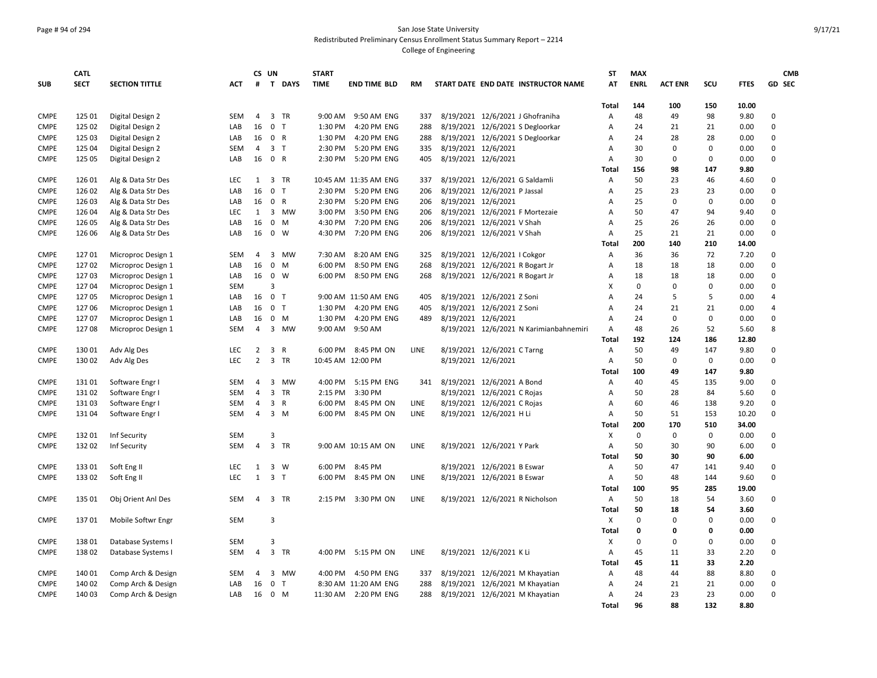### Page # 94 of 294 San Jose State University Redistributed Preliminary Census Enrollment Status Summary Report – 2214

|                            | <b>CATL</b> |                       |            | CS UN          |                |              | <b>START</b> |                                     |             |                     |                                         | <b>ST</b>      | <b>MAX</b>  |                |             |              | <b>CMB</b>  |
|----------------------------|-------------|-----------------------|------------|----------------|----------------|--------------|--------------|-------------------------------------|-------------|---------------------|-----------------------------------------|----------------|-------------|----------------|-------------|--------------|-------------|
| <b>SUB</b>                 | <b>SECT</b> | <b>SECTION TITTLE</b> | АСТ        | #              |                | T DAYS       | <b>TIME</b>  | <b>END TIME BLD</b>                 | RM          |                     | START DATE END DATE INSTRUCTOR NAME     | AT             | <b>ENRL</b> | <b>ACT ENR</b> | SCU         | <b>FTES</b>  | GD SEC      |
|                            |             |                       |            |                |                |              |              |                                     |             |                     |                                         |                |             |                |             |              |             |
|                            |             |                       |            |                |                |              |              |                                     |             |                     |                                         | Total          | 144         | 100            | 150         | 10.00        |             |
| <b>CMPE</b>                | 125 01      | Digital Design 2      | <b>SEM</b> | 4              |                | 3 TR         | 9:00 AM      | 9:50 AM ENG                         | 337         |                     | 8/19/2021 12/6/2021 J Ghofraniha        | Α              | 48          | 49             | 98          | 9.80         | 0           |
| <b>CMPE</b>                | 125 02      | Digital Design 2      | LAB        | 16             | 0 <sub>T</sub> |              | 1:30 PM      | 4:20 PM ENG                         | 288         |                     | 8/19/2021 12/6/2021 S Degloorkar        | A              | 24          | 21             | 21          | 0.00         | 0           |
| <b>CMPE</b>                | 125 03      | Digital Design 2      | LAB        | 16             | 0 R            |              | 1:30 PM      | 4:20 PM ENG                         | 288         |                     | 8/19/2021 12/6/2021 S Degloorkar        | Α              | 24          | 28             | 28          | 0.00         | 0           |
| <b>CMPE</b>                | 125 04      | Digital Design 2      | SEM        | $\overline{4}$ | 3 <sub>T</sub> |              | 2:30 PM      | 5:20 PM ENG                         | 335         | 8/19/2021 12/6/2021 |                                         | Α              | 30          | 0              | $\Omega$    | 0.00         | $\mathbf 0$ |
| <b>CMPE</b>                | 125 05      | Digital Design 2      | LAB        | 16             | 0 R            |              | 2:30 PM      | 5:20 PM ENG                         | 405         | 8/19/2021 12/6/2021 |                                         | $\overline{A}$ | 30          | $\mathbf 0$    | $\Omega$    | 0.00         | 0           |
|                            |             |                       |            |                |                |              |              |                                     |             |                     |                                         | Total          | 156         | 98             | 147         | 9.80         |             |
| <b>CMPE</b>                | 126 01      | Alg & Data Str Des    | <b>LEC</b> | 1              |                | 3 TR         |              | 10:45 AM 11:35 AM ENG               | 337         |                     | 8/19/2021 12/6/2021 G Saldamli          | A              | 50          | 23             | 46          | 4.60         | 0           |
| <b>CMPE</b>                | 126 02      | Alg & Data Str Des    | LAB        | 16             | $\mathbf 0$    | $\mathsf{T}$ |              | 2:30 PM 5:20 PM ENG                 | 206         |                     | 8/19/2021 12/6/2021 P Jassal            | A              | 25          | 23             | 23          | 0.00         | 0           |
| <b>CMPE</b>                | 126 03      | Alg & Data Str Des    | LAB        | 16             | 0 R            |              |              | 2:30 PM 5:20 PM ENG                 | 206         | 8/19/2021 12/6/2021 |                                         | A              | 25          | $\mathbf 0$    | $\mathbf 0$ | 0.00         | $\mathbf 0$ |
| <b>CMPE</b>                | 126 04      | Alg & Data Str Des    | <b>LEC</b> | 1              |                | 3 MW         | 3:00 PM      | 3:50 PM ENG                         | 206         |                     | 8/19/2021 12/6/2021 F Mortezaie         | A              | 50          | 47             | 94          | 9.40         | 0           |
| <b>CMPE</b>                | 126 05      | Alg & Data Str Des    | LAB        | 16             |                | $0 \quad M$  |              | 4:30 PM 7:20 PM ENG                 | 206         |                     | 8/19/2021 12/6/2021 V Shah              | $\overline{A}$ | 25          | 26             | 26          | 0.00         | 0           |
| <b>CMPE</b>                | 126 06      | Alg & Data Str Des    | LAB        | 16             |                | $0 \quad W$  |              | 4:30 PM 7:20 PM ENG                 | 206         |                     | 8/19/2021 12/6/2021 V Shah              | Α              | 25          | 21             | 21          | 0.00         | $\Omega$    |
|                            |             |                       |            |                |                |              |              |                                     |             |                     |                                         | Total          | 200         | 140            | 210         | 14.00        |             |
| <b>CMPE</b>                | 12701       | Microproc Design 1    | SEM        | 4              |                | 3 MW         | 7:30 AM      | 8:20 AM ENG                         | 325         |                     | 8/19/2021 12/6/2021   Cokgor            | Α              | 36          | 36             | 72          | 7.20         | $\mathbf 0$ |
| <b>CMPE</b>                | 12702       | Microproc Design 1    | LAB        | 16             |                | $0 \quad M$  | 6:00 PM      | 8:50 PM ENG                         | 268         |                     | 8/19/2021 12/6/2021 R Bogart Jr         | A              | 18          | 18             | 18          | 0.00         | 0           |
| <b>CMPE</b>                | 12703       | Microproc Design 1    | LAB        | 16             | 0 W            |              | 6:00 PM      | 8:50 PM ENG                         | 268         |                     | 8/19/2021 12/6/2021 R Bogart Jr         | Α              | 18          | 18             | 18          | 0.00         | 0           |
| <b>CMPE</b>                | 12704       | Microproc Design 1    | <b>SEM</b> |                | 3              |              |              |                                     |             |                     |                                         | X              | $\mathbf 0$ | $\mathbf 0$    | $\mathbf 0$ | 0.00         | $\mathbf 0$ |
| <b>CMPE</b>                | 12705       | Microproc Design 1    | LAB        | 16             | $\Omega$       | T            |              | 9:00 AM 11:50 AM ENG                | 405         |                     | 8/19/2021 12/6/2021 Z Soni              | A              | 24          | 5              | 5           | 0.00         | 4           |
| <b>CMPE</b>                | 12706       | Microproc Design 1    | LAB        | 16             | 0 <sub>T</sub> |              | 1:30 PM      | 4:20 PM ENG                         | 405         |                     | 8/19/2021 12/6/2021 Z Soni              | Α              | 24          | 21             | 21          | 0.00         | 4           |
| <b>CMPE</b>                | 12707       | Microproc Design 1    | LAB        | 16             |                | 0 M          | 1:30 PM      | 4:20 PM ENG                         | 489         | 8/19/2021 12/6/2021 |                                         | A              | 24          | $\mathbf 0$    | 0           | 0.00         | 0           |
| <b>CMPE</b>                | 12708       | Microproc Design 1    | <b>SEM</b> | 4              |                | 3 MW         |              | 9:00 AM 9:50 AM                     |             |                     | 8/19/2021 12/6/2021 N Karimianbahnemiri | Α              | 48          | 26             | 52          | 5.60         | 8           |
|                            |             |                       |            |                |                |              |              |                                     |             |                     |                                         | Total          | 192         | 124            | 186         | 12.80        |             |
| <b>CMPE</b>                | 13001       | Adv Alg Des           | <b>LEC</b> | $\overline{2}$ | 3 R            |              |              | 6:00 PM 8:45 PM ON                  | LINE        |                     | 8/19/2021 12/6/2021 C Tarng             | $\overline{A}$ | 50          | 49             | 147         | 9.80         | $\mathbf 0$ |
| <b>CMPE</b>                | 130 02      | Adv Alg Des           | LEC.       | $\overline{2}$ |                | 3 TR         |              | 10:45 AM 12:00 PM                   |             | 8/19/2021 12/6/2021 |                                         | A              | 50          | 0              | $\mathbf 0$ | 0.00         | $\mathbf 0$ |
|                            |             |                       |            |                |                |              |              |                                     |             |                     |                                         | Total          | 100         | 49             | 147         | 9.80         |             |
| <b>CMPE</b>                | 13101       | Software Engr I       | <b>SEM</b> | 4              |                | 3 MW         |              | 4:00 PM 5:15 PM ENG                 | 341         |                     | 8/19/2021 12/6/2021 A Bond              | Α              | 40          | 45             | 135         | 9.00         | 0           |
| <b>CMPE</b>                | 13102       | Software Engr I       | <b>SEM</b> | 4              | $\overline{3}$ | <b>TR</b>    | 2:15 PM      | 3:30 PM                             |             |                     | 8/19/2021 12/6/2021 C Rojas             | $\overline{A}$ | 50          | 28             | 84          | 5.60         | 0           |
| <b>CMPE</b>                | 13103       | Software Engr I       | <b>SEM</b> | 4              | 3 R            |              | 6:00 PM      | 8:45 PM ON                          | LINE        |                     | 8/19/2021 12/6/2021 C Rojas             | A              | 60          | 46             | 138         | 9.20         | 0           |
| <b>CMPE</b>                | 13104       | Software Engr I       | SEM        | 4              |                | 3 M          | 6:00 PM      | 8:45 PM ON                          | LINE        |                     | 8/19/2021 12/6/2021 H Li                | Α              | 50          | 51             | 153         | 10.20        | 0           |
|                            |             |                       |            |                |                |              |              |                                     |             |                     |                                         | Total          | 200         | 170            | 510         | 34.00        |             |
| <b>CMPE</b>                | 13201       | Inf Security          | <b>SEM</b> |                | 3              |              |              |                                     |             |                     |                                         | X              | $\mathbf 0$ | $\mathbf 0$    | $\mathbf 0$ | 0.00         | 0           |
| <b>CMPE</b>                | 13202       | Inf Security          | <b>SEM</b> | 4              |                | 3 TR         |              | 9:00 AM 10:15 AM ON                 | LINE        |                     | 8/19/2021 12/6/2021 Y Park              | Α              | 50          | 30             | 90          | 6.00         | 0           |
|                            |             |                       |            |                |                |              |              |                                     |             |                     |                                         | Total          | 50          | 30             | 90          | 6.00         |             |
| <b>CMPE</b>                | 133 01      | Soft Eng II           | <b>LEC</b> | 1              |                | 3 W          | 6:00 PM      | 8:45 PM                             |             |                     | 8/19/2021 12/6/2021 B Eswar             | Α              | 50          | 47             | 141         | 9.40         | 0           |
| <b>CMPE</b>                | 133 02      | Soft Eng II           | LEC        | $\mathbf{1}$   | 3 <sub>1</sub> |              |              | 6:00 PM 8:45 PM ON                  | <b>LINE</b> |                     | 8/19/2021 12/6/2021 B Eswar             | A              | 50          | 48             | 144         | 9.60         | 0           |
|                            |             |                       |            |                |                |              |              |                                     |             |                     |                                         | Total          | 100         | 95             | 285         | 19.00        |             |
| <b>CMPE</b>                | 135 01      | Obj Orient Anl Des    | <b>SEM</b> | $\overline{4}$ |                | 3 TR         |              | 2:15 PM 3:30 PM ON                  | LINE        |                     | 8/19/2021 12/6/2021 R Nicholson         | Α              | 50          | 18             | 54          | 3.60         | 0           |
|                            |             |                       |            |                |                |              |              |                                     |             |                     |                                         | Total          | 50          | 18             | 54          | 3.60         |             |
| <b>CMPE</b>                | 13701       | Mobile Softwr Engr    | <b>SEM</b> |                | 3              |              |              |                                     |             |                     |                                         | X              | $\Omega$    | $\mathbf 0$    | $\Omega$    | 0.00         | 0           |
|                            |             |                       |            |                |                |              |              |                                     |             |                     |                                         | Total          | $\Omega$    | $\Omega$       | 0           | 0.00         |             |
| <b>CMPE</b>                | 13801       | Database Systems I    | <b>SEM</b> |                | 3              |              |              |                                     |             |                     |                                         | х              | $\Omega$    | $\mathbf 0$    | $\mathbf 0$ | 0.00         | 0           |
|                            |             |                       |            |                |                |              |              |                                     |             |                     |                                         |                |             |                |             |              | 0           |
| <b>CMPE</b>                | 13802       | Database Systems I    | SEM        | 4              |                | 3 TR         | 4:00 PM      | 5:15 PM ON                          | LINE        |                     | 8/19/2021 12/6/2021 K Li                | Α              | 45<br>45    | 11<br>11       | 33<br>33    | 2.20<br>2.20 |             |
|                            |             |                       |            |                |                | 3 MW         | 4:00 PM      |                                     |             |                     |                                         | Total          | 48          | 44             |             |              |             |
| <b>CMPE</b><br><b>CMPE</b> | 140 01      | Comp Arch & Design    | <b>SEM</b> | 4<br>16        | 0 <sub>T</sub> |              |              | 4:50 PM ENG<br>8:30 AM 11:20 AM ENG | 337         |                     | 8/19/2021 12/6/2021 M Khayatian         | Α<br>A         | 24          | 21             | 88<br>21    | 8.80<br>0.00 | 0<br>0      |
|                            | 140 02      | Comp Arch & Design    | LAB        |                |                |              |              |                                     | 288         |                     | 8/19/2021 12/6/2021 M Khayatian         |                |             | 23             | 23          |              | 0           |
| <b>CMPE</b>                | 140 03      | Comp Arch & Design    | LAB        | 16             | 0 M            |              |              | 11:30 AM 2:20 PM ENG                | 288         |                     | 8/19/2021 12/6/2021 M Khayatian         | Α              | 24          |                |             | 0.00         |             |
|                            |             |                       |            |                |                |              |              |                                     |             |                     |                                         | Total          | 96          | 88             | 132         | 8.80         |             |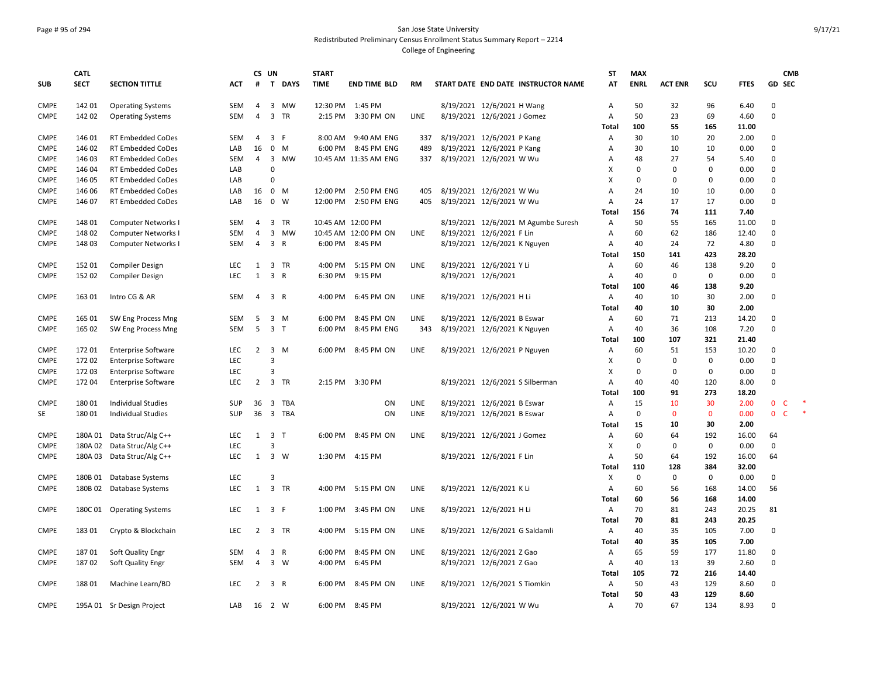# Page # 95 of 294 San Jose State University Redistributed Preliminary Census Enrollment Status Summary Report – 2214

|                            | <b>CATL</b>      |                                                      |            | CS UN          |                     |           | <b>START</b>         |                            |             |                                                      |                                     | <b>ST</b>                 | <b>MAX</b>  |                |             |               |                   | <b>CMB</b> |
|----------------------------|------------------|------------------------------------------------------|------------|----------------|---------------------|-----------|----------------------|----------------------------|-------------|------------------------------------------------------|-------------------------------------|---------------------------|-------------|----------------|-------------|---------------|-------------------|------------|
| <b>SUB</b>                 | <b>SECT</b>      | <b>SECTION TITTLE</b>                                | <b>ACT</b> | #              |                     | T DAYS    | <b>TIME</b>          | <b>END TIME BLD</b>        | <b>RM</b>   |                                                      | START DATE END DATE INSTRUCTOR NAME | AT                        | <b>ENRL</b> | <b>ACT ENR</b> | scu         | <b>FTES</b>   | GD SEC            |            |
| <b>CMPE</b>                | 142 01           | <b>Operating Systems</b>                             | SEM        | 4              |                     | 3 MW      | 12:30 PM 1:45 PM     |                            |             | 8/19/2021 12/6/2021 H Wang                           |                                     | A                         | 50          | 32             | 96          | 6.40          | $\Omega$          |            |
| <b>CMPE</b>                | 142 02           | <b>Operating Systems</b>                             | <b>SEM</b> | 4              |                     | 3 TR      | 2:15 PM              | 3:30 PM ON                 | <b>LINE</b> | 8/19/2021 12/6/2021 J Gomez                          |                                     | Α                         | 50          | 23             | 69          | 4.60          | $\mathbf 0$       |            |
|                            |                  |                                                      |            |                |                     |           |                      |                            |             |                                                      |                                     | Total                     | 100         | 55             | 165         | 11.00         |                   |            |
| <b>CMPE</b>                | 146 01           | RT Embedded CoDes                                    | SEM        | 4              | 3                   | -F        | 8:00 AM              | 9:40 AM ENG                | 337         | 8/19/2021 12/6/2021 P Kang                           |                                     | Α                         | 30          | 10             | 20          | 2.00          | 0                 |            |
| <b>CMPE</b>                | 146 02           | <b>RT Embedded CoDes</b>                             | LAB        | 16             | $\mathbf 0$         | M         | 6:00 PM              | 8:45 PM ENG                | 489         | 8/19/2021 12/6/2021 P Kang                           |                                     | A                         | 30          | 10             | 10          | 0.00          | $\mathbf 0$       |            |
| <b>CMPE</b>                | 146 03           | RT Embedded CoDes                                    | SEM        | 4              |                     | 3 MW      |                      | 10:45 AM 11:35 AM ENG      | 337         | 8/19/2021 12/6/2021 W Wu                             |                                     | A                         | 48          | 27             | 54          | 5.40          | 0                 |            |
| <b>CMPE</b>                | 146 04           | <b>RT Embedded CoDes</b>                             | LAB        |                | 0<br>$\Omega$       |           |                      |                            |             |                                                      |                                     | х                         | 0           | $\Omega$       | $\Omega$    | 0.00          | $\mathbf 0$       |            |
| <b>CMPE</b>                | 146 05           | <b>RT Embedded CoDes</b>                             | LAB        |                | $\mathbf 0$         |           |                      |                            |             |                                                      |                                     | $\boldsymbol{\mathsf{x}}$ | $\Omega$    | $\Omega$       | $\Omega$    | 0.00          | $\mathbf 0$       |            |
| <b>CMPE</b><br><b>CMPE</b> | 146 06<br>146 07 | <b>RT Embedded CoDes</b><br><b>RT Embedded CoDes</b> | LAB<br>LAB | 16<br>16       | $\mathbf{0}$        | M<br>W    | 12:00 PM<br>12:00 PM | 2:50 PM ENG<br>2:50 PM ENG | 405<br>405  | 8/19/2021 12/6/2021 W Wu<br>8/19/2021 12/6/2021 W Wu |                                     | A<br>$\overline{A}$       | 24<br>24    | 10<br>17       | 10<br>17    | 0.00<br>0.00  | 0<br>$\mathbf 0$  |            |
|                            |                  |                                                      |            |                |                     |           |                      |                            |             |                                                      |                                     | Total                     | 156         | 74             | 111         | 7.40          |                   |            |
| <b>CMPE</b>                | 148 01           | Computer Networks I                                  | <b>SEM</b> | $\overline{4}$ |                     | 3 TR      | 10:45 AM 12:00 PM    |                            |             |                                                      | 8/19/2021 12/6/2021 M Agumbe Suresh | A                         | 50          | 55             | 165         | 11.00         | $\mathbf 0$       |            |
| <b>CMPE</b>                | 148 02           | Computer Networks I                                  | SEM        | $\overline{4}$ | 3                   | <b>MW</b> |                      | 10:45 AM 12:00 PM ON       | LINE        | 8/19/2021 12/6/2021 F Lin                            |                                     | Α                         | 60          | 62             | 186         | 12.40         | 0                 |            |
| <b>CMPE</b>                | 148 03           | Computer Networks I                                  | SEM        | 4              | 3 R                 |           |                      | 6:00 PM 8:45 PM            |             | 8/19/2021 12/6/2021 K Nguyen                         |                                     | Α                         | 40          | 24             | 72          | 4.80          | $\mathbf 0$       |            |
|                            |                  |                                                      |            |                |                     |           |                      |                            |             |                                                      |                                     | Total                     | 150         | 141            | 423         | 28.20         |                   |            |
| <b>CMPE</b>                | 152 01           | <b>Compiler Design</b>                               | <b>LEC</b> | $\mathbf{1}$   |                     | 3 TR      | 4:00 PM              | 5:15 PM ON                 | LINE        | 8/19/2021 12/6/2021 Y Li                             |                                     | A                         | 60          | 46             | 138         | 9.20          | 0                 |            |
| <b>CMPE</b>                | 152 02           | <b>Compiler Design</b>                               | <b>LEC</b> | $\mathbf{1}$   | $\overline{3}$      | R         | 6:30 PM              | 9:15 PM                    |             | 8/19/2021 12/6/2021                                  |                                     | Α                         | 40          | 0              | $\mathbf 0$ | 0.00          | $\mathbf 0$       |            |
|                            |                  |                                                      |            |                |                     |           |                      |                            |             |                                                      |                                     | Total                     | 100         | 46             | 138         | 9.20          |                   |            |
| <b>CMPE</b>                | 163 01           | Intro CG & AR                                        | SEM        | 4              | 3 R                 |           | 4:00 PM              | 6:45 PM ON                 | LINE        | 8/19/2021 12/6/2021 H Li                             |                                     | Α                         | 40          | 10             | 30          | 2.00          | 0                 |            |
|                            |                  |                                                      |            |                |                     |           |                      |                            |             |                                                      |                                     | Total                     | 40          | 10             | 30          | 2.00          |                   |            |
| <b>CMPE</b>                | 165 01           | SW Eng Process Mng                                   | SEM        | 5              |                     | $3 \, M$  | 6:00 PM              | 8:45 PM ON                 | LINE        | 8/19/2021 12/6/2021 B Eswar                          |                                     | A                         | 60          | 71             | 213         | 14.20         | 0                 |            |
| <b>CMPE</b>                | 165 02           | SW Eng Process Mng                                   | <b>SEM</b> | 5              | 3 <sub>T</sub>      |           | 6:00 PM              | 8:45 PM ENG                | 343         | 8/19/2021 12/6/2021 K Nguyen                         |                                     | $\overline{A}$            | 40          | 36             | 108         | 7.20          | $\mathbf 0$       |            |
|                            |                  |                                                      |            |                |                     |           |                      |                            |             |                                                      |                                     | Total                     | 100         | 107            | 321         | 21.40         |                   |            |
| <b>CMPE</b>                | 172 01           | <b>Enterprise Software</b>                           | <b>LEC</b> | 2              |                     | 3 M       | 6:00 PM              | 8:45 PM ON                 | LINE        | 8/19/2021 12/6/2021 P Nguyen                         |                                     | Α                         | 60          | 51             | 153         | 10.20         | $\mathbf 0$       |            |
| <b>CMPE</b>                | 172 02           | <b>Enterprise Software</b>                           | LEC        |                | $\overline{3}$      |           |                      |                            |             |                                                      |                                     | X                         | 0           | $\Omega$       | 0           | 0.00          | $\mathsf 0$       |            |
| <b>CMPE</b>                | 172 03           | <b>Enterprise Software</b>                           | <b>LEC</b> |                | 3                   |           |                      |                            |             |                                                      |                                     | X                         | 0           | $\Omega$       | $\Omega$    | 0.00          | $\mathsf 0$       |            |
| <b>CMPE</b>                | 17204            | <b>Enterprise Software</b>                           | <b>LEC</b> | $\overline{2}$ |                     | 3 TR      |                      | 2:15 PM 3:30 PM            |             | 8/19/2021 12/6/2021 S Silberman                      |                                     | $\overline{A}$            | 40          | 40             | 120         | 8.00          | $\mathbf 0$       |            |
|                            |                  |                                                      |            |                |                     |           |                      |                            |             |                                                      |                                     | Total                     | 100         | 91             | 273         | 18.20         |                   |            |
| <b>CMPE</b>                | 18001            | Individual Studies                                   | <b>SUP</b> | 36             |                     | 3 TBA     |                      | ON                         | LINE        | 8/19/2021 12/6/2021 B Eswar                          |                                     | A                         | 15          | 10             | 30          | 2.00          | $\mathbf 0$<br>c  |            |
| SE                         | 18001            | <b>Individual Studies</b>                            | SUP        | 36             |                     | 3 TBA     |                      | ON                         | LINE        | 8/19/2021 12/6/2021 B Eswar                          |                                     | A                         | $\mathbf 0$ | $\mathbf 0$    | $\mathbf 0$ | 0.00          | 0<br>$\mathsf{C}$ |            |
| <b>CMPE</b>                |                  |                                                      | <b>LEC</b> | 1              | 3 T                 |           |                      | 6:00 PM 8:45 PM ON         | <b>LINE</b> |                                                      |                                     | Total                     | 15<br>60    | 10<br>64       | 30          | 2.00          | 64                |            |
| <b>CMPE</b>                | 180A 02          | 180A 01 Data Struc/Alg C++<br>Data Struc/Alg C++     | <b>LEC</b> |                | 3                   |           |                      |                            |             | 8/19/2021 12/6/2021 J Gomez                          |                                     | Α<br>х                    | 0           | $\Omega$       | 192<br>0    | 16.00<br>0.00 | $\mathbf 0$       |            |
| <b>CMPE</b>                | 180A 03          | Data Struc/Alg C++                                   | <b>LEC</b> |                | $1 \quad 3 \quad W$ |           | 1:30 PM              | 4:15 PM                    |             | 8/19/2021 12/6/2021 F Lin                            |                                     | Α                         | 50          | 64             | 192         | 16.00         | 64                |            |
|                            |                  |                                                      |            |                |                     |           |                      |                            |             |                                                      |                                     | Total                     | 110         | 128            | 384         | 32.00         |                   |            |
| <b>CMPE</b>                | 180B 01          | Database Systems                                     | <b>LEC</b> |                | 3                   |           |                      |                            |             |                                                      |                                     | х                         | 0           | 0              | 0           | 0.00          | 0                 |            |
| <b>CMPE</b>                | 180B 02          | Database Systems                                     | <b>LEC</b> | $\mathbf{1}$   |                     | 3 TR      | 4:00 PM              | 5:15 PM ON                 | <b>LINE</b> | 8/19/2021 12/6/2021 K Li                             |                                     | $\overline{A}$            | 60          | 56             | 168         | 14.00         | 56                |            |
|                            |                  |                                                      |            |                |                     |           |                      |                            |             |                                                      |                                     | Total                     | 60          | 56             | 168         | 14.00         |                   |            |
| <b>CMPE</b>                | 180C 01          | <b>Operating Systems</b>                             | <b>LEC</b> | 1              | 3 F                 |           | 1:00 PM              | 3:45 PM ON                 | LINE        | 8/19/2021 12/6/2021 H Li                             |                                     | Α                         | 70          | 81             | 243         | 20.25         | 81                |            |
|                            |                  |                                                      |            |                |                     |           |                      |                            |             |                                                      |                                     | Total                     | 70          | 81             | 243         | 20.25         |                   |            |
| <b>CMPE</b>                | 18301            | Crypto & Blockchain                                  | <b>LEC</b> | $\overline{2}$ |                     | 3 TR      | 4:00 PM              | 5:15 PM ON                 | LINE        | 8/19/2021 12/6/2021 G Saldamli                       |                                     | A                         | 40          | 35             | 105         | 7.00          | 0                 |            |
|                            |                  |                                                      |            |                |                     |           |                      |                            |             |                                                      |                                     | <b>Total</b>              | 40          | 35             | 105         | 7.00          |                   |            |
| <b>CMPE</b>                | 18701            | Soft Quality Engr                                    | SEM        | 4              |                     | 3 R       | 6:00 PM              | 8:45 PM ON                 | LINE        | 8/19/2021 12/6/2021 Z Gao                            |                                     | Α                         | 65          | 59             | 177         | 11.80         | 0                 |            |
| <b>CMPE</b>                | 18702            | Soft Quality Engr                                    | <b>SEM</b> | 4              |                     | 3 W       | 4:00 PM              | 6:45 PM                    |             | 8/19/2021 12/6/2021 Z Gao                            |                                     | Α                         | 40          | 13             | 39          | 2.60          | $\mathbf 0$       |            |
|                            |                  |                                                      |            |                |                     |           |                      |                            |             |                                                      |                                     | Total                     | 105         | 72             | 216         | 14.40         |                   |            |
| <b>CMPE</b>                | 18801            | Machine Learn/BD                                     | <b>LEC</b> | $\overline{2}$ | 3 R                 |           | 6:00 PM              | 8:45 PM ON                 | <b>LINE</b> | 8/19/2021 12/6/2021 S Tiomkin                        |                                     | A                         | 50          | 43             | 129         | 8.60          | 0                 |            |
|                            |                  |                                                      |            |                |                     |           |                      |                            |             |                                                      |                                     | Total                     | 50          | 43             | 129         | 8.60          |                   |            |
| <b>CMPE</b>                |                  | 195A 01 Sr Design Project                            | LAB        | 16 2 W         |                     |           | 6:00 PM              | 8:45 PM                    |             | 8/19/2021 12/6/2021 W Wu                             |                                     | Α                         | 70          | 67             | 134         | 8.93          | 0                 |            |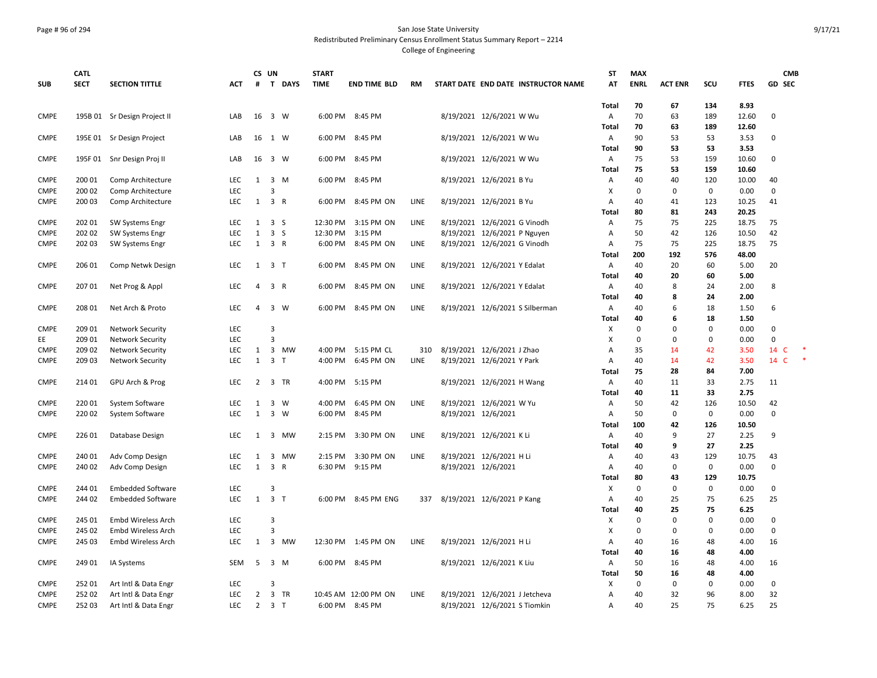## Page # 96 of 294 San Jose State University Redistributed Preliminary Census Enrollment Status Summary Report – 2214

|             | <b>CATL</b> |                              |            |                | CS UN               |                | <b>START</b> |                      |             |                                     | <b>ST</b>      | <b>MAX</b>  |                |             |              | <b>CMB</b>     |
|-------------|-------------|------------------------------|------------|----------------|---------------------|----------------|--------------|----------------------|-------------|-------------------------------------|----------------|-------------|----------------|-------------|--------------|----------------|
| <b>SUB</b>  | <b>SECT</b> | <b>SECTION TITTLE</b>        | <b>ACT</b> | #              |                     | <b>T DAYS</b>  | <b>TIME</b>  | <b>END TIME BLD</b>  | <b>RM</b>   | START DATE END DATE INSTRUCTOR NAME | AT             | <b>ENRL</b> | <b>ACT ENR</b> | SCU         | <b>FTES</b>  | <b>GD SEC</b>  |
|             |             |                              |            |                |                     |                |              |                      |             |                                     | <b>Total</b>   | 70          | 67             | 134         | 8.93         |                |
| <b>CMPE</b> |             | 195B 01 Sr Design Project II | LAB        | 16             |                     | 3 W            | 6:00 PM      | 8:45 PM              |             | 8/19/2021 12/6/2021 W Wu            | Α              | 70          | 63             | 189         | 12.60        | $\mathbf 0$    |
|             |             |                              |            |                |                     |                |              |                      |             |                                     | Total          | 70          | 63             | 189         | 12.60        |                |
| <b>CMPE</b> | 195E 01     | Sr Design Project            | LAB        | 16             |                     | 1 W            | 6:00 PM      | 8:45 PM              |             | 8/19/2021 12/6/2021 W Wu            | Α              | 90          | 53             | 53          | 3.53         | $\Omega$       |
|             |             |                              |            |                |                     |                |              |                      |             |                                     | Total          | 90          | 53             | 53          | 3.53         |                |
| <b>CMPE</b> | 195F 01     | Snr Design Proj II           | LAB        | 16             |                     | 3 W            | 6:00 PM      | 8:45 PM              |             | 8/19/2021 12/6/2021 W Wu            | Α              | 75          | 53             | 159         | 10.60        | $\mathbf 0$    |
|             |             |                              |            |                |                     |                |              |                      |             |                                     | Total          | 75          | 53             | 159         | 10.60        |                |
| <b>CMPE</b> | 200 01      | Comp Architecture            | <b>LEC</b> | 1              |                     | 3 M            | 6:00 PM      | 8:45 PM              |             | 8/19/2021 12/6/2021 B Yu            | A              | 40          | 40             | 120         | 10.00        | 40             |
| <b>CMPE</b> | 200 02      | Comp Architecture            | LEC        |                | $\overline{3}$      |                |              |                      |             |                                     | X              | 0           | $\Omega$       | 0           | 0.00         | 0              |
| <b>CMPE</b> | 200 03      | Comp Architecture            | <b>LEC</b> | 1              | 3 R                 |                | 6:00 PM      | 8:45 PM ON           | LINE        | 8/19/2021 12/6/2021 B Yu            | A              | 40          | 41             | 123         | 10.25        | 41             |
|             |             |                              |            |                |                     |                |              |                      |             |                                     | Total          | 80          | 81             | 243         | 20.25        |                |
| <b>CMPE</b> | 202 01      | SW Systems Engr              | LEC        | 1              | 3S                  |                | 12:30 PM     | 3:15 PM ON           | LINE        | 8/19/2021 12/6/2021 G Vinodh        | Α              | 75          | 75             | 225         | 18.75        | 75             |
| <b>CMPE</b> | 202 02      | SW Systems Engr              | LEC        | $\mathbf{1}$   |                     | 3S             | 12:30 PM     | 3:15 PM              |             | 8/19/2021 12/6/2021 P Nguyen        | A              | 50          | 42             | 126         | 10.50        | 42             |
| <b>CMPE</b> | 202 03      | SW Systems Engr              | LEC        | $\mathbf{1}$   | 3 R                 |                |              | 6:00 PM 8:45 PM ON   | LINE        | 8/19/2021 12/6/2021 G Vinodh        | A              | 75          | 75             | 225         | 18.75        | 75             |
|             |             |                              |            |                |                     |                |              |                      |             |                                     | Total          | 200         | 192            | 576         | 48.00        |                |
| <b>CMPE</b> | 206 01      | Comp Netwk Design            | <b>LEC</b> |                | 1 3 T               |                | 6:00 PM      | 8:45 PM ON           | LINE        | 8/19/2021 12/6/2021 Y Edalat        | Α              | 40          | 20             | 60          | 5.00         | 20             |
|             |             |                              |            |                |                     |                |              |                      |             |                                     | <b>Total</b>   | 40          | 20             | 60          | 5.00         |                |
| <b>CMPE</b> | 207 01      | Net Prog & Appl              | LEC        | 4              |                     | 3 R            | 6:00 PM      | 8:45 PM ON           | LINE        | 8/19/2021 12/6/2021 Y Edalat        | Α              | 40          | 8              | 24          | 2.00         | 8              |
|             |             |                              |            |                |                     |                |              |                      |             |                                     | Total          | 40          | 8              | 24          | 2.00         |                |
| <b>CMPE</b> | 208 01      | Net Arch & Proto             | <b>LEC</b> | 4              |                     | $3 \quad W$    | 6:00 PM      | 8:45 PM ON           | LINE        | 8/19/2021 12/6/2021 S Silberman     | Α              | 40          | 6              | 18          | 1.50         | 6              |
|             |             |                              |            |                |                     |                |              |                      |             |                                     | Total          | 40          | 6              | 18          | 1.50         |                |
| <b>CMPE</b> | 209 01      | <b>Network Security</b>      | LEC        |                | 3                   |                |              |                      |             |                                     | X              | 0           | $\Omega$       | $\mathbf 0$ | 0.00         | $\Omega$       |
| EE          | 209 01      | <b>Network Security</b>      | LEC        |                | 3                   |                |              |                      |             |                                     | X              | 0           | $\Omega$       | 0           | 0.00         | $\mathbf 0$    |
| <b>CMPE</b> | 209 02      | <b>Network Security</b>      | LEC        | 1              |                     | 3 MW           | 4:00 PM      | 5:15 PM CL           | 310         | 8/19/2021 12/6/2021 J Zhao          | A              | 35          | 14             | 42          | 3.50         | 14<br><b>C</b> |
| <b>CMPE</b> | 209 03      | <b>Network Security</b>      | <b>LEC</b> | $\mathbf{1}$   |                     | 3 <sub>1</sub> | 4:00 PM      | 6:45 PM ON           | LINE        | 8/19/2021 12/6/2021 Y Park          | $\overline{A}$ | 40          | 14             | 42          | 3.50         | 14<br><b>C</b> |
|             |             |                              |            |                |                     |                |              |                      |             |                                     | Total          | 75          | 28             | 84          | 7.00         |                |
| <b>CMPE</b> | 214 01      | GPU Arch & Prog              | <b>LEC</b> | $\overline{2}$ |                     | 3 TR           | 4:00 PM      | 5:15 PM              |             | 8/19/2021 12/6/2021 H Wang          | Α              | 40          | 11             | 33          | 2.75         | 11             |
|             |             |                              |            |                |                     |                |              |                      |             |                                     | Total          | 40          | 11             | 33          | 2.75         |                |
| <b>CMPE</b> | 220 01      | System Software              | LEC        | 1              | 3                   | W              | 4:00 PM      | 6:45 PM ON           | <b>LINE</b> | 8/19/2021 12/6/2021 W Yu            | A              | 50          | 42             | 126         | 10.50        | 42             |
| <b>CMPE</b> | 220 02      | System Software              | LEC        | $\mathbf{1}$   | $\mathbf{3}$        | W              | 6:00 PM      | 8:45 PM              |             | 8/19/2021 12/6/2021                 | A              | 50          | $\Omega$       | 0           | 0.00         | 0              |
|             |             |                              |            |                |                     |                |              |                      |             |                                     | Total          | 100         | 42             | 126         | 10.50        |                |
| <b>CMPE</b> | 226 01      | Database Design              | <b>LEC</b> | 1              |                     | 3 MW           | 2:15 PM      | 3:30 PM ON           | <b>LINE</b> | 8/19/2021 12/6/2021 K Li            | Α              | 40          | 9              | 27          | 2.25         | 9              |
|             |             |                              |            |                |                     |                |              |                      |             |                                     | Total          | 40          | 9              | 27          | 2.25         |                |
| <b>CMPE</b> | 240 01      | Adv Comp Design              | <b>LEC</b> | 1              |                     | 3 MW           | 2:15 PM      | 3:30 PM ON           | <b>LINE</b> | 8/19/2021 12/6/2021 H Li            | $\overline{A}$ | 40          | 43             | 129         | 10.75        | 43             |
| <b>CMPE</b> | 240 02      | Adv Comp Design              | <b>LEC</b> | $\mathbf{1}$   |                     | 3 R            | 6:30 PM      | 9:15 PM              |             | 8/19/2021 12/6/2021                 | A              | 40          | $\Omega$       | 0           | 0.00         | 0              |
|             |             |                              |            |                |                     |                |              |                      |             |                                     | Total          | 80          | 43             | 129         | 10.75        |                |
| <b>CMPE</b> | 244 01      | <b>Embedded Software</b>     | LEC        |                | 3                   |                |              |                      |             |                                     | X              | 0           | $\Omega$       | $\mathbf 0$ | 0.00         | $\mathbf 0$    |
| <b>CMPE</b> | 244 02      | <b>Embedded Software</b>     | LEC        |                | $1 \quad 3 \quad T$ |                |              | 6:00 PM 8:45 PM ENG  | 337         | 8/19/2021 12/6/2021 P Kang          | А              | 40          | 25             | 75          | 6.25         | 25             |
|             |             |                              |            |                |                     |                |              |                      |             |                                     | Total          | 40          | 25             | 75          | 6.25         |                |
| <b>CMPE</b> | 245 01      | <b>Embd Wireless Arch</b>    | LEC        |                | 3                   |                |              |                      |             |                                     | х              | 0           | $\Omega$       | $\Omega$    | 0.00         | $\Omega$       |
| <b>CMPE</b> | 245 02      | <b>Embd Wireless Arch</b>    | LEC        |                | 3                   |                |              |                      |             |                                     | X              | $\mathbf 0$ | $\Omega$       | 0           | 0.00         | 0              |
| <b>CMPE</b> | 245 03      | Embd Wireless Arch           | <b>LEC</b> | 1              |                     | 3 MW           |              | 12:30 PM 1:45 PM ON  | <b>LINE</b> | 8/19/2021 12/6/2021 H Li            | $\overline{A}$ | 40          | 16             | 48          | 4.00         | 16             |
|             |             |                              |            |                |                     |                |              |                      |             |                                     |                | 40          |                | 48          | 4.00         |                |
|             |             |                              |            |                |                     |                |              |                      |             |                                     | Total          |             | 16             |             |              |                |
| <b>CMPE</b> | 249 01      | IA Systems                   | <b>SEM</b> | 5              |                     | 3 M            | 6:00 PM      | 8:45 PM              |             | 8/19/2021 12/6/2021 K Liu           | Α              | 50<br>50    | 16             | 48          | 4.00         | 16             |
| <b>CMPE</b> |             |                              | <b>LEC</b> |                | 3                   |                |              |                      |             |                                     | Total          | 0           | 16<br>$\Omega$ | 48<br>0     | 4.00<br>0.00 | 0              |
|             | 252 01      | Art Intl & Data Engr         |            |                |                     | 3 TR           |              |                      |             |                                     | х              |             |                |             |              | 32             |
| <b>CMPE</b> | 252 02      | Art Intl & Data Engr         | LEC        | $\overline{2}$ |                     |                |              | 10:45 AM 12:00 PM ON | LINE        | 8/19/2021 12/6/2021 J Jetcheva      | A              | 40          | 32             | 96          | 8.00         |                |
| <b>CMPE</b> | 25203       | Art Intl & Data Engr         | <b>LEC</b> | $\overline{2}$ | 3 <sub>T</sub>      |                | 6:00 PM      | 8:45 PM              |             | 8/19/2021 12/6/2021 S Tiomkin       | $\overline{A}$ | 40          | 25             | 75          | 6.25         | 25             |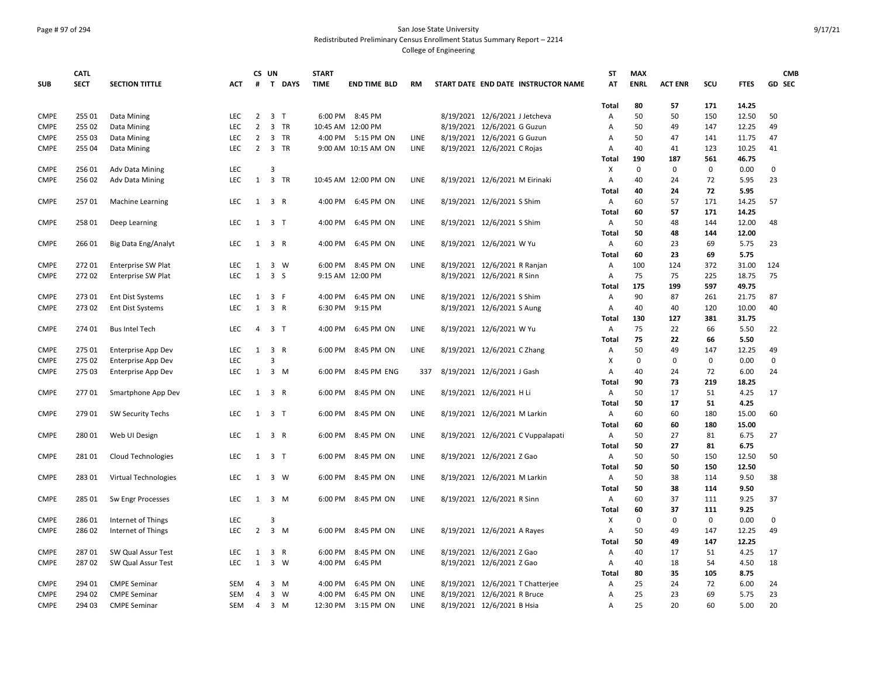## Page # 97 of 294 San Jose State University Redistributed Preliminary Census Enrollment Status Summary Report – 2214

| <b>SECT</b><br>GD SEC<br><b>SUB</b><br><b>SECTION TITTLE</b><br><b>ACT</b><br>#<br>T DAYS<br><b>TIME</b><br><b>END TIME BLD</b><br><b>RM</b><br>START DATE END DATE INSTRUCTOR NAME<br>AT<br><b>ENRL</b><br><b>ACT ENR</b><br>SCU<br><b>FTES</b><br>80<br>57<br>171<br>14.25<br>Total<br><b>CMPE</b><br>255 01<br>8/19/2021 12/6/2021 J Jetcheva<br>50<br>50<br>2<br>3 <sub>T</sub><br>6:00 PM<br>8:45 PM<br>50<br>150<br>12.50<br>Data Mining<br><b>LEC</b><br>Α<br>$\overline{2}$<br>3 TR<br>8/19/2021 12/6/2021 G Guzun<br>49<br>147<br>12.25<br>49<br><b>CMPE</b><br>255 02<br>Data Mining<br><b>LEC</b><br>10:45 AM 12:00 PM<br>50<br>Α<br><b>CMPE</b><br>255 03<br>3 TR<br>8/19/2021 12/6/2021 G Guzun<br>47<br>141<br>11.75<br>47<br>Data Mining<br><b>LEC</b><br>$\overline{2}$<br>4:00 PM 5:15 PM ON<br>LINE<br>50<br>Α<br><b>CMPE</b><br>LEC<br>2 3 TR<br>LINE<br>8/19/2021 12/6/2021 C Rojas<br>40<br>41<br>123<br>10.25<br>41<br>255 04<br>Data Mining<br>9:00 AM 10:15 AM ON<br>Α<br>190<br>187<br>561<br>46.75<br>Total<br><b>CMPE</b><br>256 01<br>Adv Data Mining<br><b>LEC</b><br>3<br>х<br>0<br>0<br>0<br>0.00<br>0<br><b>LEC</b><br>1<br>3 TR<br>72<br>23<br><b>CMPE</b><br>25602<br><b>Adv Data Mining</b><br>10:45 AM 12:00 PM ON<br><b>LINE</b><br>8/19/2021 12/6/2021 M Eirinaki<br>Α<br>40<br>24<br>5.95<br>72<br>40<br>24<br>5.95<br>Total<br><b>CMPE</b><br>LINE<br>57<br>171<br>14.25<br>25701<br><b>LEC</b><br>$1 \quad 3 \quad R$<br>4:00 PM 6:45 PM ON<br>8/19/2021 12/6/2021 S Shim<br>А<br>60<br>57<br>Machine Learning<br>171<br>Total<br>60<br>57<br>14.25<br><b>CMPE</b><br>6:45 PM ON<br>LINE<br>8/19/2021 12/6/2021 S Shim<br>50<br>48<br>12.00<br>258 01<br>Deep Learning<br>LEC.<br>1 3 T<br>4:00 PM<br>Α<br>144<br>48<br>50<br>48<br>144<br>12.00<br><b>Total</b><br><b>CMPE</b><br>266 01<br>4:00 PM<br>6:45 PM ON<br>LINE<br>8/19/2021 12/6/2021 W Yu<br>60<br>23<br>69<br>5.75<br>23<br>Big Data Eng/Analyt<br><b>LEC</b><br>1 3 R<br>Α<br>23<br>69<br>5.75<br>60<br>Total<br><b>CMPE</b><br>27201<br>LEC<br>3 W<br>6:00 PM 8:45 PM ON<br>LINE<br>8/19/2021 12/6/2021 R Ranjan<br>100<br>372<br>31.00<br>124<br><b>Enterprise SW Plat</b><br>Α<br>124<br>1<br><b>CMPE</b><br>27202<br><b>LEC</b><br>$\mathbf{1}$<br>3S<br>9:15 AM 12:00 PM<br>8/19/2021 12/6/2021 R Sinn<br>75<br>75<br>225<br>18.75<br>75<br>Enterprise SW Plat<br>Α<br>49.75<br>175<br>199<br>597<br>Total<br><b>CMPE</b><br>273 01<br><b>Ent Dist Systems</b><br><b>LEC</b><br>1<br>3 F<br>4:00 PM<br>6:45 PM ON<br><b>LINE</b><br>8/19/2021 12/6/2021 S Shim<br>90<br>87<br>261<br>21.75<br>87<br>Α<br>$\mathbf{1}$<br>3 R<br>10.00<br>40<br><b>CMPE</b><br>27302<br><b>Ent Dist Systems</b><br><b>LEC</b><br>6:30 PM<br>9:15 PM<br>8/19/2021 12/6/2021 S Aung<br>Α<br>40<br>40<br>120<br>130<br>127<br>381<br>31.75<br>Total<br>22<br>22<br><b>CMPE</b><br>274 01<br>LEC<br>3 <sub>T</sub><br>6:45 PM ON<br>LINE<br>8/19/2021 12/6/2021 W Yu<br>75<br>66<br>5.50<br><b>Bus Intel Tech</b><br>4<br>4:00 PM<br>Α<br>75<br>22<br>66<br>5.50<br>Total<br><b>CMPE</b><br>275 01<br>LINE<br><b>Enterprise App Dev</b><br>LEC.<br>1<br>3 R<br>6:00 PM<br>8:45 PM ON<br>8/19/2021 12/6/2021 C Zhang<br>50<br>49<br>147<br>12.25<br>49<br>Α<br><b>CMPE</b><br>275 02<br><b>LEC</b><br>3<br>$\mathbf 0$<br>$\mathbf 0$<br>$\mathbf 0$<br>0.00<br>$\mathbf 0$<br><b>Enterprise App Dev</b><br>х<br>72<br><b>CMPE</b><br>275 03<br>3 M<br>8/19/2021 12/6/2021 J Gash<br>40<br>6.00<br>24<br><b>Enterprise App Dev</b><br>LEC<br>$\mathbf{1}$<br>6:00 PM<br>8:45 PM ENG<br>337<br>A<br>24<br>73<br>18.25<br>90<br>219<br>Total<br>17<br>51<br>4.25<br>17<br><b>CMPE</b><br>27701<br>Smartphone App Dev<br><b>LEC</b><br>3 R<br>6:00 PM<br>8:45 PM ON<br>LINE<br>8/19/2021 12/6/2021 H Li<br>50<br>1<br>A<br>50<br>17<br>51<br>4.25<br>Total<br><b>CMPE</b><br>279 01<br><b>SW Security Techs</b><br><b>LEC</b><br>3 <sub>1</sub><br>8:45 PM ON<br>LINE<br>8/19/2021 12/6/2021 M Larkin<br>60<br>60<br>180<br>15.00<br>60<br>$\mathbf{1}$<br>6:00 PM<br>Α<br>60<br>60<br>180<br>15.00<br>Total<br>27<br><b>CMPE</b><br>280 01<br>Web UI Design<br><b>LEC</b><br>1<br>3 R<br>6:00 PM<br>8:45 PM ON<br>LINE<br>8/19/2021 12/6/2021 C Vuppalapati<br>Α<br>50<br>81<br>6.75<br>27<br>50<br>27<br>81<br>6.75<br><b>Total</b><br>12.50<br><b>CMPE</b><br>28101<br><b>LEC</b><br>$1 \quad 3 \quad T$<br>8:45 PM ON<br>LINE<br>8/19/2021 12/6/2021 Z Gao<br>50<br>50<br>150<br>50<br><b>Cloud Technologies</b><br>6:00 PM<br>Α<br>150<br>12.50<br>50<br>50<br>Total<br><b>CMPE</b><br>LINE<br>28301<br>Virtual Technologies<br><b>LEC</b><br>1<br>3 W<br>6:00 PM<br>8:45 PM ON<br>8/19/2021 12/6/2021 M Larkin<br>Α<br>50<br>38<br>114<br>9.50<br>38<br>50<br>38<br>9.50<br>Total<br>114<br><b>CMPE</b><br>28501<br><b>LEC</b><br>$1 \quad 3 \quad M$<br>6:00 PM 8:45 PM ON<br>LINE<br>8/19/2021 12/6/2021 R Sinn<br>60<br>37<br>111<br>9.25<br>37<br>Sw Engr Processes<br>Α<br>37<br>60<br>111<br>9.25<br>Total<br>286 01<br>0<br>0<br>0<br>$\mathbf 0$<br><b>CMPE</b><br>Internet of Things<br>LEC<br>3<br>х<br>0.00<br><b>CMPE</b><br>LEC<br>$\overline{2}$<br>3 M<br>LINE<br>8/19/2021 12/6/2021 A Rayes<br>50<br>147<br>12.25<br>49<br>286 02<br>Internet of Things<br>6:00 PM<br>8:45 PM ON<br>49<br>Α<br>49<br>147<br>12.25<br>Total<br>50<br><b>CMPE</b><br>28701<br>SW Qual Assur Test<br>LEC<br>3 R<br>6:00 PM<br>8:45 PM ON<br>LINE<br>8/19/2021 12/6/2021 Z Gao<br>40<br>17<br>51<br>4.25<br>17<br>1<br>Α<br>4.50<br>18<br><b>CMPE</b><br>28702<br>SW Qual Assur Test<br><b>LEC</b><br>1<br>3 W<br>4:00 PM<br>6:45 PM<br>8/19/2021 12/6/2021 Z Gao<br>40<br>18<br>54<br>Α<br><b>Total</b><br>80<br>35<br>105<br>8.75<br>294 01<br>8/19/2021 12/6/2021 T Chatterjee<br>72<br>6.00<br>24<br><b>CMPE</b><br><b>CMPE Seminar</b><br><b>SEM</b><br>3 M<br>4:00 PM<br>6:45 PM ON<br><b>LINE</b><br>25<br>24<br>4<br>Α<br>$3 \quad W$<br>25<br>23<br>23<br><b>CMPE</b><br>294 02<br><b>CMPE Seminar</b><br>4:00 PM<br>6:45 PM ON<br>LINE<br>8/19/2021 12/6/2021 R Bruce<br>69<br>5.75<br><b>SEM</b><br>4<br>Α<br><b>CMPE</b><br>294 03<br>3 M<br>12:30 PM<br>LINE<br>8/19/2021 12/6/2021 B Hsia<br>25<br>20<br>60<br>5.00<br>20<br><b>CMPE Seminar</b><br><b>SEM</b><br>$\overline{4}$<br>3:15 PM ON<br>Α | <b>CATL</b> |  | CS UN | <b>START</b> |  |  | ST | <b>MAX</b> |  | <b>CMB</b> |
|----------------------------------------------------------------------------------------------------------------------------------------------------------------------------------------------------------------------------------------------------------------------------------------------------------------------------------------------------------------------------------------------------------------------------------------------------------------------------------------------------------------------------------------------------------------------------------------------------------------------------------------------------------------------------------------------------------------------------------------------------------------------------------------------------------------------------------------------------------------------------------------------------------------------------------------------------------------------------------------------------------------------------------------------------------------------------------------------------------------------------------------------------------------------------------------------------------------------------------------------------------------------------------------------------------------------------------------------------------------------------------------------------------------------------------------------------------------------------------------------------------------------------------------------------------------------------------------------------------------------------------------------------------------------------------------------------------------------------------------------------------------------------------------------------------------------------------------------------------------------------------------------------------------------------------------------------------------------------------------------------------------------------------------------------------------------------------------------------------------------------------------------------------------------------------------------------------------------------------------------------------------------------------------------------------------------------------------------------------------------------------------------------------------------------------------------------------------------------------------------------------------------------------------------------------------------------------------------------------------------------------------------------------------------------------------------------------------------------------------------------------------------------------------------------------------------------------------------------------------------------------------------------------------------------------------------------------------------------------------------------------------------------------------------------------------------------------------------------------------------------------------------------------------------------------------------------------------------------------------------------------------------------------------------------------------------------------------------------------------------------------------------------------------------------------------------------------------------------------------------------------------------------------------------------------------------------------------------------------------------------------------------------------------------------------------------------------------------------------------------------------------------------------------------------------------------------------------------------------------------------------------------------------------------------------------------------------------------------------------------------------------------------------------------------------------------------------------------------------------------------------------------------------------------------------------------------------------------------------------------------------------------------------------------------------------------------------------------------------------------------------------------------------------------------------------------------------------------------------------------------------------------------------------------------------------------------------------------------------------------------------------------------------------------------------------------------------------------------------------------------------------------------------------------------------------------------------------------------------------------------------------------------------------------------------------------------------------------------------------------------------------------------------------------------------------------------------------------------------------------------------------------------------------------------------------------------------------------------------------------------------------------------------------------------------------------------------------------------------------------------------------------------------------------------------------------------------------------------------------------------------------------------------------------------------------------------------------------------------------------------------------------------------------------------------------------------------------------------------------------------------------------------------------------------------------------------------------------------------------------------------------------------------------------------------------------------------------------------------------------------------------------------------------------------------------------------------------------------------------------------------------------------------------------------------------------------------------------------------------------------------------------------------------------------------|-------------|--|-------|--------------|--|--|----|------------|--|------------|
|                                                                                                                                                                                                                                                                                                                                                                                                                                                                                                                                                                                                                                                                                                                                                                                                                                                                                                                                                                                                                                                                                                                                                                                                                                                                                                                                                                                                                                                                                                                                                                                                                                                                                                                                                                                                                                                                                                                                                                                                                                                                                                                                                                                                                                                                                                                                                                                                                                                                                                                                                                                                                                                                                                                                                                                                                                                                                                                                                                                                                                                                                                                                                                                                                                                                                                                                                                                                                                                                                                                                                                                                                                                                                                                                                                                                                                                                                                                                                                                                                                                                                                                                                                                                                                                                                                                                                                                                                                                                                                                                                                                                                                                                                                                                                                                                                                                                                                                                                                                                                                                                                                                                                                                                                                                                                                                                                                                                                                                                                                                                                                                                                                                                                                                                                                                                                                                                                                                                                                                                                                                                                                                                                                                                                                                                                                          |             |  |       |              |  |  |    |            |  |            |
|                                                                                                                                                                                                                                                                                                                                                                                                                                                                                                                                                                                                                                                                                                                                                                                                                                                                                                                                                                                                                                                                                                                                                                                                                                                                                                                                                                                                                                                                                                                                                                                                                                                                                                                                                                                                                                                                                                                                                                                                                                                                                                                                                                                                                                                                                                                                                                                                                                                                                                                                                                                                                                                                                                                                                                                                                                                                                                                                                                                                                                                                                                                                                                                                                                                                                                                                                                                                                                                                                                                                                                                                                                                                                                                                                                                                                                                                                                                                                                                                                                                                                                                                                                                                                                                                                                                                                                                                                                                                                                                                                                                                                                                                                                                                                                                                                                                                                                                                                                                                                                                                                                                                                                                                                                                                                                                                                                                                                                                                                                                                                                                                                                                                                                                                                                                                                                                                                                                                                                                                                                                                                                                                                                                                                                                                                                          |             |  |       |              |  |  |    |            |  |            |
|                                                                                                                                                                                                                                                                                                                                                                                                                                                                                                                                                                                                                                                                                                                                                                                                                                                                                                                                                                                                                                                                                                                                                                                                                                                                                                                                                                                                                                                                                                                                                                                                                                                                                                                                                                                                                                                                                                                                                                                                                                                                                                                                                                                                                                                                                                                                                                                                                                                                                                                                                                                                                                                                                                                                                                                                                                                                                                                                                                                                                                                                                                                                                                                                                                                                                                                                                                                                                                                                                                                                                                                                                                                                                                                                                                                                                                                                                                                                                                                                                                                                                                                                                                                                                                                                                                                                                                                                                                                                                                                                                                                                                                                                                                                                                                                                                                                                                                                                                                                                                                                                                                                                                                                                                                                                                                                                                                                                                                                                                                                                                                                                                                                                                                                                                                                                                                                                                                                                                                                                                                                                                                                                                                                                                                                                                                          |             |  |       |              |  |  |    |            |  |            |
|                                                                                                                                                                                                                                                                                                                                                                                                                                                                                                                                                                                                                                                                                                                                                                                                                                                                                                                                                                                                                                                                                                                                                                                                                                                                                                                                                                                                                                                                                                                                                                                                                                                                                                                                                                                                                                                                                                                                                                                                                                                                                                                                                                                                                                                                                                                                                                                                                                                                                                                                                                                                                                                                                                                                                                                                                                                                                                                                                                                                                                                                                                                                                                                                                                                                                                                                                                                                                                                                                                                                                                                                                                                                                                                                                                                                                                                                                                                                                                                                                                                                                                                                                                                                                                                                                                                                                                                                                                                                                                                                                                                                                                                                                                                                                                                                                                                                                                                                                                                                                                                                                                                                                                                                                                                                                                                                                                                                                                                                                                                                                                                                                                                                                                                                                                                                                                                                                                                                                                                                                                                                                                                                                                                                                                                                                                          |             |  |       |              |  |  |    |            |  |            |
|                                                                                                                                                                                                                                                                                                                                                                                                                                                                                                                                                                                                                                                                                                                                                                                                                                                                                                                                                                                                                                                                                                                                                                                                                                                                                                                                                                                                                                                                                                                                                                                                                                                                                                                                                                                                                                                                                                                                                                                                                                                                                                                                                                                                                                                                                                                                                                                                                                                                                                                                                                                                                                                                                                                                                                                                                                                                                                                                                                                                                                                                                                                                                                                                                                                                                                                                                                                                                                                                                                                                                                                                                                                                                                                                                                                                                                                                                                                                                                                                                                                                                                                                                                                                                                                                                                                                                                                                                                                                                                                                                                                                                                                                                                                                                                                                                                                                                                                                                                                                                                                                                                                                                                                                                                                                                                                                                                                                                                                                                                                                                                                                                                                                                                                                                                                                                                                                                                                                                                                                                                                                                                                                                                                                                                                                                                          |             |  |       |              |  |  |    |            |  |            |
|                                                                                                                                                                                                                                                                                                                                                                                                                                                                                                                                                                                                                                                                                                                                                                                                                                                                                                                                                                                                                                                                                                                                                                                                                                                                                                                                                                                                                                                                                                                                                                                                                                                                                                                                                                                                                                                                                                                                                                                                                                                                                                                                                                                                                                                                                                                                                                                                                                                                                                                                                                                                                                                                                                                                                                                                                                                                                                                                                                                                                                                                                                                                                                                                                                                                                                                                                                                                                                                                                                                                                                                                                                                                                                                                                                                                                                                                                                                                                                                                                                                                                                                                                                                                                                                                                                                                                                                                                                                                                                                                                                                                                                                                                                                                                                                                                                                                                                                                                                                                                                                                                                                                                                                                                                                                                                                                                                                                                                                                                                                                                                                                                                                                                                                                                                                                                                                                                                                                                                                                                                                                                                                                                                                                                                                                                                          |             |  |       |              |  |  |    |            |  |            |
|                                                                                                                                                                                                                                                                                                                                                                                                                                                                                                                                                                                                                                                                                                                                                                                                                                                                                                                                                                                                                                                                                                                                                                                                                                                                                                                                                                                                                                                                                                                                                                                                                                                                                                                                                                                                                                                                                                                                                                                                                                                                                                                                                                                                                                                                                                                                                                                                                                                                                                                                                                                                                                                                                                                                                                                                                                                                                                                                                                                                                                                                                                                                                                                                                                                                                                                                                                                                                                                                                                                                                                                                                                                                                                                                                                                                                                                                                                                                                                                                                                                                                                                                                                                                                                                                                                                                                                                                                                                                                                                                                                                                                                                                                                                                                                                                                                                                                                                                                                                                                                                                                                                                                                                                                                                                                                                                                                                                                                                                                                                                                                                                                                                                                                                                                                                                                                                                                                                                                                                                                                                                                                                                                                                                                                                                                                          |             |  |       |              |  |  |    |            |  |            |
|                                                                                                                                                                                                                                                                                                                                                                                                                                                                                                                                                                                                                                                                                                                                                                                                                                                                                                                                                                                                                                                                                                                                                                                                                                                                                                                                                                                                                                                                                                                                                                                                                                                                                                                                                                                                                                                                                                                                                                                                                                                                                                                                                                                                                                                                                                                                                                                                                                                                                                                                                                                                                                                                                                                                                                                                                                                                                                                                                                                                                                                                                                                                                                                                                                                                                                                                                                                                                                                                                                                                                                                                                                                                                                                                                                                                                                                                                                                                                                                                                                                                                                                                                                                                                                                                                                                                                                                                                                                                                                                                                                                                                                                                                                                                                                                                                                                                                                                                                                                                                                                                                                                                                                                                                                                                                                                                                                                                                                                                                                                                                                                                                                                                                                                                                                                                                                                                                                                                                                                                                                                                                                                                                                                                                                                                                                          |             |  |       |              |  |  |    |            |  |            |
|                                                                                                                                                                                                                                                                                                                                                                                                                                                                                                                                                                                                                                                                                                                                                                                                                                                                                                                                                                                                                                                                                                                                                                                                                                                                                                                                                                                                                                                                                                                                                                                                                                                                                                                                                                                                                                                                                                                                                                                                                                                                                                                                                                                                                                                                                                                                                                                                                                                                                                                                                                                                                                                                                                                                                                                                                                                                                                                                                                                                                                                                                                                                                                                                                                                                                                                                                                                                                                                                                                                                                                                                                                                                                                                                                                                                                                                                                                                                                                                                                                                                                                                                                                                                                                                                                                                                                                                                                                                                                                                                                                                                                                                                                                                                                                                                                                                                                                                                                                                                                                                                                                                                                                                                                                                                                                                                                                                                                                                                                                                                                                                                                                                                                                                                                                                                                                                                                                                                                                                                                                                                                                                                                                                                                                                                                                          |             |  |       |              |  |  |    |            |  |            |
|                                                                                                                                                                                                                                                                                                                                                                                                                                                                                                                                                                                                                                                                                                                                                                                                                                                                                                                                                                                                                                                                                                                                                                                                                                                                                                                                                                                                                                                                                                                                                                                                                                                                                                                                                                                                                                                                                                                                                                                                                                                                                                                                                                                                                                                                                                                                                                                                                                                                                                                                                                                                                                                                                                                                                                                                                                                                                                                                                                                                                                                                                                                                                                                                                                                                                                                                                                                                                                                                                                                                                                                                                                                                                                                                                                                                                                                                                                                                                                                                                                                                                                                                                                                                                                                                                                                                                                                                                                                                                                                                                                                                                                                                                                                                                                                                                                                                                                                                                                                                                                                                                                                                                                                                                                                                                                                                                                                                                                                                                                                                                                                                                                                                                                                                                                                                                                                                                                                                                                                                                                                                                                                                                                                                                                                                                                          |             |  |       |              |  |  |    |            |  |            |
|                                                                                                                                                                                                                                                                                                                                                                                                                                                                                                                                                                                                                                                                                                                                                                                                                                                                                                                                                                                                                                                                                                                                                                                                                                                                                                                                                                                                                                                                                                                                                                                                                                                                                                                                                                                                                                                                                                                                                                                                                                                                                                                                                                                                                                                                                                                                                                                                                                                                                                                                                                                                                                                                                                                                                                                                                                                                                                                                                                                                                                                                                                                                                                                                                                                                                                                                                                                                                                                                                                                                                                                                                                                                                                                                                                                                                                                                                                                                                                                                                                                                                                                                                                                                                                                                                                                                                                                                                                                                                                                                                                                                                                                                                                                                                                                                                                                                                                                                                                                                                                                                                                                                                                                                                                                                                                                                                                                                                                                                                                                                                                                                                                                                                                                                                                                                                                                                                                                                                                                                                                                                                                                                                                                                                                                                                                          |             |  |       |              |  |  |    |            |  |            |
|                                                                                                                                                                                                                                                                                                                                                                                                                                                                                                                                                                                                                                                                                                                                                                                                                                                                                                                                                                                                                                                                                                                                                                                                                                                                                                                                                                                                                                                                                                                                                                                                                                                                                                                                                                                                                                                                                                                                                                                                                                                                                                                                                                                                                                                                                                                                                                                                                                                                                                                                                                                                                                                                                                                                                                                                                                                                                                                                                                                                                                                                                                                                                                                                                                                                                                                                                                                                                                                                                                                                                                                                                                                                                                                                                                                                                                                                                                                                                                                                                                                                                                                                                                                                                                                                                                                                                                                                                                                                                                                                                                                                                                                                                                                                                                                                                                                                                                                                                                                                                                                                                                                                                                                                                                                                                                                                                                                                                                                                                                                                                                                                                                                                                                                                                                                                                                                                                                                                                                                                                                                                                                                                                                                                                                                                                                          |             |  |       |              |  |  |    |            |  |            |
|                                                                                                                                                                                                                                                                                                                                                                                                                                                                                                                                                                                                                                                                                                                                                                                                                                                                                                                                                                                                                                                                                                                                                                                                                                                                                                                                                                                                                                                                                                                                                                                                                                                                                                                                                                                                                                                                                                                                                                                                                                                                                                                                                                                                                                                                                                                                                                                                                                                                                                                                                                                                                                                                                                                                                                                                                                                                                                                                                                                                                                                                                                                                                                                                                                                                                                                                                                                                                                                                                                                                                                                                                                                                                                                                                                                                                                                                                                                                                                                                                                                                                                                                                                                                                                                                                                                                                                                                                                                                                                                                                                                                                                                                                                                                                                                                                                                                                                                                                                                                                                                                                                                                                                                                                                                                                                                                                                                                                                                                                                                                                                                                                                                                                                                                                                                                                                                                                                                                                                                                                                                                                                                                                                                                                                                                                                          |             |  |       |              |  |  |    |            |  |            |
|                                                                                                                                                                                                                                                                                                                                                                                                                                                                                                                                                                                                                                                                                                                                                                                                                                                                                                                                                                                                                                                                                                                                                                                                                                                                                                                                                                                                                                                                                                                                                                                                                                                                                                                                                                                                                                                                                                                                                                                                                                                                                                                                                                                                                                                                                                                                                                                                                                                                                                                                                                                                                                                                                                                                                                                                                                                                                                                                                                                                                                                                                                                                                                                                                                                                                                                                                                                                                                                                                                                                                                                                                                                                                                                                                                                                                                                                                                                                                                                                                                                                                                                                                                                                                                                                                                                                                                                                                                                                                                                                                                                                                                                                                                                                                                                                                                                                                                                                                                                                                                                                                                                                                                                                                                                                                                                                                                                                                                                                                                                                                                                                                                                                                                                                                                                                                                                                                                                                                                                                                                                                                                                                                                                                                                                                                                          |             |  |       |              |  |  |    |            |  |            |
|                                                                                                                                                                                                                                                                                                                                                                                                                                                                                                                                                                                                                                                                                                                                                                                                                                                                                                                                                                                                                                                                                                                                                                                                                                                                                                                                                                                                                                                                                                                                                                                                                                                                                                                                                                                                                                                                                                                                                                                                                                                                                                                                                                                                                                                                                                                                                                                                                                                                                                                                                                                                                                                                                                                                                                                                                                                                                                                                                                                                                                                                                                                                                                                                                                                                                                                                                                                                                                                                                                                                                                                                                                                                                                                                                                                                                                                                                                                                                                                                                                                                                                                                                                                                                                                                                                                                                                                                                                                                                                                                                                                                                                                                                                                                                                                                                                                                                                                                                                                                                                                                                                                                                                                                                                                                                                                                                                                                                                                                                                                                                                                                                                                                                                                                                                                                                                                                                                                                                                                                                                                                                                                                                                                                                                                                                                          |             |  |       |              |  |  |    |            |  |            |
|                                                                                                                                                                                                                                                                                                                                                                                                                                                                                                                                                                                                                                                                                                                                                                                                                                                                                                                                                                                                                                                                                                                                                                                                                                                                                                                                                                                                                                                                                                                                                                                                                                                                                                                                                                                                                                                                                                                                                                                                                                                                                                                                                                                                                                                                                                                                                                                                                                                                                                                                                                                                                                                                                                                                                                                                                                                                                                                                                                                                                                                                                                                                                                                                                                                                                                                                                                                                                                                                                                                                                                                                                                                                                                                                                                                                                                                                                                                                                                                                                                                                                                                                                                                                                                                                                                                                                                                                                                                                                                                                                                                                                                                                                                                                                                                                                                                                                                                                                                                                                                                                                                                                                                                                                                                                                                                                                                                                                                                                                                                                                                                                                                                                                                                                                                                                                                                                                                                                                                                                                                                                                                                                                                                                                                                                                                          |             |  |       |              |  |  |    |            |  |            |
|                                                                                                                                                                                                                                                                                                                                                                                                                                                                                                                                                                                                                                                                                                                                                                                                                                                                                                                                                                                                                                                                                                                                                                                                                                                                                                                                                                                                                                                                                                                                                                                                                                                                                                                                                                                                                                                                                                                                                                                                                                                                                                                                                                                                                                                                                                                                                                                                                                                                                                                                                                                                                                                                                                                                                                                                                                                                                                                                                                                                                                                                                                                                                                                                                                                                                                                                                                                                                                                                                                                                                                                                                                                                                                                                                                                                                                                                                                                                                                                                                                                                                                                                                                                                                                                                                                                                                                                                                                                                                                                                                                                                                                                                                                                                                                                                                                                                                                                                                                                                                                                                                                                                                                                                                                                                                                                                                                                                                                                                                                                                                                                                                                                                                                                                                                                                                                                                                                                                                                                                                                                                                                                                                                                                                                                                                                          |             |  |       |              |  |  |    |            |  |            |
|                                                                                                                                                                                                                                                                                                                                                                                                                                                                                                                                                                                                                                                                                                                                                                                                                                                                                                                                                                                                                                                                                                                                                                                                                                                                                                                                                                                                                                                                                                                                                                                                                                                                                                                                                                                                                                                                                                                                                                                                                                                                                                                                                                                                                                                                                                                                                                                                                                                                                                                                                                                                                                                                                                                                                                                                                                                                                                                                                                                                                                                                                                                                                                                                                                                                                                                                                                                                                                                                                                                                                                                                                                                                                                                                                                                                                                                                                                                                                                                                                                                                                                                                                                                                                                                                                                                                                                                                                                                                                                                                                                                                                                                                                                                                                                                                                                                                                                                                                                                                                                                                                                                                                                                                                                                                                                                                                                                                                                                                                                                                                                                                                                                                                                                                                                                                                                                                                                                                                                                                                                                                                                                                                                                                                                                                                                          |             |  |       |              |  |  |    |            |  |            |
|                                                                                                                                                                                                                                                                                                                                                                                                                                                                                                                                                                                                                                                                                                                                                                                                                                                                                                                                                                                                                                                                                                                                                                                                                                                                                                                                                                                                                                                                                                                                                                                                                                                                                                                                                                                                                                                                                                                                                                                                                                                                                                                                                                                                                                                                                                                                                                                                                                                                                                                                                                                                                                                                                                                                                                                                                                                                                                                                                                                                                                                                                                                                                                                                                                                                                                                                                                                                                                                                                                                                                                                                                                                                                                                                                                                                                                                                                                                                                                                                                                                                                                                                                                                                                                                                                                                                                                                                                                                                                                                                                                                                                                                                                                                                                                                                                                                                                                                                                                                                                                                                                                                                                                                                                                                                                                                                                                                                                                                                                                                                                                                                                                                                                                                                                                                                                                                                                                                                                                                                                                                                                                                                                                                                                                                                                                          |             |  |       |              |  |  |    |            |  |            |
|                                                                                                                                                                                                                                                                                                                                                                                                                                                                                                                                                                                                                                                                                                                                                                                                                                                                                                                                                                                                                                                                                                                                                                                                                                                                                                                                                                                                                                                                                                                                                                                                                                                                                                                                                                                                                                                                                                                                                                                                                                                                                                                                                                                                                                                                                                                                                                                                                                                                                                                                                                                                                                                                                                                                                                                                                                                                                                                                                                                                                                                                                                                                                                                                                                                                                                                                                                                                                                                                                                                                                                                                                                                                                                                                                                                                                                                                                                                                                                                                                                                                                                                                                                                                                                                                                                                                                                                                                                                                                                                                                                                                                                                                                                                                                                                                                                                                                                                                                                                                                                                                                                                                                                                                                                                                                                                                                                                                                                                                                                                                                                                                                                                                                                                                                                                                                                                                                                                                                                                                                                                                                                                                                                                                                                                                                                          |             |  |       |              |  |  |    |            |  |            |
|                                                                                                                                                                                                                                                                                                                                                                                                                                                                                                                                                                                                                                                                                                                                                                                                                                                                                                                                                                                                                                                                                                                                                                                                                                                                                                                                                                                                                                                                                                                                                                                                                                                                                                                                                                                                                                                                                                                                                                                                                                                                                                                                                                                                                                                                                                                                                                                                                                                                                                                                                                                                                                                                                                                                                                                                                                                                                                                                                                                                                                                                                                                                                                                                                                                                                                                                                                                                                                                                                                                                                                                                                                                                                                                                                                                                                                                                                                                                                                                                                                                                                                                                                                                                                                                                                                                                                                                                                                                                                                                                                                                                                                                                                                                                                                                                                                                                                                                                                                                                                                                                                                                                                                                                                                                                                                                                                                                                                                                                                                                                                                                                                                                                                                                                                                                                                                                                                                                                                                                                                                                                                                                                                                                                                                                                                                          |             |  |       |              |  |  |    |            |  |            |
|                                                                                                                                                                                                                                                                                                                                                                                                                                                                                                                                                                                                                                                                                                                                                                                                                                                                                                                                                                                                                                                                                                                                                                                                                                                                                                                                                                                                                                                                                                                                                                                                                                                                                                                                                                                                                                                                                                                                                                                                                                                                                                                                                                                                                                                                                                                                                                                                                                                                                                                                                                                                                                                                                                                                                                                                                                                                                                                                                                                                                                                                                                                                                                                                                                                                                                                                                                                                                                                                                                                                                                                                                                                                                                                                                                                                                                                                                                                                                                                                                                                                                                                                                                                                                                                                                                                                                                                                                                                                                                                                                                                                                                                                                                                                                                                                                                                                                                                                                                                                                                                                                                                                                                                                                                                                                                                                                                                                                                                                                                                                                                                                                                                                                                                                                                                                                                                                                                                                                                                                                                                                                                                                                                                                                                                                                                          |             |  |       |              |  |  |    |            |  |            |
|                                                                                                                                                                                                                                                                                                                                                                                                                                                                                                                                                                                                                                                                                                                                                                                                                                                                                                                                                                                                                                                                                                                                                                                                                                                                                                                                                                                                                                                                                                                                                                                                                                                                                                                                                                                                                                                                                                                                                                                                                                                                                                                                                                                                                                                                                                                                                                                                                                                                                                                                                                                                                                                                                                                                                                                                                                                                                                                                                                                                                                                                                                                                                                                                                                                                                                                                                                                                                                                                                                                                                                                                                                                                                                                                                                                                                                                                                                                                                                                                                                                                                                                                                                                                                                                                                                                                                                                                                                                                                                                                                                                                                                                                                                                                                                                                                                                                                                                                                                                                                                                                                                                                                                                                                                                                                                                                                                                                                                                                                                                                                                                                                                                                                                                                                                                                                                                                                                                                                                                                                                                                                                                                                                                                                                                                                                          |             |  |       |              |  |  |    |            |  |            |
|                                                                                                                                                                                                                                                                                                                                                                                                                                                                                                                                                                                                                                                                                                                                                                                                                                                                                                                                                                                                                                                                                                                                                                                                                                                                                                                                                                                                                                                                                                                                                                                                                                                                                                                                                                                                                                                                                                                                                                                                                                                                                                                                                                                                                                                                                                                                                                                                                                                                                                                                                                                                                                                                                                                                                                                                                                                                                                                                                                                                                                                                                                                                                                                                                                                                                                                                                                                                                                                                                                                                                                                                                                                                                                                                                                                                                                                                                                                                                                                                                                                                                                                                                                                                                                                                                                                                                                                                                                                                                                                                                                                                                                                                                                                                                                                                                                                                                                                                                                                                                                                                                                                                                                                                                                                                                                                                                                                                                                                                                                                                                                                                                                                                                                                                                                                                                                                                                                                                                                                                                                                                                                                                                                                                                                                                                                          |             |  |       |              |  |  |    |            |  |            |
|                                                                                                                                                                                                                                                                                                                                                                                                                                                                                                                                                                                                                                                                                                                                                                                                                                                                                                                                                                                                                                                                                                                                                                                                                                                                                                                                                                                                                                                                                                                                                                                                                                                                                                                                                                                                                                                                                                                                                                                                                                                                                                                                                                                                                                                                                                                                                                                                                                                                                                                                                                                                                                                                                                                                                                                                                                                                                                                                                                                                                                                                                                                                                                                                                                                                                                                                                                                                                                                                                                                                                                                                                                                                                                                                                                                                                                                                                                                                                                                                                                                                                                                                                                                                                                                                                                                                                                                                                                                                                                                                                                                                                                                                                                                                                                                                                                                                                                                                                                                                                                                                                                                                                                                                                                                                                                                                                                                                                                                                                                                                                                                                                                                                                                                                                                                                                                                                                                                                                                                                                                                                                                                                                                                                                                                                                                          |             |  |       |              |  |  |    |            |  |            |
|                                                                                                                                                                                                                                                                                                                                                                                                                                                                                                                                                                                                                                                                                                                                                                                                                                                                                                                                                                                                                                                                                                                                                                                                                                                                                                                                                                                                                                                                                                                                                                                                                                                                                                                                                                                                                                                                                                                                                                                                                                                                                                                                                                                                                                                                                                                                                                                                                                                                                                                                                                                                                                                                                                                                                                                                                                                                                                                                                                                                                                                                                                                                                                                                                                                                                                                                                                                                                                                                                                                                                                                                                                                                                                                                                                                                                                                                                                                                                                                                                                                                                                                                                                                                                                                                                                                                                                                                                                                                                                                                                                                                                                                                                                                                                                                                                                                                                                                                                                                                                                                                                                                                                                                                                                                                                                                                                                                                                                                                                                                                                                                                                                                                                                                                                                                                                                                                                                                                                                                                                                                                                                                                                                                                                                                                                                          |             |  |       |              |  |  |    |            |  |            |
|                                                                                                                                                                                                                                                                                                                                                                                                                                                                                                                                                                                                                                                                                                                                                                                                                                                                                                                                                                                                                                                                                                                                                                                                                                                                                                                                                                                                                                                                                                                                                                                                                                                                                                                                                                                                                                                                                                                                                                                                                                                                                                                                                                                                                                                                                                                                                                                                                                                                                                                                                                                                                                                                                                                                                                                                                                                                                                                                                                                                                                                                                                                                                                                                                                                                                                                                                                                                                                                                                                                                                                                                                                                                                                                                                                                                                                                                                                                                                                                                                                                                                                                                                                                                                                                                                                                                                                                                                                                                                                                                                                                                                                                                                                                                                                                                                                                                                                                                                                                                                                                                                                                                                                                                                                                                                                                                                                                                                                                                                                                                                                                                                                                                                                                                                                                                                                                                                                                                                                                                                                                                                                                                                                                                                                                                                                          |             |  |       |              |  |  |    |            |  |            |
|                                                                                                                                                                                                                                                                                                                                                                                                                                                                                                                                                                                                                                                                                                                                                                                                                                                                                                                                                                                                                                                                                                                                                                                                                                                                                                                                                                                                                                                                                                                                                                                                                                                                                                                                                                                                                                                                                                                                                                                                                                                                                                                                                                                                                                                                                                                                                                                                                                                                                                                                                                                                                                                                                                                                                                                                                                                                                                                                                                                                                                                                                                                                                                                                                                                                                                                                                                                                                                                                                                                                                                                                                                                                                                                                                                                                                                                                                                                                                                                                                                                                                                                                                                                                                                                                                                                                                                                                                                                                                                                                                                                                                                                                                                                                                                                                                                                                                                                                                                                                                                                                                                                                                                                                                                                                                                                                                                                                                                                                                                                                                                                                                                                                                                                                                                                                                                                                                                                                                                                                                                                                                                                                                                                                                                                                                                          |             |  |       |              |  |  |    |            |  |            |
|                                                                                                                                                                                                                                                                                                                                                                                                                                                                                                                                                                                                                                                                                                                                                                                                                                                                                                                                                                                                                                                                                                                                                                                                                                                                                                                                                                                                                                                                                                                                                                                                                                                                                                                                                                                                                                                                                                                                                                                                                                                                                                                                                                                                                                                                                                                                                                                                                                                                                                                                                                                                                                                                                                                                                                                                                                                                                                                                                                                                                                                                                                                                                                                                                                                                                                                                                                                                                                                                                                                                                                                                                                                                                                                                                                                                                                                                                                                                                                                                                                                                                                                                                                                                                                                                                                                                                                                                                                                                                                                                                                                                                                                                                                                                                                                                                                                                                                                                                                                                                                                                                                                                                                                                                                                                                                                                                                                                                                                                                                                                                                                                                                                                                                                                                                                                                                                                                                                                                                                                                                                                                                                                                                                                                                                                                                          |             |  |       |              |  |  |    |            |  |            |
|                                                                                                                                                                                                                                                                                                                                                                                                                                                                                                                                                                                                                                                                                                                                                                                                                                                                                                                                                                                                                                                                                                                                                                                                                                                                                                                                                                                                                                                                                                                                                                                                                                                                                                                                                                                                                                                                                                                                                                                                                                                                                                                                                                                                                                                                                                                                                                                                                                                                                                                                                                                                                                                                                                                                                                                                                                                                                                                                                                                                                                                                                                                                                                                                                                                                                                                                                                                                                                                                                                                                                                                                                                                                                                                                                                                                                                                                                                                                                                                                                                                                                                                                                                                                                                                                                                                                                                                                                                                                                                                                                                                                                                                                                                                                                                                                                                                                                                                                                                                                                                                                                                                                                                                                                                                                                                                                                                                                                                                                                                                                                                                                                                                                                                                                                                                                                                                                                                                                                                                                                                                                                                                                                                                                                                                                                                          |             |  |       |              |  |  |    |            |  |            |
|                                                                                                                                                                                                                                                                                                                                                                                                                                                                                                                                                                                                                                                                                                                                                                                                                                                                                                                                                                                                                                                                                                                                                                                                                                                                                                                                                                                                                                                                                                                                                                                                                                                                                                                                                                                                                                                                                                                                                                                                                                                                                                                                                                                                                                                                                                                                                                                                                                                                                                                                                                                                                                                                                                                                                                                                                                                                                                                                                                                                                                                                                                                                                                                                                                                                                                                                                                                                                                                                                                                                                                                                                                                                                                                                                                                                                                                                                                                                                                                                                                                                                                                                                                                                                                                                                                                                                                                                                                                                                                                                                                                                                                                                                                                                                                                                                                                                                                                                                                                                                                                                                                                                                                                                                                                                                                                                                                                                                                                                                                                                                                                                                                                                                                                                                                                                                                                                                                                                                                                                                                                                                                                                                                                                                                                                                                          |             |  |       |              |  |  |    |            |  |            |
|                                                                                                                                                                                                                                                                                                                                                                                                                                                                                                                                                                                                                                                                                                                                                                                                                                                                                                                                                                                                                                                                                                                                                                                                                                                                                                                                                                                                                                                                                                                                                                                                                                                                                                                                                                                                                                                                                                                                                                                                                                                                                                                                                                                                                                                                                                                                                                                                                                                                                                                                                                                                                                                                                                                                                                                                                                                                                                                                                                                                                                                                                                                                                                                                                                                                                                                                                                                                                                                                                                                                                                                                                                                                                                                                                                                                                                                                                                                                                                                                                                                                                                                                                                                                                                                                                                                                                                                                                                                                                                                                                                                                                                                                                                                                                                                                                                                                                                                                                                                                                                                                                                                                                                                                                                                                                                                                                                                                                                                                                                                                                                                                                                                                                                                                                                                                                                                                                                                                                                                                                                                                                                                                                                                                                                                                                                          |             |  |       |              |  |  |    |            |  |            |
|                                                                                                                                                                                                                                                                                                                                                                                                                                                                                                                                                                                                                                                                                                                                                                                                                                                                                                                                                                                                                                                                                                                                                                                                                                                                                                                                                                                                                                                                                                                                                                                                                                                                                                                                                                                                                                                                                                                                                                                                                                                                                                                                                                                                                                                                                                                                                                                                                                                                                                                                                                                                                                                                                                                                                                                                                                                                                                                                                                                                                                                                                                                                                                                                                                                                                                                                                                                                                                                                                                                                                                                                                                                                                                                                                                                                                                                                                                                                                                                                                                                                                                                                                                                                                                                                                                                                                                                                                                                                                                                                                                                                                                                                                                                                                                                                                                                                                                                                                                                                                                                                                                                                                                                                                                                                                                                                                                                                                                                                                                                                                                                                                                                                                                                                                                                                                                                                                                                                                                                                                                                                                                                                                                                                                                                                                                          |             |  |       |              |  |  |    |            |  |            |
|                                                                                                                                                                                                                                                                                                                                                                                                                                                                                                                                                                                                                                                                                                                                                                                                                                                                                                                                                                                                                                                                                                                                                                                                                                                                                                                                                                                                                                                                                                                                                                                                                                                                                                                                                                                                                                                                                                                                                                                                                                                                                                                                                                                                                                                                                                                                                                                                                                                                                                                                                                                                                                                                                                                                                                                                                                                                                                                                                                                                                                                                                                                                                                                                                                                                                                                                                                                                                                                                                                                                                                                                                                                                                                                                                                                                                                                                                                                                                                                                                                                                                                                                                                                                                                                                                                                                                                                                                                                                                                                                                                                                                                                                                                                                                                                                                                                                                                                                                                                                                                                                                                                                                                                                                                                                                                                                                                                                                                                                                                                                                                                                                                                                                                                                                                                                                                                                                                                                                                                                                                                                                                                                                                                                                                                                                                          |             |  |       |              |  |  |    |            |  |            |
|                                                                                                                                                                                                                                                                                                                                                                                                                                                                                                                                                                                                                                                                                                                                                                                                                                                                                                                                                                                                                                                                                                                                                                                                                                                                                                                                                                                                                                                                                                                                                                                                                                                                                                                                                                                                                                                                                                                                                                                                                                                                                                                                                                                                                                                                                                                                                                                                                                                                                                                                                                                                                                                                                                                                                                                                                                                                                                                                                                                                                                                                                                                                                                                                                                                                                                                                                                                                                                                                                                                                                                                                                                                                                                                                                                                                                                                                                                                                                                                                                                                                                                                                                                                                                                                                                                                                                                                                                                                                                                                                                                                                                                                                                                                                                                                                                                                                                                                                                                                                                                                                                                                                                                                                                                                                                                                                                                                                                                                                                                                                                                                                                                                                                                                                                                                                                                                                                                                                                                                                                                                                                                                                                                                                                                                                                                          |             |  |       |              |  |  |    |            |  |            |
|                                                                                                                                                                                                                                                                                                                                                                                                                                                                                                                                                                                                                                                                                                                                                                                                                                                                                                                                                                                                                                                                                                                                                                                                                                                                                                                                                                                                                                                                                                                                                                                                                                                                                                                                                                                                                                                                                                                                                                                                                                                                                                                                                                                                                                                                                                                                                                                                                                                                                                                                                                                                                                                                                                                                                                                                                                                                                                                                                                                                                                                                                                                                                                                                                                                                                                                                                                                                                                                                                                                                                                                                                                                                                                                                                                                                                                                                                                                                                                                                                                                                                                                                                                                                                                                                                                                                                                                                                                                                                                                                                                                                                                                                                                                                                                                                                                                                                                                                                                                                                                                                                                                                                                                                                                                                                                                                                                                                                                                                                                                                                                                                                                                                                                                                                                                                                                                                                                                                                                                                                                                                                                                                                                                                                                                                                                          |             |  |       |              |  |  |    |            |  |            |
|                                                                                                                                                                                                                                                                                                                                                                                                                                                                                                                                                                                                                                                                                                                                                                                                                                                                                                                                                                                                                                                                                                                                                                                                                                                                                                                                                                                                                                                                                                                                                                                                                                                                                                                                                                                                                                                                                                                                                                                                                                                                                                                                                                                                                                                                                                                                                                                                                                                                                                                                                                                                                                                                                                                                                                                                                                                                                                                                                                                                                                                                                                                                                                                                                                                                                                                                                                                                                                                                                                                                                                                                                                                                                                                                                                                                                                                                                                                                                                                                                                                                                                                                                                                                                                                                                                                                                                                                                                                                                                                                                                                                                                                                                                                                                                                                                                                                                                                                                                                                                                                                                                                                                                                                                                                                                                                                                                                                                                                                                                                                                                                                                                                                                                                                                                                                                                                                                                                                                                                                                                                                                                                                                                                                                                                                                                          |             |  |       |              |  |  |    |            |  |            |
|                                                                                                                                                                                                                                                                                                                                                                                                                                                                                                                                                                                                                                                                                                                                                                                                                                                                                                                                                                                                                                                                                                                                                                                                                                                                                                                                                                                                                                                                                                                                                                                                                                                                                                                                                                                                                                                                                                                                                                                                                                                                                                                                                                                                                                                                                                                                                                                                                                                                                                                                                                                                                                                                                                                                                                                                                                                                                                                                                                                                                                                                                                                                                                                                                                                                                                                                                                                                                                                                                                                                                                                                                                                                                                                                                                                                                                                                                                                                                                                                                                                                                                                                                                                                                                                                                                                                                                                                                                                                                                                                                                                                                                                                                                                                                                                                                                                                                                                                                                                                                                                                                                                                                                                                                                                                                                                                                                                                                                                                                                                                                                                                                                                                                                                                                                                                                                                                                                                                                                                                                                                                                                                                                                                                                                                                                                          |             |  |       |              |  |  |    |            |  |            |
|                                                                                                                                                                                                                                                                                                                                                                                                                                                                                                                                                                                                                                                                                                                                                                                                                                                                                                                                                                                                                                                                                                                                                                                                                                                                                                                                                                                                                                                                                                                                                                                                                                                                                                                                                                                                                                                                                                                                                                                                                                                                                                                                                                                                                                                                                                                                                                                                                                                                                                                                                                                                                                                                                                                                                                                                                                                                                                                                                                                                                                                                                                                                                                                                                                                                                                                                                                                                                                                                                                                                                                                                                                                                                                                                                                                                                                                                                                                                                                                                                                                                                                                                                                                                                                                                                                                                                                                                                                                                                                                                                                                                                                                                                                                                                                                                                                                                                                                                                                                                                                                                                                                                                                                                                                                                                                                                                                                                                                                                                                                                                                                                                                                                                                                                                                                                                                                                                                                                                                                                                                                                                                                                                                                                                                                                                                          |             |  |       |              |  |  |    |            |  |            |
|                                                                                                                                                                                                                                                                                                                                                                                                                                                                                                                                                                                                                                                                                                                                                                                                                                                                                                                                                                                                                                                                                                                                                                                                                                                                                                                                                                                                                                                                                                                                                                                                                                                                                                                                                                                                                                                                                                                                                                                                                                                                                                                                                                                                                                                                                                                                                                                                                                                                                                                                                                                                                                                                                                                                                                                                                                                                                                                                                                                                                                                                                                                                                                                                                                                                                                                                                                                                                                                                                                                                                                                                                                                                                                                                                                                                                                                                                                                                                                                                                                                                                                                                                                                                                                                                                                                                                                                                                                                                                                                                                                                                                                                                                                                                                                                                                                                                                                                                                                                                                                                                                                                                                                                                                                                                                                                                                                                                                                                                                                                                                                                                                                                                                                                                                                                                                                                                                                                                                                                                                                                                                                                                                                                                                                                                                                          |             |  |       |              |  |  |    |            |  |            |
|                                                                                                                                                                                                                                                                                                                                                                                                                                                                                                                                                                                                                                                                                                                                                                                                                                                                                                                                                                                                                                                                                                                                                                                                                                                                                                                                                                                                                                                                                                                                                                                                                                                                                                                                                                                                                                                                                                                                                                                                                                                                                                                                                                                                                                                                                                                                                                                                                                                                                                                                                                                                                                                                                                                                                                                                                                                                                                                                                                                                                                                                                                                                                                                                                                                                                                                                                                                                                                                                                                                                                                                                                                                                                                                                                                                                                                                                                                                                                                                                                                                                                                                                                                                                                                                                                                                                                                                                                                                                                                                                                                                                                                                                                                                                                                                                                                                                                                                                                                                                                                                                                                                                                                                                                                                                                                                                                                                                                                                                                                                                                                                                                                                                                                                                                                                                                                                                                                                                                                                                                                                                                                                                                                                                                                                                                                          |             |  |       |              |  |  |    |            |  |            |
|                                                                                                                                                                                                                                                                                                                                                                                                                                                                                                                                                                                                                                                                                                                                                                                                                                                                                                                                                                                                                                                                                                                                                                                                                                                                                                                                                                                                                                                                                                                                                                                                                                                                                                                                                                                                                                                                                                                                                                                                                                                                                                                                                                                                                                                                                                                                                                                                                                                                                                                                                                                                                                                                                                                                                                                                                                                                                                                                                                                                                                                                                                                                                                                                                                                                                                                                                                                                                                                                                                                                                                                                                                                                                                                                                                                                                                                                                                                                                                                                                                                                                                                                                                                                                                                                                                                                                                                                                                                                                                                                                                                                                                                                                                                                                                                                                                                                                                                                                                                                                                                                                                                                                                                                                                                                                                                                                                                                                                                                                                                                                                                                                                                                                                                                                                                                                                                                                                                                                                                                                                                                                                                                                                                                                                                                                                          |             |  |       |              |  |  |    |            |  |            |
|                                                                                                                                                                                                                                                                                                                                                                                                                                                                                                                                                                                                                                                                                                                                                                                                                                                                                                                                                                                                                                                                                                                                                                                                                                                                                                                                                                                                                                                                                                                                                                                                                                                                                                                                                                                                                                                                                                                                                                                                                                                                                                                                                                                                                                                                                                                                                                                                                                                                                                                                                                                                                                                                                                                                                                                                                                                                                                                                                                                                                                                                                                                                                                                                                                                                                                                                                                                                                                                                                                                                                                                                                                                                                                                                                                                                                                                                                                                                                                                                                                                                                                                                                                                                                                                                                                                                                                                                                                                                                                                                                                                                                                                                                                                                                                                                                                                                                                                                                                                                                                                                                                                                                                                                                                                                                                                                                                                                                                                                                                                                                                                                                                                                                                                                                                                                                                                                                                                                                                                                                                                                                                                                                                                                                                                                                                          |             |  |       |              |  |  |    |            |  |            |
|                                                                                                                                                                                                                                                                                                                                                                                                                                                                                                                                                                                                                                                                                                                                                                                                                                                                                                                                                                                                                                                                                                                                                                                                                                                                                                                                                                                                                                                                                                                                                                                                                                                                                                                                                                                                                                                                                                                                                                                                                                                                                                                                                                                                                                                                                                                                                                                                                                                                                                                                                                                                                                                                                                                                                                                                                                                                                                                                                                                                                                                                                                                                                                                                                                                                                                                                                                                                                                                                                                                                                                                                                                                                                                                                                                                                                                                                                                                                                                                                                                                                                                                                                                                                                                                                                                                                                                                                                                                                                                                                                                                                                                                                                                                                                                                                                                                                                                                                                                                                                                                                                                                                                                                                                                                                                                                                                                                                                                                                                                                                                                                                                                                                                                                                                                                                                                                                                                                                                                                                                                                                                                                                                                                                                                                                                                          |             |  |       |              |  |  |    |            |  |            |
|                                                                                                                                                                                                                                                                                                                                                                                                                                                                                                                                                                                                                                                                                                                                                                                                                                                                                                                                                                                                                                                                                                                                                                                                                                                                                                                                                                                                                                                                                                                                                                                                                                                                                                                                                                                                                                                                                                                                                                                                                                                                                                                                                                                                                                                                                                                                                                                                                                                                                                                                                                                                                                                                                                                                                                                                                                                                                                                                                                                                                                                                                                                                                                                                                                                                                                                                                                                                                                                                                                                                                                                                                                                                                                                                                                                                                                                                                                                                                                                                                                                                                                                                                                                                                                                                                                                                                                                                                                                                                                                                                                                                                                                                                                                                                                                                                                                                                                                                                                                                                                                                                                                                                                                                                                                                                                                                                                                                                                                                                                                                                                                                                                                                                                                                                                                                                                                                                                                                                                                                                                                                                                                                                                                                                                                                                                          |             |  |       |              |  |  |    |            |  |            |
|                                                                                                                                                                                                                                                                                                                                                                                                                                                                                                                                                                                                                                                                                                                                                                                                                                                                                                                                                                                                                                                                                                                                                                                                                                                                                                                                                                                                                                                                                                                                                                                                                                                                                                                                                                                                                                                                                                                                                                                                                                                                                                                                                                                                                                                                                                                                                                                                                                                                                                                                                                                                                                                                                                                                                                                                                                                                                                                                                                                                                                                                                                                                                                                                                                                                                                                                                                                                                                                                                                                                                                                                                                                                                                                                                                                                                                                                                                                                                                                                                                                                                                                                                                                                                                                                                                                                                                                                                                                                                                                                                                                                                                                                                                                                                                                                                                                                                                                                                                                                                                                                                                                                                                                                                                                                                                                                                                                                                                                                                                                                                                                                                                                                                                                                                                                                                                                                                                                                                                                                                                                                                                                                                                                                                                                                                                          |             |  |       |              |  |  |    |            |  |            |
|                                                                                                                                                                                                                                                                                                                                                                                                                                                                                                                                                                                                                                                                                                                                                                                                                                                                                                                                                                                                                                                                                                                                                                                                                                                                                                                                                                                                                                                                                                                                                                                                                                                                                                                                                                                                                                                                                                                                                                                                                                                                                                                                                                                                                                                                                                                                                                                                                                                                                                                                                                                                                                                                                                                                                                                                                                                                                                                                                                                                                                                                                                                                                                                                                                                                                                                                                                                                                                                                                                                                                                                                                                                                                                                                                                                                                                                                                                                                                                                                                                                                                                                                                                                                                                                                                                                                                                                                                                                                                                                                                                                                                                                                                                                                                                                                                                                                                                                                                                                                                                                                                                                                                                                                                                                                                                                                                                                                                                                                                                                                                                                                                                                                                                                                                                                                                                                                                                                                                                                                                                                                                                                                                                                                                                                                                                          |             |  |       |              |  |  |    |            |  |            |
|                                                                                                                                                                                                                                                                                                                                                                                                                                                                                                                                                                                                                                                                                                                                                                                                                                                                                                                                                                                                                                                                                                                                                                                                                                                                                                                                                                                                                                                                                                                                                                                                                                                                                                                                                                                                                                                                                                                                                                                                                                                                                                                                                                                                                                                                                                                                                                                                                                                                                                                                                                                                                                                                                                                                                                                                                                                                                                                                                                                                                                                                                                                                                                                                                                                                                                                                                                                                                                                                                                                                                                                                                                                                                                                                                                                                                                                                                                                                                                                                                                                                                                                                                                                                                                                                                                                                                                                                                                                                                                                                                                                                                                                                                                                                                                                                                                                                                                                                                                                                                                                                                                                                                                                                                                                                                                                                                                                                                                                                                                                                                                                                                                                                                                                                                                                                                                                                                                                                                                                                                                                                                                                                                                                                                                                                                                          |             |  |       |              |  |  |    |            |  |            |
|                                                                                                                                                                                                                                                                                                                                                                                                                                                                                                                                                                                                                                                                                                                                                                                                                                                                                                                                                                                                                                                                                                                                                                                                                                                                                                                                                                                                                                                                                                                                                                                                                                                                                                                                                                                                                                                                                                                                                                                                                                                                                                                                                                                                                                                                                                                                                                                                                                                                                                                                                                                                                                                                                                                                                                                                                                                                                                                                                                                                                                                                                                                                                                                                                                                                                                                                                                                                                                                                                                                                                                                                                                                                                                                                                                                                                                                                                                                                                                                                                                                                                                                                                                                                                                                                                                                                                                                                                                                                                                                                                                                                                                                                                                                                                                                                                                                                                                                                                                                                                                                                                                                                                                                                                                                                                                                                                                                                                                                                                                                                                                                                                                                                                                                                                                                                                                                                                                                                                                                                                                                                                                                                                                                                                                                                                                          |             |  |       |              |  |  |    |            |  |            |
|                                                                                                                                                                                                                                                                                                                                                                                                                                                                                                                                                                                                                                                                                                                                                                                                                                                                                                                                                                                                                                                                                                                                                                                                                                                                                                                                                                                                                                                                                                                                                                                                                                                                                                                                                                                                                                                                                                                                                                                                                                                                                                                                                                                                                                                                                                                                                                                                                                                                                                                                                                                                                                                                                                                                                                                                                                                                                                                                                                                                                                                                                                                                                                                                                                                                                                                                                                                                                                                                                                                                                                                                                                                                                                                                                                                                                                                                                                                                                                                                                                                                                                                                                                                                                                                                                                                                                                                                                                                                                                                                                                                                                                                                                                                                                                                                                                                                                                                                                                                                                                                                                                                                                                                                                                                                                                                                                                                                                                                                                                                                                                                                                                                                                                                                                                                                                                                                                                                                                                                                                                                                                                                                                                                                                                                                                                          |             |  |       |              |  |  |    |            |  |            |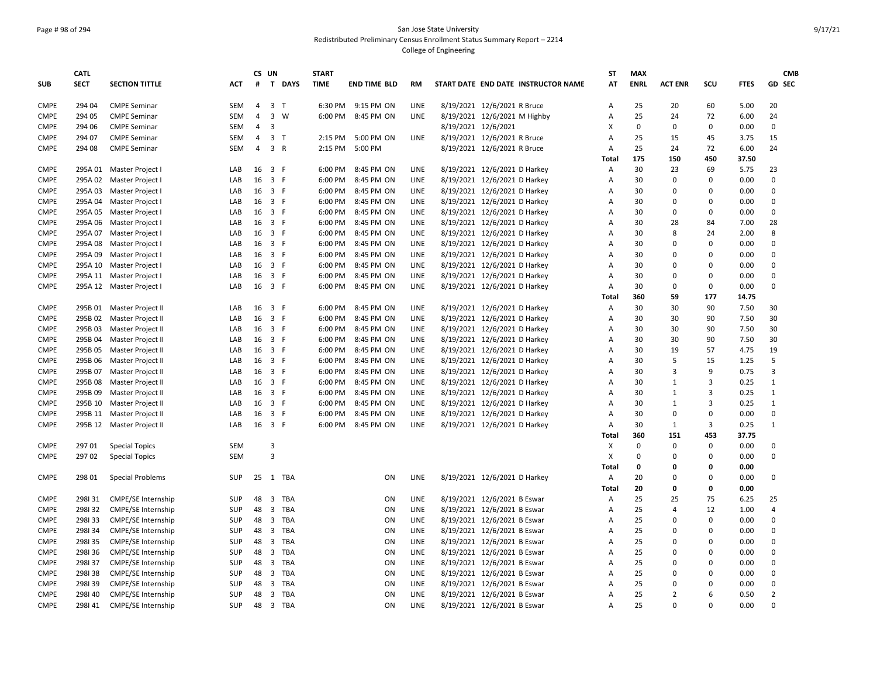# Page # 98 of 294 San Jose State University Redistributed Preliminary Census Enrollment Status Summary Report – 2214

|                            | <b>CATL</b>     |                                                |                   |                | CS UN          |          | <b>START</b> |                     |             |                              |                                     | <b>ST</b>      | <b>MAX</b>  |                |             |              | <b>CMB</b>     |
|----------------------------|-----------------|------------------------------------------------|-------------------|----------------|----------------|----------|--------------|---------------------|-------------|------------------------------|-------------------------------------|----------------|-------------|----------------|-------------|--------------|----------------|
| <b>SUB</b>                 | <b>SECT</b>     | <b>SECTION TITTLE</b>                          | ACT               | $\pmb{\sharp}$ |                | T DAYS   | <b>TIME</b>  | <b>END TIME BLD</b> | RM          |                              | START DATE END DATE INSTRUCTOR NAME | AT             | <b>ENRL</b> | <b>ACT ENR</b> | SCU         | <b>FTES</b>  | GD SEC         |
| <b>CMPE</b>                | 294 04          | <b>CMPE Seminar</b>                            | SEM               | 4              | 3 <sub>1</sub> |          |              | 6:30 PM 9:15 PM ON  | LINE        | 8/19/2021 12/6/2021 R Bruce  |                                     | Α              | 25          | 20             | 60          | 5.00         | 20             |
| <b>CMPE</b>                | 294 05          | <b>CMPE Seminar</b>                            | <b>SEM</b>        | $\overline{4}$ | $\overline{3}$ | W        | 6:00 PM      | 8:45 PM ON          | LINE        | 8/19/2021 12/6/2021 M Highby |                                     | A              | 25          | 24             | 72          | 6.00         | 24             |
| <b>CMPE</b>                | 294 06          | <b>CMPE Seminar</b>                            | SEM               | $\overline{4}$ | $\overline{3}$ |          |              |                     |             | 8/19/2021 12/6/2021          |                                     | Χ              | 0           | $\pmb{0}$      | 0           | 0.00         | 0              |
| <b>CMPE</b>                | 294 07          | <b>CMPE Seminar</b>                            | SEM               | $\overline{4}$ | 3 <sub>7</sub> |          | 2:15 PM      | 5:00 PM ON          | LINE        | 8/19/2021 12/6/2021 R Bruce  |                                     | A              | 25          | 15             | 45          | 3.75         | 15             |
| <b>CMPE</b>                | 294 08          | <b>CMPE Seminar</b>                            | SEM               | 4              | 3 R            |          | 2:15 PM      | 5:00 PM             |             | 8/19/2021 12/6/2021 R Bruce  |                                     | Α              | 25          | 24             | 72          | 6.00         | 24             |
|                            |                 |                                                |                   |                |                |          |              |                     |             |                              |                                     | Total          | 175         | 150            | 450         | 37.50        |                |
| <b>CMPE</b>                |                 | 295A 01 Master Project I                       | LAB               | 16             | 3 F            |          | 6:00 PM      | 8:45 PM ON          | <b>LINE</b> | 8/19/2021 12/6/2021 D Harkey |                                     | Α              | 30          | 23             | 69          | 5.75         | 23             |
| <b>CMPE</b>                |                 | 295A 02 Master Project I                       | LAB               | 16             | 3 F            |          | 6:00 PM      | 8:45 PM ON          | LINE        | 8/19/2021 12/6/2021 D Harkey |                                     | $\overline{A}$ | 30          | $\mathbf 0$    | $\Omega$    | 0.00         | $\mathbf 0$    |
| <b>CMPE</b>                |                 | 295A 03 Master Project I                       | LAB               | 16             | 3 F            |          | 6:00 PM      | 8:45 PM ON          | LINE        | 8/19/2021 12/6/2021 D Harkey |                                     | $\overline{A}$ | 30          | $\mathbf 0$    | $\Omega$    | 0.00         | $\mathbf 0$    |
| <b>CMPE</b>                |                 | 295A 04 Master Project I                       | LAB               | 16             | 3 F            |          | 6:00 PM      | 8:45 PM ON          | LINE        | 8/19/2021 12/6/2021 D Harkey |                                     | A              | 30          | 0              | $\Omega$    | 0.00         | 0              |
| <b>CMPE</b>                | 295A 05         | Master Project I                               | LAB               | 16             | 3 F            |          | 6:00 PM      | 8:45 PM ON          | LINE        | 8/19/2021 12/6/2021 D Harkey |                                     | Α              | 30          | 0              | $\Omega$    | 0.00         | 0              |
| <b>CMPE</b>                |                 | 295A 06 Master Project I                       | LAB               | 16             | 3 F            |          | 6:00 PM      | 8:45 PM ON          | <b>LINE</b> | 8/19/2021 12/6/2021 D Harkey |                                     | Α              | 30          | 28             | 84          | 7.00         | 28             |
| <b>CMPE</b>                |                 | 295A 07 Master Project I                       | LAB               | 16             | 3 F            |          | 6:00 PM      | 8:45 PM ON          | LINE        | 8/19/2021 12/6/2021 D Harkey |                                     | A              | 30          | 8              | 24          | 2.00         | 8              |
| <b>CMPE</b>                |                 | 295A 08 Master Project I                       | LAB               | 16             | 3 F            |          | 6:00 PM      | 8:45 PM ON          | LINE        | 8/19/2021 12/6/2021 D Harkey |                                     | A              | 30          | $\mathbf 0$    | $\Omega$    | 0.00         | 0              |
| <b>CMPE</b>                | 295A 09         | Master Project I                               | LAB               | 16             | 3 F            |          | 6:00 PM      | 8:45 PM ON          | LINE        | 8/19/2021 12/6/2021 D Harkey |                                     | Α              | 30          | $\Omega$       | $\Omega$    | 0.00         | 0              |
| <b>CMPE</b>                |                 | 295A 10 Master Project I                       | LAB               | 16             | 3 F            |          | 6:00 PM      | 8:45 PM ON          | LINE        | 8/19/2021 12/6/2021 D Harkey |                                     | A              | 30          | 0              | $\Omega$    | 0.00         | 0              |
| <b>CMPE</b>                |                 | 295A 11 Master Project I                       | LAB               | 16             | 3 F            |          | 6:00 PM      | 8:45 PM ON          | LINE        | 8/19/2021 12/6/2021 D Harkey |                                     | Α              | 30          | 0              | $\mathbf 0$ | 0.00         | 0              |
| <b>CMPE</b>                |                 | 295A 12 Master Project I                       | LAB               | 16 3 F         |                |          | 6:00 PM      | 8:45 PM ON          | LINE        | 8/19/2021 12/6/2021 D Harkey |                                     | A              | 30          | $\mathbf 0$    | 0           | 0.00         | 0              |
|                            |                 |                                                |                   |                |                |          |              |                     |             |                              |                                     | Total          | 360         | 59             | 177         | 14.75        |                |
| <b>CMPE</b>                |                 | 295B 01 Master Project II                      | LAB               | 16             | 3 F            |          | 6:00 PM      | 8:45 PM ON          | LINE        | 8/19/2021 12/6/2021 D Harkey |                                     | Α              | 30          | 30             | 90          | 7.50         | 30             |
| <b>CMPE</b>                |                 | 295B 02 Master Project II                      | LAB               | 16             | 3 F            |          | 6:00 PM      | 8:45 PM ON          | LINE        | 8/19/2021 12/6/2021 D Harkey |                                     | $\overline{A}$ | 30          | 30             | 90          | 7.50         | 30             |
| <b>CMPE</b>                | 295B 03         | Master Project II                              | LAB               | 16             | 3 F            |          | 6:00 PM      | 8:45 PM ON          | LINE        | 8/19/2021 12/6/2021 D Harkey |                                     | Α              | 30          | 30             | 90          | 7.50         | 30             |
| <b>CMPE</b>                | 295B 04         | Master Project II                              | LAB               | 16             | 3 F            |          | 6:00 PM      | 8:45 PM ON          | LINE        | 8/19/2021 12/6/2021 D Harkey |                                     | A              | 30          | 30             | 90          | 7.50         | 30             |
| <b>CMPE</b>                | 295B 05         | Master Project II                              | LAB               | 16             | 3 F            |          | 6:00 PM      | 8:45 PM ON          | LINE        | 8/19/2021 12/6/2021 D Harkey |                                     | A              | 30          | 19             | 57          | 4.75         | 19             |
| <b>CMPE</b>                | 295B 06         | Master Project II                              | LAB               | 16             | 3 F            |          | 6:00 PM      | 8:45 PM ON          | LINE        | 8/19/2021 12/6/2021 D Harkey |                                     | A              | 30          | 5              | 15          | 1.25         | 5              |
| <b>CMPE</b>                | 295B 07         | Master Project II                              | LAB               | 16             | 3 F            |          | 6:00 PM      | 8:45 PM ON          | LINE        | 8/19/2021 12/6/2021 D Harkey |                                     | A              | 30          | 3              | 9           | 0.75         | 3              |
| <b>CMPE</b>                | 295B 08         | Master Project II                              | LAB               | 16             | 3 F            |          | 6:00 PM      | 8:45 PM ON          | LINE        | 8/19/2021 12/6/2021 D Harkey |                                     | A              | 30          | 1              | 3           | 0.25         | $\mathbf{1}$   |
| <b>CMPE</b>                | 295B 09         | Master Project II                              | LAB               | 16             | 3 F            |          | 6:00 PM      | 8:45 PM ON          | <b>LINE</b> | 8/19/2021 12/6/2021 D Harkey |                                     | Α              | 30          | 1              | 3           | 0.25         | $1\,$          |
| <b>CMPE</b>                | 295B 10         | Master Project II                              | LAB               | 16             | 3 F            |          | 6:00 PM      | 8:45 PM ON          | LINE        | 8/19/2021 12/6/2021 D Harkey |                                     | Α              | 30          | 1              | 3           | 0.25         | $\mathbf{1}$   |
| <b>CMPE</b>                | 295B 11         | Master Project II                              | LAB               | 16             | 3 F            |          | 6:00 PM      | 8:45 PM ON          | LINE        | 8/19/2021 12/6/2021 D Harkey |                                     | Α              | 30          | $\mathbf 0$    | $\Omega$    | 0.00         | 0              |
| <b>CMPE</b>                |                 | 295B 12 Master Project II                      | LAB               | 16 3 F         |                |          | 6:00 PM      | 8:45 PM ON          | LINE        | 8/19/2021 12/6/2021 D Harkey |                                     | A              | 30          | $\mathbf{1}$   | 3           | 0.25         | $\mathbf{1}$   |
|                            |                 |                                                |                   |                |                |          |              |                     |             |                              |                                     | <b>Total</b>   | 360         | 151            | 453         | 37.75        |                |
|                            |                 |                                                |                   |                | 3              |          |              |                     |             |                              |                                     |                | $\Omega$    | 0              | $\Omega$    |              | 0              |
| <b>CMPE</b><br><b>CMPE</b> | 297 01<br>29702 | <b>Special Topics</b><br><b>Special Topics</b> | SEM<br><b>SEM</b> |                | $\overline{3}$ |          |              |                     |             |                              |                                     | Χ<br>X         | $\mathbf 0$ | $\mathbf 0$    | $\Omega$    | 0.00<br>0.00 | 0              |
|                            |                 |                                                |                   |                |                |          |              |                     |             |                              |                                     | Total          | 0           | 0              | 0           | 0.00         |                |
|                            |                 |                                                |                   |                |                |          |              |                     |             |                              |                                     |                |             | $\mathbf 0$    | $\Omega$    |              | 0              |
| <b>CMPE</b>                | 298 01          | <b>Special Problems</b>                        | <b>SUP</b>        | 25             |                | 1 TBA    |              | ON                  | LINE        | 8/19/2021 12/6/2021 D Harkey |                                     | Α              | 20          |                |             | 0.00         |                |
|                            |                 |                                                |                   |                |                |          |              |                     |             |                              |                                     | Total          | 20          | 0              | $\mathbf 0$ | 0.00         |                |
| <b>CMPE</b>                | 298131          | <b>CMPE/SE Internship</b>                      | SUP               | 48             |                | 3 TBA    |              | ON                  | LINE        | 8/19/2021 12/6/2021 B Eswar  |                                     | Α              | 25          | 25             | 75          | 6.25         | 25<br>4        |
| <b>CMPE</b>                | 298132          | <b>CMPE/SE Internship</b>                      | <b>SUP</b>        | 48             |                | 3 TBA    |              | ON                  | <b>LINE</b> | 8/19/2021 12/6/2021 B Eswar  |                                     | A              | 25          | 4              | 12          | 1.00         |                |
| <b>CMPE</b>                | 298133          | <b>CMPE/SE Internship</b>                      | <b>SUP</b>        | 48             |                | 3 TBA    |              | ON                  | <b>LINE</b> | 8/19/2021 12/6/2021 B Eswar  |                                     | Α              | 25          | 0              | $\Omega$    | 0.00         | $\mathbf 0$    |
| <b>CMPE</b>                | 298134          | CMPE/SE Internship                             | <b>SUP</b>        | 48             |                | 3 TBA    |              | ON                  | LINE        | 8/19/2021 12/6/2021 B Eswar  |                                     | Α              | 25          | 0              | $\Omega$    | 0.00         | 0              |
| <b>CMPE</b>                | 298135          | <b>CMPE/SE Internship</b>                      | <b>SUP</b>        | 48             |                | 3 TBA    |              | ON                  | LINE        | 8/19/2021 12/6/2021 B Eswar  |                                     | A              | 25          | 0              | $\Omega$    | 0.00         | 0              |
| <b>CMPE</b>                | 298136          | <b>CMPE/SE Internship</b>                      | <b>SUP</b>        | 48             |                | 3 TBA    |              | ON                  | LINE        | 8/19/2021 12/6/2021 B Eswar  |                                     | $\overline{A}$ | 25          | 0              | $\Omega$    | 0.00         | 0              |
| <b>CMPE</b>                | 298137          | <b>CMPE/SE Internship</b>                      | SUP               | 48             | $\overline{3}$ | TBA      |              | ON                  | LINE        | 8/19/2021 12/6/2021 B Eswar  |                                     | A              | 25          | $\mathbf 0$    | $\Omega$    | 0.00         | 0              |
| <b>CMPE</b>                | 298138          | <b>CMPE/SE Internship</b>                      | SUP               | 48             | $\overline{3}$ | TBA      |              | ON                  | <b>LINE</b> | 8/19/2021 12/6/2021 B Eswar  |                                     | A              | 25          | $\Omega$       | $\Omega$    | 0.00         | 0              |
| <b>CMPE</b>                | 298139          | <b>CMPE/SE Internship</b>                      | SUP               | 48             |                | 3 TBA    |              | ON                  | LINE        | 8/19/2021 12/6/2021 B Eswar  |                                     | A              | 25          | 0              | $\mathbf 0$ | 0.00         | 0              |
| <b>CMPE</b>                | 298140          | <b>CMPE/SE Internship</b>                      | <b>SUP</b>        | 48             |                | 3 TBA    |              | ON                  | LINE        | 8/19/2021 12/6/2021 B Eswar  |                                     | Α              | 25          | 2              | 6           | 0.50         | $\overline{2}$ |
| <b>CMPE</b>                | 298141          | <b>CMPE/SE Internship</b>                      | <b>SUP</b>        |                |                | 48 3 TBA |              | ON                  | LINE        | 8/19/2021 12/6/2021 B Eswar  |                                     | A              | 25          | $\Omega$       | $\Omega$    | 0.00         | $\Omega$       |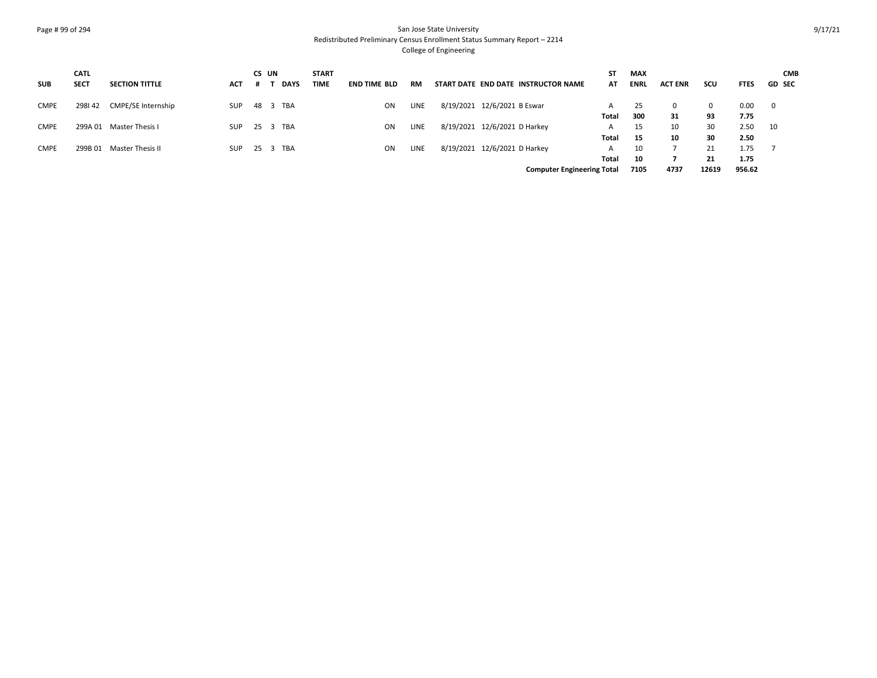## Page # 99 of 294 San Jose State University Redistributed Preliminary Census Enrollment Status Summary Report – 2214

|             | <b>CATL</b> |                       |            | CS UN |             | <b>START</b> |                     |             |                                     | SΤ           | <b>MAX</b>  |                |       |             | <b>CMB</b>               |
|-------------|-------------|-----------------------|------------|-------|-------------|--------------|---------------------|-------------|-------------------------------------|--------------|-------------|----------------|-------|-------------|--------------------------|
| <b>SUB</b>  | <b>SECT</b> | <b>SECTION TITTLE</b> | <b>ACT</b> |       | <b>DAYS</b> | TIME         | <b>END TIME BLD</b> | RM          | START DATE END DATE INSTRUCTOR NAME | AT           | <b>ENRL</b> | <b>ACT ENR</b> | scu   | <b>FTES</b> | <b>GD SEC</b>            |
| CMPE        | 298142      | CMPE/SE Internship    | <b>SUP</b> |       | 48 3 TBA    |              | <b>ON</b>           | LINE        | 8/19/2021 12/6/2021 B Eswar         | A            | 25          | 0              | 0     | 0.00        | $\overline{\phantom{0}}$ |
|             |             |                       |            |       |             |              |                     |             |                                     | Total        | 300         | 31             | 93    | 7.75        |                          |
| <b>CMPE</b> | 299A 01     | Master Thesis I       | <b>SUP</b> |       | 25 3 TBA    |              | ON                  | <b>LINE</b> | 8/19/2021 12/6/2021 D Harkey        | A            | 15          | 10             | 30    | 2.50        | 10                       |
|             |             |                       |            |       |             |              |                     |             |                                     | Total        | 15          | 10             | 30    | 2.50        |                          |
| <b>CMPE</b> | 299B 01     | Master Thesis II      | <b>SUP</b> |       | 25 3 TBA    |              | ON                  | <b>LINE</b> | 8/19/2021 12/6/2021 D Harkey        | $\mathsf{A}$ | 10          |                | 21    | 1.75        |                          |
|             |             |                       |            |       |             |              |                     |             |                                     | Total        | 10          |                | 21    | 1.75        |                          |
|             |             |                       |            |       |             |              |                     |             | <b>Computer Engineering Total</b>   |              | 7105        | 4737           | 12619 | 956.62      |                          |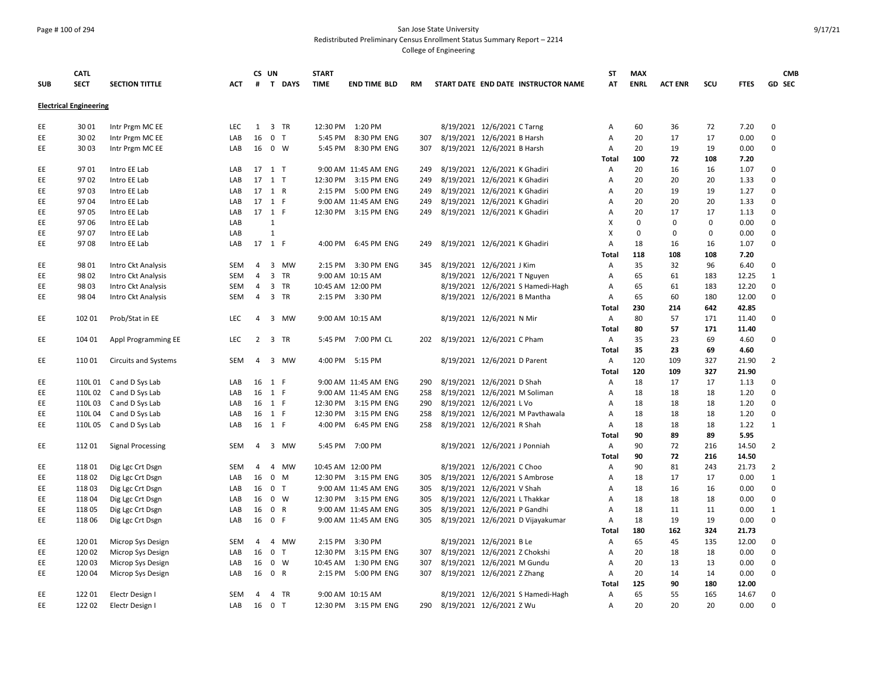#### Page # 100 of 294 San Jose State University Redistributed Preliminary Census Enrollment Status Summary Report – 2214

|            | <b>CATL</b>                   |                             |            |                | CS UN          |        | <b>START</b> |                       |     |                                     | ST    | <b>MAX</b>  |                |          |             | <b>CMB</b>                 |
|------------|-------------------------------|-----------------------------|------------|----------------|----------------|--------|--------------|-----------------------|-----|-------------------------------------|-------|-------------|----------------|----------|-------------|----------------------------|
| <b>SUB</b> | <b>SECT</b>                   | <b>SECTION TITTLE</b>       | <b>ACT</b> | #              |                | T DAYS | <b>TIME</b>  | <b>END TIME BLD</b>   | RM  | START DATE END DATE INSTRUCTOR NAME | AT    | <b>ENRL</b> | <b>ACT ENR</b> | scu      | <b>FTES</b> | <b>GD SEC</b>              |
|            | <b>Electrical Engineering</b> |                             |            |                |                |        |              |                       |     |                                     |       |             |                |          |             |                            |
| EE         | 3001                          | Intr Prgm MC EE             | LEC        | 1              |                | 3 TR   | 12:30 PM     | 1:20 PM               |     | 8/19/2021 12/6/2021 C Tarng         | А     | 60          | 36             | 72       | 7.20        | $\mathbf 0$                |
| EE         | 30 02                         | Intr Prgm MC EE             | LAB        | 16             | 0 <sub>T</sub> |        | 5:45 PM      | 8:30 PM ENG           | 307 | 8/19/2021 12/6/2021 B Harsh         | Α     | 20          | 17             | 17       | 0.00        | $\mathbf 0$                |
| EE         | 30 03                         | Intr Prgm MC EE             | LAB        |                | 16 0 W         |        |              | 5:45 PM 8:30 PM ENG   | 307 | 8/19/2021 12/6/2021 B Harsh         | Α     | 20          | 19             | 19       | 0.00        | 0                          |
|            |                               |                             |            |                |                |        |              |                       |     |                                     | Total | 100         | 72             | 108      | 7.20        |                            |
| EE         | 9701                          | Intro EE Lab                | LAB        |                | 17 1 T         |        |              | 9:00 AM 11:45 AM ENG  | 249 | 8/19/2021 12/6/2021 K Ghadiri       | Α     | 20          | 16             | 16       | 1.07        | 0                          |
| EE         | 9702                          | Intro EE Lab                | LAB        |                | 17 1 T         |        |              | 12:30 PM 3:15 PM ENG  | 249 | 8/19/2021 12/6/2021 K Ghadiri       | Α     | 20          | 20             | 20       | 1.33        | $\mathbf 0$                |
| EE         | 9703                          | Intro EE Lab                | LAB        | 17 1 R         |                |        |              | 2:15 PM 5:00 PM ENG   | 249 | 8/19/2021 12/6/2021 K Ghadiri       | Α     | 20          | 19             | 19       | 1.27        | $\mathbf 0$                |
| EE         | 9704                          | Intro EE Lab                | LAB        |                | 17 1 F         |        |              | 9:00 AM 11:45 AM ENG  | 249 | 8/19/2021 12/6/2021 K Ghadiri       | Α     | 20          | 20             | 20       | 1.33        | $\mathbf 0$                |
| EE         | 9705                          | Intro EE Lab                | LAB        | 17 1 F         |                |        |              | 12:30 PM 3:15 PM ENG  | 249 | 8/19/2021 12/6/2021 K Ghadiri       | А     | 20          | 17             | 17       | 1.13        | $\mathbf 0$                |
| EE         | 9706                          | Intro EE Lab                | LAB        |                | $\mathbf{1}$   |        |              |                       |     |                                     | x     | $\Omega$    | $\Omega$       | $\Omega$ | 0.00        | $\mathbf 0$                |
| EE.        | 9707                          | Intro EE Lab                | LAB        |                | $\mathbf{1}$   |        |              |                       |     |                                     | X     | $\Omega$    | $\Omega$       | $\Omega$ | 0.00        | $\mathbf 0$                |
| EE         | 9708                          | Intro EE Lab                | LAB        | 17 1 F         |                |        | 4:00 PM      | 6:45 PM ENG           | 249 | 8/19/2021 12/6/2021 K Ghadiri       | Α     | 18          | 16             | 16       | 1.07        | $\mathbf 0$                |
|            |                               |                             |            |                |                |        |              |                       |     |                                     | Total | 118         | 108            | 108      | 7.20        |                            |
| EE         | 98 01                         | Intro Ckt Analysis          | SEM        | $\overline{4}$ |                | 3 MW   |              | 2:15 PM 3:30 PM ENG   | 345 | 8/19/2021 12/6/2021 J Kim           | Α     | 35          | 32             | 96       | 6.40        | $\mathbf 0$                |
| EE         | 98 02                         |                             | <b>SEM</b> | 4              |                | 3 TR   |              | 9:00 AM 10:15 AM      |     |                                     | Α     | 65          | 61             | 183      | 12.25       | $\mathbf{1}$               |
|            |                               | Intro Ckt Analysis          |            |                |                |        |              |                       |     | 8/19/2021 12/6/2021 T Nguyen        |       |             |                |          |             |                            |
| EE.        | 98 03                         | Intro Ckt Analysis          | SEM        | $\overline{4}$ |                | 3 TR   |              | 10:45 AM 12:00 PM     |     | 8/19/2021 12/6/2021 S Hamedi-Hagh   | A     | 65<br>65    | 61             | 183      | 12.20       | $\mathbf 0$<br>$\mathbf 0$ |
| EE         | 98 04                         | Intro Ckt Analysis          | SEM        | 4              |                | 3 TR   |              | 2:15 PM 3:30 PM       |     | 8/19/2021 12/6/2021 B Mantha        | А     |             | 60             | 180      | 12.00       |                            |
|            |                               |                             |            |                |                |        |              |                       |     |                                     | Total | 230         | 214            | 642      | 42.85       |                            |
| EE.        | 102 01                        | Prob/Stat in EE             | <b>LEC</b> | 4              |                | 3 MW   |              | 9:00 AM 10:15 AM      |     | 8/19/2021 12/6/2021 N Mir           | Α     | 80          | 57             | 171      | 11.40       | $\mathbf 0$                |
|            |                               |                             |            |                |                |        |              |                       |     |                                     | Total | 80          | 57             | 171      | 11.40       |                            |
| EE         | 104 01                        | Appl Programming EE         | <b>LEC</b> |                | 2 3 TR         |        |              | 5:45 PM 7:00 PM CL    | 202 | 8/19/2021 12/6/2021 C Pham          | Α     | 35          | 23             | 69       | 4.60        | $\mathbf 0$                |
|            |                               |                             |            |                |                |        |              |                       |     |                                     | Total | 35          | 23             | 69       | 4.60        |                            |
| EE         | 11001                         | <b>Circuits and Systems</b> | <b>SEM</b> | $\overline{4}$ |                | 3 MW   |              | 4:00 PM 5:15 PM       |     | 8/19/2021 12/6/2021 D Parent        | Α     | 120         | 109            | 327      | 21.90       | $\overline{2}$             |
|            |                               |                             |            |                |                |        |              |                       |     |                                     | Total | 120         | 109            | 327      | 21.90       |                            |
| EE         |                               | 110L01 Cand D Sys Lab       | LAB        |                | 16 1 F         |        |              | 9:00 AM 11:45 AM ENG  | 290 | 8/19/2021 12/6/2021 D Shah          | Α     | 18          | 17             | 17       | 1.13        | 0                          |
| EE         | 110L02                        | C and D Sys Lab             | LAB        |                | 16 1 F         |        |              | 9:00 AM 11:45 AM ENG  | 258 | 8/19/2021 12/6/2021 M Soliman       | А     | 18          | 18             | 18       | 1.20        | $\mathbf 0$                |
| EE         | 110L03                        | C and D Sys Lab             | LAB        |                | 16 1 F         |        |              | 12:30 PM 3:15 PM ENG  | 290 | 8/19/2021 12/6/2021 L Vo            | Α     | 18          | 18             | 18       | 1.20        | $\mathbf 0$                |
| EE         | 110L04                        | C and D Sys Lab             | LAB        |                | 16 1 F         |        | 12:30 PM     | 3:15 PM ENG           | 258 | 8/19/2021 12/6/2021 M Pavthawala    | Α     | 18          | 18             | 18       | 1.20        | $\mathbf 0$                |
| EE.        |                               | 110L05 Cand D Sys Lab       | LAB        |                | 16 1 F         |        |              | 4:00 PM 6:45 PM ENG   | 258 | 8/19/2021 12/6/2021 R Shah          | Α     | 18          | 18             | 18       | 1.22        | $\mathbf{1}$               |
|            |                               |                             |            |                |                |        |              |                       |     |                                     | Total | 90          | 89             | 89       | 5.95        |                            |
| EE         | 11201                         | <b>Signal Processing</b>    | <b>SEM</b> | 4              |                | 3 MW   | 5:45 PM      | 7:00 PM               |     | 8/19/2021 12/6/2021 J Ponniah       | Α     | 90          | 72             | 216      | 14.50       | 2                          |
|            |                               |                             |            |                |                |        |              |                       |     |                                     | Total | 90          | 72             | 216      | 14.50       |                            |
| EE.        | 11801                         | Dig Lgc Crt Dsgn            | <b>SEM</b> | 4              |                | 4 MW   |              | 10:45 AM 12:00 PM     |     | 8/19/2021 12/6/2021 C Choo          | Α     | 90          | 81             | 243      | 21.73       | $\overline{2}$             |
| EE         | 11802                         | Dig Lgc Crt Dsgn            | LAB        | 16             | 0 M            |        |              | 12:30 PM 3:15 PM ENG  | 305 | 8/19/2021 12/6/2021 S Ambrose       | Α     | 18          | 17             | 17       | 0.00        | 1                          |
| EE         | 11803                         | Dig Lgc Crt Dsgn            | LAB        |                | 16 0 T         |        |              | 9:00 AM 11:45 AM ENG  | 305 | 8/19/2021 12/6/2021 V Shah          | А     | 18          | 16             | 16       | 0.00        | $\mathbf 0$                |
| EE.        | 11804                         | Dig Lgc Crt Dsgn            | LAB        |                | 16 0 W         |        |              | 12:30 PM 3:15 PM ENG  | 305 | 8/19/2021 12/6/2021 L Thakkar       | A     | 18          | 18             | 18       | 0.00        | $\mathbf 0$                |
| EE         | 11805                         | Dig Lgc Crt Dsgn            | LAB        | 16             | 0 R            |        |              | 9:00 AM 11:45 AM ENG  | 305 | 8/19/2021 12/6/2021 P Gandhi        | Α     | 18          | 11             | 11       | 0.00        | $\mathbf{1}$               |
| EE.        | 11806                         | Dig Lgc Crt Dsgn            | LAB        | 16             | 0 F            |        |              | 9:00 AM 11:45 AM ENG  | 305 | 8/19/2021 12/6/2021 D Vijayakumar   | А     | 18          | 19             | 19       | 0.00        | $\mathbf 0$                |
|            |                               |                             |            |                |                |        |              |                       |     |                                     | Total | 180         | 162            | 324      | 21.73       |                            |
| EE         | 120 01                        | Microp Sys Design           | SEM        | $\overline{4}$ |                | 4 MW   |              | 2:15 PM 3:30 PM       |     | 8/19/2021 12/6/2021 B Le            | Α     | 65          | 45             | 135      | 12.00       | $\mathbf 0$                |
| EE.        | 120 02                        | Microp Sys Design           | LAB        | 16             | 0 <sub>T</sub> |        | 12:30 PM     | 3:15 PM ENG           | 307 | 8/19/2021 12/6/2021 Z Chokshi       | Α     | 20          | 18             | 18       | 0.00        | $\mathsf 0$                |
| EE         | 120 03                        | Microp Sys Design           | LAB        | 16             |                | 0 W    |              | 10:45 AM  1:30 PM ENG | 307 | 8/19/2021 12/6/2021 M Gundu         | Α     | 20          | 13             | 13       | 0.00        | $\mathsf 0$                |
| EE         | 120 04                        | Microp Sys Design           | LAB        | 16             | 0 R            |        | 2:15 PM      | 5:00 PM ENG           | 307 | 8/19/2021 12/6/2021 Z Zhang         | Α     | 20          | 14             | 14       | 0.00        | $\mathbf 0$                |
|            |                               |                             |            |                |                |        |              |                       |     |                                     | Total | 125         | 90             | 180      | 12.00       |                            |
| EE.        | 12201                         | Electr Design I             | <b>SEM</b> | 4              |                | 4 TR   |              | 9:00 AM 10:15 AM      |     | 8/19/2021 12/6/2021 S Hamedi-Hagh   | Α     | 65          | 55             | 165      | 14.67       | $\mathsf 0$                |
| EE.        | 122 02                        | Electr Design I             | LAB        | 16             | 0 <sub>T</sub> |        |              | 12:30 PM 3:15 PM ENG  | 290 | 8/19/2021 12/6/2021 Z Wu            | Α     | 20          | 20             | 20       | 0.00        | $\Omega$                   |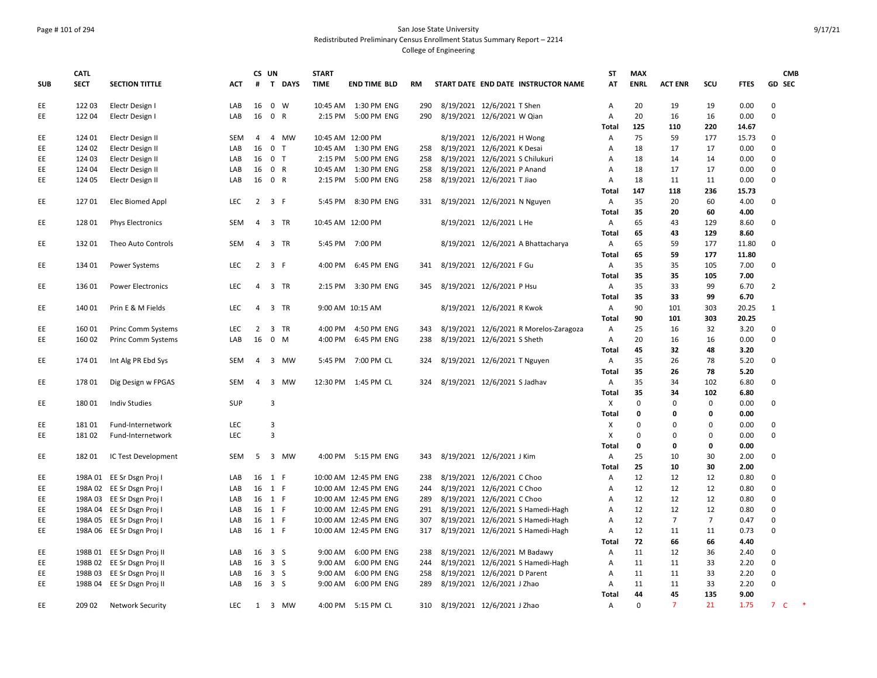## Page # 101 of 294 San Jose State University Redistributed Preliminary Census Enrollment Status Summary Report – 2214

|            | <b>CATL</b> |                            |            | CS UN          |                     |          | <b>START</b>      |                       |           |                              |                                 |                                        | <b>ST</b>                 | <b>MAX</b>  |                |                |             | <b>CMB</b>                                  |
|------------|-------------|----------------------------|------------|----------------|---------------------|----------|-------------------|-----------------------|-----------|------------------------------|---------------------------------|----------------------------------------|---------------------------|-------------|----------------|----------------|-------------|---------------------------------------------|
| <b>SUB</b> | <b>SECT</b> | <b>SECTION TITTLE</b>      | <b>ACT</b> |                |                     | # T DAYS | <b>TIME</b>       | <b>END TIME BLD</b>   | <b>RM</b> |                              |                                 | START DATE END DATE INSTRUCTOR NAME    | AT                        | <b>ENRL</b> | <b>ACT ENR</b> | SCU            | <b>FTES</b> | <b>GD SEC</b>                               |
| EE         | 122 03      | Electr Design I            | LAB        | 16             | $0 \quad W$         |          |                   | 10:45 AM  1:30 PM ENG | 290       | 8/19/2021 12/6/2021 T Shen   |                                 |                                        | А                         | 20          | 19             | 19             | 0.00        | $\mathbf 0$                                 |
| EE.        | 122 04      | Electr Design I            | LAB        | 16             | 0 R                 |          | 2:15 PM           | 5:00 PM ENG           | 290       | 8/19/2021 12/6/2021 W Qian   |                                 |                                        | A                         | 20          | 16             | 16             | 0.00        | $\mathbf 0$                                 |
|            |             |                            |            |                |                     |          |                   |                       |           |                              |                                 |                                        | <b>Total</b>              | 125         | 110            | 220            | 14.67       |                                             |
| EE         | 124 01      | Electr Design II           | <b>SEM</b> | 4              |                     | 4 MW     | 10:45 AM 12:00 PM |                       |           |                              | 8/19/2021 12/6/2021 H Wong      |                                        | Α                         | 75          | 59             | 177            | 15.73       | 0                                           |
| EE         | 124 02      | Electr Design II           | LAB        | 16             | 0 <sub>T</sub>      |          | 10:45 AM          | 1:30 PM ENG           | 258       | 8/19/2021 12/6/2021 K Desai  |                                 |                                        | А                         | 18          | 17             | 17             | 0.00        | 0                                           |
| EE         | 124 03      | Electr Design II           | LAB        | 16             | 0 <sub>T</sub>      |          | 2:15 PM           | 5:00 PM ENG           | 258       |                              | 8/19/2021 12/6/2021 S Chilukuri |                                        | А                         | 18          | 14             | 14             | 0.00        | 0                                           |
| EE         | 124 04      | Electr Design II           | LAB        | 16             | 0 R                 |          | 10:45 AM          | 1:30 PM ENG           | 258       |                              | 8/19/2021 12/6/2021 P Anand     |                                        | A                         | 18          | 17             | 17             | 0.00        | $\mathbf 0$                                 |
| EE         | 124 05      | Electr Design II           | LAB        | 16             | 0 R                 |          | 2:15 PM           | 5:00 PM ENG           | 258       |                              | 8/19/2021 12/6/2021 T Jiao      |                                        | Α                         | 18          | 11             | 11             | 0.00        | $\pmb{0}$                                   |
|            |             |                            |            |                |                     |          |                   |                       |           |                              |                                 |                                        | Total                     | 147         | 118            | 236            | 15.73       |                                             |
| EE         | 12701       | Elec Biomed Appl           | <b>LEC</b> |                | $2 \quad 3 \quad F$ |          |                   | 5:45 PM 8:30 PM ENG   | 331       |                              | 8/19/2021 12/6/2021 N Nguyen    |                                        | A                         | 35          | 20             | 60             | 4.00        | 0                                           |
|            |             |                            |            |                |                     |          |                   |                       |           |                              |                                 |                                        | <b>Total</b>              | 35          | 20             | 60             | 4.00        |                                             |
| EE         | 128 01      | <b>Phys Electronics</b>    | SEM        |                | 4 3 TR              |          | 10:45 AM 12:00 PM |                       |           |                              | 8/19/2021 12/6/2021 L He        |                                        | Α                         | 65          | 43             | 129            | 8.60        | 0                                           |
|            |             |                            |            |                |                     |          |                   |                       |           |                              |                                 |                                        | Total                     | 65          | 43             | 129            | 8.60        |                                             |
| EE         | 13201       | Theo Auto Controls         | <b>SEM</b> |                | 4 3 TR              |          |                   | 5:45 PM 7:00 PM       |           |                              |                                 | 8/19/2021 12/6/2021 A Bhattacharya     | $\mathsf{A}$              | 65          | 59             | 177            | 11.80       | $\mathbf 0$                                 |
|            |             |                            |            |                |                     |          |                   |                       |           |                              |                                 |                                        | <b>Total</b>              | 65          | 59             | 177            | 11.80       |                                             |
| EE         | 134 01      | <b>Power Systems</b>       | LEC        |                | $2 \quad 3 \quad F$ |          |                   | 4:00 PM 6:45 PM ENG   | 341       | 8/19/2021 12/6/2021 F Gu     |                                 |                                        | A                         | 35          | 35             | 105            | 7.00        | 0                                           |
|            |             |                            |            |                |                     |          |                   |                       |           |                              |                                 |                                        | Total                     | 35          | 35             | 105            | 7.00        |                                             |
| EE         | 136 01      | <b>Power Electronics</b>   | LEC        | $\overline{4}$ | 3 TR                |          | 2:15 PM           | 3:30 PM ENG           | 345       |                              | 8/19/2021 12/6/2021 P Hsu       |                                        | Α                         | 35          | 33             | 99             | 6.70        | $\overline{2}$                              |
|            |             |                            |            |                |                     |          |                   |                       |           |                              |                                 |                                        | <b>Total</b>              | 35          | 33             | 99             | 6.70        |                                             |
| EE.        | 140 01      | Prin E & M Fields          | <b>LEC</b> | 4              | 3 TR                |          |                   | 9:00 AM 10:15 AM      |           |                              | 8/19/2021 12/6/2021 R Kwok      |                                        | A                         | 90          | 101            | 303            | 20.25       | $\mathbf{1}$                                |
|            |             |                            |            |                |                     |          |                   |                       |           |                              |                                 |                                        | Total                     | 90          | 101            | 303            | 20.25       |                                             |
| EE         | 160 01      | Princ Comm Systems         | <b>LEC</b> | 2              | 3 TR                |          | 4:00 PM           | 4:50 PM ENG           | 343       |                              |                                 | 8/19/2021 12/6/2021 R Morelos-Zaragoza | Α                         | 25          | 16             | 32             | 3.20        | $\mathbf 0$                                 |
| EE         | 160 02      | <b>Princ Comm Systems</b>  | LAB        | 16             | $0$ M               |          | 4:00 PM           | 6:45 PM ENG           | 238       |                              | 8/19/2021 12/6/2021 S Sheth     |                                        | A                         | 20          | 16             | 16             | 0.00        | 0                                           |
|            |             |                            |            |                |                     |          |                   |                       |           |                              |                                 |                                        | <b>Total</b>              | 45          | 32             | 48             | 3.20        |                                             |
| EE         | 174 01      | Int Alg PR Ebd Sys         | SEM        | 4              | 3 MW                |          |                   | 5:45 PM 7:00 PM CL    | 324       |                              | 8/19/2021 12/6/2021 T Nguyen    |                                        | A                         | 35          | 26             | 78             | 5.20        | 0                                           |
|            |             |                            |            |                |                     |          |                   |                       |           |                              |                                 |                                        | Total                     | 35          | 26             | 78             | 5.20        |                                             |
| EE         | 17801       | Dig Design w FPGAS         | <b>SEM</b> | $\overline{4}$ | 3 MW                |          |                   | 12:30 PM 1:45 PM CL   | 324       | 8/19/2021 12/6/2021 S Jadhav |                                 |                                        | $\mathsf{A}$              | 35          | 34             | 102            | 6.80        | $\mathbf 0$                                 |
|            |             |                            |            |                |                     |          |                   |                       |           |                              |                                 |                                        | Total                     | 35          | 34             | 102            | 6.80        |                                             |
| EE         | 18001       | <b>Indiv Studies</b>       | SUP        |                | 3                   |          |                   |                       |           |                              |                                 |                                        | $\boldsymbol{\mathsf{X}}$ | 0           | 0              | 0              | 0.00        | 0                                           |
|            |             |                            |            |                |                     |          |                   |                       |           |                              |                                 |                                        | <b>Total</b>              | 0           | 0              | 0              | 0.00        |                                             |
| EE         | 18101       | Fund-Internetwork          | <b>LEC</b> |                | 3                   |          |                   |                       |           |                              |                                 |                                        | $\boldsymbol{\mathsf{X}}$ | 0           | $\Omega$       | $\mathbf 0$    | 0.00        | 0                                           |
| EE         | 18102       | Fund-Internetwork          | <b>LEC</b> |                | $\overline{3}$      |          |                   |                       |           |                              |                                 |                                        | X                         | $\mathbf 0$ | $\mathbf 0$    | 0              | 0.00        | $\pmb{0}$                                   |
|            |             |                            |            |                |                     |          |                   |                       |           |                              |                                 |                                        | <b>Total</b>              | 0           | 0              | 0              | 0.00        |                                             |
| EE         | 18201       | IC Test Development        | SEM        | 5              | 3 MW                |          |                   | 4:00 PM 5:15 PM ENG   | 343       |                              | 8/19/2021 12/6/2021 J Kim       |                                        | Α                         | 25          | 10             | 30             | 2.00        | 0                                           |
|            |             |                            |            |                |                     |          |                   |                       |           |                              |                                 |                                        | Total                     | 25          | 10             | 30             | 2.00        |                                             |
| EE         |             | 198A 01 EE Sr Dsgn Proj I  | LAB        |                | 16 1 F              |          |                   | 10:00 AM 12:45 PM ENG | 238       |                              | 8/19/2021 12/6/2021 C Choo      |                                        | Α                         | 12          | 12             | 12             | 0.80        | 0                                           |
| EE         |             | 198A 02 EE Sr Dsgn Proj I  | LAB        |                | 16 1 F              |          |                   | 10:00 AM 12:45 PM ENG | 244       |                              | 8/19/2021 12/6/2021 C Choo      |                                        | Α                         | 12          | 12             | 12             | 0.80        | 0                                           |
| EE         |             | 198A 03 EE Sr Dsgn Proj I  | LAB        |                | 16 1 F              |          |                   | 10:00 AM 12:45 PM ENG | 289       |                              | 8/19/2021 12/6/2021 C Choo      |                                        | A                         | 12          | 12             | 12             | 0.80        | $\mathbf 0$                                 |
| EE         |             | 198A 04 EE Sr Dsgn Proj I  | LAB        | 16             | 1 F                 |          |                   | 10:00 AM 12:45 PM ENG | 291       |                              |                                 | 8/19/2021 12/6/2021 S Hamedi-Hagh      | A                         | 12          | 12             | 12             | 0.80        | $\mathbf 0$                                 |
| EE         | 198A 05     | EE Sr Dsgn Proj I          | LAB        | 16             | 1 F                 |          |                   | 10:00 AM 12:45 PM ENG | 307       |                              |                                 | 8/19/2021 12/6/2021 S Hamedi-Hagh      | А                         | 12          | $\overline{7}$ | $\overline{7}$ | 0.47        | 0                                           |
| EE         |             | 198A 06 EE Sr Dsgn Proj I  | LAB        | 16             | 1 F                 |          |                   | 10:00 AM 12:45 PM ENG | 317       |                              |                                 | 8/19/2021 12/6/2021 S Hamedi-Hagh      | А                         | 12          | 11             | 11             | 0.73        | 0                                           |
|            |             |                            |            |                |                     |          |                   |                       |           |                              |                                 |                                        | Total                     | 72          | 66             | 66             | 4.40        |                                             |
| EE         |             | 198B 01 EE Sr Dsgn Proj II | LAB        | 16             | 3 <sup>5</sup>      |          | 9:00 AM           | 6:00 PM ENG           | 238       |                              | 8/19/2021 12/6/2021 M Badawy    |                                        | Α                         | 11          | 12             | 36             | 2.40        | 0                                           |
| EE         |             | 198B 02 EE Sr Dsgn Proj II | LAB        | 16             | 3 <sub>5</sub>      |          | 9:00 AM           | 6:00 PM ENG           | 244       |                              |                                 | 8/19/2021 12/6/2021 S Hamedi-Hagh      | Α                         | 11          | 11             | 33             | 2.20        | 0                                           |
| EE         | 198B 03     | EE Sr Dsgn Proj II         | LAB        | 16             | 3 <sup>5</sup>      |          | 9:00 AM           | 6:00 PM ENG           | 258       |                              | 8/19/2021 12/6/2021 D Parent    |                                        | A                         | 11          | 11             | 33             | 2.20        | 0                                           |
| <b>EE</b>  |             | 198B 04 EE Sr Dsgn Proj II | LAB        |                | 16 3 S              |          | 9:00 AM           | 6:00 PM ENG           | 289       |                              | 8/19/2021 12/6/2021 J Zhao      |                                        | A                         | 11          | 11             | 33             | 2.20        | $\mathbf 0$                                 |
|            |             |                            |            |                |                     |          |                   |                       |           |                              |                                 |                                        | Total                     | 44          | 45             | 135            | 9.00        |                                             |
| EE         | 209 02      | <b>Network Security</b>    | LEC        |                | 1 3 MW              |          |                   | 4:00 PM 5:15 PM CL    | 310       | 8/19/2021 12/6/2021 J Zhao   |                                 |                                        | Α                         | $\mathbf 0$ | $\overline{7}$ | 21             | 1.75        | $\;$ $\;$<br>$\overline{7}$<br>$\mathsf{C}$ |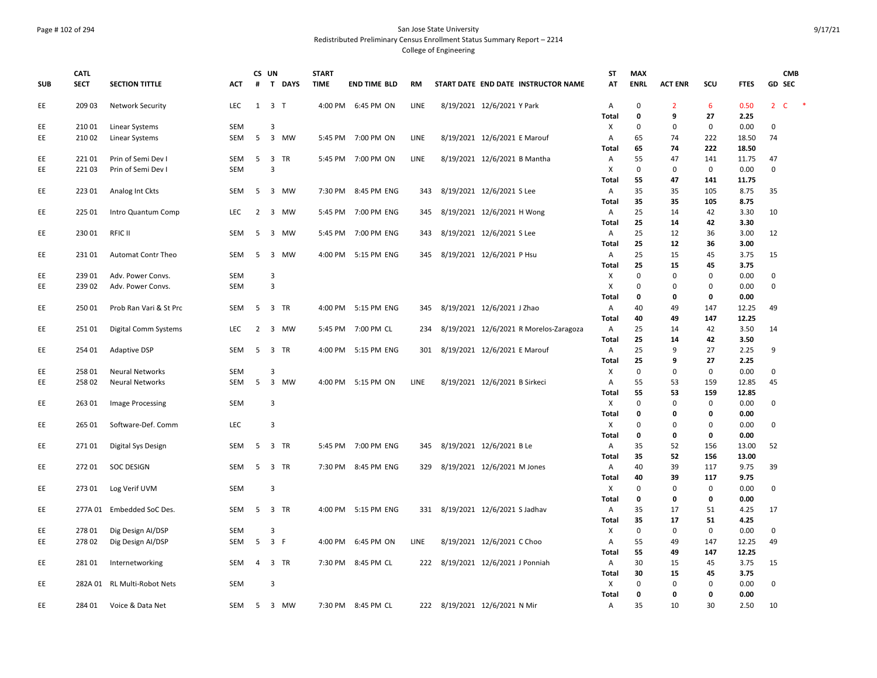**CATL** 

**SECT SECTION TITTLE ACT**

**CS UN # T DAYS** **START** 

**SUB**

#### Page # 102 of 294 San Jose State University Redistributed Preliminary Census Enrollment Status Summary Report – 2214 College of Engineering

**TIME END TIME BLD RM START DATE END DATE INSTRUCTOR NAME**

**ST AT** **MAX** 

**ENRL ACT ENR SCU FTES GD**

EE 209 03 Network Security LEC 1 3 T 4:00 PM 6:45 PM ON LINE 8/19/2021 12/6/2021 Y Park A 0 2 6 0.50 2 C \* **Total 0 9 27 2.25** EE 210 01 Linear Systems SEM 3 SEM 3 SEM 3 SEM 3 Seminar System (200 0 0 0 0.00 0 0.00 0 0.00 0 0.00 0 0.00 0 0 EE 210 02 Linear Systems SEM 5 3 MW 5:45 PM 7:00 PM ON LINE 8/19/2021 12/6/2021 E Marouf A 65 74 222 18.50 74 **Total 65 74 222 18.50** EE 22101 Prin of Semi Dev I SEM 5 3 TR 5:45 PM 7:00 PM ON LINE 8/19/2021 12/6/2021 B Mantha A 55 47 141 11.75 47 EE 221 03 Prin of Semi Dev I SEM 3 X 0 0 0 0.00 0 **Total 55 47 141 11.75** EE 223 01 Analog Int Ckts SEM 5 3 MW 7:30 PM 8:45 PM ENG 343 8/19/2021 12/6/2021 S Lee A 35 35 105 8.75 35 **Total 35 35 105 8.75** EE 225 01 Intro Quantum Comp LEC 2 3 MW 5:45 PM 7:00 PM ENG 345 8/19/2021 12/6/2021 H Wong A 25 14 42 3.30 10 **Total 25 14 42 3.30** EE 230 01 RFIC II SEM 5 3 MW 5:45 PM 7:00 PM ENG 343 8/19/2021 12/6/2021 S Lee A 25 12 36 3.00 12 **Total 25 12 36 3.00** EE 231 01 Automat Contr Theo SEM 5 3 MW 4:00 PM 5:15 PM ENG 345 8/19/2021 12/6/2021 P Hsu A 25 15 45 3.75 15 **Total 25 15 45 3.75** EE 239 01 Adv. Power Convs. SEM 3 X 0 0 0 0.00 0 EE 239 02 Adv. Power Convs. SEM 3 X 0 0 0 0.00 0 **Total 0 0 0 0.00** EE 250 01 Prob Ran Vari & St Prc SEM 5 3 TR 4:00 PM 5:15 PM ENG 345 8/19/2021 12/6/2021 J Zhao A 40 49 147 12.25 49 **Total 40 49 147 12.25** EE 251 01 Digital Comm Systems LEC 2 3 MW 5:45 PM 7:00 PM CL 234 8/19/2021 12/6/2021 R Morelos-Zaragoza A 25 14 42 3.50 14 **Total 25 14 42 3.50** EE 254 01 Adaptive DSP SEM 5 3 TR 4:00 PM 5:15 PM ENG 301 8/19/2021 12/6/2021 E Marouf A 25 9 27 2.25 9 **Total 25 9 27 2.25** EE 258 01 Neural Networks SEM 3 X 0 0 0 0.00 0 EE 258 02 Neural Networks SEM 5 3 MW 4:00 PM 5:15 PM ON LINE 8/19/2021 12/6/2021 B Sirkeci A 55 53 159 12.85 45 **Total 55 53 159 12.85** EE 263 01 Image Processing SEM 3 SEM 3 SEM 3 SEM 3 SEM 3 SEM 3 SEM 3 SEM 3 SEM 3 SEM 3 SEM 3 SEM 3 SEM 3 SEM 3 SEM 3 SEM 3 SEM 3 SEM 3 SEM 3 SEM 3 SEM 3 SEM 3 SEM 3 SEM 3 SEM 3 SEM 3 SEM 3 SEM 3 SEM 3 SEM 3 SEM 3 SEM 3 SEM **Total 0 0 0 0.00** EE 265 01 Software-Def. Comm LEC 3 X 0 0 0 0.00 0 **Total 0 0 0 0.00** EE 271 01 Digital Sys Design SEM 5 3 TR 5:45 PM 7:00 PM ENG 345 8/19/2021 12/6/2021 B Le A 35 52 156 13.00 52 **Total 35 52 156 13.00** EE 272 01 SOC DESIGN SEM 5 3 TR 7:30 PM 8:45 PM ENG 329 8/19/2021 12/6/2021 M Jones A 40 39 117 9.75 39 **Total 40 39 117 9.75** EE 273 01 Log Verif UVM SEM 3 X 0 0 0 0.00 0 **Total 0 0 0 0.00** EE 277A 01 Embedded SoC Des. SEM 5 3 TR 4:00 PM 5:15 PM ENG 331 8/19/2021 12/6/2021 S Jadhav A 35 17 51 4.25 17 **Total 35 17 51 4.25** EE 278 01 Dig Design AI/DSP SEM 3 X 0 0 0 0.00 0 EE 278 02 Dig Design AI/DSP SEM 5 3 F 4:00 PM 6:45 PM ON LINE 8/19/2021 12/6/2021 C Choo A 55 49 147 12.25 49 **Total 55 49 147 12.25** EE 281 01 Internetworking SEM 4 3 TR 7:30 PM 8:45 PM CL 222 8/19/2021 12/6/2021 J Ponniah A 30 15 45 3.75 15 **Total 30 15 45 3.75** EE 282A 01 RL Multi-Robot Nets SEM 3 X 0 0 0 0.00 0 **Total 0 0 0 0.00**

EE 284 01 Voice & Data Net SEM 5 3 MW 7:30 PM 8:45 PM CL 222 8/19/2021 12/6/2021 N Mir A 35 10 30 2.50 10

**CMB SEC**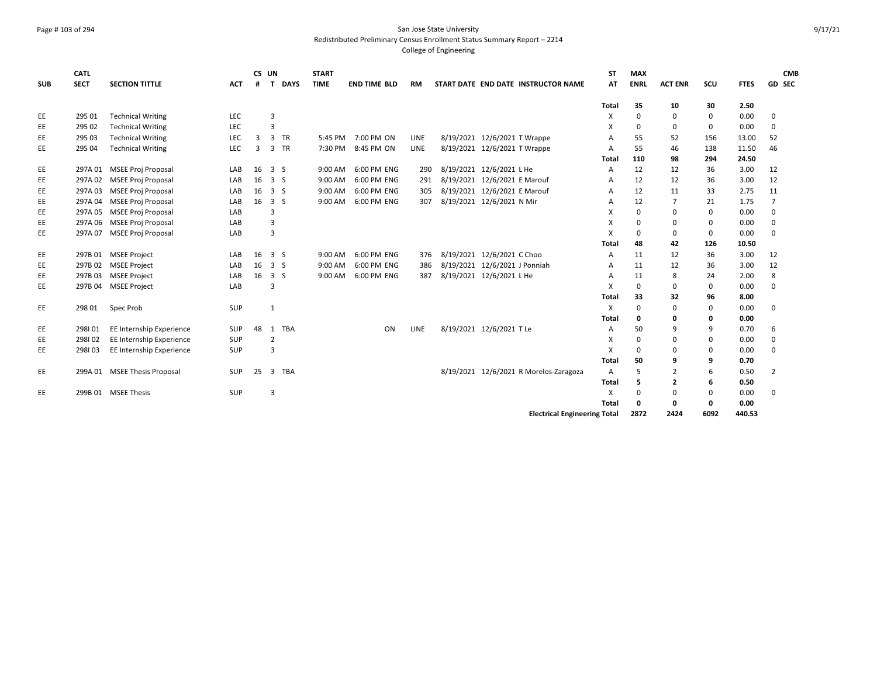#### Page # 103 of 294 San Jose State University Redistributed Preliminary Census Enrollment Status Summary Report – 2214

| <b>SUB</b> | <b>CATL</b><br><b>SECT</b> | <b>SECTION TITTLE</b>        | <b>ACT</b> | CS UN<br># | <b>DAYS</b><br>$\mathbf{T}$ | <b>START</b><br><b>TIME</b> | <b>END TIME BLD</b> | RM   | START DATE END DATE INSTRUCTOR NAME    | <b>ST</b><br>AT | <b>MAX</b><br><b>ENRL</b> | <b>ACT ENR</b> | SCU         | <b>FTES</b> | <b>CMB</b><br><b>GD SEC</b> |
|------------|----------------------------|------------------------------|------------|------------|-----------------------------|-----------------------------|---------------------|------|----------------------------------------|-----------------|---------------------------|----------------|-------------|-------------|-----------------------------|
|            |                            |                              |            |            |                             |                             |                     |      |                                        | <b>Total</b>    | 35                        | 10             | 30          | 2.50        |                             |
| EE         | 295 01                     | <b>Technical Writing</b>     | LEC        |            | $\overline{3}$              |                             |                     |      |                                        | X               | $\Omega$                  | $\mathbf 0$    | $\Omega$    | 0.00        | 0                           |
| EE         | 295 02                     | <b>Technical Writing</b>     | LEC        |            | 3                           |                             |                     |      |                                        | X               | 0                         | $\mathbf{0}$   | 0           | 0.00        | 0                           |
| EE         | 295 03                     | <b>Technical Writing</b>     | LEC        | 3          | 3 TR                        |                             | 5:45 PM 7:00 PM ON  | LINE | 8/19/2021 12/6/2021 T Wrappe           | $\overline{A}$  | 55                        | 52             | 156         | 13.00       | 52                          |
| EE         | 295 04                     | <b>Technical Writing</b>     | LEC        | 3          | 3 TR                        | 7:30 PM                     | 8:45 PM ON          | LINE | 8/19/2021 12/6/2021 T Wrappe           | A               | 55                        | 46             | 138         | 11.50       | 46                          |
|            |                            |                              |            |            |                             |                             |                     |      |                                        | Total           | 110                       | 98             | 294         | 24.50       |                             |
| EE         | 297A 01                    | <b>MSEE Proj Proposal</b>    | LAB        | 16         | 3S                          | 9:00 AM                     | 6:00 PM ENG         | 290  | 8/19/2021 12/6/2021 L He               | A               | 12                        | 12             | 36          | 3.00        | 12                          |
| EE         | 297A 02                    | <b>MSEE Proj Proposal</b>    | LAB        | 16         | 3 <sub>5</sub>              | 9:00 AM                     | 6:00 PM ENG         | 291  | 8/19/2021 12/6/2021 E Marouf           | A               | 12                        | 12             | 36          | 3.00        | 12                          |
| EE         | 297A03                     | <b>MSEE Proj Proposal</b>    | LAB        | 16         | 3S                          | 9:00 AM                     | 6:00 PM ENG         | 305  | 8/19/2021 12/6/2021 E Marouf           | A               | 12                        | 11             | 33          | 2.75        | 11                          |
| EE         | 297A 04                    | <b>MSEE Proj Proposal</b>    | LAB        | 16         | 3 <sub>5</sub>              | 9:00 AM                     | 6:00 PM ENG         | 307  | 8/19/2021 12/6/2021 N Mir              | A               | 12                        | 7              | 21          | 1.75        | 7                           |
| EE         | 297A 05                    | <b>MSEE Proj Proposal</b>    | LAB        |            | 3                           |                             |                     |      |                                        | X               | $\Omega$                  | $\Omega$       | $\mathbf 0$ | 0.00        | $\mathbf 0$                 |
| EE         | 297A 06                    | <b>MSEE Proj Proposal</b>    | LAB        |            | 3                           |                             |                     |      |                                        | X               | $\Omega$                  | $\mathbf{0}$   | 0           | 0.00        | 0                           |
| EE         | 297A 07                    | <b>MSEE Proj Proposal</b>    | LAB        |            | 3                           |                             |                     |      |                                        | X               | $\Omega$                  | 0              | 0           | 0.00        | 0                           |
|            |                            |                              |            |            |                             |                             |                     |      |                                        | Total           | 48                        | 42             | 126         | 10.50       |                             |
| EE         | 297B 01                    | <b>MSEE Project</b>          | LAB        | 16         | 3S                          | 9:00 AM                     | 6:00 PM ENG         | 376  | 8/19/2021 12/6/2021 C Choo             | A               | 11                        | 12             | 36          | 3.00        | 12                          |
| EE         | 297B 02                    | <b>MSEE Project</b>          | LAB        | 16         | 3 <sub>5</sub>              | 9:00 AM                     | 6:00 PM ENG         | 386  | 8/19/2021 12/6/2021 J Ponniah          | A               | 11                        | 12             | 36          | 3.00        | 12                          |
| EE         | 297B03                     | <b>MSEE Project</b>          | LAB        | 16         | 3S                          | 9:00 AM                     | 6:00 PM ENG         | 387  | 8/19/2021 12/6/2021 L He               | A               | 11                        | 8              | 24          | 2.00        | 8                           |
| EE         | 297B 04                    | <b>MSEE Project</b>          | LAB        |            | 3                           |                             |                     |      |                                        | X               | $\Omega$                  | $\mathbf 0$    | 0           | 0.00        | 0                           |
|            |                            |                              |            |            |                             |                             |                     |      |                                        | Total           | 33                        | 32             | 96          | 8.00        |                             |
| EE         | 298 01                     | Spec Prob                    | SUP        |            | $\mathbf{1}$                |                             |                     |      |                                        | X               | $\Omega$                  | $\mathbf 0$    | $\mathbf 0$ | 0.00        | $\mathbf 0$                 |
|            |                            |                              |            |            |                             |                             |                     |      |                                        | Total           | 0                         | 0              | 0           | 0.00        |                             |
| EE         | 298101                     | EE Internship Experience     | <b>SUP</b> | 48         | 1 TBA                       |                             | ON                  | LINE | 8/19/2021 12/6/2021 T Le               | A               | 50                        | 9              | 9           | 0.70        | 6                           |
| EE         | 298102                     | EE Internship Experience     | SUP        |            | $\overline{2}$              |                             |                     |      |                                        | X               | 0                         | $\mathbf 0$    | 0           | 0.00        | 0                           |
| EE         | 298103                     | EE Internship Experience     | SUP        |            | 3                           |                             |                     |      |                                        | X               | $\Omega$                  | $\Omega$       | 0           | 0.00        | $\Omega$                    |
|            |                            |                              |            |            |                             |                             |                     |      |                                        | Total           | 50                        | 9              | 9           | 0.70        |                             |
| EE         |                            | 299A 01 MSEE Thesis Proposal | SUP        | 25         | 3 TBA                       |                             |                     |      | 8/19/2021 12/6/2021 R Morelos-Zaragoza | A               | 5                         | $\overline{2}$ | 6           | 0.50        | $\overline{2}$              |
|            |                            |                              |            |            |                             |                             |                     |      |                                        | Total           | 5                         | 2              | 6           | 0.50        |                             |
| EE         |                            | 299B 01 MSEE Thesis          | SUP        |            | 3                           |                             |                     |      |                                        | X               | $\Omega$                  | $\mathbf 0$    | 0           | 0.00        | 0                           |
|            |                            |                              |            |            |                             |                             |                     |      |                                        | Total           | 0                         | $\mathbf 0$    | 0           | 0.00        |                             |
|            |                            |                              |            |            |                             |                             |                     |      | <b>Electrical Engineering Total</b>    |                 | 2872                      | 2424           | 6092        | 440.53      |                             |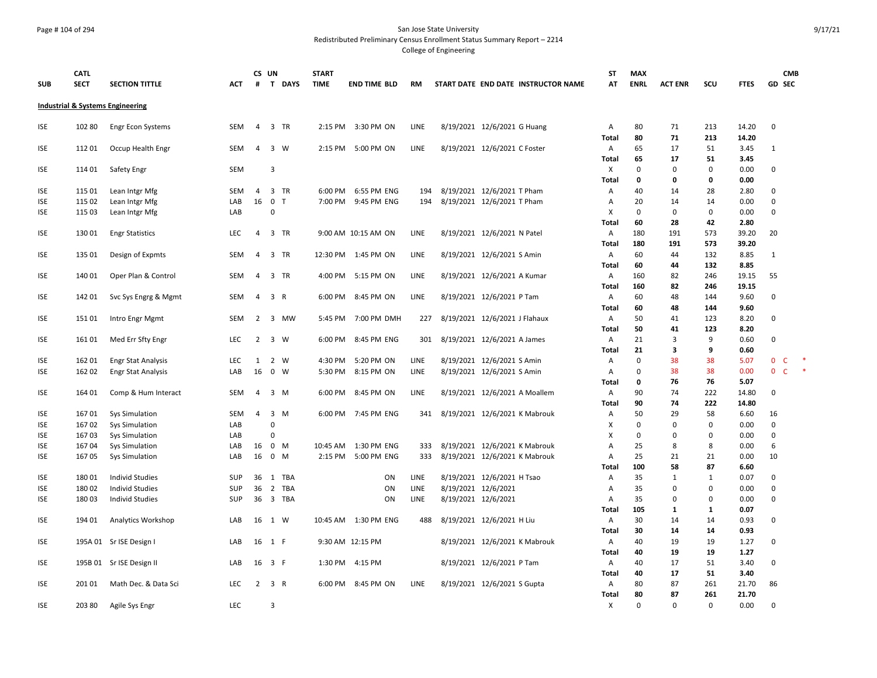#### Page # 104 of 294 San Jose State University Redistributed Preliminary Census Enrollment Status Summary Report – 2214

|            | <b>CATL</b> |                                  |            |                | CS UN          |             | <b>START</b> |                       |      |                     |                                     | ST                        | <b>MAX</b>  |                |             |              | <b>CMB</b>                             |
|------------|-------------|----------------------------------|------------|----------------|----------------|-------------|--------------|-----------------------|------|---------------------|-------------------------------------|---------------------------|-------------|----------------|-------------|--------------|----------------------------------------|
| <b>SUB</b> | <b>SECT</b> | <b>SECTION TITTLE</b>            | <b>ACT</b> | #              |                | T DAYS      | <b>TIME</b>  | <b>END TIME BLD</b>   | RM   |                     | START DATE END DATE INSTRUCTOR NAME | AT                        | <b>ENRL</b> | <b>ACT ENR</b> | SCU         | <b>FTES</b>  | GD SEC                                 |
|            |             | Industrial & Systems Engineering |            |                |                |             |              |                       |      |                     |                                     |                           |             |                |             |              |                                        |
|            |             |                                  |            |                |                |             |              |                       |      |                     |                                     |                           |             |                |             |              |                                        |
| ISE        | 102 80      | Engr Econ Systems                | SEM        | $\overline{4}$ |                | 3 TR        | 2:15 PM      | 3:30 PM ON            | LINE |                     | 8/19/2021 12/6/2021 G Huang         | Α                         | 80          | 71             | 213         | 14.20        | 0                                      |
|            |             |                                  |            |                |                |             |              |                       |      |                     |                                     | Total                     | 80          | 71             | 213         | 14.20        |                                        |
| ISE        | 112 01      | Occup Health Engr                | <b>SEM</b> | 4              |                | 3 W         |              | 2:15 PM 5:00 PM ON    | LINE |                     | 8/19/2021 12/6/2021 C Foster        | $\mathsf{A}$              | 65          | 17             | 51          | 3.45         | $\mathbf{1}$                           |
|            |             |                                  |            |                |                |             |              |                       |      |                     |                                     | Total                     | 65          | 17             | 51          | 3.45         |                                        |
| <b>ISE</b> | 114 01      | Safety Engr                      | SEM        |                | $\overline{3}$ |             |              |                       |      |                     |                                     | $\boldsymbol{\mathsf{X}}$ | 0           | $\Omega$       | 0           | 0.00         | 0                                      |
|            |             |                                  |            |                |                |             |              |                       |      |                     |                                     | Total                     | 0           | 0              | 0           | 0.00         |                                        |
| ISE        | 115 01      | Lean Intgr Mfg                   | <b>SEM</b> | 4              |                | 3 TR        | 6:00 PM      | 6:55 PM ENG           | 194  |                     | 8/19/2021 12/6/2021 T Pham          | Α                         | 40          | 14             | 28          | 2.80         | 0                                      |
| <b>ISE</b> | 115 02      | Lean Intgr Mfg                   | LAB        | 16             | $\mathbf 0$    | $\top$      |              | 7:00 PM 9:45 PM ENG   | 194  |                     | 8/19/2021 12/6/2021 T Pham          | Α                         | 20          | 14             | 14          | 0.00         | 0                                      |
| ISE        | 115 03      | Lean Intgr Mfg                   | LAB        |                | $\pmb{0}$      |             |              |                       |      |                     |                                     | X                         | $\mathbf 0$ | $\mathbf 0$    | $\mathbf 0$ | 0.00         | $\mathbf 0$                            |
|            |             |                                  |            |                |                |             |              |                       |      |                     |                                     | Total                     | 60          | 28             | 42          | 2.80         |                                        |
| <b>ISE</b> | 130 01      | <b>Engr Statistics</b>           | <b>LEC</b> | $\overline{4}$ |                | 3 TR        |              | 9:00 AM 10:15 AM ON   | LINE |                     | 8/19/2021 12/6/2021 N Patel         | A                         | 180         | 191            | 573         | 39.20        | 20                                     |
|            |             |                                  |            |                |                |             |              |                       |      |                     |                                     | <b>Total</b>              | 180<br>60   | 191            | 573         | 39.20        |                                        |
| ISE        | 135 01      | Design of Expmts                 | SEM        | $\overline{4}$ |                | 3 TR        |              | 12:30 PM 1:45 PM ON   | LINE |                     | 8/19/2021 12/6/2021 S Amin          | A<br>Total                | 60          | 44<br>44       | 132<br>132  | 8.85<br>8.85 | 1                                      |
| ISE        | 140 01      | Oper Plan & Control              | <b>SEM</b> | $\overline{4}$ |                | 3 TR        | 4:00 PM      | 5:15 PM ON            | LINE |                     | 8/19/2021 12/6/2021 A Kumar         | Α                         | 160         | 82             | 246         | 19.15        | 55                                     |
|            |             |                                  |            |                |                |             |              |                       |      |                     |                                     | Total                     | 160         | 82             | 246         | 19.15        |                                        |
| ISE        | 142 01      | Svc Sys Engrg & Mgmt             | SEM        | 4              | 3 R            |             | 6:00 PM      | 8:45 PM ON            | LINE |                     | 8/19/2021 12/6/2021 P Tam           | A                         | 60          | 48             | 144         | 9.60         | 0                                      |
|            |             |                                  |            |                |                |             |              |                       |      |                     |                                     | <b>Total</b>              | 60          | 48             | 144         | 9.60         |                                        |
| ISE        | 151 01      | Intro Engr Mgmt                  | SEM        | $\overline{2}$ |                | 3 MW        | 5:45 PM      | 7:00 PM DMH           | 227  |                     | 8/19/2021 12/6/2021 J Flahaux       | A                         | 50          | 41             | 123         | 8.20         | 0                                      |
|            |             |                                  |            |                |                |             |              |                       |      |                     |                                     | Total                     | 50          | 41             | 123         | 8.20         |                                        |
| ISE        | 161 01      | Med Err Sfty Engr                | <b>LEC</b> | $\overline{2}$ |                | 3 W         | 6:00 PM      | 8:45 PM ENG           | 301  |                     | 8/19/2021 12/6/2021 A James         | Α                         | 21          | 3              | 9           | 0.60         | 0                                      |
|            |             |                                  |            |                |                |             |              |                       |      |                     |                                     | Total                     | 21          | 3              | 9           | 0.60         |                                        |
| ISE        | 162 01      | <b>Engr Stat Analysis</b>        | <b>LEC</b> | 1              |                | 2 W         | 4:30 PM      | 5:20 PM ON            | LINE |                     | 8/19/2021 12/6/2021 S Amin          | A                         | $\mathbf 0$ | 38             | 38          | 5.07         | $\mathbf{0}$<br>$\mathsf{C}$<br>$\ast$ |
| <b>ISE</b> | 162 02      | <b>Engr Stat Analysis</b>        | LAB        | 16             |                | $0 \quad W$ | 5:30 PM      | 8:15 PM ON            | LINE |                     | 8/19/2021 12/6/2021 S Amin          | $\overline{A}$            | $\mathbf 0$ | 38             | 38          | 0.00         | $\ast$<br>$\mathbf{0}$<br>$\mathsf{C}$ |
|            |             |                                  |            |                |                |             |              |                       |      |                     |                                     | Total                     | 0           | 76             | 76          | 5.07         |                                        |
| ISE        | 164 01      | Comp & Hum Interact              | SEM        | $\overline{4}$ |                | 3 M         | 6:00 PM      | 8:45 PM ON            | LINE |                     | 8/19/2021 12/6/2021 A Moallem       | A                         | 90          | 74             | 222         | 14.80        | 0                                      |
|            |             |                                  |            |                |                |             |              |                       |      |                     |                                     | Total                     | 90          | 74             | 222         | 14.80        |                                        |
| ISE        | 16701       | Sys Simulation                   | SEM        | $\overline{4}$ |                | 3 M         | 6:00 PM      | 7:45 PM ENG           | 341  |                     | 8/19/2021 12/6/2021 K Mabrouk       | Α                         | 50          | 29             | 58          | 6.60         | 16                                     |
| <b>ISE</b> | 16702       | <b>Sys Simulation</b>            | LAB        |                | $\mathbf 0$    |             |              |                       |      |                     |                                     | X                         | 0           | $\Omega$       | 0           | 0.00         | 0                                      |
| <b>ISE</b> | 16703       | <b>Sys Simulation</b>            | LAB        |                | $\Omega$       |             |              |                       |      |                     |                                     | X                         | $\mathbf 0$ | $\Omega$       | $\Omega$    | 0.00         | $\mathbf 0$                            |
| <b>ISE</b> | 16704       | <b>Sys Simulation</b>            | LAB        | 16             |                | $0$ M       | 10:45 AM     | 1:30 PM ENG           | 333  |                     | 8/19/2021 12/6/2021 K Mabrouk       | Α                         | 25          | 8              | 8           | 0.00         | 6                                      |
| <b>ISE</b> | 16705       | <b>Sys Simulation</b>            | LAB        | 16             |                | $0 \quad M$ | 2:15 PM      | 5:00 PM ENG           | 333  |                     | 8/19/2021 12/6/2021 K Mabrouk       | Α                         | 25          | 21             | 21          | 0.00         | 10                                     |
|            |             |                                  |            |                |                |             |              |                       |      |                     |                                     | Total                     | 100         | 58             | 87          | 6.60         |                                        |
| ISE        | 18001       | <b>Individ Studies</b>           | SUP        | 36             |                | 1 TBA       |              | ON                    | LINE |                     | 8/19/2021 12/6/2021 H Tsao          | Α                         | 35          | 1              | 1           | 0.07         | 0                                      |
| ISE        | 18002       | <b>Individ Studies</b>           | <b>SUP</b> | 36             |                | 2 TBA       |              | ON                    | LINE | 8/19/2021 12/6/2021 |                                     | A                         | 35          | $\Omega$       | $\Omega$    | 0.00         | 0                                      |
| <b>ISE</b> | 18003       | <b>Individ Studies</b>           | <b>SUP</b> |                |                | 36 3 TBA    |              | ON                    | LINE | 8/19/2021 12/6/2021 |                                     | $\overline{A}$            | 35          | 0              | 0           | 0.00         | 0                                      |
|            |             |                                  |            |                |                |             |              |                       |      |                     |                                     | Total                     | 105         | 1              | 1           | 0.07         |                                        |
| ISE        | 194 01      | Analytics Workshop               | LAB        | 16             | 1 W            |             |              | 10:45 AM  1:30 PM ENG | 488  |                     | 8/19/2021 12/6/2021 H Liu           | Α                         | 30          | 14             | 14          | 0.93         | 0                                      |
|            |             |                                  |            |                |                |             |              |                       |      |                     |                                     | Total                     | 30          | 14             | 14          | 0.93         |                                        |
| ISE        |             | 195A 01 Sr ISE Design I          | LAB        |                | 16 1 F         |             |              | 9:30 AM 12:15 PM      |      |                     | 8/19/2021 12/6/2021 K Mabrouk       | A                         | 40          | 19             | 19          | 1.27         | 0                                      |
|            |             |                                  |            |                |                |             |              |                       |      |                     |                                     | Total                     | 40          | 19             | 19          | 1.27         |                                        |
| <b>ISE</b> |             | 195B 01 Sr ISE Design II         | LAB        | 16             | 3 F            |             | 1:30 PM      | 4:15 PM               |      |                     | 8/19/2021 12/6/2021 P Tam           | A                         | 40          | 17             | 51          | 3.40         | $\mathbf 0$                            |
|            |             |                                  |            |                |                |             |              |                       |      |                     |                                     | Total                     | 40          | 17             | 51          | 3.40         |                                        |
| ISE        | 201 01      | Math Dec. & Data Sci             | <b>LEC</b> | 2              | 3 R            |             |              | 6:00 PM 8:45 PM ON    | LINE |                     | 8/19/2021 12/6/2021 S Gupta         | A                         | 80          | 87             | 261         | 21.70        | 86                                     |
|            |             |                                  |            |                |                |             |              |                       |      |                     |                                     | Total                     | 80          | 87             | 261         | 21.70        |                                        |
| <b>ISE</b> | 203 80      | Agile Sys Engr                   | LEC        |                | 3              |             |              |                       |      |                     |                                     | X                         | $\mathbf 0$ | $\Omega$       | $\mathbf 0$ | 0.00         | 0                                      |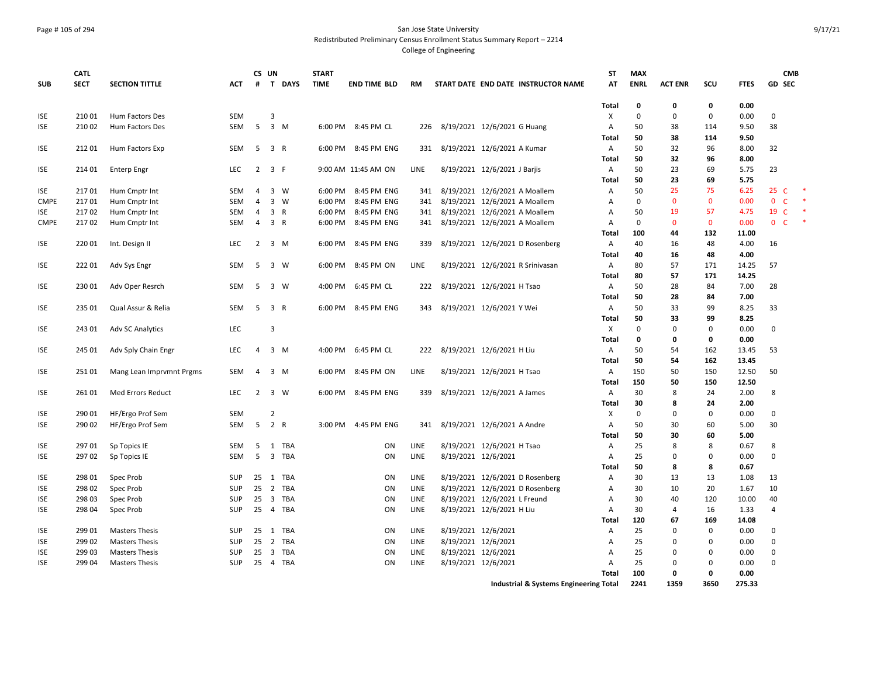#### Page # 105 of 294 San Jose State University Redistributed Preliminary Census Enrollment Status Summary Report – 2214

|             | <b>CATL</b> |                          |            | CS UN          |                     | <b>START</b> |                     |             |                              |                                        | ST           | <b>MAX</b>  |                |              |             |                | <b>CMB</b> |  |
|-------------|-------------|--------------------------|------------|----------------|---------------------|--------------|---------------------|-------------|------------------------------|----------------------------------------|--------------|-------------|----------------|--------------|-------------|----------------|------------|--|
| <b>SUB</b>  | <b>SECT</b> | <b>SECTION TITTLE</b>    | <b>ACT</b> | #              | T DAYS              | <b>TIME</b>  | <b>END TIME BLD</b> | RM          |                              | START DATE END DATE INSTRUCTOR NAME    | AT           | <b>ENRL</b> | <b>ACT ENR</b> | scu          | <b>FTES</b> | <b>GD SEC</b>  |            |  |
|             |             |                          |            |                |                     |              |                     |             |                              |                                        | Total        | $\mathbf 0$ | 0              | 0            | 0.00        |                |            |  |
| <b>ISE</b>  | 21001       | <b>Hum Factors Des</b>   | <b>SEM</b> |                | 3                   |              |                     |             |                              |                                        | X            | $\mathbf 0$ | $\mathbf 0$    | $\mathbf 0$  | 0.00        | $\mathbf 0$    |            |  |
| <b>ISE</b>  | 210 02      | <b>Hum Factors Des</b>   | SEM        | 5              | $3 \, M$            |              | 6:00 PM 8:45 PM CL  | 226         | 8/19/2021 12/6/2021 G Huang  |                                        | Α            | 50          | 38             | 114          | 9.50        | 38             |            |  |
|             |             |                          |            |                |                     |              |                     |             |                              |                                        | Total        | 50          | 38             | 114          | 9.50        |                |            |  |
| <b>ISE</b>  | 21201       | Hum Factors Exp          | SEM        | 5              | 3 R                 |              | 6:00 PM 8:45 PM ENG | 331         | 8/19/2021 12/6/2021 A Kumar  |                                        | Α            | 50          | 32             | 96           | 8.00        | 32             |            |  |
|             |             |                          |            |                |                     |              |                     |             |                              |                                        | Total        | 50          | 32             | 96           | 8.00        |                |            |  |
| <b>ISE</b>  | 214 01      | <b>Enterp Engr</b>       | <b>LEC</b> | $\overline{2}$ | 3 F                 |              | 9:00 AM 11:45 AM ON | <b>LINE</b> | 8/19/2021 12/6/2021 J Barjis |                                        | Α            | 50          | 23             | 69           | 5.75        | 23             |            |  |
|             |             |                          |            |                |                     |              |                     |             |                              |                                        | Total        | 50          | 23             | 69           | 5.75        |                |            |  |
| <b>ISE</b>  | 21701       | Hum Cmptr Int            | SEM        | $\overline{4}$ | 3 W                 | 6:00 PM      | 8:45 PM ENG         | 341         |                              | 8/19/2021 12/6/2021 A Moallem          | Α            | 50          | 25             | 75           | 6.25        | 25 C           |            |  |
| <b>CMPE</b> | 21701       | Hum Cmptr Int            | SEM        | $\overline{4}$ | $3 \quad W$         | 6:00 PM      | 8:45 PM ENG         | 341         |                              | 8/19/2021 12/6/2021 A Moallem          | А            | $\mathbf 0$ | $\mathbf 0$    | $\mathbf 0$  | 0.00        | 0 C            |            |  |
| <b>ISE</b>  | 21702       | Hum Cmptr Int            | SEM        | 4              | 3 R                 | 6:00 PM      | 8:45 PM ENG         | 341         |                              | 8/19/2021 12/6/2021 A Moallem          | Α            | 50          | 19             | 57           | 4.75        | 19 C           |            |  |
| <b>CMPE</b> | 21702       | Hum Cmptr Int            | SEM        | 4              | 3 R                 | 6:00 PM      | 8:45 PM ENG         | 341         |                              | 8/19/2021 12/6/2021 A Moallem          | A            | $\mathbf 0$ | $\mathbf{0}$   | $\mathbf{0}$ | 0.00        | 0 <sub>c</sub> |            |  |
|             |             |                          |            |                |                     |              |                     |             |                              |                                        | Total        | 100         | 44             | 132          | 11.00       |                |            |  |
| <b>ISE</b>  | 220 01      | Int. Design II           | <b>LEC</b> |                | $2 \quad 3 \quad M$ | 6:00 PM      | 8:45 PM ENG         | 339         |                              | 8/19/2021 12/6/2021 D Rosenberg        | A            | 40          | 16             | 48           | 4.00        | 16             |            |  |
|             |             |                          |            |                |                     |              |                     |             |                              |                                        | Total        | 40          | 16             | 48           | 4.00        |                |            |  |
| <b>ISE</b>  | 22201       | Adv Sys Engr             | SEM        | 5              | 3 W                 | 6:00 PM      | 8:45 PM ON          | LINE        |                              | 8/19/2021 12/6/2021 R Srinivasan       | $\mathsf{A}$ | 80          | 57             | 171          | 14.25       | 57             |            |  |
|             |             |                          |            |                |                     |              |                     |             |                              |                                        | <b>Total</b> | 80          | 57             | 171          | 14.25       |                |            |  |
| <b>ISE</b>  | 230 01      | Adv Oper Resrch          | SEM        | 5              | 3 W                 |              | 4:00 PM 6:45 PM CL  | 222         | 8/19/2021 12/6/2021 H Tsao   |                                        | A            | 50          | 28             | 84           | 7.00        | 28             |            |  |
|             |             |                          |            |                |                     |              |                     |             |                              |                                        | Total        | 50          | 28             | 84           | 7.00        |                |            |  |
| <b>ISE</b>  | 235 01      | Qual Assur & Relia       | SEM        | 5              | 3 R                 | 6:00 PM      | 8:45 PM ENG         | 343         | 8/19/2021 12/6/2021 Y Wei    |                                        | Α            | 50          | 33             | 99           | 8.25        | 33             |            |  |
|             |             |                          |            |                |                     |              |                     |             |                              |                                        | Total        | 50          | 33             | 99           | 8.25        |                |            |  |
| <b>ISE</b>  | 243 01      | <b>Adv SC Analytics</b>  | LEC        |                | 3                   |              |                     |             |                              |                                        | X            | $\mathbf 0$ | $\mathbf 0$    | $\mathbf 0$  | 0.00        | 0              |            |  |
|             |             |                          |            |                |                     |              |                     |             |                              |                                        | Total        | 0           | 0              | 0            | 0.00        |                |            |  |
| <b>ISE</b>  | 245 01      | Adv Sply Chain Engr      | LEC.       | $\overline{4}$ | 3 M                 | 4:00 PM      | 6:45 PM CL          | 222         | 8/19/2021 12/6/2021 H Liu    |                                        | Α            | 50          | 54             | 162          | 13.45       | 53             |            |  |
|             |             |                          |            |                |                     |              |                     |             |                              |                                        | Total        | 50          | 54             | 162          | 13.45       |                |            |  |
| <b>ISE</b>  | 25101       | Mang Lean Imprvmnt Prgms | SEM        | $\overline{4}$ | $3 \, M$            | 6:00 PM      | 8:45 PM ON          | LINE        | 8/19/2021 12/6/2021 H Tsao   |                                        | Α            | 150         | 50             | 150          | 12.50       | 50             |            |  |
|             |             |                          |            |                |                     |              |                     |             |                              |                                        | Total        | 150         | 50             | 150          | 12.50       |                |            |  |
| <b>ISE</b>  | 26101       | Med Errors Reduct        | <b>LEC</b> | 2              | 3 W                 |              | 6:00 PM 8:45 PM ENG | 339         | 8/19/2021 12/6/2021 A James  |                                        | Α            | 30          | 8              | 24           | 2.00        | 8              |            |  |
|             |             |                          |            |                |                     |              |                     |             |                              |                                        | Total        | 30          | 8              | 24           | 2.00        |                |            |  |
| <b>ISE</b>  | 290 01      | HF/Ergo Prof Sem         | <b>SEM</b> |                | $\overline{2}$      |              |                     |             |                              |                                        | X            | $\mathbf 0$ | $\mathbf 0$    | $\mathbf 0$  | 0.00        | $\mathbf 0$    |            |  |
| <b>ISE</b>  | 290 02      | HF/Ergo Prof Sem         | SEM        | 5              | 2 R                 |              | 3:00 PM 4:45 PM ENG | 341         | 8/19/2021 12/6/2021 A Andre  |                                        | Α            | 50          | 30             | 60           | 5.00        | 30             |            |  |
|             |             |                          |            |                |                     |              |                     |             |                              |                                        | Total        | 50          | 30             | 60           | 5.00        |                |            |  |
| <b>ISE</b>  | 297 01      | Sp Topics IE             | SEM        | 5              | 1 TBA               |              | ON                  | LINE        | 8/19/2021 12/6/2021 H Tsao   |                                        | Α            | 25          | 8              | 8            | 0.67        | 8              |            |  |
| <b>ISE</b>  | 29702       | Sp Topics IE             | <b>SEM</b> | 5              | 3 TBA               |              | ON                  | LINE        | 8/19/2021 12/6/2021          |                                        | A            | 25          | 0              | 0            | 0.00        | $\Omega$       |            |  |
|             |             |                          |            |                |                     |              |                     |             |                              |                                        | Total        | 50          | 8              | 8            | 0.67        |                |            |  |
| <b>ISE</b>  | 298 01      | Spec Prob                | <b>SUP</b> | 25             | 1 TBA               |              | ON                  | LINE        |                              | 8/19/2021 12/6/2021 D Rosenberg        | Α            | 30          | 13             | 13           | 1.08        | 13             |            |  |
| <b>ISE</b>  | 298 02      | Spec Prob                | SUP        | 25             | 2 TBA               |              | ON                  | LINE        |                              | 8/19/2021 12/6/2021 D Rosenberg        | А            | 30          | 10             | 20           | 1.67        | 10             |            |  |
| <b>ISE</b>  | 298 03      | Spec Prob                | SUP        | 25             | 3 TBA               |              | ON                  | LINE        | 8/19/2021 12/6/2021 L Freund |                                        | Α            | 30          | 40             | 120          | 10.00       | 40             |            |  |
| <b>ISE</b>  | 298 04      | Spec Prob                | SUP        | 25             | 4 TBA               |              | ON                  | LINE        | 8/19/2021 12/6/2021 H Liu    |                                        | A            | 30          | 4              | 16           | 1.33        | $\overline{4}$ |            |  |
|             |             |                          |            |                |                     |              |                     |             |                              |                                        | Total        | 120         | 67             | 169          | 14.08       |                |            |  |
| <b>ISE</b>  | 299 01      | <b>Masters Thesis</b>    | <b>SUP</b> | 25             | 1 TBA               |              | ON                  | LINE        | 8/19/2021 12/6/2021          |                                        | A            | 25          | $\mathbf 0$    | 0            | 0.00        | 0              |            |  |
| <b>ISE</b>  | 299 02      | <b>Masters Thesis</b>    | <b>SUP</b> | 25             | 2 TBA               |              | ON                  | LINE        | 8/19/2021 12/6/2021          |                                        | A            | 25          | 0              | 0            | 0.00        | $\mathbf 0$    |            |  |
| <b>ISE</b>  | 299 03      | <b>Masters Thesis</b>    | <b>SUP</b> | 25             | 3 TBA               |              | ON                  | LINE        | 8/19/2021 12/6/2021          |                                        | А            | 25          | 0              | 0            | 0.00        | 0              |            |  |
| <b>ISE</b>  | 299 04      | <b>Masters Thesis</b>    | SUP        |                | 25 4 TBA            |              | ON                  | LINE        | 8/19/2021 12/6/2021          |                                        | A            | 25          | $\mathbf 0$    | $\mathbf 0$  | 0.00        | $\Omega$       |            |  |
|             |             |                          |            |                |                     |              |                     |             |                              |                                        | Total        | 100         | 0              | $\mathbf 0$  | 0.00        |                |            |  |
|             |             |                          |            |                |                     |              |                     |             |                              | Industrial & Systems Engineering Total |              | 2241        | 1359           | 3650         | 275.33      |                |            |  |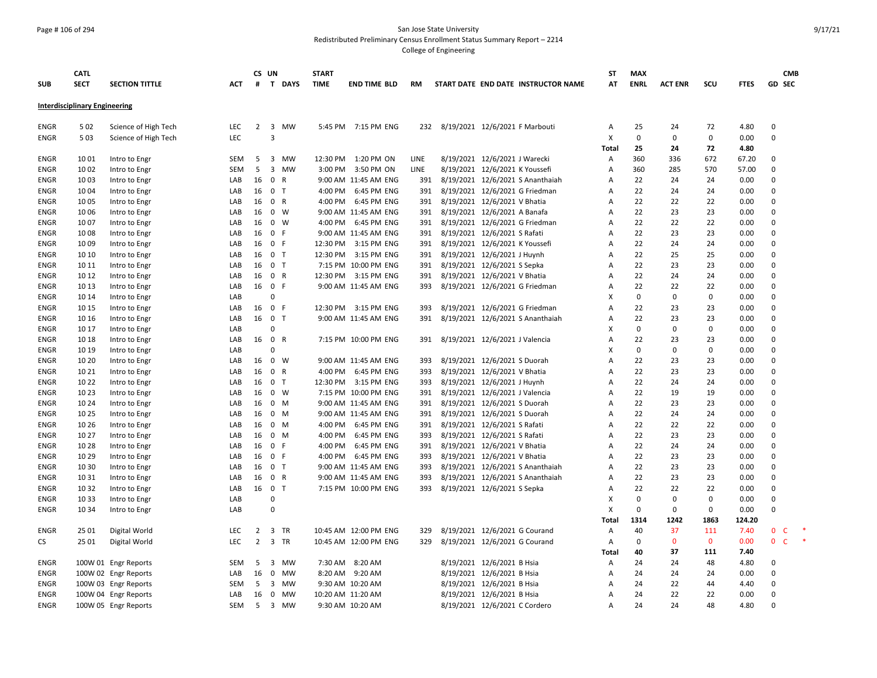#### Page # 106 of 294 San Jose State University Redistributed Preliminary Census Enrollment Status Summary Report – 2214

|                     | <b>CATL</b>                          |                                |            | CS UN          |                         |        | <b>START</b> |                            |            |                               |                                |                                     | SΤ             | <b>MAX</b>  |                |             |              | <b>CMB</b>                  |        |
|---------------------|--------------------------------------|--------------------------------|------------|----------------|-------------------------|--------|--------------|----------------------------|------------|-------------------------------|--------------------------------|-------------------------------------|----------------|-------------|----------------|-------------|--------------|-----------------------------|--------|
| <b>SUB</b>          | <b>SECT</b>                          | <b>SECTION TITTLE</b>          | <b>ACT</b> | #              |                         | T DAYS | <b>TIME</b>  | <b>END TIME BLD</b>        | <b>RM</b>  |                               |                                | START DATE END DATE INSTRUCTOR NAME | AT             | <b>ENRL</b> | <b>ACT ENR</b> | SCU         | <b>FTES</b>  | <b>GD SEC</b>               |        |
|                     | <b>Interdisciplinary Engineering</b> |                                |            |                |                         |        |              |                            |            |                               |                                |                                     |                |             |                |             |              |                             |        |
|                     |                                      |                                |            |                |                         |        |              |                            |            |                               |                                |                                     |                |             |                |             |              |                             |        |
| <b>ENGR</b>         | 5 0 2                                | Science of High Tech           | <b>LEC</b> |                |                         | 2 3 MW |              | 5:45 PM 7:15 PM ENG        | 232        |                               |                                | 8/19/2021 12/6/2021 F Marbouti      | A              | 25          | 24             | 72          | 4.80         | 0                           |        |
| <b>ENGR</b>         | 5 0 3                                | Science of High Tech           | <b>LEC</b> |                | 3                       |        |              |                            |            |                               |                                |                                     | X              | $\mathbf 0$ | 0              | $\mathbf 0$ | 0.00         | $\mathbf 0$                 |        |
|                     |                                      |                                |            |                |                         |        |              |                            |            |                               |                                |                                     | Total          | 25          | 24             | 72          | 4.80         |                             |        |
| <b>ENGR</b>         | 1001                                 | Intro to Engr                  | SEM        | 5              |                         | 3 MW   | 12:30 PM     | 1:20 PM ON                 | LINE       |                               | 8/19/2021 12/6/2021 J Warecki  |                                     | Α              | 360         | 336            | 672         | 67.20        | 0                           |        |
| <b>ENGR</b>         | 1002                                 | Intro to Engr                  | <b>SEM</b> | 5              |                         | 3 MW   | 3:00 PM      | 3:50 PM ON                 | LINE       |                               | 8/19/2021 12/6/2021 K Youssefi |                                     | A              | 360         | 285            | 570         | 57.00        | $\mathbf 0$                 |        |
| <b>ENGR</b>         | 1003                                 | Intro to Engr                  | LAB<br>LAB | 16             | 0 R<br>0 <sub>T</sub>   |        | 4:00 PM      | 9:00 AM 11:45 AM ENG       | 391        |                               |                                | 8/19/2021 12/6/2021 S Ananthaiah    | Α<br>A         | 22<br>22    | 24<br>24       | 24<br>24    | 0.00         | $\mathbf 0$<br>$\mathbf 0$  |        |
| <b>ENGR</b>         | 1004<br>1005                         | Intro to Engr                  |            | 16<br>16       | 0 R                     |        | 4:00 PM      | 6:45 PM ENG<br>6:45 PM ENG | 391<br>391 |                               | 8/19/2021 12/6/2021 V Bhatia   | 8/19/2021 12/6/2021 G Friedman      | $\overline{A}$ | 22          | 22             | 22          | 0.00<br>0.00 | $\mathbf 0$                 |        |
| ENGR<br><b>ENGR</b> | 1006                                 | Intro to Engr                  | LAB<br>LAB | 16             | 0 W                     |        |              | 9:00 AM 11:45 AM ENG       | 391        |                               | 8/19/2021 12/6/2021 A Banafa   |                                     | A              | 22          | 23             | 23          | 0.00         | $\Omega$                    |        |
| <b>ENGR</b>         | 1007                                 | Intro to Engr<br>Intro to Engr | LAB        | 16             | $0 \quad W$             |        |              | 4:00 PM 6:45 PM ENG        | 391        |                               |                                | 8/19/2021 12/6/2021 G Friedman      | $\overline{A}$ | 22          | 22             | 22          | 0.00         | $\Omega$                    |        |
| <b>ENGR</b>         | 1008                                 |                                | LAB        | 16             | 0 F                     |        |              | 9:00 AM 11:45 AM ENG       | 391        |                               | 8/19/2021 12/6/2021 S Rafati   |                                     | A              | 22          | 23             | 23          | 0.00         | $\Omega$                    |        |
| <b>ENGR</b>         | 1009                                 | Intro to Engr<br>Intro to Engr | LAB        | 16             | 0 F                     |        | 12:30 PM     | 3:15 PM ENG                | 391        |                               | 8/19/2021 12/6/2021 K Youssefi |                                     | $\overline{A}$ | 22          | 24             | 24          | 0.00         | $\mathbf 0$                 |        |
| <b>ENGR</b>         | 10 10                                | Intro to Engr                  | LAB        | 16             | 0 <sub>T</sub>          |        | 12:30 PM     | 3:15 PM ENG                | 391        |                               | 8/19/2021 12/6/2021 J Huynh    |                                     | A              | 22          | 25             | 25          | 0.00         | $\mathbf 0$                 |        |
| <b>ENGR</b>         | 10 11                                | Intro to Engr                  | LAB        | 16             | 0 <sub>T</sub>          |        |              | 7:15 PM 10:00 PM ENG       | 391        |                               | 8/19/2021 12/6/2021 S Sepka    |                                     | A              | 22          | 23             | 23          | 0.00         | 0                           |        |
| <b>ENGR</b>         | 10 12                                | Intro to Engr                  | LAB        | 16             | 0 R                     |        | 12:30 PM     | 3:15 PM ENG                | 391        |                               | 8/19/2021 12/6/2021 V Bhatia   |                                     | $\overline{A}$ | 22          | 24             | 24          | 0.00         | $\mathbf 0$                 |        |
| ENGR                | 10 13                                | Intro to Engr                  | LAB        | 16             | 0 F                     |        |              | 9:00 AM 11:45 AM ENG       | 393        |                               |                                | 8/19/2021 12/6/2021 G Friedman      | A              | 22          | 22             | 22          | 0.00         | 0                           |        |
| <b>ENGR</b>         | 10 14                                | Intro to Engr                  | LAB        |                | 0                       |        |              |                            |            |                               |                                |                                     | X              | $\mathbf 0$ | $\Omega$       | 0           | 0.00         | $\Omega$                    |        |
| <b>ENGR</b>         | 10 15                                | Intro to Engr                  | LAB        | 16             | $\mathbf{0}$            | - F    |              | 12:30 PM 3:15 PM ENG       | 393        |                               |                                | 8/19/2021 12/6/2021 G Friedman      | $\overline{A}$ | 22          | 23             | 23          | 0.00         | $\mathbf 0$                 |        |
| ENGR                | 10 16                                | Intro to Engr                  | LAB        | 16             | 0 <sub>T</sub>          |        |              | 9:00 AM 11:45 AM ENG       | 391        |                               |                                | 8/19/2021 12/6/2021 S Ananthaiah    | A              | 22          | 23             | 23          | 0.00         | $\mathbf 0$                 |        |
| <b>ENGR</b>         | 10 17                                | Intro to Engr                  | LAB        |                | 0                       |        |              |                            |            |                               |                                |                                     | $\mathsf{x}$   | $\Omega$    | 0              | 0           | 0.00         | 0                           |        |
| <b>ENGR</b>         | 10 18                                | Intro to Engr                  | LAB        | 16             | 0 R                     |        |              | 7:15 PM 10:00 PM ENG       | 391        |                               | 8/19/2021 12/6/2021 J Valencia |                                     | A              | 22          | 23             | 23          | 0.00         | $\mathbf 0$                 |        |
| <b>ENGR</b>         | 10 19                                | Intro to Engr                  | LAB        |                | $\Omega$                |        |              |                            |            |                               |                                |                                     | X              | $\Omega$    | 0              | 0           | 0.00         | $\Omega$                    |        |
| <b>ENGR</b>         | 10 20                                | Intro to Engr                  | LAB        | 16             | $0 \quad W$             |        |              | 9:00 AM 11:45 AM ENG       | 393        |                               | 8/19/2021 12/6/2021 S Duorah   |                                     | $\overline{A}$ | 22          | 23             | 23          | 0.00         | $\Omega$                    |        |
| <b>ENGR</b>         | 10 21                                | Intro to Engr                  | LAB        | 16             | 0 R                     |        | 4:00 PM      | 6:45 PM ENG                | 393        |                               | 8/19/2021 12/6/2021 V Bhatia   |                                     | $\overline{A}$ | 22          | 23             | 23          | 0.00         | $\Omega$                    |        |
| ENGR                | 10 22                                | Intro to Engr                  | LAB        | 16             | 0 <sub>T</sub>          |        | 12:30 PM     | 3:15 PM ENG                | 393        |                               | 8/19/2021 12/6/2021 J Huynh    |                                     | A              | 22          | 24             | 24          | 0.00         | $\Omega$                    |        |
| <b>ENGR</b>         | 10 23                                | Intro to Engr                  | LAB        | 16             | $\mathbf{0}$            | W      |              | 7:15 PM 10:00 PM ENG       | 391        |                               | 8/19/2021 12/6/2021 J Valencia |                                     | A              | 22          | 19             | 19          | 0.00         | $\mathbf 0$                 |        |
| <b>ENGR</b>         | 10 24                                | Intro to Engr                  | LAB        | 16             | 0 M                     |        |              | 9:00 AM 11:45 AM ENG       | 391        |                               | 8/19/2021 12/6/2021 S Duorah   |                                     | $\overline{A}$ | 22          | 23             | 23          | 0.00         | $\mathbf 0$                 |        |
| <b>ENGR</b>         | 10 25                                | Intro to Engr                  | LAB        | 16             | $0 \quad M$             |        |              | 9:00 AM 11:45 AM ENG       | 391        |                               | 8/19/2021 12/6/2021 S Duorah   |                                     | $\overline{A}$ | 22          | 24             | 24          | 0.00         | $\mathbf 0$                 |        |
| ENGR                | 10 26                                | Intro to Engr                  | LAB        | 16             | $0 \quad M$             |        | 4:00 PM      | 6:45 PM ENG                | 391        |                               | 8/19/2021 12/6/2021 S Rafati   |                                     | $\overline{A}$ | 22          | 22             | 22          | 0.00         | 0                           |        |
| <b>ENGR</b>         | 10 27                                | Intro to Engr                  | LAB        | 16             | 0 M                     |        | 4:00 PM      | 6:45 PM ENG                | 393        |                               | 8/19/2021 12/6/2021 S Rafati   |                                     | A              | 22          | 23             | 23          | 0.00         | $\Omega$                    |        |
| <b>ENGR</b>         | 10 28                                | Intro to Engr                  | LAB        | 16             | $\mathbf{0}$            | F.     | 4:00 PM      | 6:45 PM ENG                | 391        |                               | 8/19/2021 12/6/2021 V Bhatia   |                                     | $\overline{A}$ | 22          | 24             | 24          | 0.00         | $\Omega$                    |        |
| <b>ENGR</b>         | 10 29                                | Intro to Engr                  | LAB        | 16             | 0 F                     |        | 4:00 PM      | 6:45 PM ENG                | 393        |                               | 8/19/2021 12/6/2021 V Bhatia   |                                     | $\overline{A}$ | 22          | 23             | 23          | 0.00         | $\mathbf 0$                 |        |
| ENGR                | 10 30                                | Intro to Engr                  | LAB        | 16             | 0 <sub>T</sub>          |        |              | 9:00 AM 11:45 AM ENG       | 393        |                               |                                | 8/19/2021 12/6/2021 S Ananthaiah    | A              | 22          | 23             | 23          | 0.00         | 0                           |        |
| <b>ENGR</b>         | 10 31                                | Intro to Engr                  | LAB        | 16             | 0 R                     |        |              | 9:00 AM 11:45 AM ENG       | 393        |                               |                                | 8/19/2021 12/6/2021 S Ananthaiah    | A              | 22          | 23             | 23          | 0.00         | 0                           |        |
| <b>ENGR</b>         | 10 32                                | Intro to Engr                  | LAB        | 16             | 0 <sub>T</sub>          |        |              | 7:15 PM 10:00 PM ENG       | 393        |                               | 8/19/2021 12/6/2021 S Sepka    |                                     | A              | 22          | 22             | 22          | 0.00         | $\Omega$                    |        |
| <b>ENGR</b>         | 10 33                                | Intro to Engr                  | LAB        |                | $\Omega$                |        |              |                            |            |                               |                                |                                     | X              | $\Omega$    | 0              | $\mathbf 0$ | 0.00         | $\Omega$                    |        |
| <b>ENGR</b>         | 10 34                                | Intro to Engr                  | LAB        |                | $\mathbf 0$             |        |              |                            |            |                               |                                |                                     | $\mathsf{x}$   | $\mathbf 0$ | 0              | $\mathbf 0$ | 0.00         | $\mathbf 0$                 |        |
|                     |                                      |                                |            |                |                         |        |              |                            |            |                               |                                |                                     | Total          | 1314        | 1242           | 1863        | 124.20       |                             |        |
| <b>ENGR</b>         | 25 01                                | Digital World                  | <b>LEC</b> | $\overline{2}$ | 3 TR                    |        |              | 10:45 AM 12:00 PM ENG      | 329        |                               | 8/19/2021 12/6/2021 G Courand  |                                     | Α              | 40          | 37             | 111         | 7.40         | $\mathbf 0$<br>C            |        |
| CS                  | 25 01                                | Digital World                  | LEC        | $\overline{2}$ | 3 TR                    |        |              | 10:45 AM 12:00 PM ENG      | 329        | 8/19/2021 12/6/2021 G Courand |                                |                                     | Α              | $\mathbf 0$ | $\mathbf{0}$   | $\mathbf 0$ | 0.00         | $\mathbf 0$<br>$\mathsf{C}$ | $\ast$ |
|                     |                                      |                                |            |                |                         |        |              |                            |            |                               |                                |                                     | Total          | 40          | 37             | 111         | 7.40         |                             |        |
| <b>ENGR</b>         |                                      | 100W 01 Engr Reports           | SEM        | 5              | $\overline{\mathbf{3}}$ | MW     |              | 7:30 AM 8:20 AM            |            |                               | 8/19/2021 12/6/2021 B Hsia     |                                     | Α              | 24          | 24             | 48          | 4.80         | $\Omega$                    |        |
| <b>ENGR</b>         |                                      | 100W 02 Engr Reports           | LAB        | 16             |                         | 0 MW   |              | 8:20 AM 9:20 AM            |            |                               | 8/19/2021 12/6/2021 B Hsia     |                                     | Α              | 24          | 24             | 24          | 0.00         | 0                           |        |
| <b>ENGR</b>         |                                      | 100W 03 Engr Reports           | <b>SEM</b> | 5              |                         | 3 MW   |              | 9:30 AM 10:20 AM           |            |                               | 8/19/2021 12/6/2021 B Hsia     |                                     | A              | 24          | 22             | 44          | 4.40         | $\mathbf 0$                 |        |
| <b>ENGR</b>         |                                      | 100W 04 Engr Reports           | LAB        | 16             |                         | 0 MW   |              | 10:20 AM 11:20 AM          |            |                               | 8/19/2021 12/6/2021 B Hsia     |                                     | $\overline{A}$ | 24          | 22             | 22          | 0.00         | $\Omega$                    |        |
| <b>ENGR</b>         |                                      | 100W 05 Engr Reports           | SEM        | 5              |                         | 3 MW   |              | 9:30 AM 10:20 AM           |            |                               | 8/19/2021 12/6/2021 C Cordero  |                                     | A              | 24          | 24             | 48          | 4.80         | $\Omega$                    |        |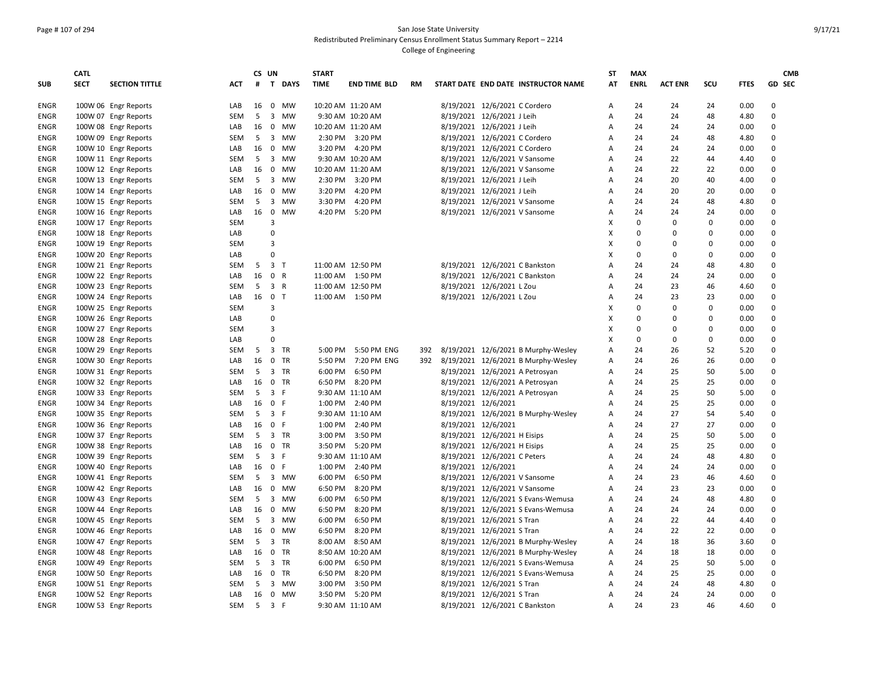## Page # 107 of 294 San Jose State University Redistributed Preliminary Census Enrollment Status Summary Report – 2214 College of Engineering

|             | <b>CATL</b> |                       |            | CS UN |                |           | <b>START</b> |                     |           |                     |                                     | <b>ST</b>      | <b>MAX</b>  |                |             |             | <b>CMB</b>    |
|-------------|-------------|-----------------------|------------|-------|----------------|-----------|--------------|---------------------|-----------|---------------------|-------------------------------------|----------------|-------------|----------------|-------------|-------------|---------------|
| <b>SUB</b>  | <b>SECT</b> | <b>SECTION TITTLE</b> | <b>ACT</b> |       |                | # T DAYS  | <b>TIME</b>  | <b>END TIME BLD</b> | <b>RM</b> |                     | START DATE END DATE INSTRUCTOR NAME | AT             | <b>ENRL</b> | <b>ACT ENR</b> | SCU         | <b>FTES</b> | <b>GD SEC</b> |
| <b>ENGR</b> |             | 100W 06 Engr Reports  | LAB        | 16    |                | 0 MW      |              | 10:20 AM 11:20 AM   |           |                     | 8/19/2021 12/6/2021 C Cordero       | Α              | 24          | 24             | 24          | 0.00        | $\mathbf 0$   |
| <b>ENGR</b> |             | 100W 07 Engr Reports  | <b>SEM</b> | 5     |                | 3 MW      |              | 9:30 AM 10:20 AM    |           |                     | 8/19/2021 12/6/2021 J Leih          | Α              | 24          | 24             | 48          | 4.80        | 0             |
| <b>ENGR</b> |             | 100W 08 Engr Reports  | LAB        | 16    |                | 0 MW      |              | 10:20 AM 11:20 AM   |           |                     | 8/19/2021 12/6/2021 J Leih          | Α              | 24          | 24             | 24          | 0.00        | 0             |
| <b>ENGR</b> |             | 100W 09 Engr Reports  | <b>SEM</b> | 5     |                | 3 MW      |              | 2:30 PM 3:20 PM     |           |                     | 8/19/2021 12/6/2021 C Cordero       | A              | 24          | 24             | 48          | 4.80        | 0             |
| <b>ENGR</b> |             | 100W 10 Engr Reports  | LAB        | 16    |                | 0 MW      |              | 3:20 PM 4:20 PM     |           |                     | 8/19/2021 12/6/2021 C Cordero       | A              | 24          | 24             | 24          | 0.00        | $\Omega$      |
| ENGR        |             | 100W 11 Engr Reports  | <b>SEM</b> | 5     |                | 3 MW      |              | 9:30 AM 10:20 AM    |           |                     | 8/19/2021 12/6/2021 V Sansome       | Α              | 24          | 22             | 44          | 4.40        | 0             |
| <b>ENGR</b> |             | 100W 12 Engr Reports  | LAB        | 16    |                | 0 MW      |              | 10:20 AM 11:20 AM   |           |                     | 8/19/2021 12/6/2021 V Sansome       | Α              | 24          | 22             | 22          | 0.00        | 0             |
| <b>ENGR</b> |             | 100W 13 Engr Reports  | SEM        | 5     |                | 3 MW      | 2:30 PM      | 3:20 PM             |           |                     | 8/19/2021 12/6/2021 J Leih          | Α              | 24          | 20             | 40          | 4.00        | 0             |
| <b>ENGR</b> |             | 100W 14 Engr Reports  | LAB        | 16    |                | 0 MW      | 3:20 PM      | 4:20 PM             |           |                     | 8/19/2021 12/6/2021 J Leih          | $\overline{A}$ | 24          | 20             | 20          | 0.00        | 0             |
| <b>ENGR</b> |             | 100W 15 Engr Reports  | SEM        | 5     |                | 3 MW      | 3:30 PM      | 4:20 PM             |           |                     | 8/19/2021 12/6/2021 V Sansome       | A              | 24          | 24             | 48          | 4.80        | 0             |
| ENGR        |             | 100W 16 Engr Reports  | LAB        | 16    |                | 0 MW      | 4:20 PM      | 5:20 PM             |           |                     | 8/19/2021 12/6/2021 V Sansome       | А              | 24          | 24             | 24          | 0.00        | 0             |
| <b>ENGR</b> |             | 100W 17 Engr Reports  | <b>SEM</b> |       | $\overline{3}$ |           |              |                     |           |                     |                                     | X              | 0           | $\mathbf 0$    | $\Omega$    | 0.00        | 0             |
| <b>ENGR</b> |             | 100W 18 Engr Reports  | LAB        |       | $\Omega$       |           |              |                     |           |                     |                                     | X              | $\Omega$    | $\mathbf 0$    | $\Omega$    | 0.00        | $\mathbf 0$   |
| <b>ENGR</b> |             | 100W 19 Engr Reports  | SEM        |       | 3              |           |              |                     |           |                     |                                     | Χ              | $\Omega$    | $\Omega$       | $\Omega$    | 0.00        | 0             |
| <b>ENGR</b> |             | 100W 20 Engr Reports  | LAB        |       | $\Omega$       |           |              |                     |           |                     |                                     | х              | $\Omega$    | 0              | $\Omega$    | 0.00        | $\mathbf 0$   |
| <b>ENGR</b> |             | 100W 21 Engr Reports  | SEM        | 5     | 3 <sub>T</sub> |           |              | 11:00 AM 12:50 PM   |           |                     | 8/19/2021 12/6/2021 C Bankston      | A              | 24          | 24             | 48          | 4.80        | 0             |
| <b>ENGR</b> |             | 100W 22 Engr Reports  | LAB        | 16    | 0 R            |           |              | 11:00 AM  1:50 PM   |           |                     | 8/19/2021 12/6/2021 C Bankston      | A              | 24          | 24             | 24          | 0.00        | 0             |
| <b>ENGR</b> |             | 100W 23 Engr Reports  | <b>SEM</b> | 5     | 3 R            |           |              | 11:00 AM 12:50 PM   |           |                     | 8/19/2021 12/6/2021 L Zou           | A              | 24          | 23             | 46          | 4.60        | 0             |
| ENGR        |             | 100W 24 Engr Reports  | LAB        | 16    | 0 <sub>T</sub> |           |              | 11:00 AM  1:50 PM   |           |                     | 8/19/2021 12/6/2021 L Zou           | A              | 24          | 23             | 23          | 0.00        | 0             |
| <b>ENGR</b> |             | 100W 25 Engr Reports  | <b>SEM</b> |       | 3              |           |              |                     |           |                     |                                     | X              | 0           | 0              | $\Omega$    | 0.00        | 0             |
| <b>ENGR</b> |             | 100W 26 Engr Reports  | LAB        |       | $\Omega$       |           |              |                     |           |                     |                                     | X              | $\Omega$    | 0              | $\Omega$    | 0.00        | 0             |
| <b>ENGR</b> |             | 100W 27 Engr Reports  | <b>SEM</b> |       | $\overline{3}$ |           |              |                     |           |                     |                                     | X              | $\Omega$    | 0              | $\mathbf 0$ | 0.00        | $\mathbf 0$   |
| <b>ENGR</b> |             | 100W 28 Engr Reports  | LAB        |       | $\Omega$       |           |              |                     |           |                     |                                     | Χ              | $\Omega$    | $\Omega$       | 0           | 0.00        | 0             |
| ENGR        |             | 100W 29 Engr Reports  | SEM        | 5     | 3 TR           |           | 5:00 PM      | 5:50 PM ENG         | 392       |                     | 8/19/2021 12/6/2021 B Murphy-Wesley | A              | 24          | 26             | 52          | 5.20        | 0             |
| ENGR        |             | 100W 30 Engr Reports  | LAB        | 16    | $0$ TR         |           | 5:50 PM      | 7:20 PM ENG         | 392       |                     | 8/19/2021 12/6/2021 B Murphy-Wesley | А              | 24          | 26             | 26          | 0.00        | $\mathbf 0$   |
| <b>ENGR</b> |             | 100W 31 Engr Reports  | <b>SEM</b> | 5     | 3 TR           |           | 6:00 PM      | 6:50 PM             |           |                     | 8/19/2021 12/6/2021 A Petrosyan     | А              | 24          | 25             | 50          | 5.00        | $\mathbf 0$   |
| <b>ENGR</b> |             | 100W 32 Engr Reports  | LAB        | 16    | 0 TR           |           |              | 6:50 PM 8:20 PM     |           |                     | 8/19/2021 12/6/2021 A Petrosyan     | A              | 24          | 25             | 25          | 0.00        | $\mathbf 0$   |
| <b>ENGR</b> |             | 100W 33 Engr Reports  | <b>SEM</b> | 5     | 3 F            |           |              | 9:30 AM 11:10 AM    |           |                     | 8/19/2021 12/6/2021 A Petrosyan     | A              | 24          | 25             | 50          | 5.00        | $\mathbf 0$   |
| <b>ENGR</b> |             | 100W 34 Engr Reports  | LAB        | 16    | 0 F            |           |              | 1:00 PM 2:40 PM     |           | 8/19/2021 12/6/2021 |                                     | A              | 24          | 25             | 25          | 0.00        | 0             |
| <b>ENGR</b> |             | 100W 35 Engr Reports  | <b>SEM</b> | 5     | 3 F            |           |              | 9:30 AM 11:10 AM    |           |                     | 8/19/2021 12/6/2021 B Murphy-Wesley | A              | 24          | 27             | 54          | 5.40        | 0             |
| <b>ENGR</b> |             | 100W 36 Engr Reports  | LAB        | 16    | 0 F            |           | 1:00 PM      | 2:40 PM             |           | 8/19/2021 12/6/2021 |                                     | А              | 24          | 27             | 27          | 0.00        | 0             |
| ENGR        |             | 100W 37 Engr Reports  | <b>SEM</b> | 5     | 3 TR           |           | 3:00 PM      | 3:50 PM             |           |                     | 8/19/2021 12/6/2021 H Eisips        | A              | 24          | 25             | 50          | 5.00        | $\mathbf 0$   |
| ENGR        |             | 100W 38 Engr Reports  | LAB        | 16    | 0 TR           |           | 3:50 PM      | 5:20 PM             |           |                     | 8/19/2021 12/6/2021 H Eisips        | А              | 24          | 25             | 25          | 0.00        | 0             |
| <b>ENGR</b> |             | 100W 39 Engr Reports  | SEM        | 5     | 3 F            |           |              | 9:30 AM 11:10 AM    |           |                     | 8/19/2021 12/6/2021 C Peters        | А              | 24          | 24             | 48          | 4.80        | 0             |
| <b>ENGR</b> |             | 100W 40 Engr Reports  | LAB        | 16    | 0 F            |           | 1:00 PM      | 2:40 PM             |           | 8/19/2021 12/6/2021 |                                     | А              | 24          | 24             | 24          | 0.00        | $\mathbf 0$   |
| <b>ENGR</b> |             | 100W 41 Engr Reports  | <b>SEM</b> | 5     |                | 3 MW      | 6:00 PM      | 6:50 PM             |           |                     | 8/19/2021 12/6/2021 V Sansome       | $\overline{A}$ | 24          | 23             | 46          | 4.60        | 0             |
| <b>ENGR</b> |             | 100W 42 Engr Reports  | LAB        | 16    |                | 0 MW      | 6:50 PM      | 8:20 PM             |           |                     | 8/19/2021 12/6/2021 V Sansome       | A              | 24          | 23             | 23          | 0.00        | 0             |
| ENGR        |             | 100W 43 Engr Reports  | <b>SEM</b> | 5     |                | 3 MW      | 6:00 PM      | 6:50 PM             |           |                     | 8/19/2021 12/6/2021 S Evans-Wemusa  | А              | 24          | 24             | 48          | 4.80        | 0             |
| <b>ENGR</b> |             | 100W 44 Engr Reports  | LAB        | 16    |                | 0 MW      | 6:50 PM      | 8:20 PM             |           |                     | 8/19/2021 12/6/2021 S Evans-Wemusa  | А              | 24          | 24             | 24          | 0.00        | $\mathbf 0$   |
| <b>ENGR</b> |             | 100W 45 Engr Reports  | SEM        | 5     |                | 3 MW      | 6:00 PM      | 6:50 PM             |           |                     | 8/19/2021 12/6/2021 S Tran          | А              | 24          | 22             | 44          | 4.40        | $\mathbf 0$   |
| ENGR        |             | 100W 46 Engr Reports  | LAB        | 16    | $\mathbf{0}$   | <b>MW</b> | 6:50 PM      | 8:20 PM             |           |                     | 8/19/2021 12/6/2021 S Tran          | A              | 24          | 22             | 22          | 0.00        | 0             |
| <b>ENGR</b> |             | 100W 47 Engr Reports  | SEM        | 5     | 3 TR           |           | 8:00 AM      | 8:50 AM             |           |                     | 8/19/2021 12/6/2021 B Murphy-Wesley | A              | 24          | 18             | 36          | 3.60        | 0             |
| <b>ENGR</b> |             | 100W 48 Engr Reports  | LAB        | 16    | $\mathbf{0}$   | TR        |              | 8:50 AM 10:20 AM    |           |                     | 8/19/2021 12/6/2021 B Murphy-Wesley | A              | 24          | 18             | 18          | 0.00        | 0             |
| <b>ENGR</b> |             | 100W 49 Engr Reports  | SEM        | 5     | 3 TR           |           | 6:00 PM      | 6:50 PM             |           |                     | 8/19/2021 12/6/2021 S Evans-Wemusa  | А              | 24          | 25             | 50          | 5.00        | 0             |
| <b>ENGR</b> |             | 100W 50 Engr Reports  | LAB        | 16    | $\mathbf{0}$   | <b>TR</b> | 6:50 PM      | 8:20 PM             |           |                     | 8/19/2021 12/6/2021 S Evans-Wemusa  | А              | 24          | 25             | 25          | 0.00        | $\mathbf 0$   |
| <b>ENGR</b> |             | 100W 51 Engr Reports  | SEM        | 5     |                | 3 MW      | 3:00 PM      | 3:50 PM             |           |                     | 8/19/2021 12/6/2021 S Tran          | A              | 24          | 24             | 48          | 4.80        | 0             |
| <b>ENGR</b> |             | 100W 52 Engr Reports  | LAB        | 16    |                | 0 MW      |              | 3:50 PM 5:20 PM     |           |                     | 8/19/2021 12/6/2021 S Tran          | А              | 24          | 24             | 24          | 0.00        | 0             |
| <b>ENGR</b> |             | 100W 53 Engr Reports  | SEM        | 5 3 F |                |           |              | 9:30 AM 11:10 AM    |           |                     | 8/19/2021 12/6/2021 C Bankston      | $\overline{A}$ | 24          | 23             | 46          | 4.60        | $\Omega$      |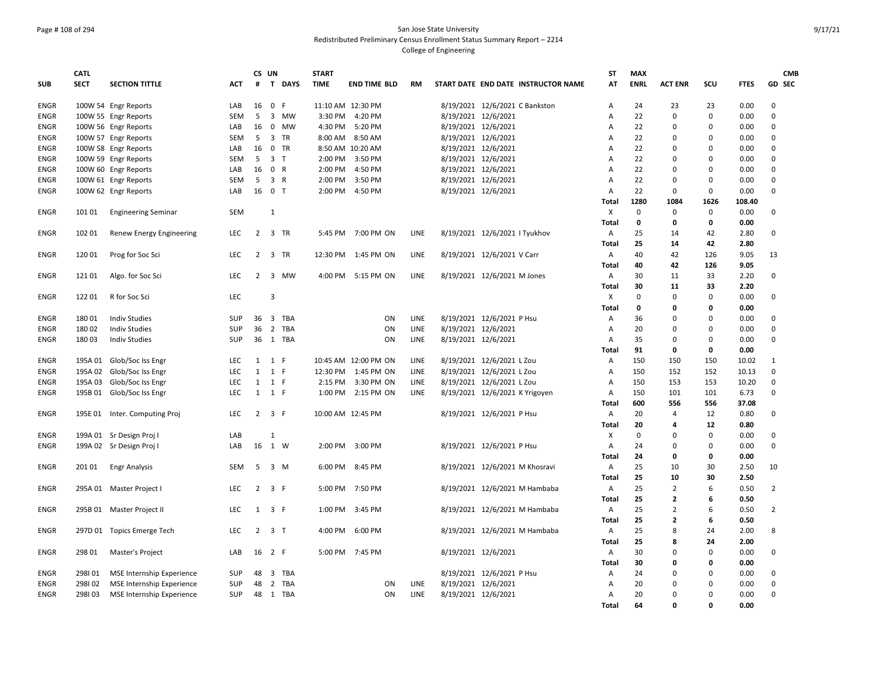# Page # 108 of 294 San Jose State University Redistributed Preliminary Census Enrollment Status Summary Report – 2214

|             | <b>CATL</b> |                               |            | CS UN               |                |          | <b>START</b>      |                      |             |                     |                                     | <b>ST</b>      | <b>MAX</b>  |                |             |             | <b>CMB</b>     |
|-------------|-------------|-------------------------------|------------|---------------------|----------------|----------|-------------------|----------------------|-------------|---------------------|-------------------------------------|----------------|-------------|----------------|-------------|-------------|----------------|
| <b>SUB</b>  | <b>SECT</b> | <b>SECTION TITTLE</b>         | <b>ACT</b> | #                   |                | T DAYS   | <b>TIME</b>       | <b>END TIME BLD</b>  | <b>RM</b>   |                     | START DATE END DATE INSTRUCTOR NAME | AT             | <b>ENRL</b> | <b>ACT ENR</b> | scu         | <b>FTES</b> | <b>GD SEC</b>  |
| ENGR        |             | 100W 54 Engr Reports          | LAB        | 16                  | 0 F            |          | 11:10 AM 12:30 PM |                      |             |                     | 8/19/2021 12/6/2021 C Bankston      | А              | 24          | 23             | 23          | 0.00        | $\mathbf 0$    |
| <b>ENGR</b> |             | 100W 55 Engr Reports          | <b>SEM</b> | 5                   |                | 3 MW     | 3:30 PM           | 4:20 PM              |             | 8/19/2021 12/6/2021 |                                     | A              | 22          | $\mathbf 0$    | $\mathbf 0$ | 0.00        | 0              |
| <b>ENGR</b> |             | 100W 56 Engr Reports          | LAB        | 16                  |                | 0 MW     | 4:30 PM           | 5:20 PM              |             | 8/19/2021 12/6/2021 |                                     | A              | 22          | $\mathbf 0$    | $\Omega$    | 0.00        | $\mathbf 0$    |
| <b>ENGR</b> |             | 100W 57 Engr Reports          | SEM        | 5                   |                | 3 TR     | 8:00 AM           | 8:50 AM              |             | 8/19/2021 12/6/2021 |                                     | A              | 22          | $\Omega$       | $\Omega$    | 0.00        | 0              |
| ENGR        |             | 100W 58 Engr Reports          | LAB        | 16                  |                | 0 TR     |                   | 8:50 AM 10:20 AM     |             | 8/19/2021 12/6/2021 |                                     | A              | 22          | 0              | $\Omega$    | 0.00        | 0              |
| ENGR        |             | 100W 59 Engr Reports          | <b>SEM</b> | 5                   | 3 <sub>T</sub> |          | 2:00 PM           | 3:50 PM              |             | 8/19/2021 12/6/2021 |                                     | A              | 22          | $\mathbf 0$    | $\mathbf 0$ | 0.00        | 0              |
| ENGR        |             | 100W 60 Engr Reports          | LAB        | 16                  | 0 R            |          | 2:00 PM           | 4:50 PM              |             | 8/19/2021 12/6/2021 |                                     | A              | 22          | 0              | $\mathbf 0$ | 0.00        | $\mathbf 0$    |
| <b>ENGR</b> |             | 100W 61 Engr Reports          | <b>SEM</b> | 5                   | 3 R            |          | 2:00 PM           | 3:50 PM              |             | 8/19/2021 12/6/2021 |                                     | A              | 22          | $\mathbf 0$    | $\mathbf 0$ | 0.00        | $\mathbf 0$    |
| <b>ENGR</b> |             | 100W 62 Engr Reports          | LAB        | 16                  | 0 <sub>T</sub> |          | 2:00 PM           | 4:50 PM              |             | 8/19/2021 12/6/2021 |                                     | A              | 22          | $\mathbf 0$    | $\mathbf 0$ | 0.00        | $\mathbf 0$    |
|             |             |                               |            |                     |                |          |                   |                      |             |                     |                                     | Total          | 1280        | 1084           | 1626        | 108.40      |                |
| ENGR        | 101 01      | <b>Engineering Seminar</b>    | <b>SEM</b> |                     | 1              |          |                   |                      |             |                     |                                     | Χ              | 0           | $\mathbf 0$    | $\mathbf 0$ | 0.00        | 0              |
|             |             |                               |            |                     |                |          |                   |                      |             |                     |                                     | Total          | $\mathbf 0$ | 0              | $\mathbf 0$ | 0.00        |                |
| ENGR        | 102 01      | Renew Energy Engineering      | LEC.       | 2                   |                | 3 TR     | 5:45 PM           | 7:00 PM ON           | <b>LINE</b> |                     | 8/19/2021 12/6/2021   Tyukhov       | Α              | 25          | 14             | 42          | 2.80        | $\mathbf 0$    |
|             |             |                               |            |                     |                |          |                   |                      |             |                     |                                     | Total          | 25          | 14             | 42          | 2.80        |                |
| <b>ENGR</b> | 120 01      | Prog for Soc Sci              | <b>LEC</b> | $\overline{2}$      |                | 3 TR     | 12:30 PM          | 1:45 PM ON           | LINE        |                     | 8/19/2021 12/6/2021 V Carr          | Α              | 40          | 42             | 126         | 9.05        | 13             |
|             |             |                               |            |                     |                |          |                   |                      |             |                     |                                     | Total          | 40          | 42             | 126         | 9.05        |                |
| ENGR        | 12101       | Algo. for Soc Sci             | LEC        | 2                   |                | 3 MW     | 4:00 PM           | 5:15 PM ON           | LINE        |                     | 8/19/2021 12/6/2021 M Jones         | Α              | 30          | 11             | 33          | 2.20        | 0              |
|             |             |                               |            |                     |                |          |                   |                      |             |                     |                                     | Total          | 30          | 11             | 33          | 2.20        |                |
| ENGR        | 12201       | R for Soc Sci                 | <b>LEC</b> |                     | $\overline{3}$ |          |                   |                      |             |                     |                                     | $\times$       | $\mathbf 0$ | $\mathbf 0$    | $\Omega$    | 0.00        | 0              |
|             |             |                               |            |                     |                |          |                   |                      |             |                     |                                     | Total          | $\mathbf 0$ | 0              | $\mathbf 0$ | 0.00        |                |
| <b>ENGR</b> | 18001       | <b>Indiv Studies</b>          | SUP        | 36                  |                | 3 TBA    |                   | ON                   | <b>LINE</b> |                     | 8/19/2021 12/6/2021 P Hsu           | Α              | 36          | $\Omega$       | $\mathbf 0$ | 0.00        | $\mathbf 0$    |
| <b>ENGR</b> | 180 02      | <b>Indiv Studies</b>          | SUP        | 36                  |                | 2 TBA    |                   | ON                   | <b>LINE</b> | 8/19/2021 12/6/2021 |                                     | A              | 20          | $\mathbf 0$    | $\mathsf 0$ | 0.00        | 0              |
| <b>ENGR</b> | 18003       | <b>Indiv Studies</b>          | SUP        |                     |                | 36 1 TBA |                   | ON                   | LINE        | 8/19/2021 12/6/2021 |                                     | Α              | 35          | 0              | $\mathbf 0$ | 0.00        | 0              |
|             |             |                               |            |                     |                |          |                   |                      |             |                     |                                     | Total          | 91          | 0              | 0           | 0.00        |                |
| <b>ENGR</b> | 195A 01     | Glob/Soc Iss Engr             | <b>LEC</b> | $1 \quad 1 \quad F$ |                |          |                   | 10:45 AM 12:00 PM ON | LINE        |                     | 8/19/2021 12/6/2021 L Zou           | Α              | 150         | 150            | 150         | 10.02       | $\mathbf{1}$   |
| ENGR        | 195A 02     | Glob/Soc Iss Engr             | <b>LEC</b> | $\mathbf{1}$        | 1 F            |          | 12:30 PM          | 1:45 PM ON           | LINE        |                     | 8/19/2021 12/6/2021 L Zou           | A              | 150         | 152            | 152         | 10.13       | $\mathbf 0$    |
| <b>ENGR</b> | 195A 03     | Glob/Soc Iss Engr             | <b>LEC</b> | $\mathbf{1}$        | 1 F            |          | 2:15 PM           | 3:30 PM ON           | LINE        |                     | 8/19/2021 12/6/2021 L Zou           | $\overline{A}$ | 150         | 153            | 153         | 10.20       | $\mathbf 0$    |
| ENGR        | 195B 01     | Glob/Soc Iss Engr             | LEC        | 1                   | 1 F            |          | 1:00 PM           | 2:15 PM ON           | LINE        |                     | 8/19/2021 12/6/2021 K Yrigoyen      | А              | 150         | 101            | 101         | 6.73        | 0              |
|             |             |                               |            |                     |                |          |                   |                      |             |                     |                                     | Total          | 600         | 556            | 556         | 37.08       |                |
| <b>ENGR</b> |             | 195E 01 Inter. Computing Proj | LEC        | $2^{\circ}$         | 3 F            |          | 10:00 AM 12:45 PM |                      |             |                     | 8/19/2021 12/6/2021 P Hsu           | Α              | 20          | 4              | 12          | 0.80        | 0              |
|             |             |                               |            |                     |                |          |                   |                      |             |                     |                                     | Total          | 20          | 4              | 12          | 0.80        |                |
| ENGR        |             | 199A 01 Sr Design Proj I      | LAB        |                     | 1              |          |                   |                      |             |                     |                                     | X              | $\mathbf 0$ | $\Omega$       | $\mathbf 0$ | 0.00        | 0              |
| <b>ENGR</b> |             | 199A 02 Sr Design Proj I      | LAB        | 16                  | 1 W            |          | 2:00 PM           | 3:00 PM              |             |                     | 8/19/2021 12/6/2021 P Hsu           | A              | 24          | $\Omega$       | $\mathbf 0$ | 0.00        | $\mathbf 0$    |
|             |             |                               |            |                     |                |          |                   |                      |             |                     |                                     | Total          | 24          | 0              | 0           | 0.00        |                |
| <b>ENGR</b> | 201 01      | <b>Engr Analysis</b>          | <b>SEM</b> | 5                   |                | 3 M      | 6:00 PM           | 8:45 PM              |             |                     | 8/19/2021 12/6/2021 M Khosravi      | Α              | 25          | 10             | 30          | 2.50        | 10             |
|             |             |                               |            |                     |                |          |                   |                      |             |                     |                                     | Total          | 25          | 10             | 30          | 2.50        |                |
| <b>ENGR</b> |             | 295A 01 Master Project I      | LEC        | $\overline{2}$      | 3 F            |          | 5:00 PM           | 7:50 PM              |             |                     | 8/19/2021 12/6/2021 M Hambaba       | A              | 25          | $\overline{2}$ | 6           | 0.50        | $\overline{2}$ |
|             |             |                               |            |                     |                |          |                   |                      |             |                     |                                     | Total          | 25          | $\mathbf{2}$   | 6           | 0.50        |                |
| <b>ENGR</b> |             | 295B 01 Master Project II     | <b>LEC</b> | 1                   | 3 F            |          | 1:00 PM           | 3:45 PM              |             |                     | 8/19/2021 12/6/2021 M Hambaba       | A              | 25          | $\overline{2}$ | 6           | 0.50        | $\overline{2}$ |
|             |             |                               |            |                     |                |          |                   |                      |             |                     |                                     | <b>Total</b>   | 25          | $\mathbf{2}$   | 6           | 0.50        |                |
| ENGR        | 297D 01     | <b>Topics Emerge Tech</b>     | <b>LEC</b> | 2                   | 3 <sub>1</sub> |          | 4:00 PM           | 6:00 PM              |             |                     | 8/19/2021 12/6/2021 M Hambaba       | А              | 25          | 8              | 24          | 2.00        | 8              |
|             |             |                               |            |                     |                |          |                   |                      |             |                     |                                     | Total          | 25          | 8              | 24          | 2.00        |                |
| ENGR        | 298 01      | <b>Master's Project</b>       | LAB        | 16                  | 2 F            |          |                   | 5:00 PM 7:45 PM      |             | 8/19/2021 12/6/2021 |                                     | Α              | 30          | $\mathbf 0$    | $\mathbf 0$ | 0.00        | 0              |
|             |             |                               |            |                     |                |          |                   |                      |             |                     |                                     | Total          | 30          | 0              | $\mathbf 0$ | 0.00        |                |
| <b>ENGR</b> | 298101      | MSE Internship Experience     | SUP        | 48                  |                | 3 TBA    |                   |                      |             |                     | 8/19/2021 12/6/2021 P Hsu           | Α              | 24          | $\Omega$       | $\mathbf 0$ | 0.00        | 0              |
| <b>ENGR</b> | 298102      | MSE Internship Experience     | SUP        | 48                  |                | 2 TBA    |                   | ON                   | LINE        | 8/19/2021 12/6/2021 |                                     | A              | 20          | 0              | $\mathbf 0$ | 0.00        | 0              |
| ENGR        | 298103      | MSE Internship Experience     | <b>SUP</b> |                     |                | 48 1 TBA |                   | ON                   | LINE        | 8/19/2021 12/6/2021 |                                     | Α              | 20          | 0              | $\Omega$    | 0.00        | 0              |
|             |             |                               |            |                     |                |          |                   |                      |             |                     |                                     | Total          | 64          | 0              | $\Omega$    | 0.00        |                |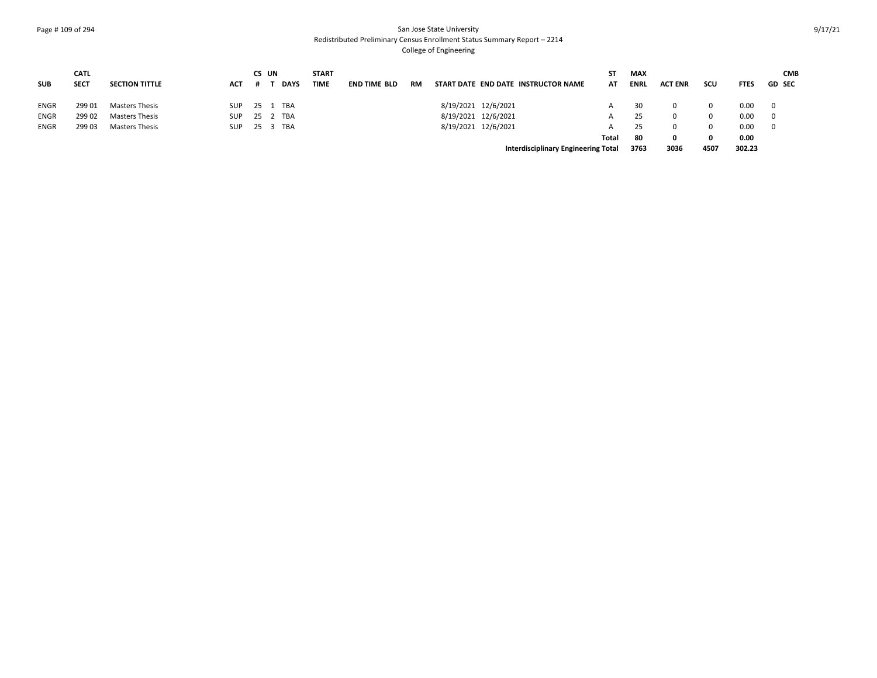## Page # 109 of 294 San Jose State University Redistributed Preliminary Census Enrollment Status Summary Report – 2214

|             | <b>CATL</b> |                       |              | CS UN    |             | <b>START</b> |                     |    |                     |                                     | SΤ    | <b>MAX</b>  |                |      |             | <b>CMB</b>              |
|-------------|-------------|-----------------------|--------------|----------|-------------|--------------|---------------------|----|---------------------|-------------------------------------|-------|-------------|----------------|------|-------------|-------------------------|
| <b>SUB</b>  | <b>SECT</b> | <b>SECTION TITTLE</b> | ACT          | . .      | <b>DAYS</b> | <b>TIME</b>  | <b>END TIME BLD</b> | RM |                     | START DATE END DATE INSTRUCTOR NAME | AT    | <b>ENRI</b> | <b>ACT ENR</b> | scu  | <b>FTES</b> | <b>GD SEC</b>           |
| <b>ENGR</b> | 299 01      | <b>Masters Thesis</b> | SUP          | 25 1 TBA |             |              |                     |    | 8/19/2021 12/6/2021 |                                     |       | -30         |                |      | 0.00        | 0                       |
| <b>ENGR</b> | 299 02      | <b>Masters Thesis</b> | SUP.         | 25 2 TBA |             |              |                     |    | 8/19/2021 12/6/2021 |                                     | A     |             |                |      | 0.00        | $\overline{\mathbf{0}}$ |
| <b>ENGR</b> | 299 03      | <b>Masters Thesis</b> | SUP 25 3 TBA |          |             |              |                     |    | 8/19/2021 12/6/2021 |                                     | А     |             |                |      | 0.00        | $\mathbf 0$             |
|             |             |                       |              |          |             |              |                     |    |                     |                                     | Total | -80         |                | 0    | 0.00        |                         |
|             |             |                       |              |          |             |              |                     |    |                     | Interdisciplinary Engineering Total |       | 3763        | 3036           | 4507 | 302.23      |                         |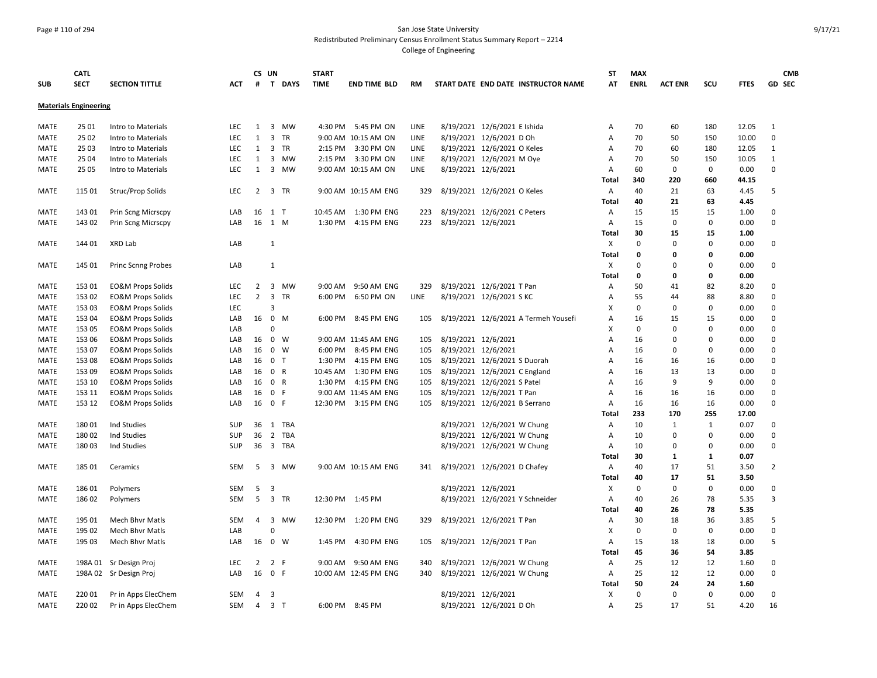#### Page # 110 of 294 San Jose State University Redistributed Preliminary Census Enrollment Status Summary Report – 2214

|             | <b>CATL</b>                  |                              |            |                | CS UN                   |        | <b>START</b> |                       |             |                     |                                      | <b>ST</b>                 | <b>MAX</b>   |                |              |             | <b>CMB</b>     |
|-------------|------------------------------|------------------------------|------------|----------------|-------------------------|--------|--------------|-----------------------|-------------|---------------------|--------------------------------------|---------------------------|--------------|----------------|--------------|-------------|----------------|
| <b>SUB</b>  | <b>SECT</b>                  | <b>SECTION TITTLE</b>        | ACT        | #              |                         | T DAYS | <b>TIME</b>  | <b>END TIME BLD</b>   | RM          |                     | START DATE END DATE INSTRUCTOR NAME  | AT                        | <b>ENRL</b>  | <b>ACT ENR</b> | SCU          | <b>FTES</b> | <b>GD SEC</b>  |
|             | <b>Materials Engineering</b> |                              |            |                |                         |        |              |                       |             |                     |                                      |                           |              |                |              |             |                |
|             |                              |                              |            |                |                         |        |              |                       |             |                     |                                      |                           |              |                |              |             |                |
| MATE        | 25 01                        | Intro to Materials           | LEC.       | 1              |                         | 3 MW   | 4:30 PM      | 5:45 PM ON            | LINE        |                     | 8/19/2021 12/6/2021 E Ishida         | Α                         | 70           | 60             | 180          | 12.05       | $\mathbf{1}$   |
| MATE        | 25 02                        | Intro to Materials           | LEC        | 1              | 3 TR                    |        |              | 9:00 AM 10:15 AM ON   | LINE        |                     | 8/19/2021 12/6/2021 D Oh             | A                         | 70           | 50             | 150          | 10.00       | $\pmb{0}$      |
| MATE        | 25 03                        | Intro to Materials           | <b>LEC</b> | 1              | 3 TR                    |        |              | 2:15 PM 3:30 PM ON    | LINE        |                     | 8/19/2021 12/6/2021 O Keles          | Α                         | 70           | 60             | 180          | 12.05       | 1              |
| MATE        | 25 04                        | Intro to Materials           | <b>LEC</b> | 1              |                         | 3 MW   |              | 2:15 PM 3:30 PM ON    | <b>LINE</b> |                     | 8/19/2021 12/6/2021 M Oye            | Α                         | 70           | 50             | 150          | 10.05       | $\mathbf{1}$   |
| <b>MATE</b> | 25 05                        | Intro to Materials           | <b>LEC</b> | 1              |                         | 3 MW   |              | 9:00 AM 10:15 AM ON   | LINE        |                     | 8/19/2021 12/6/2021                  | Α                         | 60           | $\mathbf 0$    | 0            | 0.00        | $\mathbf 0$    |
|             |                              |                              |            |                |                         |        |              |                       |             |                     |                                      | Total                     | 340          | 220            | 660          | 44.15       |                |
| MATE        | 115 01                       | Struc/Prop Solids            | <b>LEC</b> | $\overline{2}$ | 3 TR                    |        |              | 9:00 AM 10:15 AM ENG  | 329         |                     | 8/19/2021 12/6/2021 O Keles          | Α                         | 40           | 21             | 63           | 4.45        | 5              |
|             |                              |                              |            |                |                         |        |              |                       |             |                     |                                      | Total                     | 40           | 21             | 63           | 4.45        |                |
| MATE        | 143 01                       | Prin Scng Micrscpy           | LAB        |                | 16 1 T                  |        |              | 10:45 AM  1:30 PM ENG | 223         |                     | 8/19/2021 12/6/2021 C Peters         | Α                         | 15           | 15             | 15           | 1.00        | 0              |
| MATE        | 143 02                       | Prin Scng Micrscpy           | LAB        |                | 16 1 M                  |        | 1:30 PM      | 4:15 PM ENG           | 223         | 8/19/2021 12/6/2021 |                                      | Α                         | 15           | 0              | $\mathbf 0$  | 0.00        | $\mathbf 0$    |
|             |                              |                              |            |                |                         |        |              |                       |             |                     |                                      | Total                     | 30           | 15             | 15           | 1.00        |                |
| MATE        | 144 01                       | XRD Lab                      | LAB        |                | $\mathbf{1}$            |        |              |                       |             |                     |                                      | Χ                         | $\Omega$     | $\mathbf 0$    | $\Omega$     | 0.00        | 0              |
|             |                              |                              |            |                |                         |        |              |                       |             |                     |                                      | <b>Total</b>              | $\mathbf{0}$ | 0              | 0            | 0.00        |                |
| MATE        | 145 01                       | <b>Princ Scnng Probes</b>    | LAB        |                | $\mathbf{1}$            |        |              |                       |             |                     |                                      | X                         | $\Omega$     | $\Omega$       | $\Omega$     | 0.00        | $\mathbf 0$    |
|             |                              |                              |            |                |                         |        |              |                       |             |                     |                                      | Total                     | $\mathbf 0$  | $\mathbf 0$    | $\mathbf 0$  | 0.00        |                |
| MATE        | 153 01                       | <b>EO&amp;M Props Solids</b> | <b>LEC</b> | $\overline{2}$ |                         | 3 MW   | 9:00 AM      | 9:50 AM ENG           | 329         |                     | 8/19/2021 12/6/2021 T Pan            | Α                         | 50           | 41             | 82           | 8.20        | 0              |
| MATE        | 153 02                       | <b>EO&amp;M Props Solids</b> | <b>LEC</b> | $\overline{2}$ | 3 TR                    |        | 6:00 PM      | 6:50 PM ON            | LINE        |                     | 8/19/2021 12/6/2021 S KC             | Α                         | 55           | 44             | 88           | 8.80        | 0              |
| MATE        | 153 03                       | <b>EO&amp;M Props Solids</b> | LEC        |                | 3                       |        |              |                       |             |                     |                                      | х                         | $\mathbf 0$  | 0              | $\mathbf 0$  | 0.00        | 0              |
| <b>MATE</b> | 153 04                       | <b>EO&amp;M Props Solids</b> | LAB        | 16             | $\overline{\mathbf{0}}$ | M      | 6:00 PM      | 8:45 PM ENG           | 105         |                     | 8/19/2021 12/6/2021 A Termeh Yousefi | Α                         | 16           | 15             | 15           | 0.00        | $\mathbf 0$    |
| <b>MATE</b> | 153 05                       | <b>EO&amp;M Props Solids</b> | LAB        |                | $\Omega$                |        |              |                       |             |                     |                                      | $\boldsymbol{\mathsf{x}}$ | $\mathbf 0$  | 0              | $\mathbf 0$  | 0.00        | $\mathbf 0$    |
| <b>MATE</b> | 153 06                       | <b>EO&amp;M Props Solids</b> | LAB        | 16             | $0 \quad W$             |        |              | 9:00 AM 11:45 AM ENG  | 105         | 8/19/2021 12/6/2021 |                                      | $\overline{A}$            | 16           | $\mathbf 0$    | $\Omega$     | 0.00        | $\mathbf 0$    |
| MATE        | 153 07                       | <b>EO&amp;M Props Solids</b> | LAB        | 16             | 0 W                     |        | 6:00 PM      | 8:45 PM ENG           | 105         | 8/19/2021 12/6/2021 |                                      | A                         | 16           | $\mathbf 0$    | 0            | 0.00        | 0              |
| <b>MATE</b> | 153 08                       | <b>EO&amp;M Props Solids</b> | LAB        | 16             | 0 T                     |        | 1:30 PM      | 4:15 PM ENG           | 105         |                     | 8/19/2021 12/6/2021 S Duorah         | A                         | 16           | 16             | 16           | 0.00        | 0              |
| MATE        | 153 09                       | <b>EO&amp;M Props Solids</b> | LAB        | 16             | 0 R                     |        | 10:45 AM     | 1:30 PM ENG           | 105         |                     | 8/19/2021 12/6/2021 C England        | Α                         | 16           | 13             | 13           | 0.00        | $\mathbf 0$    |
| MATE        | 153 10                       |                              | LAB        | 16             | 0 R                     |        |              | 1:30 PM 4:15 PM ENG   | 105         |                     | 8/19/2021 12/6/2021 S Patel          | Α                         | 16           | 9              | 9            | 0.00        | $\mathbf 0$    |
|             | 153 11                       | <b>EO&amp;M Props Solids</b> |            |                |                         |        |              |                       |             |                     |                                      |                           |              |                | 16           |             | $\mathbf 0$    |
| MATE        |                              | <b>EO&amp;M Props Solids</b> | LAB        | 16             | 0 F                     |        |              | 9:00 AM 11:45 AM ENG  | 105         |                     | 8/19/2021 12/6/2021 T Pan            | $\overline{A}$            | 16           | 16             | 16           | 0.00        | 0              |
| MATE        | 153 12                       | <b>EO&amp;M Props Solids</b> | LAB        | 16             | 0 F                     |        |              | 12:30 PM 3:15 PM ENG  | 105         |                     | 8/19/2021 12/6/2021 B Serrano        | $\overline{A}$            | 16           | 16             |              | 0.00        |                |
|             |                              |                              |            |                |                         |        |              |                       |             |                     |                                      | Total                     | 233          | 170            | 255          | 17.00       | 0              |
| <b>MATE</b> | 180 01                       | Ind Studies                  | SUP        |                | 36 1 TBA                |        |              |                       |             |                     | 8/19/2021 12/6/2021 W Chung          | Α                         | 10           | $\mathbf{1}$   | $\mathbf{1}$ | 0.07        |                |
| MATE        | 180 02                       | Ind Studies                  | <b>SUP</b> | 36             | 2 TBA                   |        |              |                       |             |                     | 8/19/2021 12/6/2021 W Chung          | Α                         | 10           | 0              | 0            | 0.00        | 0              |
| MATE        | 18003                        | Ind Studies                  | <b>SUP</b> |                | 36 3 TBA                |        |              |                       |             |                     | 8/19/2021 12/6/2021 W Chung          | Α                         | 10           | 0              | 0            | 0.00        | 0              |
|             |                              |                              |            |                |                         |        |              |                       |             |                     |                                      | <b>Total</b>              | 30           | 1              | 1            | 0.07        |                |
| MATE        | 185 01                       | Ceramics                     | <b>SEM</b> | 5              |                         | 3 MW   |              | 9:00 AM 10:15 AM ENG  | 341         |                     | 8/19/2021 12/6/2021 D Chafey         | A                         | 40           | 17             | 51           | 3.50        | $\overline{2}$ |
|             |                              |                              |            |                |                         |        |              |                       |             |                     |                                      | Total                     | 40           | 17             | 51           | 3.50        |                |
| <b>MATE</b> | 18601                        | Polymers                     | <b>SEM</b> | 5              | -3                      |        |              |                       |             | 8/19/2021 12/6/2021 |                                      | $\boldsymbol{\mathsf{x}}$ | 0            | $\mathbf 0$    | $\mathbf 0$  | 0.00        | $\mathbf 0$    |
| MATE        | 186 02                       | Polymers                     | SEM        | 5              | 3 TR                    |        |              | 12:30 PM 1:45 PM      |             |                     | 8/19/2021 12/6/2021 Y Schneider      | A                         | 40           | 26             | 78           | 5.35        | 3              |
|             |                              |                              |            |                |                         |        |              |                       |             |                     |                                      | Total                     | 40           | 26             | 78           | 5.35        |                |
| MATE        | 195 01                       | <b>Mech Bhvr Matls</b>       | <b>SEM</b> | $\overline{4}$ |                         | 3 MW   |              | 12:30 PM 1:20 PM ENG  | 329         |                     | 8/19/2021 12/6/2021 T Pan            | Α                         | 30           | 18             | 36           | 3.85        | 5              |
| MATE        | 195 02                       | <b>Mech Bhvr Matls</b>       | LAB        |                | $\Omega$                |        |              |                       |             |                     |                                      | х                         | $\Omega$     | 0              | 0            | 0.00        | $\mathbf 0$    |
| MATE        | 195 03                       | <b>Mech Bhyr Matls</b>       | LAB        | 16             | 0 W                     |        | 1:45 PM      | 4:30 PM ENG           | 105         |                     | 8/19/2021 12/6/2021 T Pan            | $\overline{A}$            | 15           | 18             | 18           | 0.00        | 5              |
|             |                              |                              |            |                |                         |        |              |                       |             |                     |                                      | <b>Total</b>              | 45           | 36             | 54           | 3.85        |                |
| MATE        |                              | 198A 01 Sr Design Proj       | LEC        | $\overline{2}$ | 2 F                     |        |              | 9:00 AM 9:50 AM ENG   | 340         |                     | 8/19/2021 12/6/2021 W Chung          | Α                         | 25           | 12             | 12           | 1.60        | 0              |
| MATE        |                              | 198A 02 Sr Design Proj       | LAB        | 16             | 0 F                     |        |              | 10:00 AM 12:45 PM ENG | 340         |                     | 8/19/2021 12/6/2021 W Chung          | A                         | 25           | 12             | 12           | 0.00        | 0              |
|             |                              |                              |            |                |                         |        |              |                       |             |                     |                                      | Total                     | 50           | 24             | 24           | 1.60        |                |
| MATE        | 220 01                       | Pr in Apps ElecChem          | SEM        | 4              | 3                       |        |              |                       |             |                     | 8/19/2021 12/6/2021                  | X                         | $\mathbf 0$  | $\mathbf 0$    | $\mathbf 0$  | 0.00        | 0              |
| MATE        | 220 02                       | Pr in Apps ElecChem          | <b>SEM</b> | $\overline{4}$ | 3 <sub>1</sub>          |        | 6:00 PM      | 8:45 PM               |             |                     | 8/19/2021 12/6/2021 D Oh             | $\overline{A}$            | 25           | 17             | 51           | 4.20        | 16             |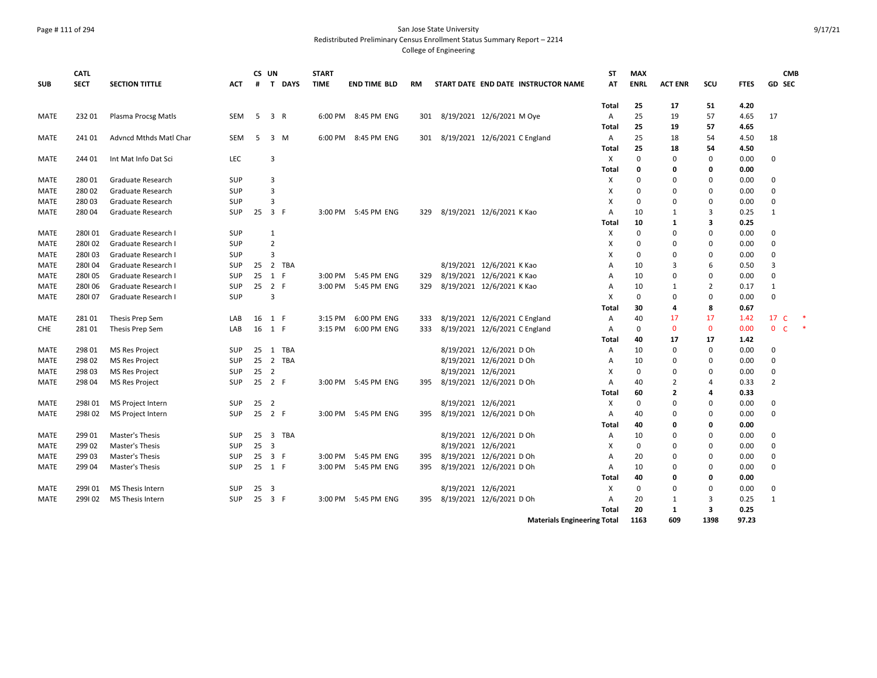#### Page # 111 of 294 San Jose State University Redistributed Preliminary Census Enrollment Status Summary Report – 2214

|             | <b>CATL</b> |                        |            | CS UN |                         |        | <b>START</b> |                     |     |                               |                               |                                     | <b>ST</b>      | <b>MAX</b>  |                |              |             | <b>CMB</b>                   |  |
|-------------|-------------|------------------------|------------|-------|-------------------------|--------|--------------|---------------------|-----|-------------------------------|-------------------------------|-------------------------------------|----------------|-------------|----------------|--------------|-------------|------------------------------|--|
| <b>SUB</b>  | <b>SECT</b> | <b>SECTION TITTLE</b>  | ACT        | #     |                         | T DAYS | <b>TIME</b>  | <b>END TIME BLD</b> | RM  |                               |                               | START DATE END DATE INSTRUCTOR NAME | AT             | <b>ENRL</b> | <b>ACT ENR</b> | scu          | <b>FTES</b> | GD SEC                       |  |
|             |             |                        |            |       |                         |        |              |                     |     |                               |                               |                                     |                |             |                |              |             |                              |  |
|             |             |                        |            |       |                         |        |              |                     |     |                               |                               |                                     | <b>Total</b>   | 25          | 17             | 51           | 4.20        |                              |  |
| MATE        | 232 01      | Plasma Procsg Matls    | SEM        | - 5   | 3 R                     |        |              | 6:00 PM 8:45 PM ENG | 301 | 8/19/2021 12/6/2021 M Oye     |                               |                                     | Α              | 25          | 19             | 57           | 4.65        | 17                           |  |
|             |             |                        |            |       |                         |        |              |                     |     |                               |                               |                                     | Total          | 25          | 19             | 57           | 4.65        |                              |  |
| MATE        | 24101       | Advncd Mthds Matl Char | SEM        | -5    | 3 M                     |        |              | 6:00 PM 8:45 PM ENG | 301 |                               | 8/19/2021 12/6/2021 C England |                                     | $\overline{A}$ | 25          | 18             | 54           | 4.50        | 18                           |  |
|             |             |                        |            |       |                         |        |              |                     |     |                               |                               |                                     | Total          | 25          | 18             | 54           | 4.50        |                              |  |
| MATE        | 244 01      | Int Mat Info Dat Sci   | <b>LEC</b> |       | 3                       |        |              |                     |     |                               |                               |                                     | X              | $\mathbf 0$ | $\Omega$       | 0            | 0.00        | $\mathbf 0$                  |  |
|             |             |                        |            |       |                         |        |              |                     |     |                               |                               |                                     | Total          | 0           | 0              | O            | 0.00        |                              |  |
| MATE        | 280 01      | Graduate Research      | <b>SUP</b> |       | 3                       |        |              |                     |     |                               |                               |                                     | х              | 0           | 0              | O            | 0.00        | 0                            |  |
| MATE        | 280 02      | Graduate Research      | SUP        |       | 3                       |        |              |                     |     |                               |                               |                                     | X              | 0           | $\Omega$       | 0            | 0.00        | $\mathbf 0$                  |  |
| <b>MATE</b> | 280 03      | Graduate Research      | <b>SUP</b> |       | 3                       |        |              |                     |     |                               |                               |                                     | X              | 0           | $\Omega$       | 0            | 0.00        | 0                            |  |
| MATE        | 280 04      | Graduate Research      | <b>SUP</b> | 25    | 3 F                     |        |              | 3:00 PM 5:45 PM ENG | 329 |                               | 8/19/2021 12/6/2021 K Kao     |                                     | $\overline{A}$ | 10          | 1              | 3            | 0.25        | $\mathbf{1}$                 |  |
|             |             |                        |            |       |                         |        |              |                     |     |                               |                               |                                     | Total          | 10          | 1              | 3            | 0.25        |                              |  |
| <b>MATE</b> | 280101      | Graduate Research I    | SUP        |       | $\mathbf{1}$            |        |              |                     |     |                               |                               |                                     | X              | $\mathbf 0$ | $\Omega$       | $\Omega$     | 0.00        | $\mathbf 0$                  |  |
| MATE        | 280102      | Graduate Research I    | SUP        |       | $\overline{2}$          |        |              |                     |     |                               |                               |                                     | х              | $\mathbf 0$ | $\Omega$       | $\Omega$     | 0.00        | $\mathbf 0$                  |  |
| MATE        | 280103      | Graduate Research I    | <b>SUP</b> |       | 3                       |        |              |                     |     |                               |                               |                                     | х              | 0           | $\Omega$       | $\Omega$     | 0.00        | $\mathbf 0$                  |  |
| MATE        | 280104      | Graduate Research I    | <b>SUP</b> | 25    |                         | 2 TBA  |              |                     |     |                               | 8/19/2021 12/6/2021 К Као     |                                     | A              | 10          | 3              | 6            | 0.50        | 3                            |  |
| MATE        | 280105      | Graduate Research I    | <b>SUP</b> | 25    | 1 F                     |        | 3:00 PM      | 5:45 PM ENG         | 329 |                               | 8/19/2021 12/6/2021 K Kao     |                                     | Α              | 10          | $\Omega$       | 0            | 0.00        | 0                            |  |
| MATE        | 280106      | Graduate Research I    | <b>SUP</b> | 25    | 2 F                     |        |              | 3:00 PM 5:45 PM ENG | 329 |                               | 8/19/2021 12/6/2021 K Kao     |                                     | Α              | 10          | 1              | 2            | 0.17        | 1                            |  |
| MATE        | 280107      | Graduate Research I    | <b>SUP</b> |       | 3                       |        |              |                     |     |                               |                               |                                     | х              | 0           | 0              | $\Omega$     | 0.00        | 0                            |  |
|             |             |                        |            |       |                         |        |              |                     |     |                               |                               |                                     | Total          | 30          | 4              | 8            | 0.67        |                              |  |
| MATE        | 28101       | Thesis Prep Sem        | LAB        | 16    | 1 F                     |        | 3:15 PM      | 6:00 PM ENG         | 333 |                               | 8/19/2021 12/6/2021 C England |                                     | $\overline{A}$ | 40          | 17             | 17           | 1.42        | 17<br><b>C</b>               |  |
| <b>CHE</b>  | 28101       | Thesis Prep Sem        | LAB        | 16    | 1 F                     |        | 3:15 PM      | 6:00 PM ENG         | 333 | 8/19/2021 12/6/2021 C England |                               |                                     | $\overline{A}$ | $\mathbf 0$ | $\mathbf{0}$   | $\mathbf{0}$ | 0.00        | $\mathbf{0}$<br>$\mathsf{C}$ |  |
|             |             |                        |            |       |                         |        |              |                     |     |                               |                               |                                     | Total          | 40          | 17             | 17           | 1.42        |                              |  |
| MATE        | 298 01      | MS Res Project         | <b>SUP</b> | 25    |                         | 1 TBA  |              |                     |     |                               | 8/19/2021 12/6/2021 D Oh      |                                     | $\overline{A}$ | 10          | $\mathbf{0}$   | 0            | 0.00        | $\mathbf 0$                  |  |
| MATE        | 298 02      | <b>MS Res Project</b>  | <b>SUP</b> | 25    |                         | 2 TBA  |              |                     |     |                               | 8/19/2021 12/6/2021 D Oh      |                                     | Α              | 10          | 0              | 0            | 0.00        | 0                            |  |
| MATE        | 298 03      | <b>MS Res Project</b>  | <b>SUP</b> | 25    | $\overline{2}$          |        |              |                     |     |                               | 8/19/2021 12/6/2021           |                                     | х              | 0           | 0              | 0            | 0.00        | 0                            |  |
| <b>MATE</b> | 298 04      | <b>MS Res Project</b>  | <b>SUP</b> | 25    | 2 F                     |        |              | 3:00 PM 5:45 PM ENG | 395 |                               | 8/19/2021 12/6/2021 D Oh      |                                     | A              | 40          | 2              | 4            | 0.33        | 2                            |  |
|             |             |                        |            |       |                         |        |              |                     |     |                               |                               |                                     | Total          | 60          | $\overline{2}$ | 4            | 0.33        |                              |  |
| MATE        | 298101      | MS Project Intern      | <b>SUP</b> | 25    | $\overline{2}$          |        |              |                     |     |                               | 8/19/2021 12/6/2021           |                                     | X              | $\mathbf 0$ | $\Omega$       | $\Omega$     | 0.00        | $\mathbf 0$                  |  |
| MATE        | 298102      | MS Project Intern      | <b>SUP</b> | 25    | 2 F                     |        |              | 3:00 PM 5:45 PM ENG | 395 |                               | 8/19/2021 12/6/2021 D Oh      |                                     | $\overline{A}$ | 40          | $\Omega$       | $\Omega$     | 0.00        | $\mathbf 0$                  |  |
|             |             |                        |            |       |                         |        |              |                     |     |                               |                               |                                     | Total          | 40          | $\Omega$       | O            | 0.00        |                              |  |
| MATE        | 299 01      | Master's Thesis        | <b>SUP</b> | 25    |                         | 3 TBA  |              |                     |     |                               | 8/19/2021 12/6/2021 D Oh      |                                     | Α              | 10          | 0              | <sup>0</sup> | 0.00        | 0                            |  |
| MATE        | 299 02      | Master's Thesis        | <b>SUP</b> | 25    | $\overline{\mathbf{3}}$ |        |              |                     |     |                               | 8/19/2021 12/6/2021           |                                     | х              | 0           | 0              | 0            | 0.00        | 0                            |  |
| MATE        | 299 03      | Master's Thesis        | <b>SUP</b> | 25    | 3 F                     |        | 3:00 PM      | 5:45 PM ENG         | 395 |                               | 8/19/2021 12/6/2021 D Oh      |                                     | A              | 20          | 0              | O            | 0.00        | 0                            |  |
| MATE        | 299 04      | Master's Thesis        | <b>SUP</b> |       | 25 1 F                  |        | 3:00 PM      | 5:45 PM ENG         | 395 |                               | 8/19/2021 12/6/2021 D Oh      |                                     | A              | 10          | 0              | O            | 0.00        | 0                            |  |
|             |             |                        |            |       |                         |        |              |                     |     |                               |                               |                                     | Total          | 40          | 0              | 0            | 0.00        |                              |  |
| MATE        | 299101      | MS Thesis Intern       | <b>SUP</b> | 25    | $\overline{3}$          |        |              |                     |     |                               | 8/19/2021 12/6/2021           |                                     | X              | $\mathbf 0$ | $\Omega$       | $\Omega$     | 0.00        | 0                            |  |
| MATE        | 299102      | MS Thesis Intern       | <b>SUP</b> | 25    | 3 F                     |        |              | 3:00 PM 5:45 PM ENG | 395 | 8/19/2021 12/6/2021 D Oh      |                               |                                     | A              | 20          | 1              | 3            | 0.25        | 1                            |  |
|             |             |                        |            |       |                         |        |              |                     |     |                               |                               |                                     | Total          | 20          | 1              | 3            | 0.25        |                              |  |
|             |             |                        |            |       |                         |        |              |                     |     |                               |                               | <b>Materials Engineering Total</b>  |                | 1163        | 609            | 1398         | 97.23       |                              |  |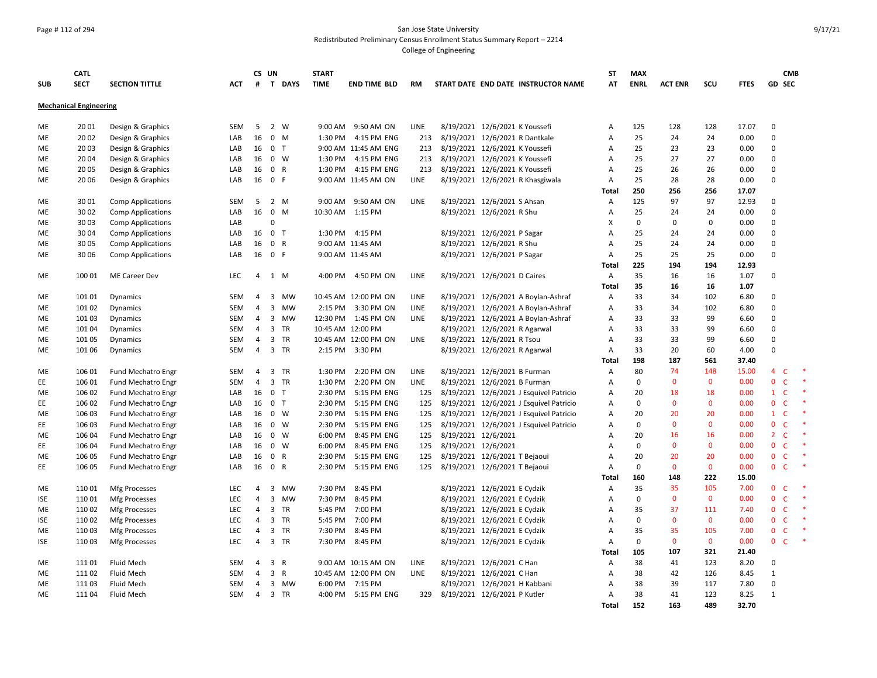#### Page # 112 of 294 San Jose State University Redistributed Preliminary Census Enrollment Status Summary Report – 2214

|            | <b>CATL</b>                   |                                |            |                | CS UN          |                | <b>START</b>      |                      |             |                               |                                                              |                                         | <b>ST</b>  | <b>MAX</b>        |                    |                   |              |                                | <b>CMB</b>   |        |
|------------|-------------------------------|--------------------------------|------------|----------------|----------------|----------------|-------------------|----------------------|-------------|-------------------------------|--------------------------------------------------------------|-----------------------------------------|------------|-------------------|--------------------|-------------------|--------------|--------------------------------|--------------|--------|
| <b>SUB</b> | <b>SECT</b>                   | <b>SECTION TITTLE</b>          | ACT        | #              |                | T DAYS         | <b>TIME</b>       | <b>END TIME BLD</b>  | <b>RM</b>   |                               |                                                              | START DATE END DATE INSTRUCTOR NAME     | AΤ         | <b>ENRL</b>       | <b>ACT ENR</b>     | <b>SCU</b>        | <b>FTES</b>  | <b>GD SEC</b>                  |              |        |
|            | <b>Mechanical Engineering</b> |                                |            |                |                |                |                   |                      |             |                               |                                                              |                                         |            |                   |                    |                   |              |                                |              |        |
| ME         | 20 01                         | Design & Graphics              | <b>SEM</b> | 5              |                | 2 W            | 9:00 AM           | 9:50 AM ON           | <b>LINE</b> |                               | 8/19/2021 12/6/2021 K Youssefi                               |                                         | А          | 125               | 128                | 128               | 17.07        | $\Omega$                       |              |        |
| МE         | 20 02                         | Design & Graphics              | LAB        | 16             | $\mathbf 0$    | M              | 1:30 PM           | 4:15 PM ENG          | 213         |                               |                                                              | 8/19/2021 12/6/2021 R Dantkale          | A          | 25                | 24                 | 24                | 0.00         | $\Omega$                       |              |        |
| ME         | 20 03                         | Design & Graphics              | LAB        | 16             |                | 0 <sub>T</sub> |                   | 9:00 AM 11:45 AM ENG | 213         |                               | 8/19/2021 12/6/2021 K Youssefi                               |                                         | A          | 25                | 23                 | 23                | 0.00         | $\mathbf 0$                    |              |        |
| ME         | 20 04                         | Design & Graphics              | LAB        | 16             |                | $0 \quad W$    | 1:30 PM           | 4:15 PM ENG          | 213         |                               | 8/19/2021 12/6/2021 K Youssefi                               |                                         | Α          | 25                | 27                 | 27                | 0.00         | $\mathbf 0$                    |              |        |
| ME         | 20 05                         | Design & Graphics              | LAB        | 16             |                | 0 R            | 1:30 PM           | 4:15 PM ENG          | 213         |                               | 8/19/2021 12/6/2021 K Youssefi                               |                                         | Α          | 25                | 26                 | 26                | 0.00         | $\mathbf 0$                    |              |        |
| ME         | 20 06                         | Design & Graphics              | LAB        | 16             | 0 F            |                |                   | 9:00 AM 11:45 AM ON  | LINE        |                               |                                                              | 8/19/2021 12/6/2021 R Khasgiwala        | Α          | 25                | 28                 | 28                | 0.00         | $\Omega$                       |              |        |
|            |                               |                                |            |                |                |                |                   |                      |             |                               |                                                              |                                         | Total      | 250               | 256                | 256               | 17.07        |                                |              |        |
| ME         | 30 01                         | <b>Comp Applications</b>       | <b>SEM</b> | 5              |                | 2 M            | 9:00 AM           | 9:50 AM ON           | LINE        |                               | 8/19/2021 12/6/2021 S Ahsan                                  |                                         | Α          | 125               | 97                 | 97                | 12.93        | $\Omega$                       |              |        |
| ME         | 30 02                         | <b>Comp Applications</b>       | LAB        | 16             | $\mathbf 0$    | M              | 10:30 AM          | 1:15 PM              |             |                               | 8/19/2021 12/6/2021 R Shu                                    |                                         | Α          | 25                | 24                 | 24                | 0.00         | $\Omega$                       |              |        |
| ME         | 30 03                         | <b>Comp Applications</b>       | LAB        |                | $\mathbf 0$    |                |                   |                      |             |                               |                                                              |                                         | X          | $\mathbf 0$       | $\mathbf 0$        | $\mathbf 0$       | 0.00         | $\Omega$                       |              |        |
| ME         | 30 04                         | <b>Comp Applications</b>       | LAB        | 16             | 0 <sub>T</sub> |                | 1:30 PM           | 4:15 PM              |             |                               | 8/19/2021 12/6/2021 P Sagar                                  |                                         | A          | 25                | 24                 | 24                | 0.00         | $\Omega$                       |              |        |
| ME         | 30 05                         | <b>Comp Applications</b>       | LAB        | 16             |                | 0 R            |                   | 9:00 AM 11:45 AM     |             |                               | 8/19/2021 12/6/2021 R Shu                                    |                                         | A          | 25                | 24                 | 24                | 0.00         | $\Omega$                       |              |        |
| ME         | 30 06                         | <b>Comp Applications</b>       | LAB        | 16             | 0 F            |                |                   | 9:00 AM 11:45 AM     |             |                               | 8/19/2021 12/6/2021 P Sagar                                  |                                         | A          | 25                | 25                 | 25                | 0.00         | $\Omega$                       |              |        |
|            |                               |                                |            |                |                |                |                   |                      |             |                               |                                                              |                                         | Total      | 225               | 194                | 194               | 12.93        |                                |              |        |
| ME         | 100 01                        | ME Career Dev                  | <b>LEC</b> | 4              |                | 1 M            | 4:00 PM           | 4:50 PM ON           | LINE        |                               | 8/19/2021 12/6/2021 D Caires                                 |                                         | Α          | 35                | 16                 | 16                | 1.07         | $\mathbf 0$                    |              |        |
|            |                               |                                |            |                |                |                |                   |                      |             |                               |                                                              |                                         | Total      | 35                | 16                 | 16                | 1.07         |                                |              |        |
| ME         | 101 01                        | Dynamics                       | SEM        | 4              | 3              | MW             |                   | 10:45 AM 12:00 PM ON | LINE        |                               |                                                              | 8/19/2021 12/6/2021 A Boylan-Ashraf     | Α          | 33                | 34                 | 102               | 6.80         | $\Omega$                       |              |        |
| ME         | 101 02                        | Dynamics                       | SEM        | $\overline{4}$ | $\mathbf{3}$   | <b>MW</b>      | 2:15 PM           | 3:30 PM ON           | LINE        |                               |                                                              | 8/19/2021 12/6/2021 A Boylan-Ashraf     | Α          | 33                | 34                 | 102               | 6.80         | $\mathbf 0$                    |              |        |
| ME         | 101 03                        | Dynamics                       | <b>SEM</b> | $\overline{4}$ |                | 3 MW           | 12:30 PM          | 1:45 PM ON           | <b>LINE</b> |                               |                                                              | 8/19/2021 12/6/2021 A Boylan-Ashraf     | Α          | 33                | 33                 | 99                | 6.60         | $\Omega$                       |              |        |
| ME         | 101 04                        | <b>Dynamics</b>                | <b>SEM</b> | $\overline{4}$ |                | 3 TR           | 10:45 AM 12:00 PM |                      |             |                               | 8/19/2021 12/6/2021 R Agarwal                                |                                         | A          | 33                | 33                 | 99                | 6.60         | $\mathbf 0$                    |              |        |
| ME         | 101 05                        | Dynamics                       | <b>SEM</b> | 4              |                | 3 TR           |                   | 10:45 AM 12:00 PM ON | <b>LINE</b> |                               | 8/19/2021 12/6/2021 R Tsou                                   |                                         | A          | 33                | 33                 | 99                | 6.60         | $\Omega$                       |              |        |
| ME         | 101 06                        | Dynamics                       | <b>SEM</b> | $\overline{4}$ |                | 3 TR           | 2:15 PM           | 3:30 PM              |             |                               | 8/19/2021 12/6/2021 R Agarwal                                |                                         | А          | 33                | 20                 | 60                | 4.00         | $\Omega$                       |              |        |
|            |                               |                                |            |                |                |                |                   |                      |             |                               |                                                              |                                         | Total      | 198               | 187                | 561               | 37.40        |                                |              |        |
| ME         | 106 01                        | Fund Mechatro Engr             | <b>SEM</b> | $\overline{4}$ | 3              | TR             | 1:30 PM           | 2:20 PM ON           | <b>LINE</b> |                               | 8/19/2021 12/6/2021 B Furman                                 |                                         | А          | 80                | 74                 | 148               | 15.00        | $\overline{4}$                 | C            | $\ast$ |
| EE.        | 106 01                        | Fund Mechatro Engr             | <b>SEM</b> | $\overline{4}$ |                | 3 TR           | 1:30 PM           | 2:20 PM ON           | LINE        |                               | 8/19/2021 12/6/2021 B Furman                                 |                                         | A          | $\Omega$          | $\mathbf{0}$       | $\mathbf{0}$      | 0.00         | $\mathbf{0}$                   | $\mathsf{C}$ |        |
| ME         | 106 02                        | Fund Mechatro Engr             | LAB        | 16             | $\mathbf 0$    | T              | 2:30 PM           | 5:15 PM ENG          | 125         |                               |                                                              | 8/19/2021 12/6/2021 J Esquivel Patricio | A          | 20                | 18                 | 18                | 0.00         | $\mathbf{1}$                   | $\mathsf{C}$ | $\ast$ |
| EE         | 106 02                        | <b>Fund Mechatro Engr</b>      | LAB        | 16             |                | 0 <sub>T</sub> | 2:30 PM           | 5:15 PM ENG          | 125         |                               |                                                              | 8/19/2021 12/6/2021 J Esquivel Patricio | А          | $\mathbf 0$       | $\mathbf 0$        | $\mathbf{0}$      | 0.00         | $\mathbf{0}$                   | C            |        |
| ME         | 106 03                        | <b>Fund Mechatro Engr</b>      | LAB        | 16             | $\mathbf 0$    | W              | 2:30 PM           | 5:15 PM ENG          | 125         |                               |                                                              | 8/19/2021 12/6/2021 J Esquivel Patricio | А          | 20                | 20                 | 20                | 0.00         | $\mathbf{1}$                   | C            |        |
| EE         | 106 03                        | <b>Fund Mechatro Engr</b>      | LAB        | 16             | $\mathbf 0$    | W              | 2:30 PM           | 5:15 PM ENG          | 125         |                               |                                                              | 8/19/2021 12/6/2021 J Esquivel Patricio | A          | $\mathbf 0$       | $\mathbf{0}$       | $\mathbf{0}$      | 0.00         | $\mathbf 0$                    | C            |        |
| ME         | 106 04                        | <b>Fund Mechatro Engr</b>      | LAB        | 16             | $\mathbf 0$    | W              | 6:00 PM           | 8:45 PM ENG          | 125         |                               | 8/19/2021 12/6/2021                                          |                                         | A          | 20                | 16<br>$\mathbf 0$  | 16                | 0.00         | 2 <sup>1</sup><br>$\mathbf{0}$ | C            |        |
| EE.        | 106 04                        | Fund Mechatro Engr             | LAB        | 16             | $\mathbf 0$    | W              | 6:00 PM           | 8:45 PM ENG          | 125         |                               | 8/19/2021 12/6/2021                                          |                                         | A<br>A     | $\mathsf 0$       |                    | $\mathbf 0$<br>20 | 0.00         |                                | C            |        |
| ME         | 106 05                        | <b>Fund Mechatro Engr</b>      | LAB        | 16             | $\mathbf 0$    | R<br>0 R       | 2:30 PM           | 5:15 PM ENG          | 125         |                               | 8/19/2021 12/6/2021 T Bejaoui                                |                                         |            | 20<br>$\mathbf 0$ | 20<br>$\mathbf{0}$ | $\mathbf{0}$      | 0.00<br>0.00 | $\mathbf 0$<br>$\mathbf 0$     | C<br>C       |        |
| EE         | 106 05                        | <b>Fund Mechatro Engr</b>      | LAB        | 16             |                |                | 2:30 PM           | 5:15 PM ENG          | 125         | 8/19/2021 12/6/2021 T Bejaoui |                                                              |                                         | A<br>Total | 160               | 148                | 222               | 15.00        |                                |              |        |
| ME         | 11001                         |                                | <b>LEC</b> | 4              | $\overline{3}$ | MW             | 7:30 PM           | 8:45 PM              |             |                               |                                                              |                                         |            | 35                | 35                 | 105               | 7.00         | $\mathbf{0}$                   | C            |        |
| ISE        | 11001                         | Mfg Processes                  | LEC        | 4              |                | 3 MW           | 7:30 PM           | 8:45 PM              |             |                               | 8/19/2021 12/6/2021 E Cydzik<br>8/19/2021 12/6/2021 E Cydzik |                                         | Α<br>Α     | $\mathbf 0$       | $\mathbf 0$        | $\mathbf{0}$      | 0.00         | $\mathbf{0}$                   | $\mathsf{C}$ |        |
| ME         | 11002                         | Mfg Processes<br>Mfg Processes | <b>LEC</b> | $\overline{4}$ |                | 3 TR           | 5:45 PM           | 7:00 PM              |             |                               | 8/19/2021 12/6/2021 E Cydzik                                 |                                         | А          | 35                | 37                 | 111               | 7.40         | $\mathbf{0}$                   | C            |        |
| ISE        | 110 02                        | Mfg Processes                  | <b>LEC</b> | $\overline{4}$ |                | 3 TR           | 5:45 PM           | 7:00 PM              |             |                               | 8/19/2021 12/6/2021 E Cydzik                                 |                                         | A          | $\mathbf 0$       | $\mathbf{0}$       | $\mathbf{0}$      | 0.00         | $\mathbf{0}$                   | C            | $\ast$ |
| ME         | 110 03                        | Mfg Processes                  | <b>LEC</b> | 4              | $\overline{3}$ | <b>TR</b>      | 7:30 PM           | 8:45 PM              |             |                               | 8/19/2021 12/6/2021 E Cydzik                                 |                                         | A          | 35                | 35                 | 105               | 7.00         | $\mathbf{0}$                   | C            | $\ast$ |
| <b>ISE</b> | 110 03                        | Mfg Processes                  | <b>LEC</b> | 4              |                | 3 TR           | 7:30 PM           | 8:45 PM              |             |                               | 8/19/2021 12/6/2021 E Cydzik                                 |                                         | Α          | $\mathsf 0$       | $\mathbf 0$        | $\mathbf 0$       | 0.00         | 0 <sub>c</sub>                 |              | $\ast$ |
|            |                               |                                |            |                |                |                |                   |                      |             |                               |                                                              |                                         |            | 105               | 107                | 321               | 21.40        |                                |              |        |
| ME         | 11101                         | Fluid Mech                     | SEM        | $\overline{4}$ | $\overline{3}$ | R              |                   | 9:00 AM 10:15 AM ON  | LINE        |                               | 8/19/2021 12/6/2021 C Han                                    |                                         | Total<br>А | 38                | 41                 | 123               | 8.20         | $\mathbf 0$                    |              |        |
| ME         | 11102                         | Fluid Mech                     | SEM        | $\overline{4}$ | $\overline{3}$ | R              |                   | 10:45 AM 12:00 PM ON | LINE        |                               | 8/19/2021 12/6/2021 C Han                                    |                                         | Α          | 38                | 42                 | 126               | 8.45         | $\mathbf{1}$                   |              |        |
| ME         | 11103                         | <b>Fluid Mech</b>              | <b>SEM</b> | $\overline{4}$ |                | 3 MW           | 6:00 PM           | 7:15 PM              |             |                               | 8/19/2021 12/6/2021 H Kabbani                                |                                         | A          | 38                | 39                 | 117               | 7.80         | $\Omega$                       |              |        |
| ME         | 11104                         | Fluid Mech                     | SEM        | $\overline{4}$ |                | 3 TR           |                   | 4:00 PM 5:15 PM ENG  | 329         | 8/19/2021 12/6/2021 P Kutler  |                                                              |                                         | A          | 38                | 41                 | 123               | 8.25         | $\mathbf{1}$                   |              |        |
|            |                               |                                |            |                |                |                |                   |                      |             |                               |                                                              |                                         | Total      | 152               | 163                | 489               | 32.70        |                                |              |        |
|            |                               |                                |            |                |                |                |                   |                      |             |                               |                                                              |                                         |            |                   |                    |                   |              |                                |              |        |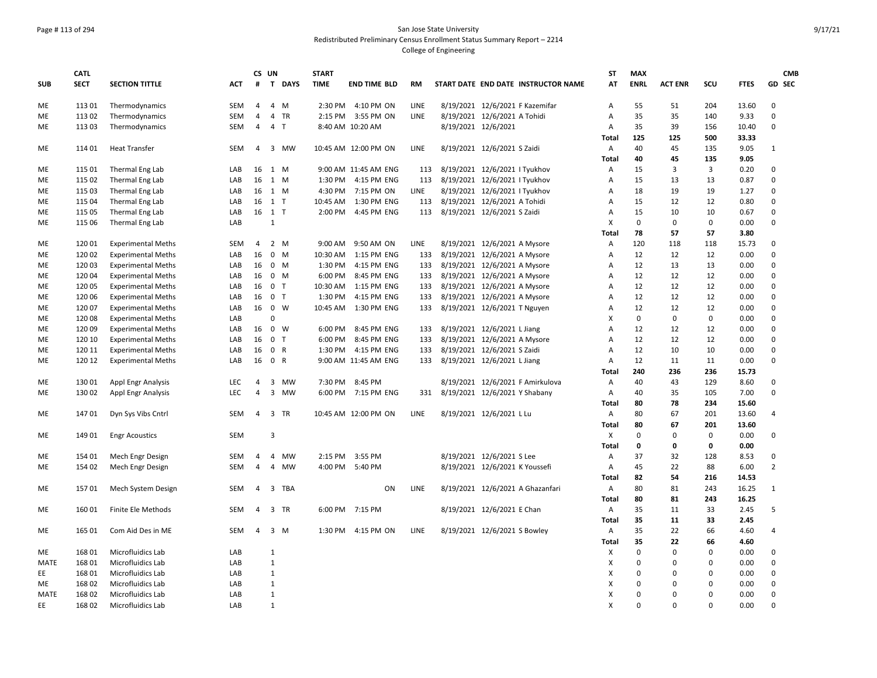## Page # 113 of 294 San Jose State University Redistributed Preliminary Census Enrollment Status Summary Report – 2214 College of Engineering

|             | <b>CATL</b> |                           |            | CS UN          |                   | <b>START</b> |                      |             |                               |                                |                                     | <b>ST</b>      | <b>MAX</b>  |                |             |             | <b>CMB</b>     |
|-------------|-------------|---------------------------|------------|----------------|-------------------|--------------|----------------------|-------------|-------------------------------|--------------------------------|-------------------------------------|----------------|-------------|----------------|-------------|-------------|----------------|
| <b>SUB</b>  | <b>SECT</b> | <b>SECTION TITTLE</b>     | <b>ACT</b> | #              | T DAYS            | <b>TIME</b>  | <b>END TIME BLD</b>  | <b>RM</b>   |                               |                                | START DATE END DATE INSTRUCTOR NAME | AT             | <b>ENRL</b> | <b>ACT ENR</b> | SCU         | <b>FTES</b> | <b>GD SEC</b>  |
|             |             |                           |            |                |                   |              |                      |             |                               |                                |                                     |                |             |                |             |             |                |
| ME          | 113 01      | Thermodynamics            | <b>SEM</b> | $\overline{4}$ | 4 M               |              | 2:30 PM 4:10 PM ON   | <b>LINE</b> |                               |                                | 8/19/2021 12/6/2021 F Kazemifar     | Α              | 55          | 51             | 204         | 13.60       | $\mathbf 0$    |
| ME          | 113 02      | Thermodynamics            | <b>SEM</b> | $\overline{4}$ | 4 TR              | 2:15 PM      | 3:55 PM ON           | LINE        |                               | 8/19/2021 12/6/2021 A Tohidi   |                                     | A              | 35          | 35             | 140         | 9.33        | $\mathbf 0$    |
| МE          | 113 03      | Thermodynamics            | SEM        | $\overline{4}$ | 4 <sub>T</sub>    |              | 8:40 AM 10:20 AM     |             |                               | 8/19/2021 12/6/2021            |                                     | A              | 35          | 39             | 156         | 10.40       | 0              |
|             |             |                           |            |                |                   |              |                      |             |                               |                                |                                     | Total          | 125         | 125            | 500         | 33.33       |                |
| МE          | 11401       | <b>Heat Transfer</b>      | <b>SEM</b> | $\overline{4}$ | 3 MW              |              | 10:45 AM 12:00 PM ON | LINE        |                               | 8/19/2021 12/6/2021 S Zaidi    |                                     | Α              | 40          | 45             | 135         | 9.05        | $\mathbf{1}$   |
|             |             |                           |            |                |                   |              |                      |             |                               |                                |                                     | Total          | 40          | 45             | 135         | 9.05        |                |
| МE          | 115 01      | Thermal Eng Lab           | LAB        | 16             | 1 M               |              | 9:00 AM 11:45 AM ENG | 113         |                               | 8/19/2021 12/6/2021   Tyukhov  |                                     | A              | 15          | 3              | 3           | 0.20        | 0              |
| ME          | 115 02      | Thermal Eng Lab           | LAB        | 16             | 1 M               | 1:30 PM      | 4:15 PM ENG          | 113         |                               | 8/19/2021 12/6/2021   Tyukhov  |                                     | A              | 15          | 13             | 13          | 0.87        | $\mathbf 0$    |
| ME          | 115 03      | Thermal Eng Lab           | LAB        | 16             | 1 M               | 4:30 PM      | 7:15 PM ON           | LINE        |                               | 8/19/2021 12/6/2021   Tyukhov  |                                     | A              | 18          | 19             | 19          | 1.27        | 0              |
| ME          | 115 04      | Thermal Eng Lab           | LAB        | 16             | 1T                | 10:45 AM     | 1:30 PM ENG          | 113         |                               | 8/19/2021 12/6/2021 A Tohidi   |                                     | A              | 15          | 12             | 12          | 0.80        | 0              |
| ME          | 115 05      | Thermal Eng Lab           | LAB        |                | 16 1 T            | 2:00 PM      | 4:45 PM ENG          | 113         |                               | 8/19/2021 12/6/2021 S Zaidi    |                                     | A              | 15          | 10             | 10          | 0.67        | $\mathbf 0$    |
| ME          | 115 06      | Thermal Eng Lab           | LAB        |                | $\mathbf{1}$      |              |                      |             |                               |                                |                                     | X              | $\mathbf 0$ | $\mathsf 0$    | $\mathsf 0$ | 0.00        | 0              |
|             |             |                           |            |                |                   |              |                      |             |                               |                                |                                     | Total          | 78          | 57             | 57          | 3.80        |                |
| ME          | 120 01      | <b>Experimental Meths</b> | <b>SEM</b> | $\overline{4}$ | 2 M               | 9:00 AM      | 9:50 AM ON           | LINE        |                               | 8/19/2021 12/6/2021 A Mysore   |                                     | Α              | 120         | 118            | 118         | 15.73       | $\mathbf 0$    |
| ME          | 120 02      | <b>Experimental Meths</b> | LAB        | 16             | $0$ M             | 10:30 AM     | 1:15 PM ENG          | 133         |                               | 8/19/2021 12/6/2021 A Mysore   |                                     | A              | 12          | 12             | 12          | 0.00        | 0              |
| МE          | 120 03      | <b>Experimental Meths</b> | LAB        | 16             | $0 \quad M$       | 1:30 PM      | 4:15 PM ENG          | 133         |                               | 8/19/2021 12/6/2021 A Mysore   |                                     | A              | 12          | 13             | 13          | 0.00        | 0              |
| ME          | 12004       | <b>Experimental Meths</b> | LAB        | 16             | $0 \quad M$       | 6:00 PM      | 8:45 PM ENG          | 133         |                               | 8/19/2021 12/6/2021 A Mysore   |                                     | $\overline{A}$ | 12          | 12             | 12          | 0.00        | 0              |
| ME          | 120 05      | <b>Experimental Meths</b> | LAB        | 16             | 0 <sub>T</sub>    | 10:30 AM     | 1:15 PM ENG          | 133         |                               | 8/19/2021 12/6/2021 A Mysore   |                                     | $\overline{A}$ | 12          | 12             | 12          | 0.00        | 0              |
| ME          | 120 06      | <b>Experimental Meths</b> | LAB        | 16             | 0 <sub>T</sub>    | 1:30 PM      | 4:15 PM ENG          | 133         |                               | 8/19/2021 12/6/2021 A Mysore   |                                     | A              | 12          | 12             | 12          | 0.00        | 0              |
| МE          | 120 07      | <b>Experimental Meths</b> | LAB        | 16             | $0 \quad W$       | 10:45 AM     | 1:30 PM ENG          | 133         |                               | 8/19/2021 12/6/2021 T Nguyen   |                                     | A              | 12          | 12             | 12          | 0.00        | 0              |
| ME          | 120 08      | <b>Experimental Meths</b> | LAB        |                | $\mathbf 0$       |              |                      |             |                               |                                |                                     | X              | $\mathbf 0$ | $\mathbf 0$    | 0           | 0.00        | 0              |
| ME          | 120 09      | <b>Experimental Meths</b> | LAB        | 16             | $\mathbf 0$<br>W  | 6:00 PM      | 8:45 PM ENG          | 133         |                               | 8/19/2021 12/6/2021 L Jiang    |                                     | A              | 12          | 12             | 12          | 0.00        | 0              |
| ME          | 120 10      | <b>Experimental Meths</b> | LAB        | 16             | $\mathbf{0}$<br>T | 6:00 PM      | 8:45 PM ENG          | 133         |                               | 8/19/2021 12/6/2021 A Mysore   |                                     | $\overline{A}$ | 12          | 12             | 12          | 0.00        | 0              |
| ME          | 120 11      | <b>Experimental Meths</b> | LAB        | 16             | 0 R               | 1:30 PM      | 4:15 PM ENG          | 133         |                               | 8/19/2021 12/6/2021 S Zaidi    |                                     | A              | 12          | 10             | 10          | 0.00        | $\mathbf 0$    |
| ME          | 120 12      | <b>Experimental Meths</b> | LAB        | 16             | 0 R               |              | 9:00 AM 11:45 AM ENG | 133         |                               | 8/19/2021 12/6/2021 L Jiang    |                                     | A              | 12          | 11             | 11          | 0.00        | 0              |
|             |             |                           |            |                |                   |              |                      |             |                               |                                |                                     | Total          | 240         | 236            | 236         | 15.73       |                |
| ME          | 13001       | <b>Appl Engr Analysis</b> | <b>LEC</b> | $\overline{4}$ | 3 MW              | 7:30 PM      | 8:45 PM              |             |                               |                                | 8/19/2021 12/6/2021 F Amirkulova    | Α              | 40          | 43             | 129         | 8.60        | 0              |
| ME          | 130 02      | Appl Engr Analysis        | LEC        | $\overline{4}$ | 3 MW              |              | 6:00 PM 7:15 PM ENG  | 331         | 8/19/2021 12/6/2021 Y Shabany |                                |                                     | Α              | 40          | 35             | 105         | 7.00        | $\Omega$       |
|             |             |                           |            |                |                   |              |                      |             |                               |                                |                                     | Total          | 80          | 78             | 234         | 15.60       |                |
| МE          | 14701       | Dyn Sys Vibs Cntrl        | <b>SEM</b> | $\overline{4}$ | 3 TR              |              | 10:45 AM 12:00 PM ON | <b>LINE</b> |                               | 8/19/2021 12/6/2021 L Lu       |                                     | Α              | 80          | 67             | 201         | 13.60       | 4              |
|             |             |                           |            |                |                   |              |                      |             |                               |                                |                                     | Total          | 80          | 67             | 201         | 13.60       |                |
| ME          | 149 01      | <b>Engr Acoustics</b>     | <b>SEM</b> |                | 3                 |              |                      |             |                               |                                |                                     | х              | 0           | $\mathbf 0$    | $\mathsf 0$ | 0.00        | 0              |
|             |             |                           |            |                |                   |              |                      |             |                               |                                |                                     | Total          | 0           | 0              | $\mathbf 0$ | 0.00        |                |
| ME          | 154 01      | Mech Engr Design          | <b>SEM</b> | $\overline{4}$ | 4 MW              | 2:15 PM      | 3:55 PM              |             |                               | 8/19/2021 12/6/2021 S Lee      |                                     | A              | 37          | 32             | 128         | 8.53        | 0              |
| ME          | 154 02      | Mech Engr Design          | <b>SEM</b> | $\overline{4}$ | 4 MW              | 4:00 PM      | 5:40 PM              |             |                               | 8/19/2021 12/6/2021 K Youssefi |                                     | A              | 45          | 22             | 88          | 6.00        | $\overline{2}$ |
|             |             |                           |            |                |                   |              |                      |             |                               |                                |                                     | Total          | 82          | 54             | 216         | 14.53       |                |
| ME          | 15701       | Mech System Design        | SEM        | $\overline{4}$ | 3<br>TBA          |              | ON                   | LINE        |                               |                                | 8/19/2021 12/6/2021 A Ghazanfari    | Α              | 80          | 81             | 243         | 16.25       | $\mathbf{1}$   |
|             |             |                           |            |                |                   |              |                      |             |                               |                                |                                     | <b>Total</b>   | 80          | 81             | 243         | 16.25       |                |
| МE          | 16001       | Finite Ele Methods        | <b>SEM</b> | $\overline{4}$ | 3 TR              | 6:00 PM      | 7:15 PM              |             |                               | 8/19/2021 12/6/2021 E Chan     |                                     | Α              | 35          | 11             | 33          | 2.45        | 5              |
|             |             |                           |            |                |                   |              |                      |             |                               |                                |                                     | Total          | 35          | 11             | 33          | 2.45        |                |
| ME          | 165 01      | Com Aid Des in ME         | <b>SEM</b> | $\overline{4}$ | 3 M               | 1:30 PM      | 4:15 PM ON           | LINE        |                               | 8/19/2021 12/6/2021 S Bowley   |                                     | Α              | 35          | 22             | 66          | 4.60        | 4              |
|             |             |                           |            |                |                   |              |                      |             |                               |                                |                                     | Total          | 35          | 22             | 66          | 4.60        |                |
| ME          | 168 01      | Microfluidics Lab         | LAB        |                | $\mathbf{1}$      |              |                      |             |                               |                                |                                     | X              | $\mathbf 0$ | $\mathbf 0$    | $\mathbf 0$ | 0.00        | 0              |
| <b>MATE</b> | 168 01      | Microfluidics Lab         | LAB        |                | $\mathbf{1}$      |              |                      |             |                               |                                |                                     | X              | $\Omega$    | $\mathbf 0$    | $\Omega$    | 0.00        | $\mathbf 0$    |
| EE          | 168 01      | Microfluidics Lab         | LAB        |                | $1\,$             |              |                      |             |                               |                                |                                     | X              | $\Omega$    | $\Omega$       | $\Omega$    | 0.00        | 0              |
| ME          | 168 02      | Microfluidics Lab         | LAB        |                | $\mathbf{1}$      |              |                      |             |                               |                                |                                     | X              | $\Omega$    | $\Omega$       | $\mathbf 0$ | 0.00        | 0              |
| <b>MATE</b> | 168 02      | Microfluidics Lab         | LAB        |                | $\mathbf{1}$      |              |                      |             |                               |                                |                                     | X              | $\Omega$    | $\Omega$       | $\Omega$    | 0.00        | $\mathbf 0$    |
| EE          | 168 02      | Microfluidics Lab         | LAB        |                | $\mathbf{1}$      |              |                      |             |                               |                                |                                     | X              | $\Omega$    | $\Omega$       | $\Omega$    | 0.00        | $\mathbf 0$    |
|             |             |                           |            |                |                   |              |                      |             |                               |                                |                                     |                |             |                |             |             |                |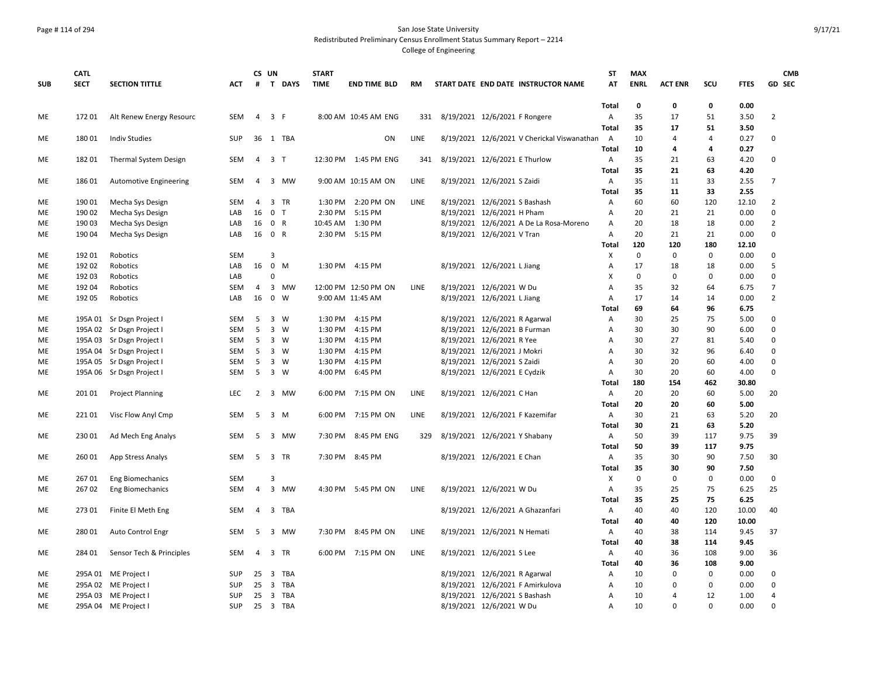#### Page # 114 of 294 San Jose State University Redistributed Preliminary Census Enrollment Status Summary Report – 2214

|            | <b>CATL</b> |                                            |                          |                | CS UN          |                | <b>START</b> |                      |      |                                                                   | ST                | <b>MAX</b>  |                  |             |              | <b>CMB</b>       |
|------------|-------------|--------------------------------------------|--------------------------|----------------|----------------|----------------|--------------|----------------------|------|-------------------------------------------------------------------|-------------------|-------------|------------------|-------------|--------------|------------------|
| <b>SUB</b> | <b>SECT</b> | <b>SECTION TITTLE</b>                      | <b>ACT</b>               | #              |                | T DAYS         | <b>TIME</b>  | <b>END TIME BLD</b>  | RM   | START DATE END DATE INSTRUCTOR NAME                               | AT                | <b>ENRL</b> | <b>ACT ENR</b>   | SCU         | <b>FTES</b>  | <b>GD SEC</b>    |
|            |             |                                            |                          |                |                |                |              |                      |      |                                                                   | Total             | 0           | $\mathbf 0$      | $\mathbf 0$ | 0.00         |                  |
| ME         | 172 01      | Alt Renew Energy Resourc                   | SEM                      | 4              | 3 F            |                |              | 8:00 AM 10:45 AM ENG | 331  | 8/19/2021 12/6/2021 F Rongere                                     | Α                 | 35          | 17               | 51          | 3.50         | $\overline{2}$   |
|            |             |                                            |                          |                |                |                |              |                      |      |                                                                   | Total             | 35          | 17               | 51          | 3.50         |                  |
| ME         | 18001       | <b>Indiv Studies</b>                       | <b>SUP</b>               | 36             |                | 1 TBA          |              | ON                   | LINE | 8/19/2021 12/6/2021 V Cherickal Viswanathan                       | A                 | 10          | 4                | 4           | 0.27         | 0                |
|            |             |                                            |                          |                |                |                |              |                      |      |                                                                   | Total             | 10          | 4                | 4           | 0.27         |                  |
| ME         | 18201       | Thermal System Design                      | <b>SEM</b>               | $\overline{4}$ | 3 <sub>1</sub> |                |              | 12:30 PM 1:45 PM ENG | 341  | 8/19/2021 12/6/2021 E Thurlow                                     | A                 | 35<br>35    | 21<br>21         | 63<br>63    | 4.20         | $\mathbf 0$      |
| ME         | 18601       | <b>Automotive Engineering</b>              | SEM                      | 4              |                | 3 MW           |              | 9:00 AM 10:15 AM ON  | LINE | 8/19/2021 12/6/2021 S Zaidi                                       | Total<br>Α        | 35          | 11               | 33          | 4.20<br>2.55 | 7                |
|            |             |                                            |                          |                |                |                |              |                      |      |                                                                   | Total             | 35          | 11               | 33          | 2.55         |                  |
| ME         | 190 01      | Mecha Sys Design                           | <b>SEM</b>               | 4              |                | 3 TR           | 1:30 PM      | 2:20 PM ON           | LINE | 8/19/2021 12/6/2021 S Bashash                                     | Α                 | 60          | 60               | 120         | 12.10        | $\overline{2}$   |
| ME         | 190 02      | Mecha Sys Design                           | LAB                      | 16             | 0 <sub>T</sub> |                | 2:30 PM      | 5:15 PM              |      | 8/19/2021 12/6/2021 H Pham                                        | Α                 | 20          | 21               | 21          | 0.00         | 0                |
| ME         | 190 03      | Mecha Sys Design                           | LAB                      | 16             | 0 R            |                |              | 10:45 AM 1:30 PM     |      | 8/19/2021 12/6/2021 A De La Rosa-Moreno                           | Α                 | 20          | 18               | 18          | 0.00         | $\overline{2}$   |
| ME         | 190 04      | Mecha Sys Design                           | LAB                      |                | 16 0 R         |                |              | 2:30 PM 5:15 PM      |      | 8/19/2021 12/6/2021 V Tran                                        | Α                 | 20          | 21               | 21          | 0.00         | 0                |
|            |             |                                            |                          |                |                |                |              |                      |      |                                                                   | Total             | 120         | 120              | 180         | 12.10        |                  |
| ME         | 192 01      | Robotics                                   | <b>SEM</b>               |                | 3              |                |              |                      |      |                                                                   | X                 | $\mathbf 0$ | $\mathbf 0$      | $\mathbf 0$ | 0.00         | $\mathbf 0$      |
| ME         | 192 02      | Robotics                                   | LAB                      | 16 0 M         |                |                |              | 1:30 PM 4:15 PM      |      | 8/19/2021 12/6/2021 L Jiang                                       | A                 | 17          | 18               | 18          | 0.00         | 5                |
| ME         | 192 03      | Robotics                                   | LAB                      |                | $\Omega$       |                |              |                      |      |                                                                   | х                 | 0           | 0                | 0           | 0.00         | $\mathbf 0$      |
| ME         | 192 04      | Robotics                                   | <b>SEM</b>               | $\overline{4}$ |                | 3 MW           |              | 12:00 PM 12:50 PM ON | LINE | 8/19/2021 12/6/2021 W Du                                          | $\overline{A}$    | 35          | 32               | 64          | 6.75         | $\overline{7}$   |
| ME         | 192 05      | Robotics                                   | LAB                      | 16             | $\mathbf 0$    | W              |              | 9:00 AM 11:45 AM     |      | 8/19/2021 12/6/2021 L Jiang                                       | А                 | 17          | 14               | 14          | 0.00         | $\overline{2}$   |
| ME         |             | 195A 01 Sr Dsgn Project I                  | <b>SEM</b>               | 5              |                | 3 W            | 1:30 PM      | 4:15 PM              |      | 8/19/2021 12/6/2021 R Agarwal                                     | Total<br>Α        | 69<br>30    | 64<br>25         | 96<br>75    | 6.75<br>5.00 | 0                |
| ME         |             | 195A 02 Sr Dsgn Project                    | SEM                      | 5              |                | 3 W            | 1:30 PM      | 4:15 PM              |      | 8/19/2021 12/6/2021 B Furman                                      | А                 | 30          | 30               | 90          | 6.00         | 0                |
| ME         |             | 195A 03 Sr Dsgn Project                    | <b>SEM</b>               | 5              |                | 3 W            | 1:30 PM      | 4:15 PM              |      | 8/19/2021 12/6/2021 R Yee                                         | A                 | 30          | 27               | 81          | 5.40         | 0                |
| <b>ME</b>  |             | 195A 04 Sr Dsgn Project                    | <b>SEM</b>               | 5              |                | 3 W            | 1:30 PM      | 4:15 PM              |      | 8/19/2021 12/6/2021 J Mokri                                       | $\overline{A}$    | 30          | 32               | 96          | 6.40         | $\mathbf 0$      |
| ME         |             | 195A 05 Sr Dsgn Project                    | SEM                      | 5              |                | 3 W            | 1:30 PM      | 4:15 PM              |      | 8/19/2021 12/6/2021 S Zaidi                                       | A                 | 30          | 20               | 60          | 4.00         | $\mathbf 0$      |
| ME         |             | 195A 06 Sr Dsgn Project                    | SEM                      | 5              |                | 3 W            | 4:00 PM      | 6:45 PM              |      | 8/19/2021 12/6/2021 E Cydzik                                      | Α                 | 30          | 20               | 60          | 4.00         | $\mathbf 0$      |
|            |             |                                            |                          |                |                |                |              |                      |      |                                                                   | Total             | 180         | 154              | 462         | 30.80        |                  |
| ME         | 201 01      | <b>Project Planning</b>                    | LEC                      | $\overline{2}$ |                | 3 MW           |              | 6:00 PM 7:15 PM ON   | LINE | 8/19/2021 12/6/2021 C Han                                         | Α                 | 20          | 20               | 60          | 5.00         | 20               |
|            |             |                                            |                          |                |                |                |              |                      |      |                                                                   | <b>Total</b>      | 20          | 20               | 60          | 5.00         |                  |
| ME         | 22101       | Visc Flow Anyl Cmp                         | <b>SEM</b>               | - 5            |                | 3 M            | 6:00 PM      | 7:15 PM ON           | LINE | 8/19/2021 12/6/2021 F Kazemifar                                   | Α                 | 30          | 21               | 63          | 5.20         | 20               |
|            |             |                                            |                          |                |                |                |              |                      |      |                                                                   | Total             | 30          | 21               | 63          | 5.20         |                  |
| ME         | 230 01      | Ad Mech Eng Analys                         | SEM                      | - 5            |                | 3 MW           | 7:30 PM      | 8:45 PM ENG          | 329  | 8/19/2021 12/6/2021 Y Shabany                                     | Α<br><b>Total</b> | 50<br>50    | 39<br>39         | 117<br>117  | 9.75<br>9.75 | 39               |
| ME         | 260 01      | App Stress Analys                          | SEM                      | - 5            |                | 3 TR           | 7:30 PM      | 8:45 PM              |      | 8/19/2021 12/6/2021 E Chan                                        | Α                 | 35          | 30               | 90          | 7.50         | 30               |
|            |             |                                            |                          |                |                |                |              |                      |      |                                                                   | Total             | 35          | 30               | 90          | 7.50         |                  |
| ME         | 26701       | <b>Eng Biomechanics</b>                    | <b>SEM</b>               |                | $\overline{3}$ |                |              |                      |      |                                                                   | x                 | 0           | $\mathbf 0$      | $\mathbf 0$ | 0.00         | 0                |
| ME         | 26702       | <b>Eng Biomechanics</b>                    | SEM                      | 4              |                | 3 MW           |              | 4:30 PM 5:45 PM ON   | LINE | 8/19/2021 12/6/2021 W Du                                          | Α                 | 35          | 25               | 75          | 6.25         | 25               |
|            |             |                                            |                          |                |                |                |              |                      |      |                                                                   | Total             | 35          | 25               | 75          | 6.25         |                  |
| ME         | 27301       | Finite El Meth Eng                         | SEM                      | $\overline{4}$ |                | 3 TBA          |              |                      |      | 8/19/2021 12/6/2021 A Ghazanfari                                  | A                 | 40          | 40               | 120         | 10.00        | 40               |
|            |             |                                            |                          |                |                |                |              |                      |      |                                                                   | <b>Total</b>      | 40          | 40               | 120         | 10.00        |                  |
| ME         | 280 01      | Auto Control Engr                          | <b>SEM</b>               | -5             |                | 3 MW           | 7:30 PM      | 8:45 PM ON           | LINE | 8/19/2021 12/6/2021 N Hemati                                      | Α                 | 40          | 38               | 114         | 9.45         | 37               |
|            |             |                                            |                          |                |                |                |              |                      |      |                                                                   | Total             | 40          | 38               | 114         | 9.45         |                  |
| ME         | 284 01      | Sensor Tech & Principles                   | SEM                      | $\overline{4}$ |                | 3 TR           |              | 6:00 PM 7:15 PM ON   | LINE | 8/19/2021 12/6/2021 S Lee                                         | Α                 | 40          | 36               | 108         | 9.00         | 36               |
|            |             |                                            |                          |                |                |                |              |                      |      |                                                                   | Total             | 40          | 36               | 108         | 9.00         |                  |
| ME<br>ME   |             | 295A 01 ME Project I<br>295A 02 ME Project | <b>SUP</b><br><b>SUP</b> | 25<br>25       |                | 3 TBA<br>3 TBA |              |                      |      | 8/19/2021 12/6/2021 R Agarwal<br>8/19/2021 12/6/2021 F Amirkulova | Α<br>Α            | 10<br>10    | $\mathbf 0$<br>0 | 0<br>0      | 0.00<br>0.00 | 0<br>$\mathbf 0$ |
| ME         |             | 295A 03 ME Project                         | <b>SUP</b>               | 25             |                | 3 TBA          |              |                      |      | 8/19/2021 12/6/2021 S Bashash                                     | $\overline{A}$    | 10          | $\overline{a}$   | 12          | 1.00         | 4                |
| ME         |             | 295A 04 ME Project I                       | SUP                      |                |                | 25 3 TBA       |              |                      |      | 8/19/2021 12/6/2021 W Du                                          | А                 | 10          | $\Omega$         | $\Omega$    | 0.00         | $\mathbf 0$      |
|            |             |                                            |                          |                |                |                |              |                      |      |                                                                   |                   |             |                  |             |              |                  |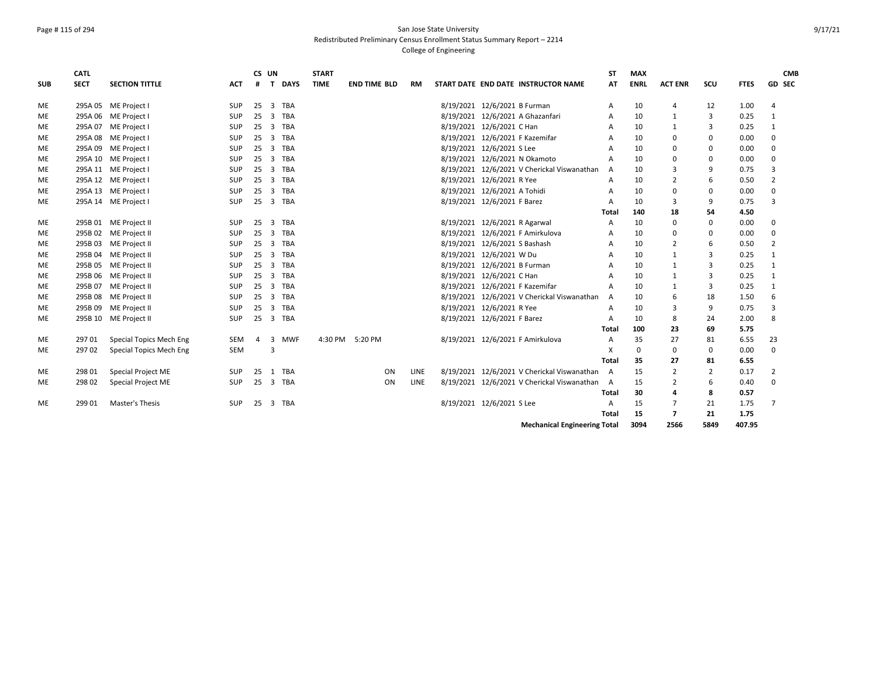## Page # 115 of 294 San Jose State University Redistributed Preliminary Census Enrollment Status Summary Report – 2214

|            | <b>CATL</b> |                         |            | CS UN |                |             | <b>START</b>    |                     |    |             |                               |                                               | <b>ST</b>      | <b>MAX</b>  |                          |                |             | <b>CMB</b>     |
|------------|-------------|-------------------------|------------|-------|----------------|-------------|-----------------|---------------------|----|-------------|-------------------------------|-----------------------------------------------|----------------|-------------|--------------------------|----------------|-------------|----------------|
| <b>SUB</b> | <b>SECT</b> | <b>SECTION TITTLE</b>   | ACT        | #     | $\mathbf{T}$   | <b>DAYS</b> | <b>TIME</b>     | <b>END TIME BLD</b> |    | RM          |                               | START DATE END DATE INSTRUCTOR NAME           | AT             | <b>ENRL</b> | <b>ACT ENR</b>           | SCU            | <b>FTES</b> | <b>GD SEC</b>  |
| ME         |             | 295A 05 ME Project I    | <b>SUP</b> | 25    | 3 TBA          |             |                 |                     |    |             | 8/19/2021 12/6/2021 B Furman  |                                               | A              | 10          | 4                        | 12             | 1.00        | 4              |
| ME         |             | 295A 06 ME Project I    | SUP        | 25    |                | 3 TBA       |                 |                     |    |             |                               | 8/19/2021 12/6/2021 A Ghazanfari              | A              | 10          | 1                        | 3              | 0.25        | 1              |
| ME         |             | 295A 07 ME Project I    | SUP        | 25    |                | 3 TBA       |                 |                     |    |             | 8/19/2021 12/6/2021 C Han     |                                               | A              | 10          | 1                        | 3              | 0.25        | $\mathbf{1}$   |
| ME         |             | 295A 08 ME Project I    | SUP        | 25    |                | 3 TBA       |                 |                     |    |             |                               | 8/19/2021 12/6/2021 F Kazemifar               | A              | 10          | $\mathbf{0}$             | 0              | 0.00        | $\Omega$       |
| ME         |             | 295A 09 ME Project I    | <b>SUP</b> | 25    | $\overline{3}$ | TBA         |                 |                     |    |             | 8/19/2021 12/6/2021 S Lee     |                                               | $\overline{A}$ | 10          | 0                        | 0              | 0.00        | $\Omega$       |
| <b>ME</b>  |             | 295A 10 ME Project I    | <b>SUP</b> | 25    |                | 3 TBA       |                 |                     |    |             |                               | 8/19/2021 12/6/2021 N Okamoto                 | A              | 10          | $\mathbf 0$              | 0              | 0.00        | $\Omega$       |
| ME         |             | 295A 11 ME Project I    | <b>SUP</b> | 25    | 3 TBA          |             |                 |                     |    |             |                               | 8/19/2021 12/6/2021 V Cherickal Viswanathan   | $\mathsf{A}$   | 10          | 3                        | 9              | 0.75        | 3              |
| ME         |             | 295A 12 ME Project I    | <b>SUP</b> | 25    | 3 TBA          |             |                 |                     |    |             | 8/19/2021 12/6/2021 R Yee     |                                               | $\overline{A}$ | 10          | 2                        | 6              | 0.50        | $\overline{2}$ |
| ME         |             | 295A 13 ME Project I    | SUP        | 25    | 3 TBA          |             |                 |                     |    |             | 8/19/2021 12/6/2021 A Tohidi  |                                               | A              | 10          | 0                        | 0              | 0.00        | $\Omega$       |
| <b>ME</b>  |             | 295A 14 ME Project I    | <b>SUP</b> | 25    | 3 TBA          |             |                 |                     |    |             | 8/19/2021 12/6/2021 F Barez   |                                               | A              | 10          | 3                        | 9              | 0.75        | 3              |
|            |             |                         |            |       |                |             |                 |                     |    |             |                               |                                               | Total          | 140         | 18                       | 54             | 4.50        |                |
| ME         |             | 295B 01 ME Project II   | <b>SUP</b> | 25    |                | 3 TBA       |                 |                     |    |             | 8/19/2021 12/6/2021 R Agarwal |                                               | A              | 10          | $\mathbf{0}$             | 0              | 0.00        | $\mathbf 0$    |
| ME         |             | 295B 02 ME Project II   | SUP        | 25    |                | 3 TBA       |                 |                     |    |             |                               | 8/19/2021 12/6/2021 F Amirkulova              | A              | 10          | 0                        | 0              | 0.00        | $\Omega$       |
| ME         |             | 295B 03 ME Project II   | SUP        | 25    |                | 3 TBA       |                 |                     |    |             | 8/19/2021 12/6/2021 S Bashash |                                               | A              | 10          | $\overline{2}$           | 6              | 0.50        | $\overline{2}$ |
| <b>ME</b>  |             | 295B 04 ME Project II   | SUP        | 25    |                | 3 TBA       |                 |                     |    |             | 8/19/2021 12/6/2021 W Du      |                                               | A              | 10          | 1                        | $\overline{3}$ | 0.25        | 1              |
| ME         |             | 295B 05 ME Project II   | SUP        | 25    |                | 3 TBA       |                 |                     |    |             | 8/19/2021 12/6/2021 B Furman  |                                               | A              | 10          | 1                        | 3              | 0.25        | 1              |
| ME         |             | 295B 06 ME Project II   | SUP        | 25    |                | 3 TBA       |                 |                     |    |             | 8/19/2021 12/6/2021 C Han     |                                               | A              | 10          | 1                        | 3              | 0.25        | 1              |
| ME         |             | 295B 07 ME Project II   | SUP        | 25    | 3 TBA          |             |                 |                     |    |             |                               | 8/19/2021 12/6/2021 F Kazemifar               | A              | 10          | 1                        | 3              | 0.25        | $\mathbf{1}$   |
| ME         |             | 295B 08 ME Project II   | SUP        | 25    | 3 TBA          |             |                 |                     |    |             |                               | 8/19/2021 12/6/2021 V Cherickal Viswanathan   | A              | 10          | 6                        | 18             | 1.50        | 6              |
| ME         | 295B 09     | ME Project II           | SUP        | 25    |                | 3 TBA       |                 |                     |    |             | 8/19/2021 12/6/2021 R Yee     |                                               | $\overline{A}$ | 10          | 3                        | 9              | 0.75        | 3              |
| ME         |             | 295B 10 ME Project II   | <b>SUP</b> | 25    | 3 TBA          |             |                 |                     |    |             | 8/19/2021 12/6/2021 F Barez   |                                               | A              | 10          | 8                        | 24             | 2.00        | 8              |
|            |             |                         |            |       |                |             |                 |                     |    |             |                               |                                               | Total          | 100         | 23                       | 69             | 5.75        |                |
| ME         | 297 01      | Special Topics Mech Eng | SEM        | 4     |                | 3 MWF       | 4:30 PM 5:20 PM |                     |    |             |                               | 8/19/2021 12/6/2021 F Amirkulova              | A              | 35          | 27                       | 81             | 6.55        | 23             |
| <b>ME</b>  | 297 02      | Special Topics Mech Eng | <b>SEM</b> |       | 3              |             |                 |                     |    |             |                               |                                               | X              | $\Omega$    | $\mathbf{0}$             | 0              | 0.00        | $\Omega$       |
|            |             |                         |            |       |                |             |                 |                     |    |             |                               |                                               | <b>Total</b>   | 35          | 27                       | 81             | 6.55        |                |
| ME         | 298 01      | Special Project ME      | <b>SUP</b> | 25    |                | 1 TBA       |                 |                     | ON | <b>LINE</b> |                               | 8/19/2021 12/6/2021 V Cherickal Viswanathan   | A              | 15          | $\overline{2}$           | $\overline{2}$ | 0.17        | 2              |
| <b>ME</b>  | 298 02      | Special Project ME      | <b>SUP</b> | 25    | 3 TBA          |             |                 |                     | ON | <b>LINE</b> |                               | 8/19/2021 12/6/2021 V Cherickal Viswanathan A |                | 15          | $\overline{2}$           | 6              | 0.40        | $\Omega$       |
|            |             |                         |            |       |                |             |                 |                     |    |             |                               |                                               | Total          | 30          | 4                        | 8              | 0.57        |                |
| ME         | 299 01      | Master's Thesis         | <b>SUP</b> | 25    | 3 TBA          |             |                 |                     |    |             | 8/19/2021 12/6/2021 S Lee     |                                               | $\overline{A}$ | 15          | 7                        | 21             | 1.75        | $\overline{7}$ |
|            |             |                         |            |       |                |             |                 |                     |    |             |                               |                                               | Total          | 15          | $\overline{\phantom{a}}$ | 21             | 1.75        |                |
|            |             |                         |            |       |                |             |                 |                     |    |             |                               | <b>Mechanical Engineering Total</b>           |                | 3094        | 2566                     | 5849           | 407.95      |                |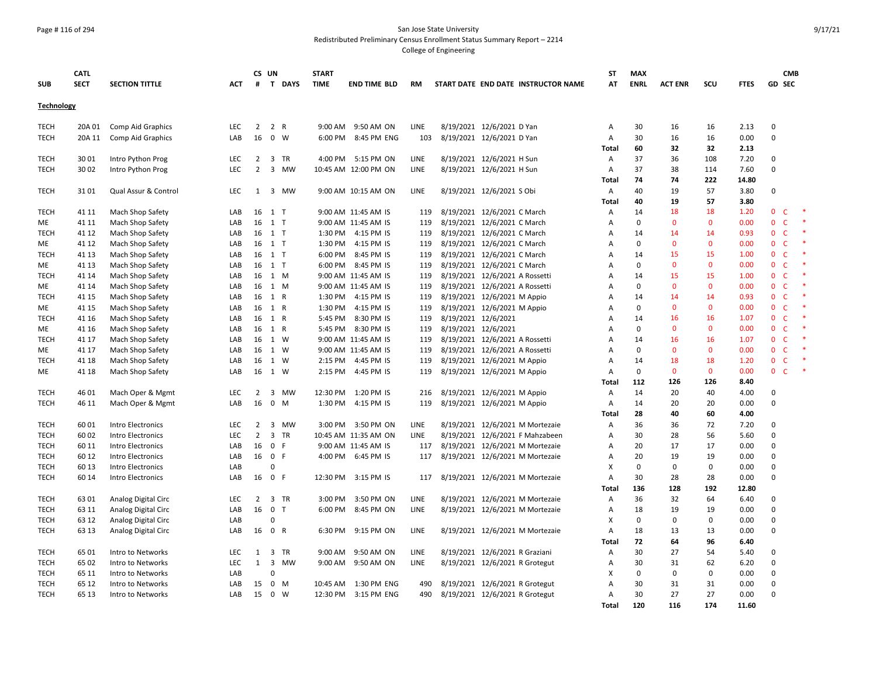#### Page # 116 of 294 San Jose State University Redistributed Preliminary Census Enrollment Status Summary Report – 2214

|                   | <b>CATL</b>    |                                      |            |                | CS UN                       |           | <b>START</b> |                                            |             |                                |                                |                                     | <b>ST</b>                 | <b>MAX</b>        |                    |                    |              |                             | <b>CMB</b>        |  |
|-------------------|----------------|--------------------------------------|------------|----------------|-----------------------------|-----------|--------------|--------------------------------------------|-------------|--------------------------------|--------------------------------|-------------------------------------|---------------------------|-------------------|--------------------|--------------------|--------------|-----------------------------|-------------------|--|
| <b>SUB</b>        | <b>SECT</b>    | <b>SECTION TITTLE</b>                | ACT        | #              |                             | T DAYS    | <b>TIME</b>  | <b>END TIME BLD</b>                        | RM          |                                |                                | START DATE END DATE INSTRUCTOR NAME | AT                        | <b>ENRL</b>       | <b>ACT ENR</b>     | SCU                | <b>FTES</b>  |                             | GD SEC            |  |
| <b>Technology</b> |                |                                      |            |                |                             |           |              |                                            |             |                                |                                |                                     |                           |                   |                    |                    |              |                             |                   |  |
| <b>TECH</b>       | 20A 01         | Comp Aid Graphics                    | LEC        | $\overline{2}$ | 2 R                         |           | 9:00 AM      | 9:50 AM ON                                 | LINE        |                                | 8/19/2021 12/6/2021 D Yan      |                                     | A                         | 30                | 16                 | 16                 | 2.13         | $\mathsf 0$                 |                   |  |
| <b>TECH</b>       | 20A 11         | Comp Aid Graphics                    | LAB        | 16             | $\mathbf 0$                 | W         | 6:00 PM      | 8:45 PM ENG                                | 103         | 8/19/2021 12/6/2021 D Yan      |                                |                                     | A                         | 30                | 16                 | 16                 | 0.00         | 0                           |                   |  |
|                   |                |                                      |            |                |                             |           |              |                                            |             |                                |                                |                                     | Total                     | 60                | 32                 | 32                 | 2.13         |                             |                   |  |
| <b>TECH</b>       | 30 01          | Intro Python Prog                    | <b>LEC</b> | $\overline{2}$ | 3 TR                        |           |              | 4:00 PM 5:15 PM ON                         | <b>LINE</b> |                                | 8/19/2021 12/6/2021 H Sun      |                                     | A                         | 37                | 36                 | 108                | 7.20         | 0                           |                   |  |
| <b>TECH</b>       | 30 02          | Intro Python Prog                    | <b>LEC</b> | $\overline{2}$ | 3                           | MW        |              | 10:45 AM 12:00 PM ON                       | <b>LINE</b> |                                | 8/19/2021 12/6/2021 H Sun      |                                     | $\overline{A}$            | 37                | 38                 | 114                | 7.60         | $\mathbf 0$                 |                   |  |
|                   |                |                                      |            |                |                             |           |              |                                            |             |                                |                                |                                     | Total                     | 74                | 74                 | 222                | 14.80        |                             |                   |  |
| <b>TECH</b>       | 3101           | Qual Assur & Control                 | LEC        | 1              | 3 MW                        |           |              | 9:00 AM 10:15 AM ON                        | LINE        |                                | 8/19/2021 12/6/2021 S Obi      |                                     | $\mathsf{A}$              | 40                | 19                 | 57                 | 3.80         | $\mathsf 0$                 |                   |  |
|                   |                |                                      |            |                |                             |           |              |                                            |             |                                |                                |                                     | Total                     | 40                | 19                 | 57                 | 3.80         |                             |                   |  |
| <b>TECH</b>       | 41 11          | Mach Shop Safety                     | LAB        | 16             | 1 T                         |           |              | 9:00 AM 11:45 AM IS                        | 119         | 8/19/2021 12/6/2021 C March    |                                |                                     | A                         | 14                | 18                 | 18                 | 1.20         | $\mathbf{0}$                | C                 |  |
| ME                | 41 11          | Mach Shop Safety                     | LAB        | 16             | 1 T                         |           |              | 9:00 AM 11:45 AM IS                        | 119         |                                | 8/19/2021 12/6/2021 C March    |                                     | A                         | $\Omega$          | $\mathbf{0}$       | $\mathbf{0}$       | 0.00         | $\mathbf{0}$                | C                 |  |
| <b>TECH</b>       | 41 12          | Mach Shop Safety                     | LAB        | 16             | $1$ T                       |           | 1:30 PM      | 4:15 PM IS                                 | 119         | 8/19/2021 12/6/2021 C March    |                                |                                     | $\overline{A}$            | 14                | 14                 | 14                 | 0.93         | $\mathbf{0}$                | C                 |  |
| ME                | 41 12          | Mach Shop Safety                     | LAB        | 16             | $1$ T                       |           | 1:30 PM      | 4:15 PM IS                                 | 119         |                                | 8/19/2021 12/6/2021 C March    |                                     | Α                         | $\mathsf 0$       | $\Omega$           | $\mathbf 0$        | 0.00         | $\mathbf 0$                 | $\mathsf{C}$      |  |
| TECH              | 41 13          | Mach Shop Safety                     | LAB        | 16             | 1 T                         |           | 6:00 PM      | 8:45 PM IS                                 | 119         |                                | 8/19/2021 12/6/2021 C March    |                                     | Α                         | 14                | 15                 | 15                 | 1.00         | $\mathbf 0$                 | C                 |  |
| ME                | 41 13          | Mach Shop Safety                     | LAB        |                | 16 1 T                      |           | 6:00 PM      | 8:45 PM IS                                 | 119         | 8/19/2021 12/6/2021 C March    |                                |                                     | A                         | 0                 | $\mathbf{0}$       | $\mathbf 0$        | 0.00         | $\mathbf 0$                 | C                 |  |
| <b>TECH</b>       | 41 14          | Mach Shop Safety                     | LAB        | 16             | 1 M                         |           |              | 9:00 AM 11:45 AM IS                        | 119         | 8/19/2021 12/6/2021 A Rossetti |                                |                                     | A                         | 14                | 15                 | 15                 | 1.00         | $\mathbf 0$                 | $\mathsf{C}$      |  |
| ME                | 41 14          | Mach Shop Safety                     | LAB        | 16             | 1 M                         |           |              | 9:00 AM 11:45 AM IS                        | 119         | 8/19/2021 12/6/2021 A Rossetti |                                |                                     | $\overline{A}$            | $\mathbf 0$       | $\Omega$           | $\mathbf{0}$       | 0.00         | $\mathbf 0$                 | $\mathsf{C}$      |  |
| <b>TECH</b>       | 41 15          | Mach Shop Safety                     | LAB        | 16             | 1 R                         |           | 1:30 PM      | 4:15 PM IS                                 | 119         | 8/19/2021 12/6/2021 M Appio    |                                |                                     | Α                         | 14                | 14                 | 14                 | 0.93         | $\mathbf 0$                 | $\mathsf{C}$      |  |
| ME                | 41 15          | Mach Shop Safety                     | LAB        | 16             | 1 R                         |           | 1:30 PM      | 4:15 PM IS                                 | 119         | 8/19/2021 12/6/2021 M Appio    |                                |                                     | A                         | 0                 | $\Omega$           | $\mathbf 0$        | 0.00         | $\mathbf 0$                 | $\mathsf{C}$      |  |
| TECH              | 41 16          | Mach Shop Safety                     | LAB        | 16             | 1 R                         |           | 5:45 PM      | 8:30 PM IS                                 | 119         | 8/19/2021 12/6/2021            |                                |                                     | Α                         | 14<br>$\mathbf 0$ | 16<br>$\mathbf{0}$ | 16<br>$\mathbf{0}$ | 1.07<br>0.00 | $\mathbf{0}$<br>$\mathbf 0$ | $\mathsf{C}$<br>C |  |
| ME<br><b>TECH</b> | 41 16          | Mach Shop Safety                     | LAB        | 16             | 1 R<br>1 W                  |           | 5:45 PM      | 8:30 PM IS                                 | 119<br>119  | 8/19/2021 12/6/2021            | 8/19/2021 12/6/2021 A Rossetti |                                     | A<br>A                    | 14                | 16                 | 16                 | 1.07         | $\mathbf{0}$                | $\mathsf{C}$      |  |
|                   | 41 17<br>41 17 | Mach Shop Safety                     | LAB<br>LAB | 16<br>16       | 1 W                         |           |              | 9:00 AM 11:45 AM IS<br>9:00 AM 11:45 AM IS | 119         |                                |                                |                                     | $\overline{A}$            | $\Omega$          | $\Omega$           | $\mathbf{0}$       | 0.00         | $\mathbf{0}$                | C                 |  |
| ME<br><b>TECH</b> | 41 18          | Mach Shop Safety<br>Mach Shop Safety | LAB        | 16             | 1 W                         |           |              | 2:15 PM 4:45 PM IS                         | 119         | 8/19/2021 12/6/2021 A Rossetti | 8/19/2021 12/6/2021 M Appio    |                                     | A                         | 14                | 18                 | 18                 | 1.20         | $\mathbf 0$                 | $\mathsf{C}$      |  |
| ME                | 41 18          | Mach Shop Safety                     | LAB        | 16             | 1 W                         |           | 2:15 PM      | 4:45 PM IS                                 | 119         | 8/19/2021 12/6/2021 M Appio    |                                |                                     | $\overline{A}$            | $\mathbf 0$       | $\mathbf{0}$       | $\mathbf{0}$       | 0.00         | $\mathbf 0$                 | C                 |  |
|                   |                |                                      |            |                |                             |           |              |                                            |             |                                |                                |                                     | Total                     | 112               | 126                | 126                | 8.40         |                             |                   |  |
| <b>TECH</b>       | 46 01          | Mach Oper & Mgmt                     | <b>LEC</b> | 2              | 3                           | <b>MW</b> | 12:30 PM     | 1:20 PM IS                                 | 216         |                                | 8/19/2021 12/6/2021 M Appio    |                                     | A                         | 14                | 20                 | 40                 | 4.00         | $\mathbf 0$                 |                   |  |
| <b>TECH</b>       | 46 11          | Mach Oper & Mgmt                     | LAB        | 16             | $\mathbf 0$                 | M         | 1:30 PM      | 4:15 PM IS                                 | 119         |                                | 8/19/2021 12/6/2021 M Appio    |                                     | A                         | 14                | 20                 | 20                 | 0.00         | $\pmb{0}$                   |                   |  |
|                   |                |                                      |            |                |                             |           |              |                                            |             |                                |                                |                                     | Total                     | 28                | 40                 | 60                 | 4.00         |                             |                   |  |
| <b>TECH</b>       | 6001           | Intro Electronics                    | <b>LEC</b> | 2              | 3 MW                        |           |              | 3:00 PM 3:50 PM ON                         | LINE        |                                |                                | 8/19/2021 12/6/2021 M Mortezaie     | A                         | 36                | 36                 | 72                 | 7.20         | 0                           |                   |  |
| <b>TECH</b>       | 60 02          | Intro Electronics                    | <b>LEC</b> | $\overline{2}$ | 3 TR                        |           |              | 10:45 AM 11:35 AM ON                       | <b>LINE</b> |                                |                                | 8/19/2021 12/6/2021 F Mahzabeen     | A                         | 30                | 28                 | 56                 | 5.60         | $\mathbf 0$                 |                   |  |
| <b>TECH</b>       | 60 11          | Intro Electronics                    | LAB        | 16             | 0 F                         |           |              | 9:00 AM 11:45 AM IS                        | 117         |                                |                                | 8/19/2021 12/6/2021 M Mortezaie     | A                         | 20                | 17                 | 17                 | 0.00         | $\mathbf 0$                 |                   |  |
| <b>TECH</b>       | 60 12          | Intro Electronics                    | LAB        | 16             | 0 F                         |           | 4:00 PM      | 6:45 PM IS                                 | 117         |                                |                                | 8/19/2021 12/6/2021 M Mortezaie     | A                         | 20                | 19                 | 19                 | 0.00         | $\mathsf 0$                 |                   |  |
| <b>TECH</b>       | 60 13          | Intro Electronics                    | LAB        |                | $\Omega$                    |           |              |                                            |             |                                |                                |                                     | $\boldsymbol{\mathsf{x}}$ | 0                 | $\mathbf 0$        | 0                  | 0.00         | $\mathsf 0$                 |                   |  |
| <b>TECH</b>       | 60 14          | Intro Electronics                    | LAB        | 16             | 0 F                         |           |              | 12:30 PM 3:15 PM IS                        | 117         |                                |                                | 8/19/2021 12/6/2021 M Mortezaie     | A                         | 30                | 28                 | 28                 | 0.00         | $\mathsf 0$                 |                   |  |
|                   |                |                                      |            |                |                             |           |              |                                            |             |                                |                                |                                     | Total                     | 136               | 128                | 192                | 12.80        |                             |                   |  |
| <b>TECH</b>       | 6301           | Analog Digital Circ                  | LEC        | $\overline{2}$ | 3 TR                        |           | 3:00 PM      | 3:50 PM ON                                 | LINE        |                                |                                | 8/19/2021 12/6/2021 M Mortezaie     | Α                         | 36                | 32                 | 64                 | 6.40         | $\mathbf 0$                 |                   |  |
| <b>TECH</b>       | 63 11          | Analog Digital Circ                  | LAB        | 16             | 0 <sub>T</sub>              |           | 6:00 PM      | 8:45 PM ON                                 | LINE        |                                |                                | 8/19/2021 12/6/2021 M Mortezaie     | A                         | 18                | 19                 | 19                 | 0.00         | $\mathbf 0$                 |                   |  |
| <b>TECH</b>       | 63 12          | Analog Digital Circ                  | LAB        |                | $\Omega$                    |           |              |                                            |             |                                |                                |                                     | $\boldsymbol{\mathsf{x}}$ | $\mathbf 0$       | $\Omega$           | $\mathbf 0$        | 0.00         | $\mathbf 0$                 |                   |  |
| <b>TECH</b>       | 63 13          | Analog Digital Circ                  | LAB        | 16             | $\mathbf 0$<br>$\mathsf{R}$ |           | 6:30 PM      | 9:15 PM ON                                 | LINE        |                                |                                | 8/19/2021 12/6/2021 M Mortezaie     | Α                         | 18                | 13                 | 13                 | 0.00         | $\mathsf 0$                 |                   |  |
|                   |                |                                      |            |                |                             |           |              |                                            |             |                                |                                |                                     | Total                     | 72                | 64                 | 96                 | 6.40         |                             |                   |  |
| <b>TECH</b>       | 6501           | Intro to Networks                    | LEC        | 1              | 3                           | TR        | 9:00 AM      | 9:50 AM ON                                 | LINE        |                                | 8/19/2021 12/6/2021 R Graziani |                                     | Α                         | 30                | 27                 | 54                 | 5.40         | $\mathbf 0$                 |                   |  |
| <b>TECH</b>       | 65 02          | Intro to Networks                    | LEC        | $\mathbf{1}$   | 3                           | MW        |              | 9:00 AM 9:50 AM ON                         | LINE        |                                |                                | 8/19/2021 12/6/2021 R Grotegut      | A                         | 30                | 31                 | 62                 | 6.20         | $\mathbf 0$                 |                   |  |
| <b>TECH</b>       | 65 11          | Intro to Networks                    | LAB        |                | $\Omega$                    |           |              |                                            |             |                                |                                |                                     | X                         | $\mathbf 0$       | $\mathbf 0$        | $\mathbf 0$        | 0.00         | $\mathbf 0$                 |                   |  |
| TECH              | 65 12          | Intro to Networks                    | LAB        | 15             | $0$ M                       |           | 10:45 AM     | 1:30 PM ENG                                | 490         |                                |                                | 8/19/2021 12/6/2021 R Grotegut      | A                         | 30                | 31                 | 31                 | 0.00         | $\mathbf 0$                 |                   |  |
| <b>TECH</b>       | 65 13          | Intro to Networks                    | LAB        | 15             | 0 W                         |           |              | 12:30 PM 3:15 PM ENG                       | 490         | 8/19/2021 12/6/2021 R Grotegut |                                |                                     | Α                         | 30                | 27                 | 27                 | 0.00         | $\mathbf 0$                 |                   |  |
|                   |                |                                      |            |                |                             |           |              |                                            |             |                                |                                |                                     | Total                     | 120               | 116                | 174                | 11.60        |                             |                   |  |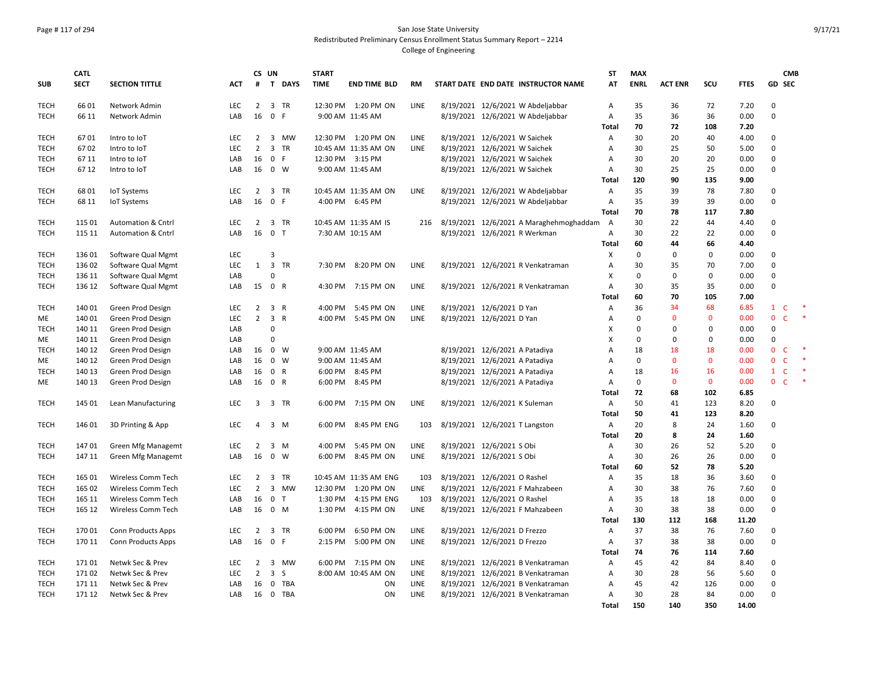# Page # 117 of 294 San Jose State University Redistributed Preliminary Census Enrollment Status Summary Report – 2214

|             | <b>CATL</b> |                               |            | CS UN          |                         |              | <b>START</b> |                       |             |                                |                               |                                           | <b>ST</b>      | <b>MAX</b>  |                |              |             |               | <b>CMB</b>   |        |
|-------------|-------------|-------------------------------|------------|----------------|-------------------------|--------------|--------------|-----------------------|-------------|--------------------------------|-------------------------------|-------------------------------------------|----------------|-------------|----------------|--------------|-------------|---------------|--------------|--------|
| <b>SUB</b>  | <b>SECT</b> | <b>SECTION TITTLE</b>         | ACT        | #              |                         | T DAYS       | <b>TIME</b>  | <b>END TIME BLD</b>   | RM          |                                |                               | START DATE END DATE INSTRUCTOR NAME       | AT             | <b>ENRL</b> | <b>ACT ENR</b> | SCU          | <b>FTES</b> | <b>GD SEC</b> |              |        |
| <b>TECH</b> | 6601        | Network Admin                 | <b>LEC</b> | $\overline{2}$ |                         | 3 TR         |              | 12:30 PM 1:20 PM ON   | <b>LINE</b> |                                |                               | 8/19/2021 12/6/2021 W Abdeljabbar         | $\overline{A}$ | 35          | 36             | 72           | 7.20        | 0             |              |        |
| <b>TECH</b> | 66 11       | Network Admin                 | LAB        | 16             | $\mathbf 0$             | F            |              | 9:00 AM 11:45 AM      |             |                                |                               | 8/19/2021 12/6/2021 W Abdeljabbar         | $\overline{A}$ | 35          | 36             | 36           | 0.00        | $\mathbf 0$   |              |        |
|             |             |                               |            |                |                         |              |              |                       |             |                                |                               |                                           | Total          | 70          | 72             | 108          | 7.20        |               |              |        |
| <b>TECH</b> | 6701        | Intro to IoT                  | LEC        | $\overline{2}$ | $\overline{\mathbf{3}}$ | MW           |              | 12:30 PM 1:20 PM ON   | LINE        | 8/19/2021 12/6/2021 W Saichek  |                               |                                           | A              | 30          | 20             | 40           | 4.00        | $\mathsf 0$   |              |        |
| <b>TECH</b> | 6702        | Intro to IoT                  | LEC        | $\overline{2}$ |                         | 3 TR         |              | 10:45 AM 11:35 AM ON  | LINE        | 8/19/2021 12/6/2021 W Saichek  |                               |                                           | A              | 30          | 25             | 50           | 5.00        | 0             |              |        |
| <b>TECH</b> | 67 11       | Intro to IoT                  | LAB        | 16             | $\mathbf 0$             | - F          |              | 12:30 PM 3:15 PM      |             |                                | 8/19/2021 12/6/2021 W Saichek |                                           | Α              | 30          | 20             | 20           | 0.00        | 0             |              |        |
| <b>TECH</b> | 67 12       | Intro to IoT                  | LAB        | 16             |                         | $0 \quad W$  |              | 9:00 AM 11:45 AM      |             |                                | 8/19/2021 12/6/2021 W Saichek |                                           | Α              | 30          | 25             | 25           | 0.00        | 0             |              |        |
|             |             |                               |            |                |                         |              |              |                       |             |                                |                               |                                           | Total          | 120         | 90             | 135          | 9.00        |               |              |        |
| <b>TECH</b> | 6801        | <b>IoT Systems</b>            | LEC        | $\overline{2}$ |                         | 3 TR         |              | 10:45 AM 11:35 AM ON  | <b>LINE</b> |                                |                               | 8/19/2021 12/6/2021 W Abdeljabbar         | $\overline{A}$ | 35          | 39             | 78           | 7.80        | $\mathbf 0$   |              |        |
| <b>TECH</b> | 68 11       | <b>IoT Systems</b>            | LAB        | 16             | $\mathbf 0$             | F            |              | 4:00 PM 6:45 PM       |             |                                |                               | 8/19/2021 12/6/2021 W Abdeljabbar         | A              | 35          | 39             | 39           | 0.00        | $\mathsf 0$   |              |        |
|             |             |                               |            |                |                         |              |              |                       |             |                                |                               |                                           | Total          | 70          | 78             | 117          | 7.80        |               |              |        |
| <b>TECH</b> | 115 01      | <b>Automation &amp; Cntrl</b> | <b>LEC</b> | 2              |                         | 3 TR         |              | 10:45 AM 11:35 AM IS  | 216         |                                |                               | 8/19/2021 12/6/2021 A Maraghehmoghaddam A |                | 30          | 22             | 44           | 4.40        | $\mathbf 0$   |              |        |
| <b>TECH</b> | 115 11      | <b>Automation &amp; Cntrl</b> | LAB        | 16             | 0 <sub>T</sub>          |              |              | 7:30 AM 10:15 AM      |             |                                |                               | 8/19/2021 12/6/2021 R Werkman             | A              | 30          | 22             | 22           | 0.00        | 0             |              |        |
|             |             |                               |            |                |                         |              |              |                       |             |                                |                               |                                           | Total          | 60          | 44             | 66           | 4.40        |               |              |        |
| <b>TECH</b> | 136 01      | Software Qual Mgmt            | <b>LEC</b> |                | $\overline{3}$          |              |              |                       |             |                                |                               |                                           | X              | $\mathbf 0$ | $\Omega$       | $\mathbf 0$  | 0.00        | $\mathbf 0$   |              |        |
| <b>TECH</b> | 136 02      | Software Qual Mgmt            | <b>LEC</b> | 1              |                         | 3 TR         |              | 7:30 PM 8:20 PM ON    | LINE        |                                |                               | 8/19/2021 12/6/2021 R Venkatraman         | $\overline{A}$ | 30          | 35             | 70           | 7.00        | $\mathbf 0$   |              |        |
| <b>TECH</b> | 136 11      | Software Qual Mgmt            | LAB        |                | $\Omega$                |              |              |                       |             |                                |                               |                                           | X              | $\mathsf 0$ | $\mathsf 0$    | 0            | 0.00        | $\Omega$      |              |        |
| <b>TECH</b> | 136 12      | Software Qual Mgmt            | LAB        | 15             | 0 R                     |              | 4:30 PM      | 7:15 PM ON            | LINE        |                                |                               | 8/19/2021 12/6/2021 R Venkatraman         | Α              | 30          | 35             | 35           | 0.00        | $\mathbf 0$   |              |        |
|             |             |                               |            |                |                         |              |              |                       |             |                                |                               |                                           | Total          | 60          | 70             | 105          | 7.00        |               |              |        |
| <b>TECH</b> | 140 01      | Green Prod Design             | <b>LEC</b> | $\overline{2}$ | 3 R                     |              | 4:00 PM      | 5:45 PM ON            | LINE        | 8/19/2021 12/6/2021 D Yan      |                               |                                           | Α              | 36          | 34             | 68           | 6.85        | $\mathbf{1}$  | $\mathsf{C}$ |        |
| ME          | 140 01      | Green Prod Design             | <b>LEC</b> | $\overline{2}$ | $\overline{3}$          | $\mathsf{R}$ |              | 4:00 PM 5:45 PM ON    | LINE        |                                | 8/19/2021 12/6/2021 D Yan     |                                           | Α              | $\mathbf 0$ | $\Omega$       | $\mathbf{0}$ | 0.00        | $\mathbf 0$   | $\mathsf{C}$ | $\ast$ |
| <b>TECH</b> | 140 11      | Green Prod Design             | LAB        |                | $\Omega$                |              |              |                       |             |                                |                               |                                           | X              | $\mathbf 0$ | $\Omega$       | $\Omega$     | 0.00        | $\mathbf 0$   |              |        |
| ME          | 140 11      | Green Prod Design             | LAB        |                | $\Omega$                |              |              |                       |             |                                |                               |                                           | X              | $\Omega$    | $\Omega$       | $\Omega$     | 0.00        | 0             |              |        |
| TECH        | 140 12      | Green Prod Design             | LAB        | 16             |                         | $0 \quad W$  |              | 9:00 AM 11:45 AM      |             | 8/19/2021 12/6/2021 A Patadiya |                               |                                           | $\overline{A}$ | 18          | 18             | 18           | 0.00        | $\mathbf 0$   | C            | $\ast$ |
| ME          | 140 12      | Green Prod Design             | LAB        | 16             |                         | $0 \quad W$  |              | 9:00 AM 11:45 AM      |             | 8/19/2021 12/6/2021 A Patadiya |                               |                                           | A              | $\mathbf 0$ | $\mathbf{0}$   | $\mathbf 0$  | 0.00        | $\mathbf 0$   | $\mathsf{C}$ |        |
| <b>TECH</b> | 140 13      | Green Prod Design             | LAB        | 16             | 0 R                     |              |              | 6:00 PM 8:45 PM       |             | 8/19/2021 12/6/2021 A Patadiya |                               |                                           | A              | 18          | 16             | 16           | 0.00        | $\mathbf{1}$  | $\mathsf{C}$ |        |
| ME          | 140 13      | Green Prod Design             | LAB        | 16             | 0 R                     |              |              | 6:00 PM 8:45 PM       |             | 8/19/2021 12/6/2021 A Patadiya |                               |                                           | $\overline{A}$ | $\mathbf 0$ | $\mathbf{0}$   | $\mathbf 0$  | 0.00        | $\mathbf 0$   | $\mathsf{C}$ | $\ast$ |
|             |             |                               |            |                |                         |              |              |                       |             |                                |                               |                                           | Total          | 72          | 68             | 102          | 6.85        |               |              |        |
| <b>TECH</b> | 145 01      | Lean Manufacturing            | <b>LEC</b> | $\overline{3}$ |                         | 3 TR         | 6:00 PM      | 7:15 PM ON            | LINE        |                                | 8/19/2021 12/6/2021 K Suleman |                                           | Α              | 50          | 41             | 123          | 8.20        | $\mathbf 0$   |              |        |
|             |             |                               |            |                |                         |              |              |                       |             |                                |                               |                                           | <b>Total</b>   | 50          | 41             | 123          | 8.20        |               |              |        |
| <b>TECH</b> | 146 01      | 3D Printing & App             | LEC        | 4              |                         | 3 M          | 6:00 PM      | 8:45 PM ENG           | 103         |                                |                               | 8/19/2021 12/6/2021 T Langston            | Α              | 20          | 8              | 24           | 1.60        | $\mathsf 0$   |              |        |
|             |             |                               |            |                |                         |              |              |                       |             |                                |                               |                                           | Total          | 20          | 8              | 24           | 1.60        |               |              |        |
| <b>TECH</b> | 14701       | Green Mfg Managemt            | LEC        | $\overline{2}$ | 3                       | M            | 4:00 PM      | 5:45 PM ON            | LINE        |                                | 8/19/2021 12/6/2021 S Obi     |                                           | Α              | 30          | 26             | 52           | 5.20        | 0             |              |        |
| <b>TECH</b> | 147 11      | Green Mfg Managemt            | LAB        | 16             |                         | $0 \quad W$  | 6:00 PM      | 8:45 PM ON            | LINE        | 8/19/2021 12/6/2021 S Obi      |                               |                                           | Α              | 30          | 26             | 26           | 0.00        | $\mathsf 0$   |              |        |
|             |             |                               |            |                |                         |              |              |                       |             |                                |                               |                                           | Total          | 60          | 52             | 78           | 5.20        |               |              |        |
| <b>TECH</b> | 165 01      | Wireless Comm Tech            | <b>LEC</b> | $\overline{2}$ |                         | 3 TR         |              | 10:45 AM 11:35 AM ENG | 103         | 8/19/2021 12/6/2021 O Rashel   |                               |                                           | $\overline{A}$ | 35          | 18             | 36           | 3.60        | 0             |              |        |
| <b>TECH</b> | 165 02      | Wireless Comm Tech            | <b>LEC</b> | $\overline{2}$ |                         | 3 MW         | 12:30 PM     | 1:20 PM ON            | LINE        |                                |                               | 8/19/2021 12/6/2021 F Mahzabeen           | $\overline{A}$ | 30          | 38             | 76           | 7.60        | $\Omega$      |              |        |
| <b>TECH</b> | 165 11      | Wireless Comm Tech            | LAB        | 16             | 0 <sub>T</sub>          |              | 1:30 PM      | 4:15 PM ENG           | 103         | 8/19/2021 12/6/2021 O Rashel   |                               |                                           | Α              | 35          | 18             | 18           | 0.00        | $\mathbf 0$   |              |        |
| <b>TECH</b> | 165 12      | Wireless Comm Tech            | LAB        | 16             |                         | 0 M          | 1:30 PM      | 4:15 PM ON            | LINE        |                                |                               | 8/19/2021 12/6/2021 F Mahzabeen           | Α              | 30          | 38             | 38           | 0.00        | 0             |              |        |
|             |             |                               |            |                |                         |              |              |                       |             |                                |                               |                                           | Total          | 130         | 112            | 168          | 11.20       |               |              |        |
| <b>TECH</b> | 170 01      | <b>Conn Products Apps</b>     | <b>LEC</b> | $\overline{2}$ | $\overline{\mathbf{3}}$ | <b>TR</b>    | 6:00 PM      | 6:50 PM ON            | LINE        | 8/19/2021 12/6/2021 D Frezzo   |                               |                                           | Α              | 37          | 38             | 76           | 7.60        | 0             |              |        |
| <b>TECH</b> | 170 11      | <b>Conn Products Apps</b>     | LAB        | 16             | $\mathbf{0}$            | F.           | 2:15 PM      | 5:00 PM ON            | LINE        | 8/19/2021 12/6/2021 D Frezzo   |                               |                                           | $\overline{A}$ | 37          | 38             | 38           | 0.00        | 0             |              |        |
|             |             |                               |            |                |                         |              |              |                       |             |                                |                               |                                           | Total          | 74          | 76             | 114          | 7.60        |               |              |        |
| <b>TECH</b> | 17101       | Netwk Sec & Prev              | <b>LEC</b> | $\overline{2}$ |                         | 3 MW         |              | 6:00 PM 7:15 PM ON    | LINE        |                                |                               | 8/19/2021 12/6/2021 B Venkatraman         | A              | 45          | 42             | 84           | 8.40        | 0             |              |        |
| <b>TECH</b> | 17102       | Netwk Sec & Prev              | <b>LEC</b> | $\overline{2}$ | $\overline{3}$          | <sub>S</sub> |              | 8:00 AM 10:45 AM ON   | <b>LINE</b> |                                |                               | 8/19/2021 12/6/2021 B Venkatraman         | Α              | 30          | 28             | 56           | 5.60        | 0             |              |        |
| <b>TECH</b> | 171 11      | Netwk Sec & Prev              | LAB        | 16             |                         | 0 TBA        |              | ΟN                    | LINE        |                                |                               | 8/19/2021 12/6/2021 B Venkatraman         | $\overline{A}$ | 45          | 42             | 126          | 0.00        | 0             |              |        |
| <b>TECH</b> | 171 12      | Netwk Sec & Prev              | LAB        |                |                         | 16 0 TBA     |              | ON                    | <b>LINE</b> |                                |                               | 8/19/2021 12/6/2021 B Venkatraman         | Α              | 30          | 28             | 84           | 0.00        | $\Omega$      |              |        |
|             |             |                               |            |                |                         |              |              |                       |             |                                |                               |                                           | <b>Total</b>   | 150         | 140            | 350          | 14.00       |               |              |        |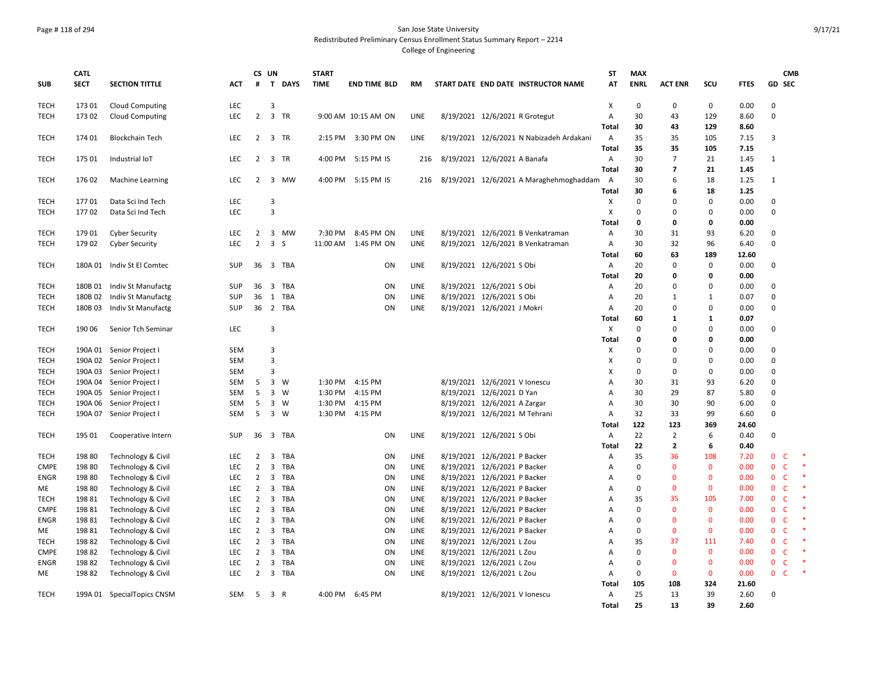## Page # 118 of 294 San Jose State University Redistributed Preliminary Census Enrollment Status Summary Report – 2214

|                            | <b>CATL</b>        |                                          |                          | CS UN               |                         |              | <b>START</b> |                                            |              |                                                                        | <b>ST</b>                 | <b>MAX</b>        |                       |                          |               |                            | <b>CMB</b>   |  |
|----------------------------|--------------------|------------------------------------------|--------------------------|---------------------|-------------------------|--------------|--------------|--------------------------------------------|--------------|------------------------------------------------------------------------|---------------------------|-------------------|-----------------------|--------------------------|---------------|----------------------------|--------------|--|
| <b>SUB</b>                 | <b>SECT</b>        | <b>SECTION TITTLE</b>                    | <b>ACT</b>               | #                   |                         | T DAYS       | <b>TIME</b>  | <b>END TIME BLD</b>                        | <b>RM</b>    | START DATE END DATE INSTRUCTOR NAME                                    | AT                        | <b>ENRL</b>       | <b>ACT ENR</b>        | SCU                      | <b>FTES</b>   | <b>GD SEC</b>              |              |  |
| <b>TECH</b>                | 173 01             | <b>Cloud Computing</b>                   | <b>LEC</b>               |                     | 3                       |              |              |                                            |              |                                                                        | $\boldsymbol{\mathsf{x}}$ | $\mathbf 0$       | $\mathbf 0$           | $\mathbf 0$              | 0.00          | 0                          |              |  |
| <b>TECH</b>                | 173 02             | <b>Cloud Computing</b>                   | <b>LEC</b>               | $\overline{2}$      | $\overline{3}$          | TR           |              | 9:00 AM 10:15 AM ON                        | <b>LINE</b>  | 8/19/2021 12/6/2021 R Grotegut                                         | $\overline{A}$<br>Total   | 30<br>30          | 43<br>43              | 129<br>129               | 8.60<br>8.60  | $\mathbf 0$                |              |  |
| <b>TECH</b>                | 174 01             | <b>Blockchain Tech</b>                   | LEC                      | $\overline{2}$      |                         | 3 TR         |              | 2:15 PM 3:30 PM ON                         | LINE         | 8/19/2021 12/6/2021 N Nabizadeh Ardakani                               | $\overline{A}$            | 35                | 35                    | 105                      | 7.15          | 3                          |              |  |
| <b>TECH</b>                | 175 01             | Industrial IoT                           | <b>LEC</b>               | 2                   |                         | 3 TR         |              | 4:00 PM 5:15 PM IS                         | 216          | 8/19/2021 12/6/2021 A Banafa                                           | Total<br>Α                | 35<br>30          | 35<br>$\overline{7}$  | 105<br>21                | 7.15<br>1.45  | 1                          |              |  |
|                            |                    |                                          |                          |                     |                         |              |              |                                            |              |                                                                        | <b>Total</b>              | 30                | $\overline{ }$        | 21                       | 1.45          |                            |              |  |
| <b>TECH</b>                | 176 02             | <b>Machine Learning</b>                  | <b>LEC</b>               | $\overline{2}$      |                         | 3 MW         |              | 4:00 PM 5:15 PM IS                         | 216          | 8/19/2021 12/6/2021 A Maraghehmoghaddam                                | $\overline{A}$            | 30                | 6                     | 18                       | 1.25          | $\mathbf{1}$               |              |  |
| <b>TECH</b>                | 17701              | Data Sci Ind Tech                        | LEC                      |                     | 3                       |              |              |                                            |              |                                                                        | Total<br>X                | 30<br>$\pmb{0}$   | 6<br>$\Omega$         | 18<br>$\Omega$           | 1.25<br>0.00  | $\mathbf 0$                |              |  |
| <b>TECH</b>                | 17702              | Data Sci Ind Tech                        | <b>LEC</b>               |                     | 3                       |              |              |                                            |              |                                                                        | X                         | $\mathbf 0$       | $\mathbf 0$           | $\Omega$                 | 0.00          | $\mathsf 0$                |              |  |
|                            |                    |                                          |                          |                     |                         |              |              |                                            |              |                                                                        | Total                     | $\mathbf 0$       | 0                     | 0                        | 0.00          |                            |              |  |
| <b>TECH</b><br><b>TECH</b> | 179 01<br>179 02   | <b>Cyber Security</b>                    | <b>LEC</b><br><b>LEC</b> | 2<br>$\overline{2}$ | 3 <sub>5</sub>          | 3 MW         |              | 7:30 PM 8:45 PM ON<br>11:00 AM  1:45 PM ON | LINE<br>LINE | 8/19/2021 12/6/2021 B Venkatraman<br>8/19/2021 12/6/2021 B Venkatraman | Α<br>Α                    | 30<br>30          | 31<br>32              | 93<br>96                 | 6.20<br>6.40  | $\mathbf 0$<br>$\mathbf 0$ |              |  |
|                            |                    | <b>Cyber Security</b>                    |                          |                     |                         |              |              |                                            |              |                                                                        | <b>Total</b>              | 60                | 63                    | 189                      | 12.60         |                            |              |  |
| <b>TECH</b>                | 180A 01            | Indiv St El Comtec                       | SUP                      | 36                  |                         | 3 TBA        |              | ON                                         | LINE         | 8/19/2021 12/6/2021 S Obi                                              | $\overline{A}$            | 20                | $\Omega$              | $\Omega$                 | 0.00          | $\mathbf 0$                |              |  |
|                            |                    |                                          |                          |                     |                         |              |              |                                            |              |                                                                        | Total                     | 20                | 0                     | $\Omega$                 | 0.00          |                            |              |  |
| <b>TECH</b><br><b>TECH</b> | 180B 01<br>180B 02 | Indiv St Manufactg<br>Indiv St Manufactg | <b>SUP</b><br>SUP        | 36<br>36            | $\overline{\mathbf{3}}$ | TBA<br>1 TBA |              | ON<br>ON                                   | LINE<br>LINE | 8/19/2021 12/6/2021 S Obi<br>8/19/2021 12/6/2021 S Obi                 | Α<br>Α                    | 20<br>20          | $\Omega$<br>1         | 0<br>1                   | 0.00<br>0.07  | $\mathbf 0$<br>$\mathbf 0$ |              |  |
| <b>TECH</b>                | 180B03             | Indiv St Manufactg                       | <b>SUP</b>               | 36                  |                         | 2 TBA        |              | ON                                         | LINE         | 8/19/2021 12/6/2021 J Mokri                                            | Α                         | 20                | $\mathbf 0$           | $\Omega$                 | 0.00          | $\mathbf 0$                |              |  |
|                            |                    |                                          |                          |                     |                         |              |              |                                            |              |                                                                        | Total                     | 60                | 1                     | 1                        | 0.07          |                            |              |  |
| <b>TECH</b>                | 190 06             | Senior Tch Seminar                       | LEC.                     |                     | 3                       |              |              |                                            |              |                                                                        | $\boldsymbol{\mathsf{X}}$ | $\mathbf 0$       | $\Omega$              | $\Omega$                 | 0.00          | $\mathbf 0$                |              |  |
| TECH                       |                    | 190A 01 Senior Project I                 | <b>SEM</b>               |                     | 3                       |              |              |                                            |              |                                                                        | Total<br>X                | $\mathbf{0}$<br>0 | $\Omega$<br>$\Omega$  | $\Omega$<br><sup>0</sup> | 0.00<br>0.00  | $\mathbf 0$                |              |  |
| TECH                       |                    | 190A 02 Senior Project I                 | <b>SEM</b>               |                     | 3                       |              |              |                                            |              |                                                                        | Х                         | $\mathbf 0$       | $\Omega$              | 0                        | 0.00          | $\mathbf 0$                |              |  |
| <b>TECH</b>                |                    | 190A 03 Senior Project I                 | <b>SEM</b>               |                     | 3                       |              |              |                                            |              |                                                                        | X                         | $\mathbf 0$       | $\Omega$              | $\Omega$                 | 0.00          | $\mathbf 0$                |              |  |
| <b>TECH</b>                |                    | 190A 04 Senior Project I                 | <b>SEM</b>               | 5                   |                         | 3 W          |              | 1:30 PM 4:15 PM                            |              | 8/19/2021 12/6/2021 V Ionescu                                          | A                         | 30                | 31                    | 93                       | 6.20          | $\mathbf 0$                |              |  |
| <b>TECH</b>                |                    | 190A 05 Senior Project I                 | <b>SEM</b>               | 5                   | $\overline{\mathbf{3}}$ | - W          | 1:30 PM      | 4:15 PM                                    |              | 8/19/2021 12/6/2021 D Yan                                              | Α                         | 30                | 29                    | 87                       | 5.80          | $\mathbf 0$                |              |  |
| <b>TECH</b>                | 190A 06            | Senior Project I                         | <b>SEM</b>               | 5                   |                         | 3 W          |              | 1:30 PM 4:15 PM                            |              | 8/19/2021 12/6/2021 A Zargar                                           | $\overline{A}$            | 30                | 30                    | 90                       | 6.00          | $\mathbf 0$                |              |  |
| <b>TECH</b>                | 190A 07            | Senior Project I                         | SEM                      | 5                   |                         | 3 W          |              | 1:30 PM 4:15 PM                            |              | 8/19/2021 12/6/2021 M Tehrani                                          | $\overline{A}$            | 32                | 33                    | 99                       | 6.60          | $\mathsf 0$                |              |  |
|                            |                    |                                          |                          |                     |                         |              |              |                                            |              |                                                                        | Total                     | 122<br>22         | 123<br>$\overline{2}$ | 369<br>6                 | 24.60<br>0.40 | 0                          |              |  |
| <b>TECH</b>                | 195 01             | Cooperative Intern                       | <b>SUP</b>               | 36                  |                         | 3 TBA        |              | ON                                         | LINE         | 8/19/2021 12/6/2021 S Obi                                              | Α<br>Total                | 22                | $\overline{2}$        | 6                        | 0.40          |                            |              |  |
| <b>TECH</b>                | 198 80             | Technology & Civil                       | LEC                      | $\overline{2}$      | 3                       | TBA          |              | ON                                         | LINE         | 8/19/2021 12/6/2021 P Backer                                           | Α                         | 35                | 36                    | 108                      | 7.20          | $\mathbf{0}$               | C            |  |
| <b>CMPE</b>                | 198 80             | Technology & Civil                       | LEC                      | $\overline{2}$      | $\overline{\mathbf{3}}$ | TBA          |              | ON                                         | LINE         | 8/19/2021 12/6/2021 P Backer                                           | A                         | $\mathbf 0$       | $\Omega$              | $\mathbf{0}$             | 0.00          | $\mathbf 0$                | $\mathsf{C}$ |  |
| <b>ENGR</b>                | 198 80             | Technology & Civil                       | <b>LEC</b>               | $\overline{2}$      |                         | 3 TBA        |              | ON                                         | <b>LINE</b>  | 8/19/2021 12/6/2021 P Backer                                           | Α                         | $\mathbf 0$       | $\Omega$              | $\Omega$                 | 0.00          | $\mathbf{0}$               | $\mathsf{C}$ |  |
| ME                         | 198 80             | Technology & Civil                       | LEC                      | $\overline{2}$      |                         | 3 TBA        |              | ON                                         | LINE         | 8/19/2021 12/6/2021 P Backer                                           | A                         | 0                 | $\Omega$              | $\mathbf{0}$             | 0.00          | $\mathbf{0}$               | $\mathsf{C}$ |  |
| <b>TECH</b>                | 19881              | Technology & Civil                       | LEC.                     | $\overline{2}$      |                         | 3 TBA        |              | ON                                         | <b>LINE</b>  | 8/19/2021 12/6/2021 P Backer                                           | A                         | 35                | 35                    | 105                      | 7.00          | $\mathbf 0$                | $\mathsf{C}$ |  |
| <b>CMPE</b>                | 19881              | Technology & Civil                       | LEC.                     | $\overline{2}$      |                         | 3 TBA        |              | ON                                         | LINE         | 8/19/2021 12/6/2021 P Backer                                           | Α                         | $\mathbf 0$       | $\Omega$              | $\mathbf{0}$             | 0.00          | $\mathbf{0}$               | $\mathsf{C}$ |  |
| <b>ENGR</b>                | 19881              | Technology & Civil                       | LEC.                     | $\overline{2}$      |                         | 3 TBA        |              | ON                                         | <b>LINE</b>  | 8/19/2021 12/6/2021 P Backer                                           | A                         | $\mathbf 0$       | $\Omega$              | $\mathbf{0}$             | 0.00          | $\mathbf{0}$               | $\mathsf{C}$ |  |
| ME                         | 19881              | Technology & Civil                       | <b>LEC</b>               | $\overline{2}$      |                         | 3 TBA        |              | ON                                         | LINE         | 8/19/2021 12/6/2021 P Backer                                           | Α                         | $\mathbf 0$       | $\Omega$              | $\mathbf{0}$             | 0.00          | $\mathbf{0}$               | C            |  |
| <b>TECH</b>                | 19882              | Technology & Civil                       | <b>LEC</b>               | $\overline{2}$      |                         | 3 TBA        |              | ON                                         | LINE         | 8/19/2021 12/6/2021 L Zou                                              | A                         | 35                | 37                    | 111                      | 7.40          | $\mathbf{0}$               | $\mathsf{C}$ |  |
| <b>CMPE</b>                | 198 82             | Technology & Civil                       | LEC                      | $\overline{2}$      | $\overline{\mathbf{3}}$ | TBA          |              | ON                                         | LINE         | 8/19/2021 12/6/2021 L Zou                                              | A                         | $\Omega$          | $\Omega$              | $\Omega$                 | 0.00          | $\mathbf{0}$               | $\mathsf{C}$ |  |
| <b>ENGR</b>                | 19882              | Technology & Civil                       | LEC                      | $\overline{2}$      |                         | 3 TBA        |              | ON                                         | LINE         | 8/19/2021 12/6/2021 L Zou                                              | A                         | $\mathbf 0$       | $\mathbf{0}$          | $\mathbf{0}$             | 0.00          | $\mathbf 0$                | $\mathsf{C}$ |  |
| ME                         | 19882              | Technology & Civil                       | <b>LEC</b>               | $\overline{2}$      |                         | 3 TBA        |              | ON                                         | LINE         | 8/19/2021 12/6/2021 L Zou                                              | $\overline{A}$            | $\mathbf 0$       | $\Omega$              | $\mathbf 0$              | 0.00          | $\mathbf 0$                | C            |  |
|                            |                    |                                          |                          |                     |                         |              |              |                                            |              |                                                                        | Total                     | 105               | 108                   | 324                      | 21.60         |                            |              |  |
| <b>TECH</b>                |                    | 199A 01 SpecialTopics CNSM               | SEM                      | 5                   | 3 R                     |              |              | 4:00 PM 6:45 PM                            |              | 8/19/2021 12/6/2021 V Ionescu                                          | Α                         | 25                | 13                    | 39                       | 2.60          | $\mathbf 0$                |              |  |
|                            |                    |                                          |                          |                     |                         |              |              |                                            |              |                                                                        | <b>Total</b>              | 25                | 13                    | 39                       | 2.60          |                            |              |  |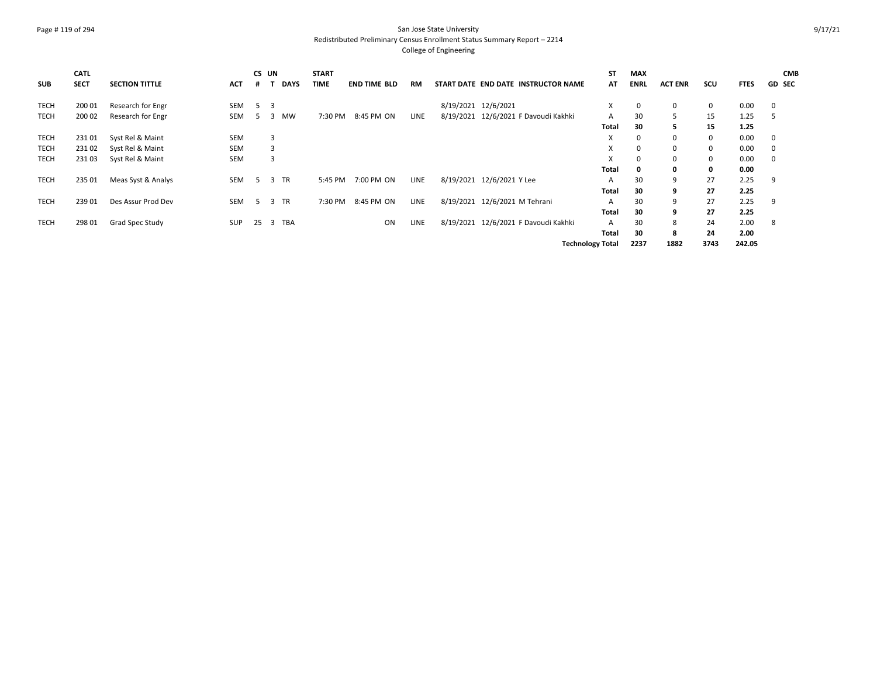# Page # 119 of 294 San Jose State University Redistributed Preliminary Census Enrollment Status Summary Report – 2214

| <b>SUB</b>  | <b>CATL</b><br><b>SECT</b> | <b>SECTION TITTLE</b> | <b>ACT</b> | CS UN          |    | <b>DAYS</b> | <b>START</b><br><b>TIME</b> | <b>END TIME BLD</b> | RM          |                     | START DATE END DATE INSTRUCTOR NAME  | ST<br>AT                | <b>MAX</b><br><b>ENRL</b> | <b>ACT ENR</b> | SCU  | <b>FTES</b> | <b>CMB</b><br><b>GD SEC</b> |
|-------------|----------------------------|-----------------------|------------|----------------|----|-------------|-----------------------------|---------------------|-------------|---------------------|--------------------------------------|-------------------------|---------------------------|----------------|------|-------------|-----------------------------|
| <b>TECH</b> | 200 01                     | Research for Engr     | <b>SEM</b> | 5 <sup>7</sup> | -3 |             |                             |                     |             | 8/19/2021 12/6/2021 |                                      | X                       | 0                         | 0              | 0    | 0.00        | 0                           |
| <b>TECH</b> | 200 02                     | Research for Engr     | <b>SEM</b> | -5             | 3  | <b>MW</b>   | 7:30 PM                     | 8:45 PM ON          | <b>LINE</b> |                     | 8/19/2021 12/6/2021 F Davoudi Kakhki | A                       | 30                        | 5              | 15   | 1.25        | -5                          |
|             |                            |                       |            |                |    |             |                             |                     |             |                     |                                      | Total                   | 30                        | 5.             | 15   | 1.25        |                             |
| <b>TECH</b> | 23101                      | Syst Rel & Maint      | <b>SEM</b> |                | 3  |             |                             |                     |             |                     |                                      | X                       |                           | 0              | 0    | 0.00        | 0                           |
| <b>TECH</b> | 23102                      | Syst Rel & Maint      | <b>SEM</b> |                | 3  |             |                             |                     |             |                     |                                      | X                       | 0                         | 0              | 0    | 0.00        | 0                           |
| <b>TECH</b> | 23103                      | Syst Rel & Maint      | <b>SEM</b> |                | 3  |             |                             |                     |             |                     |                                      | X                       | 0                         | 0              | 0    | 0.00        | 0                           |
|             |                            |                       |            |                |    |             |                             |                     |             |                     |                                      | Total                   |                           | 0              | 0    | 0.00        |                             |
| <b>TECH</b> | 235 01                     | Meas Syst & Analys    | <b>SEM</b> | 5              |    | 3 TR        | 5:45 PM                     | 7:00 PM ON          | <b>LINE</b> |                     | 8/19/2021 12/6/2021 Y Lee            | A                       | 30                        | 9              | 27   | 2.25        | 9                           |
|             |                            |                       |            |                |    |             |                             |                     |             |                     |                                      | Total                   | 30                        | 9              | 27   | 2.25        |                             |
| <b>TECH</b> | 239 01                     | Des Assur Prod Dev    | <b>SEM</b> | 5 <sup>5</sup> |    | 3 TR        | 7:30 PM                     | 8:45 PM ON          | LINE        |                     | 8/19/2021 12/6/2021 M Tehrani        | A                       | 30                        | 9              | 27   | 2.25        | 9                           |
|             |                            |                       |            |                |    |             |                             |                     |             |                     |                                      | Total                   | 30                        | 9              | 27   | 2.25        |                             |
| <b>TECH</b> | 298 01                     | Grad Spec Study       | <b>SUP</b> | 25             |    | 3 TBA       |                             | ON                  | LINE        |                     | 8/19/2021 12/6/2021 F Davoudi Kakhki | $\mathsf{A}$            | 30                        | 8              | 24   | 2.00        | 8                           |
|             |                            |                       |            |                |    |             |                             |                     |             |                     |                                      | Total                   | 30                        | 8              | 24   | 2.00        |                             |
|             |                            |                       |            |                |    |             |                             |                     |             |                     |                                      | <b>Technology Total</b> | 2237                      | 1882           | 3743 | 242.05      |                             |